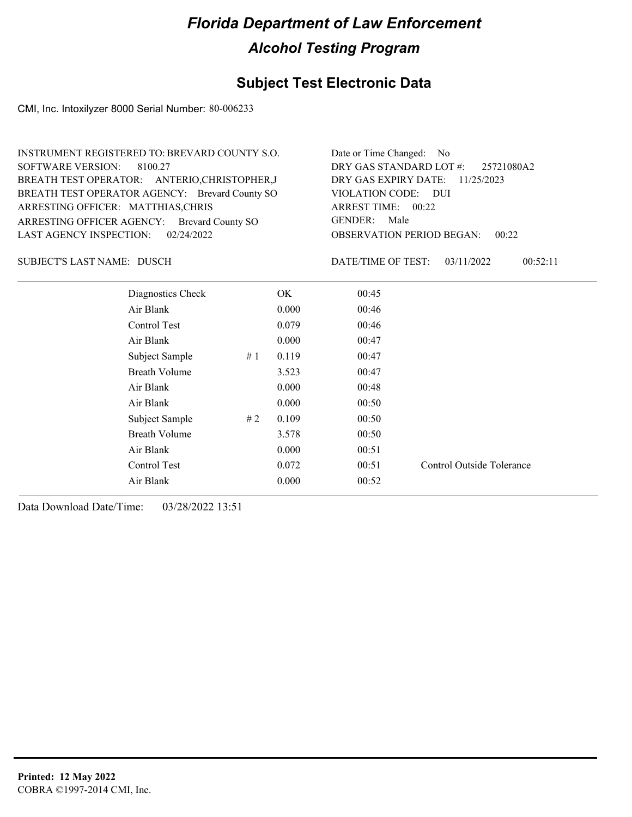## **Subject Test Electronic Data**

CMI, Inc. Intoxilyzer 8000 Serial Number: 80-006233

| INSTRUMENT REGISTERED TO: BREVARD COUNTY S.O.  | Date or Time Changed: No               |
|------------------------------------------------|----------------------------------------|
| SOFTWARE VERSION: 8100.27                      | DRY GAS STANDARD LOT #: 25721080A2     |
| BREATH TEST OPERATOR: ANTERIO, CHRISTOPHER, J  | DRY GAS EXPIRY DATE: 11/25/2023        |
| BREATH TEST OPERATOR AGENCY: Brevard County SO | VIOLATION CODE: DUI                    |
| ARRESTING OFFICER: MATTHIAS, CHRIS             | ARREST TIME: 00:22                     |
| ARRESTING OFFICER AGENCY: Brevard County SO    | GENDER: Male                           |
| LAST AGENCY INSPECTION: $02/24/2022$           | <b>OBSERVATION PERIOD BEGAN: 00:22</b> |

SUBJECT'S LAST NAME: DUSCH DESCRIPTION DATE/TIME OF TEST:

DATE/TIME OF TEST: 03/11/2022 00:52:11

| Diagnostics Check    |    | OK    | 00:45 |                           |
|----------------------|----|-------|-------|---------------------------|
| Air Blank            |    | 0.000 | 00:46 |                           |
| Control Test         |    | 0.079 | 00:46 |                           |
| Air Blank            |    | 0.000 | 00:47 |                           |
| Subject Sample       | #1 | 0.119 | 00:47 |                           |
| <b>Breath Volume</b> |    | 3.523 | 00:47 |                           |
| Air Blank            |    | 0.000 | 00:48 |                           |
| Air Blank            |    | 0.000 | 00:50 |                           |
| Subject Sample       | #2 | 0.109 | 00:50 |                           |
| <b>Breath Volume</b> |    | 3.578 | 00:50 |                           |
| Air Blank            |    | 0.000 | 00:51 |                           |
| Control Test         |    | 0.072 | 00:51 | Control Outside Tolerance |
| Air Blank            |    | 0.000 | 00:52 |                           |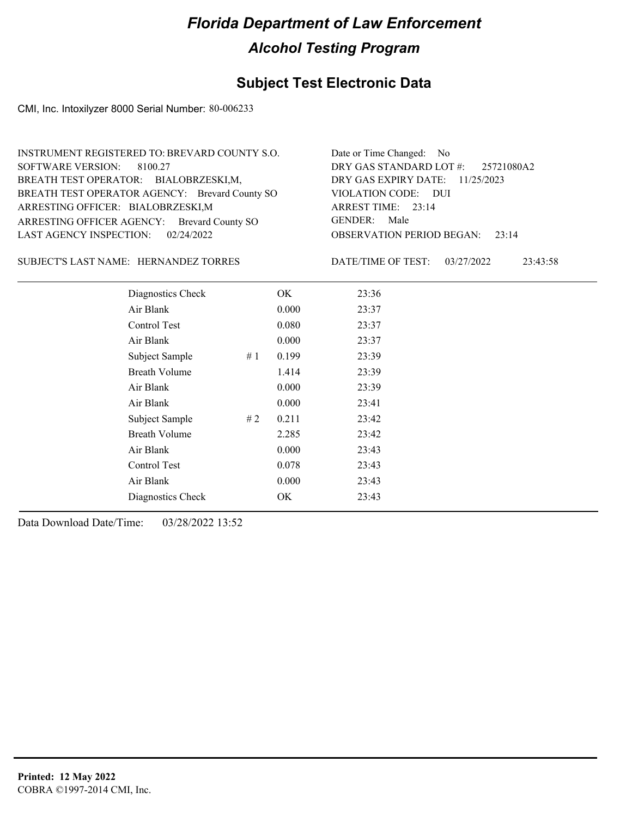## **Subject Test Electronic Data**

CMI, Inc. Intoxilyzer 8000 Serial Number: 80-006233

| INSTRUMENT REGISTERED TO: BREVARD COUNTY S.O.  | Date or Time Changed: No               |
|------------------------------------------------|----------------------------------------|
| SOFTWARE VERSION: 8100.27                      | DRY GAS STANDARD LOT $\#$ : 25721080A2 |
| BREATH TEST OPERATOR: BIALOBRZESKI,M,          | DRY GAS EXPIRY DATE: 11/25/2023        |
| BREATH TEST OPERATOR AGENCY: Brevard County SO | VIOLATION CODE: DUI                    |
| ARRESTING OFFICER: BIALOBRZESKI,M              | ARREST TIME: 23:14                     |
| ARRESTING OFFICER AGENCY: Brevard County SO    | GENDER: Male                           |
| LAST AGENCY INSPECTION: $02/24/2022$           | <b>OBSERVATION PERIOD BEGAN: 23:14</b> |

SUBJECT'S LAST NAME: HERNANDEZ TORRES DATE/TIME OF TEST:

DATE/TIME OF TEST: 03/27/2022 23:43:58

| Diagnostics Check    |    | OK    | 23:36 |
|----------------------|----|-------|-------|
| Air Blank            |    | 0.000 | 23:37 |
| Control Test         |    | 0.080 | 23:37 |
| Air Blank            |    | 0.000 | 23:37 |
| Subject Sample       | #1 | 0.199 | 23:39 |
| <b>Breath Volume</b> |    | 1.414 | 23:39 |
| Air Blank            |    | 0.000 | 23:39 |
| Air Blank            |    | 0.000 | 23:41 |
| Subject Sample       | #2 | 0.211 | 23:42 |
| <b>Breath Volume</b> |    | 2.285 | 23:42 |
| Air Blank            |    | 0.000 | 23:43 |
| Control Test         |    | 0.078 | 23:43 |
| Air Blank            |    | 0.000 | 23:43 |
| Diagnostics Check    |    | OK    | 23:43 |
|                      |    |       |       |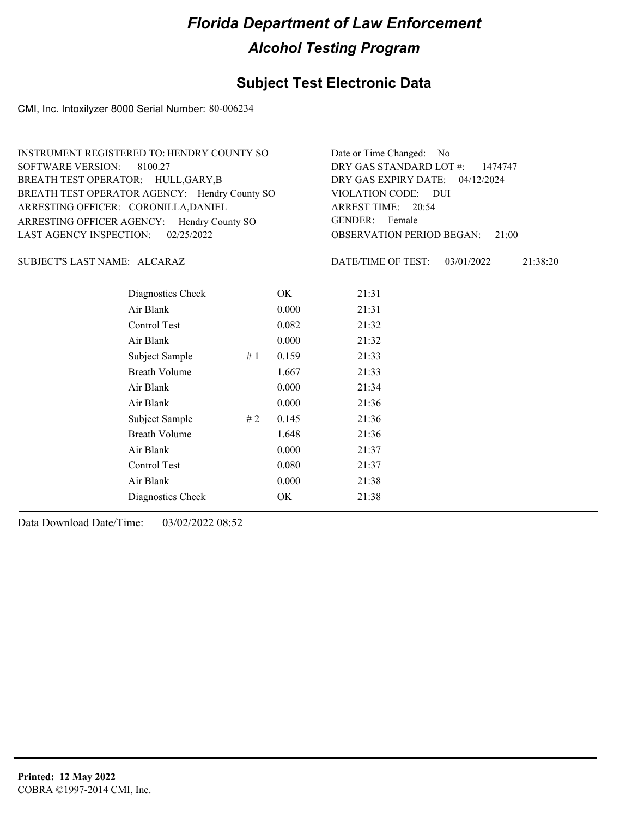### **Subject Test Electronic Data**

CMI, Inc. Intoxilyzer 8000 Serial Number: 80-006234

| INSTRUMENT REGISTERED TO: HENDRY COUNTY SO    | Date or Time Changed: No               |
|-----------------------------------------------|----------------------------------------|
| SOFTWARE VERSION: 8100.27                     | DRY GAS STANDARD LOT #: 1474747        |
| BREATH TEST OPERATOR: HULL, GARY, B           | DRY GAS EXPIRY DATE: 04/12/2024        |
| BREATH TEST OPERATOR AGENCY: Hendry County SO | VIOLATION CODE: DUI                    |
| ARRESTING OFFICER: CORONILLA, DANIEL          | ARREST TIME: 20:54                     |
| ARRESTING OFFICER AGENCY: Hendry County SO    | GENDER: Female                         |
| LAST AGENCY INSPECTION: 02/25/2022            | <b>OBSERVATION PERIOD BEGAN: 21:00</b> |

### ALCARAZ SUBJECT'S LAST NAME: DATE/TIME OF TEST:

DATE/TIME OF TEST: 03/01/2022 21:38:20

| Diagnostics Check    |    | OK    | 21:31 |
|----------------------|----|-------|-------|
| Air Blank            |    | 0.000 | 21:31 |
| Control Test         |    | 0.082 | 21:32 |
| Air Blank            |    | 0.000 | 21:32 |
| Subject Sample       | #1 | 0.159 | 21:33 |
| <b>Breath Volume</b> |    | 1.667 | 21:33 |
| Air Blank            |    | 0.000 | 21:34 |
| Air Blank            |    | 0.000 | 21:36 |
| Subject Sample       | #2 | 0.145 | 21:36 |
| <b>Breath Volume</b> |    | 1.648 | 21:36 |
| Air Blank            |    | 0.000 | 21:37 |
| Control Test         |    | 0.080 | 21:37 |
| Air Blank            |    | 0.000 | 21:38 |
| Diagnostics Check    |    | OK    | 21:38 |
|                      |    |       |       |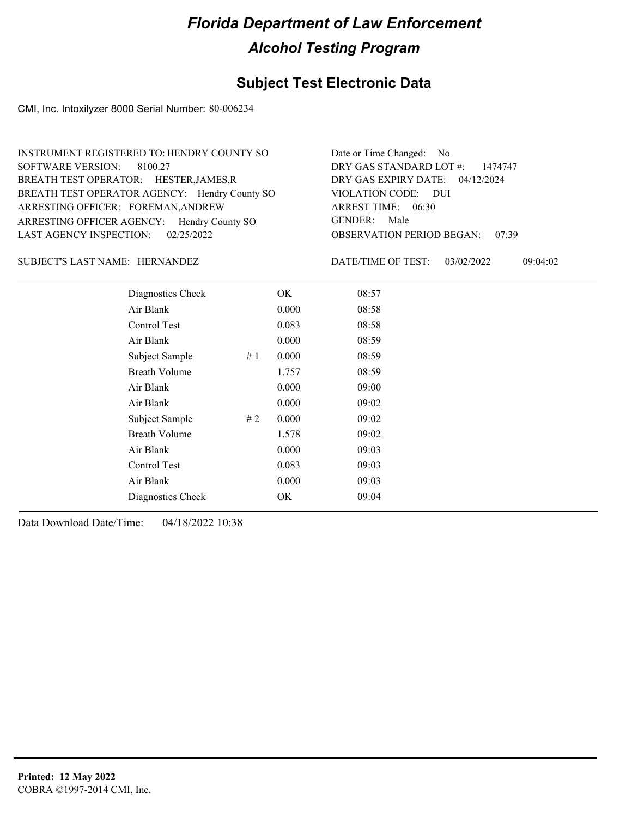### **Subject Test Electronic Data**

CMI, Inc. Intoxilyzer 8000 Serial Number: 80-006234

| INSTRUMENT REGISTERED TO: HENDRY COUNTY SO    | Date or Time Changed: No               |
|-----------------------------------------------|----------------------------------------|
| SOFTWARE VERSION: 8100.27                     | DRY GAS STANDARD LOT $\#$ : 1474747    |
| BREATH TEST OPERATOR: HESTER, JAMES, R        | DRY GAS EXPIRY DATE: 04/12/2024        |
| BREATH TEST OPERATOR AGENCY: Hendry County SO | VIOLATION CODE: DUI                    |
| ARRESTING OFFICER: FOREMAN, ANDREW            | ARREST TIME: 06:30                     |
| ARRESTING OFFICER AGENCY: Hendry County SO    | GENDER: Male                           |
| LAST AGENCY INSPECTION: 02/25/2022            | <b>OBSERVATION PERIOD BEGAN: 07:39</b> |
|                                               |                                        |

### SUBJECT'S LAST NAME: HERNANDEZ DATE/TIME OF TEST:

DATE/TIME OF TEST: 03/02/2022 09:04:02

| Diagnostics Check    |    | OK    | 08:57 |
|----------------------|----|-------|-------|
| Air Blank            |    | 0.000 | 08:58 |
| Control Test         |    | 0.083 | 08:58 |
| Air Blank            |    | 0.000 | 08:59 |
| Subject Sample       | #1 | 0.000 | 08:59 |
| <b>Breath Volume</b> |    | 1.757 | 08:59 |
| Air Blank            |    | 0.000 | 09:00 |
| Air Blank            |    | 0.000 | 09:02 |
| Subject Sample       | #2 | 0.000 | 09:02 |
| <b>Breath Volume</b> |    | 1.578 | 09:02 |
| Air Blank            |    | 0.000 | 09:03 |
| Control Test         |    | 0.083 | 09:03 |
| Air Blank            |    | 0.000 | 09:03 |
| Diagnostics Check    |    | OK    | 09:04 |
|                      |    |       |       |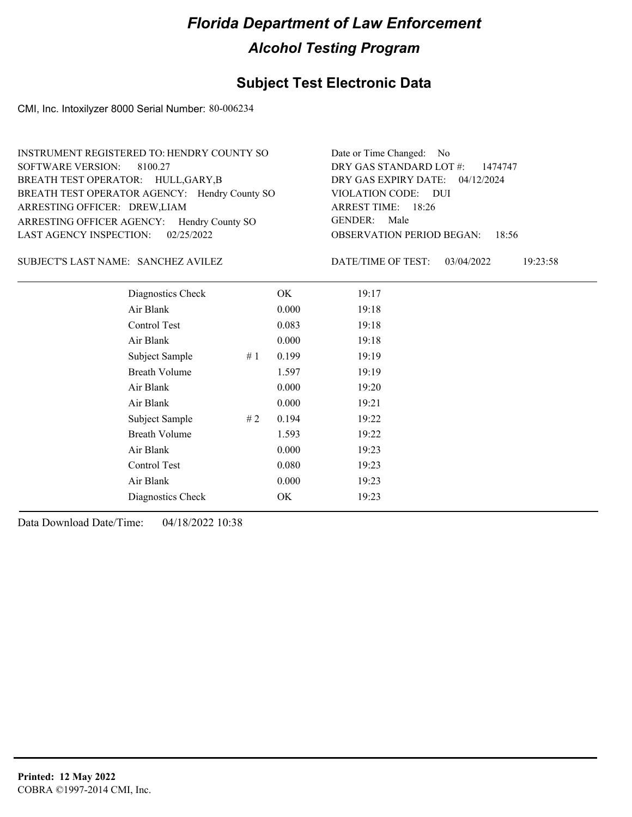### **Subject Test Electronic Data**

CMI, Inc. Intoxilyzer 8000 Serial Number: 80-006234

| INSTRUMENT REGISTERED TO: HENDRY COUNTY SO    | Date or Time Changed: No               |
|-----------------------------------------------|----------------------------------------|
| SOFTWARE VERSION: 8100.27                     | DRY GAS STANDARD LOT #: 1474747        |
| BREATH TEST OPERATOR: HULL, GARY, B           | DRY GAS EXPIRY DATE: 04/12/2024        |
| BREATH TEST OPERATOR AGENCY: Hendry County SO | VIOLATION CODE: DUI                    |
| ARRESTING OFFICER: DREW, LIAM                 | ARREST TIME: 18:26                     |
| ARRESTING OFFICER AGENCY: Hendry County SO    | GENDER: Male                           |
| LAST AGENCY INSPECTION: $02/25/2022$          | <b>OBSERVATION PERIOD BEGAN: 18:56</b> |

### SUBJECT'S LAST NAME: SANCHEZ AVILEZ DATE/TIME OF TEST:

DATE/TIME OF TEST: 03/04/2022 19:23:58

| Diagnostics Check    | OK    | 19:17 |
|----------------------|-------|-------|
| Air Blank            | 0.000 | 19:18 |
| Control Test         | 0.083 | 19:18 |
| Air Blank            | 0.000 | 19:18 |
| Subject Sample<br>#1 | 0.199 | 19:19 |
| <b>Breath Volume</b> | 1.597 | 19:19 |
| Air Blank            | 0.000 | 19:20 |
| Air Blank            | 0.000 | 19:21 |
| Subject Sample<br>#2 | 0.194 | 19:22 |
| <b>Breath Volume</b> | 1.593 | 19:22 |
| Air Blank            | 0.000 | 19:23 |
| Control Test         | 0.080 | 19:23 |
| Air Blank            | 0.000 | 19:23 |
| Diagnostics Check    | OK    | 19:23 |
|                      |       |       |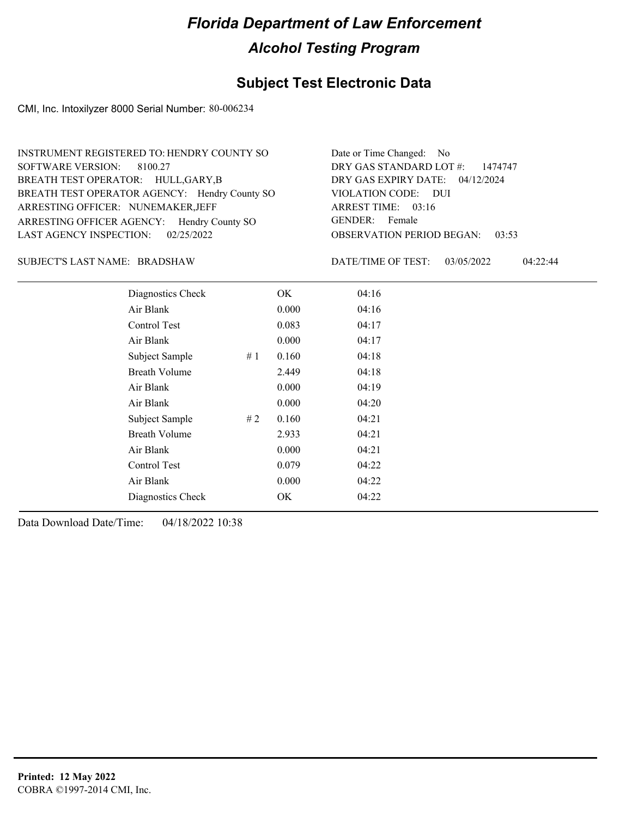## **Subject Test Electronic Data**

CMI, Inc. Intoxilyzer 8000 Serial Number: 80-006234

| INSTRUMENT REGISTERED TO: HENDRY COUNTY SO    | Date or Time Changed: No               |
|-----------------------------------------------|----------------------------------------|
| SOFTWARE VERSION: 8100.27                     | DRY GAS STANDARD LOT #: 1474747        |
| BREATH TEST OPERATOR: HULL, GARY, B           | DRY GAS EXPIRY DATE: 04/12/2024        |
| BREATH TEST OPERATOR AGENCY: Hendry County SO | VIOLATION CODE: DUI                    |
| ARRESTING OFFICER: NUNEMAKER, JEFF            | ARREST TIME: $03:16$                   |
| ARRESTING OFFICER AGENCY: Hendry County SO    | GENDER: Female                         |
| LAST AGENCY INSPECTION: $02/25/2022$          | <b>OBSERVATION PERIOD BEGAN: 03:53</b> |

### BRADSHAW SUBJECT'S LAST NAME: DATE/TIME OF TEST:

DATE/TIME OF TEST: 03/05/2022 04:22:44

| Diagnostics Check    |    | OK    | 04:16 |  |
|----------------------|----|-------|-------|--|
| Air Blank            |    | 0.000 | 04:16 |  |
| Control Test         |    | 0.083 | 04:17 |  |
| Air Blank            |    | 0.000 | 04:17 |  |
| Subject Sample       | #1 | 0.160 | 04:18 |  |
| <b>Breath Volume</b> |    | 2.449 | 04:18 |  |
| Air Blank            |    | 0.000 | 04:19 |  |
| Air Blank            |    | 0.000 | 04:20 |  |
| Subject Sample       | #2 | 0.160 | 04:21 |  |
| <b>Breath Volume</b> |    | 2.933 | 04:21 |  |
| Air Blank            |    | 0.000 | 04:21 |  |
| Control Test         |    | 0.079 | 04:22 |  |
| Air Blank            |    | 0.000 | 04:22 |  |
| Diagnostics Check    |    | OK    | 04:22 |  |
|                      |    |       |       |  |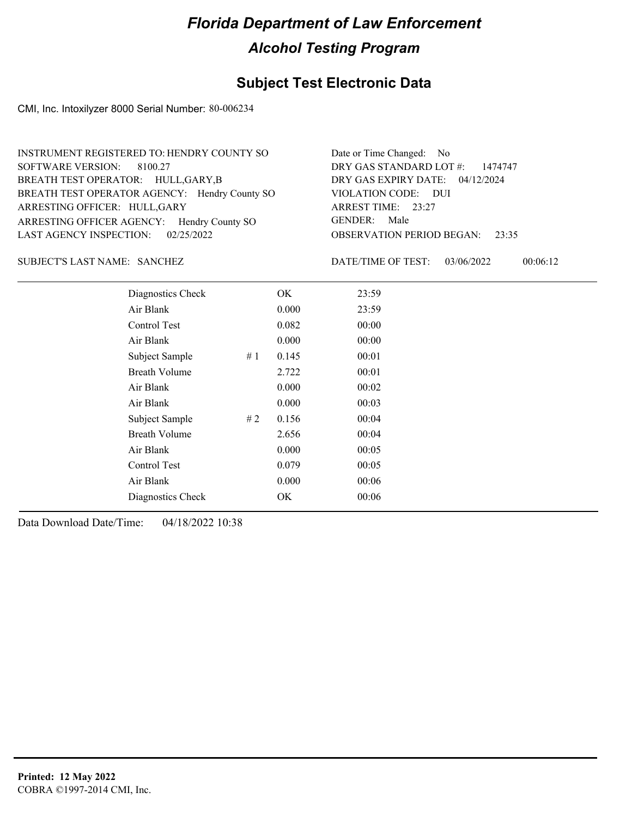## **Subject Test Electronic Data**

CMI, Inc. Intoxilyzer 8000 Serial Number: 80-006234

| INSTRUMENT REGISTERED TO: HENDRY COUNTY SO    | Date or Time Changed: No               |
|-----------------------------------------------|----------------------------------------|
| SOFTWARE VERSION: 8100.27                     | DRY GAS STANDARD LOT $\#$ : 1474747    |
| BREATH TEST OPERATOR: HULL, GARY, B           | DRY GAS EXPIRY DATE: 04/12/2024        |
| BREATH TEST OPERATOR AGENCY: Hendry County SO | VIOLATION CODE: DUI                    |
| ARRESTING OFFICER: HULL, GARY                 | ARREST TIME: 23:27                     |
| ARRESTING OFFICER AGENCY: Hendry County SO    | GENDER: Male                           |
| LAST AGENCY INSPECTION: $02/25/2022$          | <b>OBSERVATION PERIOD BEGAN: 23:35</b> |

### SANCHEZ SUBJECT'S LAST NAME: DATE/TIME OF TEST:

DATE/TIME OF TEST: 03/06/2022 00:06:12

| Diagnostics Check    |    | OK    | 23:59 |
|----------------------|----|-------|-------|
| Air Blank            |    | 0.000 | 23:59 |
| Control Test         |    | 0.082 | 00:00 |
| Air Blank            |    | 0.000 | 00:00 |
| Subject Sample       | #1 | 0.145 | 00:01 |
| <b>Breath Volume</b> |    | 2.722 | 00:01 |
| Air Blank            |    | 0.000 | 00:02 |
| Air Blank            |    | 0.000 | 00:03 |
| Subject Sample       | #2 | 0.156 | 00:04 |
| <b>Breath Volume</b> |    | 2.656 | 00:04 |
| Air Blank            |    | 0.000 | 00:05 |
| Control Test         |    | 0.079 | 00:05 |
| Air Blank            |    | 0.000 | 00:06 |
| Diagnostics Check    |    | OK    | 00:06 |
|                      |    |       |       |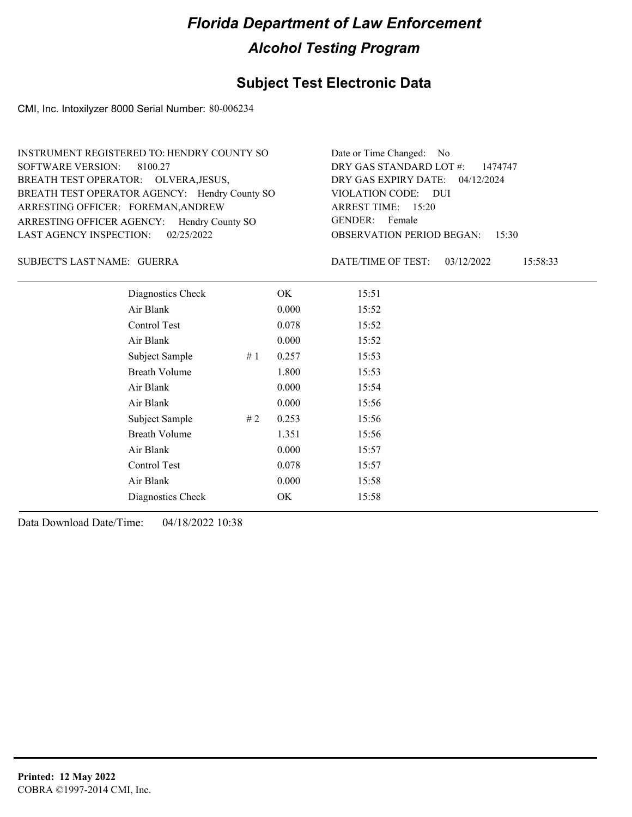## **Subject Test Electronic Data**

CMI, Inc. Intoxilyzer 8000 Serial Number: 80-006234

| INSTRUMENT REGISTERED TO: HENDRY COUNTY SO    | Date or Time Changed: No               |
|-----------------------------------------------|----------------------------------------|
| SOFTWARE VERSION: 8100.27                     | DRY GAS STANDARD LOT $\#$ : 1474747    |
| BREATH TEST OPERATOR: OLVERA, JESUS,          | DRY GAS EXPIRY DATE: 04/12/2024        |
| BREATH TEST OPERATOR AGENCY: Hendry County SO | VIOLATION CODE: DUI                    |
| ARRESTING OFFICER: FOREMAN, ANDREW            | ARREST TIME: 15:20                     |
| ARRESTING OFFICER AGENCY: Hendry County SO    | GENDER: Female                         |
| LAST AGENCY INSPECTION: $02/25/2022$          | <b>OBSERVATION PERIOD BEGAN: 15:30</b> |

### GUERRA SUBJECT'S LAST NAME: DATE/TIME OF TEST:

DATE/TIME OF TEST: 03/12/2022 15:58:33

| Diagnostics Check    |    | OK    | 15:51 |
|----------------------|----|-------|-------|
| Air Blank            |    | 0.000 | 15:52 |
| Control Test         |    | 0.078 | 15:52 |
| Air Blank            |    | 0.000 | 15:52 |
| Subject Sample       | #1 | 0.257 | 15:53 |
| <b>Breath Volume</b> |    | 1.800 | 15:53 |
| Air Blank            |    | 0.000 | 15:54 |
| Air Blank            |    | 0.000 | 15:56 |
| Subject Sample       | #2 | 0.253 | 15:56 |
| <b>Breath Volume</b> |    | 1.351 | 15:56 |
| Air Blank            |    | 0.000 | 15:57 |
| Control Test         |    | 0.078 | 15:57 |
| Air Blank            |    | 0.000 | 15:58 |
| Diagnostics Check    |    | OK    | 15:58 |
|                      |    |       |       |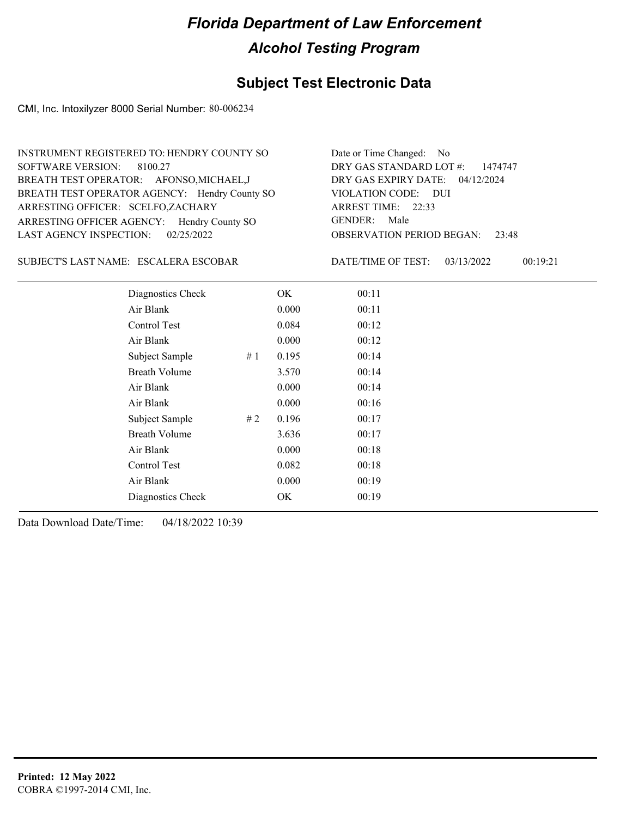### **Subject Test Electronic Data**

CMI, Inc. Intoxilyzer 8000 Serial Number: 80-006234

| INSTRUMENT REGISTERED TO: HENDRY COUNTY SO    | Date or Time Changed: No               |
|-----------------------------------------------|----------------------------------------|
| SOFTWARE VERSION: 8100.27                     | DRY GAS STANDARD LOT #: 1474747        |
| BREATH TEST OPERATOR: AFONSO, MICHAEL, J      | DRY GAS EXPIRY DATE: $04/12/2024$      |
| BREATH TEST OPERATOR AGENCY: Hendry County SO | VIOLATION CODE: DUI                    |
| ARRESTING OFFICER: SCELFO,ZACHARY             | ARREST TIME: 22:33                     |
| ARRESTING OFFICER AGENCY: Hendry County SO    | GENDER: Male                           |
| LAST AGENCY INSPECTION: 02/25/2022            | <b>OBSERVATION PERIOD BEGAN: 23:48</b> |

### ESCALERA ESCOBAR SUBJECT'S LAST NAME: DATE/TIME OF TEST:

DATE/TIME OF TEST: 03/13/2022 00:19:21

| Diagnostics Check    | OK    | 00:11 |
|----------------------|-------|-------|
| Air Blank            | 0.000 | 00:11 |
| Control Test         | 0.084 | 00:12 |
| Air Blank            | 0.000 | 00:12 |
| Subject Sample<br>#1 | 0.195 | 00:14 |
| <b>Breath Volume</b> | 3.570 | 00:14 |
| Air Blank            | 0.000 | 00:14 |
| Air Blank            | 0.000 | 00:16 |
| Subject Sample<br>#2 | 0.196 | 00:17 |
| <b>Breath Volume</b> | 3.636 | 00:17 |
| Air Blank            | 0.000 | 00:18 |
| Control Test         | 0.082 | 00:18 |
| Air Blank            | 0.000 | 00:19 |
| Diagnostics Check    | OK    | 00:19 |
|                      |       |       |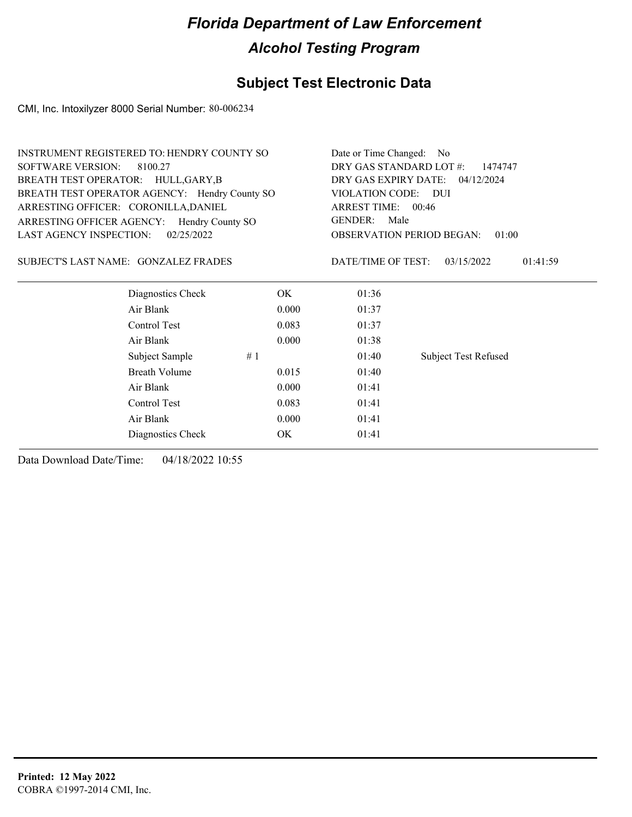## **Subject Test Electronic Data**

CMI, Inc. Intoxilyzer 8000 Serial Number: 80-006234

| INSTRUMENT REGISTERED TO: HENDRY COUNTY SO    |       | Date or Time Changed: No           |                                           |  |
|-----------------------------------------------|-------|------------------------------------|-------------------------------------------|--|
| <b>SOFTWARE VERSION:</b><br>8100.27           |       | DRY GAS STANDARD LOT #:<br>1474747 |                                           |  |
| BREATH TEST OPERATOR: HULL, GARY, B           |       | DRY GAS EXPIRY DATE: 04/12/2024    |                                           |  |
| BREATH TEST OPERATOR AGENCY: Hendry County SO |       | VIOLATION CODE: DUI                |                                           |  |
| ARRESTING OFFICER: CORONILLA, DANIEL          |       | ARREST TIME: 00:46                 |                                           |  |
| ARRESTING OFFICER AGENCY: Hendry County SO    |       | GENDER: Male                       |                                           |  |
| <b>LAST AGENCY INSPECTION:</b><br>02/25/2022  |       |                                    | <b>OBSERVATION PERIOD BEGAN:</b><br>01:00 |  |
| SUBJECT'S LAST NAME: GONZALEZ FRADES          |       | DATE/TIME OF TEST:                 | 03/15/2022<br>01:41:59                    |  |
| Diagnostics Check                             | OK.   | 01:36                              |                                           |  |
| Air Blank                                     | 0.000 | 01:37                              |                                           |  |
| Control Test                                  | 0.083 | 01:37                              |                                           |  |
| Air Blank                                     | 0.000 | 01:38                              |                                           |  |
| Subject Sample                                | #1    | 01:40                              | <b>Subject Test Refused</b>               |  |
| <b>Breath Volume</b>                          | 0.015 | 01:40                              |                                           |  |
| Air Blank                                     | 0.000 | 01:41                              |                                           |  |
| Control Test                                  | 0.083 | 01:41                              |                                           |  |
| Air Blank                                     | 0.000 | 01:41                              |                                           |  |
| Diagnostics Check                             | ОK    | 01:41                              |                                           |  |
|                                               |       |                                    |                                           |  |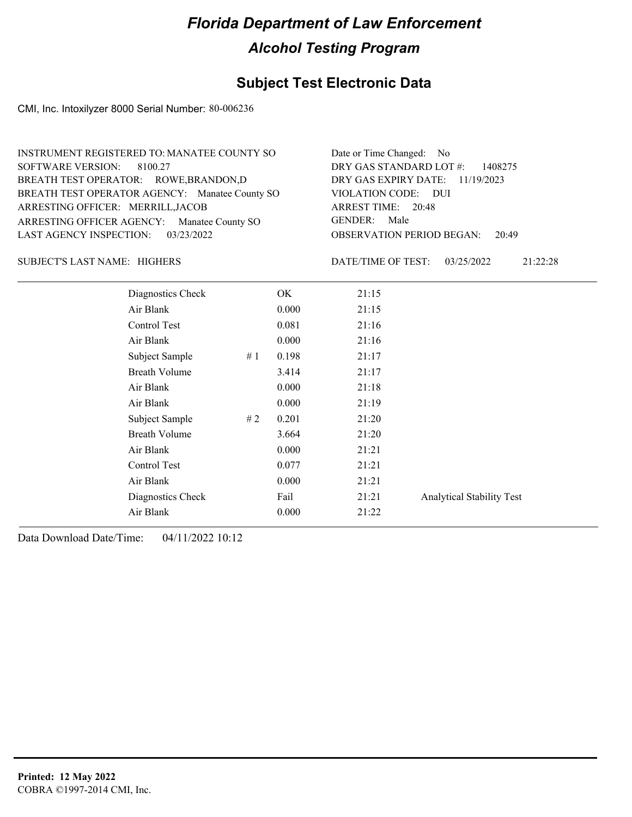### **Subject Test Electronic Data**

CMI, Inc. Intoxilyzer 8000 Serial Number: 80-006236

| INSTRUMENT REGISTERED TO: MANATEE COUNTY SO    | Date or Time Changed: No               |
|------------------------------------------------|----------------------------------------|
| SOFTWARE VERSION: 8100.27                      | DRY GAS STANDARD LOT $\#$ : 1408275    |
| BREATH TEST OPERATOR: ROWE, BRANDON, D         | DRY GAS EXPIRY DATE: 11/19/2023        |
| BREATH TEST OPERATOR AGENCY: Manatee County SO | VIOLATION CODE: DUI                    |
| ARRESTING OFFICER: MERRILL, JACOB              | ARREST TIME: 20:48                     |
| ARRESTING OFFICER AGENCY: Manatee County SO    | GENDER: Male                           |
| LAST AGENCY INSPECTION: 03/23/2022             | <b>OBSERVATION PERIOD BEGAN: 20:49</b> |

### HIGHERS SUBJECT'S LAST NAME: DATE/TIME OF TEST:

DATE/TIME OF TEST: 03/25/2022 21:22:28

| Diagnostics Check    |     | OK.   | 21:15 |                                  |
|----------------------|-----|-------|-------|----------------------------------|
| Air Blank            |     | 0.000 | 21:15 |                                  |
| Control Test         |     | 0.081 | 21:16 |                                  |
| Air Blank            |     | 0.000 | 21:16 |                                  |
| Subject Sample       | #1  | 0.198 | 21:17 |                                  |
| <b>Breath Volume</b> |     | 3.414 | 21:17 |                                  |
| Air Blank            |     | 0.000 | 21:18 |                                  |
| Air Blank            |     | 0.000 | 21:19 |                                  |
| Subject Sample       | # 2 | 0.201 | 21:20 |                                  |
| <b>Breath Volume</b> |     | 3.664 | 21:20 |                                  |
| Air Blank            |     | 0.000 | 21:21 |                                  |
| Control Test         |     | 0.077 | 21:21 |                                  |
| Air Blank            |     | 0.000 | 21:21 |                                  |
| Diagnostics Check    |     | Fail  | 21:21 | <b>Analytical Stability Test</b> |
| Air Blank            |     | 0.000 | 21:22 |                                  |
|                      |     |       |       |                                  |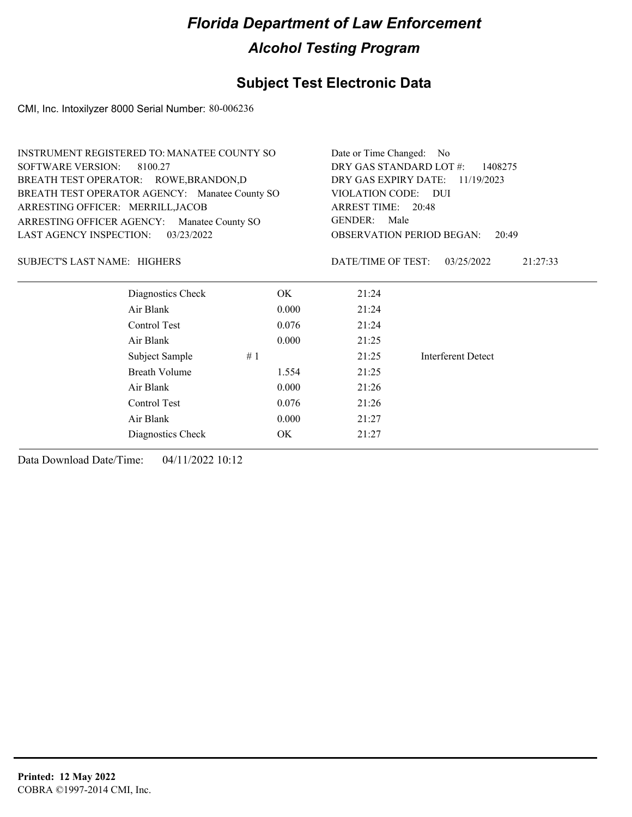## **Subject Test Electronic Data**

CMI, Inc. Intoxilyzer 8000 Serial Number: 80-006236

| <b>INSTRUMENT REGISTERED TO: MANATEE COUNTY SO</b> |            |       | Date or Time Changed: No                  |                                           |  |  |
|----------------------------------------------------|------------|-------|-------------------------------------------|-------------------------------------------|--|--|
| <b>SOFTWARE VERSION:</b><br>8100.27                |            |       | DRY GAS STANDARD LOT #:<br>1408275        |                                           |  |  |
| BREATH TEST OPERATOR: ROWE, BRANDON, D             |            |       | DRY GAS EXPIRY DATE: 11/19/2023           |                                           |  |  |
| BREATH TEST OPERATOR AGENCY: Manatee County SO     |            |       | VIOLATION CODE: DUI<br>ARREST TIME: 20:48 |                                           |  |  |
| ARRESTING OFFICER: MERRILL, JACOB                  |            |       |                                           |                                           |  |  |
| ARRESTING OFFICER AGENCY: Manatee County SO        |            |       | <b>GENDER:</b><br>Male                    |                                           |  |  |
| <b>LAST AGENCY INSPECTION:</b>                     | 03/23/2022 |       |                                           | <b>OBSERVATION PERIOD BEGAN:</b><br>20:49 |  |  |
| SUBJECT'S LAST NAME: HIGHERS                       |            |       | DATE/TIME OF TEST:                        | 03/25/2022<br>21:27:33                    |  |  |
| Diagnostics Check                                  |            | OK    | 21:24                                     |                                           |  |  |
| Air Blank                                          |            | 0.000 | 21:24                                     |                                           |  |  |
| Control Test                                       |            | 0.076 | 21:24                                     |                                           |  |  |
| Air Blank                                          |            | 0.000 | 21:25                                     |                                           |  |  |
| Subject Sample                                     | #1         |       | 21:25                                     | Interferent Detect                        |  |  |
| <b>Breath Volume</b>                               |            | 1.554 | 21:25                                     |                                           |  |  |
| Air Blank                                          |            | 0.000 | 21:26                                     |                                           |  |  |
| Control Test                                       |            | 0.076 | 21:26                                     |                                           |  |  |
| Air Blank<br>0.000                                 |            |       | 21:27                                     |                                           |  |  |
| Diagnostics Check                                  |            | OK.   | 21:27                                     |                                           |  |  |
|                                                    |            |       |                                           |                                           |  |  |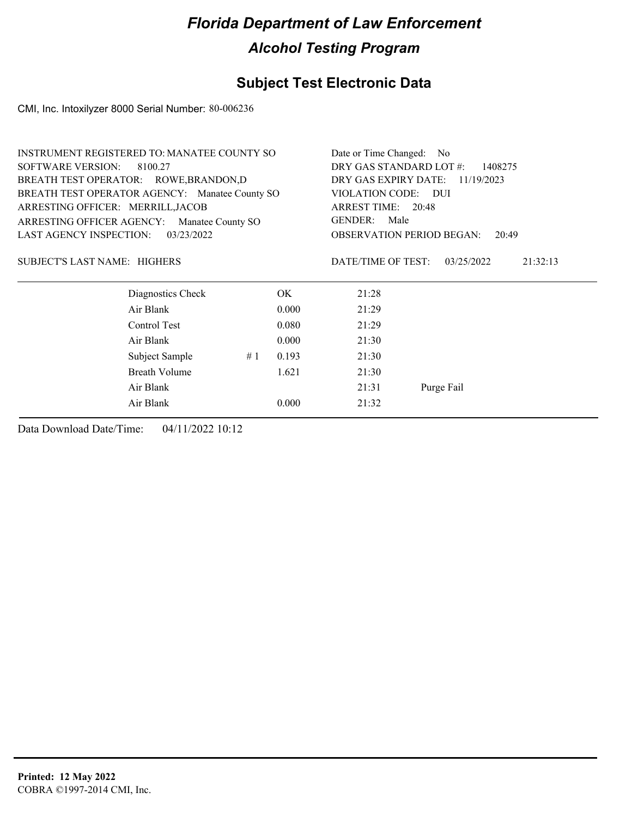## **Subject Test Electronic Data**

CMI, Inc. Intoxilyzer 8000 Serial Number: 80-006236

| <b>INSTRUMENT REGISTERED TO: MANATEE COUNTY SO</b> |                                                |    | Date or Time Changed: No           |                    |                                           |  |
|----------------------------------------------------|------------------------------------------------|----|------------------------------------|--------------------|-------------------------------------------|--|
| <b>SOFTWARE VERSION:</b><br>8100.27                |                                                |    | DRY GAS STANDARD LOT #:<br>1408275 |                    |                                           |  |
| BREATH TEST OPERATOR: ROWE, BRANDON, D             |                                                |    | DRY GAS EXPIRY DATE:               | 11/19/2023         |                                           |  |
|                                                    | BREATH TEST OPERATOR AGENCY: Manatee County SO |    |                                    | VIOLATION CODE:    | – DUI                                     |  |
| ARRESTING OFFICER: MERRILL, JACOB                  |                                                |    |                                    | ARREST TIME: 20:48 |                                           |  |
| ARRESTING OFFICER AGENCY:                          | Manatee County SO                              |    |                                    | GENDER: Male       |                                           |  |
| <b>LAST AGENCY INSPECTION:</b>                     | 03/23/2022                                     |    |                                    |                    | <b>OBSERVATION PERIOD BEGAN:</b><br>20:49 |  |
| SUBJECT'S LAST NAME: HIGHERS                       |                                                |    |                                    | DATE/TIME OF TEST: | 03/25/2022<br>21:32:13                    |  |
|                                                    | Diagnostics Check                              |    | OK                                 | 21:28              |                                           |  |
|                                                    | Air Blank                                      |    | 0.000                              | 21:29              |                                           |  |
|                                                    | Control Test                                   |    | 0.080                              | 21:29              |                                           |  |
|                                                    | Air Blank                                      |    | 0.000                              | 21:30              |                                           |  |
|                                                    | Subject Sample                                 | #1 | 0.193                              | 21:30              |                                           |  |
|                                                    | Breath Volume                                  |    | 1.621                              | 21:30              |                                           |  |
| Air Blank                                          |                                                |    | 21:31                              | Purge Fail         |                                           |  |
|                                                    | Air Blank                                      |    | 0.000                              | 21:32              |                                           |  |
|                                                    |                                                |    |                                    |                    |                                           |  |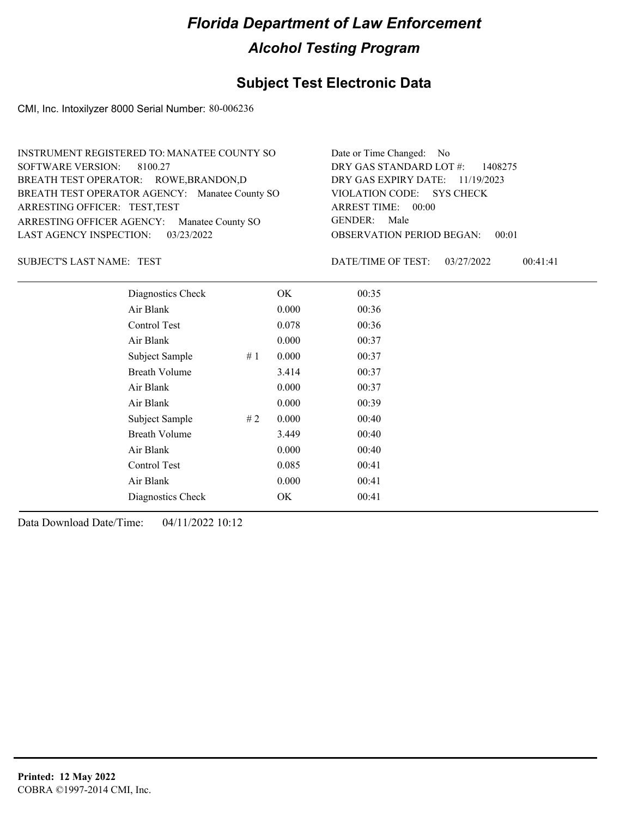## **Subject Test Electronic Data**

CMI, Inc. Intoxilyzer 8000 Serial Number: 80-006236

| INSTRUMENT REGISTERED TO: MANATEE COUNTY SO    | Date or Time Changed: No               |
|------------------------------------------------|----------------------------------------|
| SOFTWARE VERSION: 8100.27                      | DRY GAS STANDARD LOT $\#$ : 1408275    |
| BREATH TEST OPERATOR: ROWE, BRANDON, D         | DRY GAS EXPIRY DATE: 11/19/2023        |
| BREATH TEST OPERATOR AGENCY: Manatee County SO | VIOLATION CODE: SYS CHECK              |
| ARRESTING OFFICER: TEST, TEST                  | ARREST TIME: 00:00                     |
| ARRESTING OFFICER AGENCY: Manatee County SO    | GENDER: Male                           |
| LAST AGENCY INSPECTION: 03/23/2022             | <b>OBSERVATION PERIOD BEGAN: 00:01</b> |

TEST SUBJECT'S LAST NAME: DATE/TIME OF TEST:

DATE/TIME OF TEST: 03/27/2022 00:41:41

|                     | Diagnostics Check    | OK    | 00:35 |
|---------------------|----------------------|-------|-------|
| Air Blank           |                      | 0.000 | 00:36 |
| Control Test        |                      | 0.078 | 00:36 |
| Air Blank           |                      | 0.000 | 00:37 |
|                     | Subject Sample<br>#1 | 0.000 | 00:37 |
|                     | <b>Breath Volume</b> | 3.414 | 00:37 |
| Air Blank           |                      | 0.000 | 00:37 |
| Air Blank           |                      | 0.000 | 00:39 |
|                     | Subject Sample<br>#2 | 0.000 | 00:40 |
|                     | <b>Breath Volume</b> | 3.449 | 00:40 |
| Air Blank           |                      | 0.000 | 00:40 |
| <b>Control Test</b> |                      | 0.085 | 00:41 |
| Air Blank           |                      | 0.000 | 00:41 |
|                     | Diagnostics Check    | OK    | 00:41 |
|                     |                      |       |       |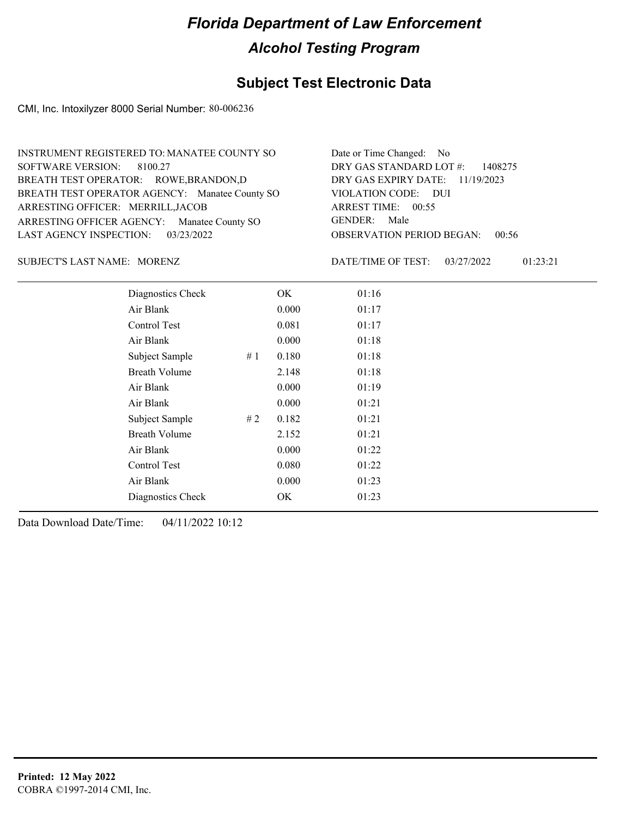## **Subject Test Electronic Data**

CMI, Inc. Intoxilyzer 8000 Serial Number: 80-006236

| INSTRUMENT REGISTERED TO: MANATEE COUNTY SO    | Date or Time Changed: No               |
|------------------------------------------------|----------------------------------------|
| SOFTWARE VERSION: 8100.27                      | DRY GAS STANDARD LOT $\#$ : 1408275    |
| BREATH TEST OPERATOR: ROWE, BRANDON, D         | DRY GAS EXPIRY DATE: 11/19/2023        |
| BREATH TEST OPERATOR AGENCY: Manatee County SO | VIOLATION CODE: DUI                    |
| ARRESTING OFFICER: MERRILL, JACOB              | ARREST TIME: 00:55                     |
| ARRESTING OFFICER AGENCY: Manatee County SO    | GENDER: Male                           |
| LAST AGENCY INSPECTION: 03/23/2022             | <b>OBSERVATION PERIOD BEGAN: 00:56</b> |

SUBJECT'S LAST NAME: MORENZ **Example 20** DATE/TIME OF TEST:

DATE/TIME OF TEST: 03/27/2022 01:23:21

| Diagnostics Check    | OK    | 01:16 |
|----------------------|-------|-------|
| Air Blank            | 0.000 | 01:17 |
| <b>Control Test</b>  | 0.081 | 01:17 |
| Air Blank            | 0.000 | 01:18 |
| Subject Sample<br>#1 | 0.180 | 01:18 |
| <b>Breath Volume</b> | 2.148 | 01:18 |
| Air Blank            | 0.000 | 01:19 |
| Air Blank            | 0.000 | 01:21 |
| Subject Sample<br>#2 | 0.182 | 01:21 |
| <b>Breath Volume</b> | 2.152 | 01:21 |
| Air Blank            | 0.000 | 01:22 |
| Control Test         | 0.080 | 01:22 |
| Air Blank            | 0.000 | 01:23 |
| Diagnostics Check    | OK    | 01:23 |
|                      |       |       |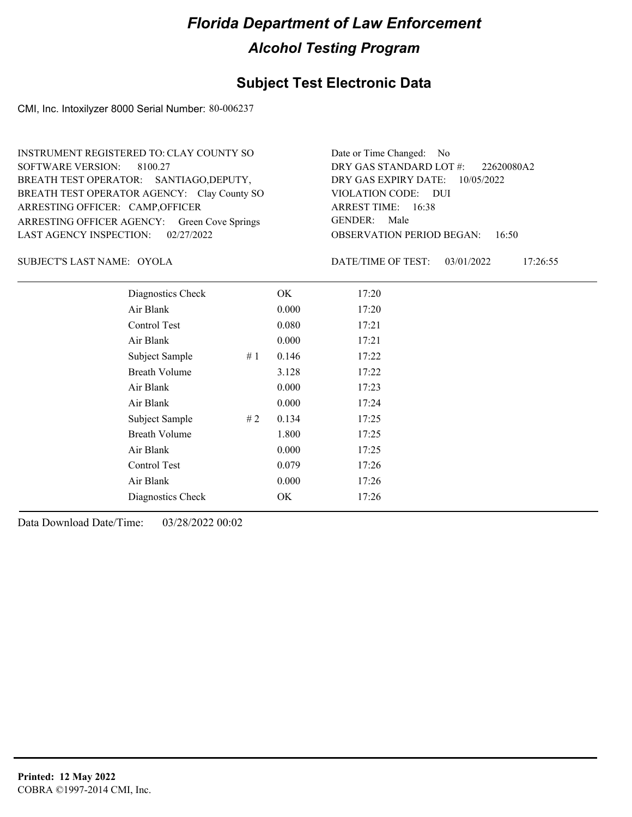### **Subject Test Electronic Data**

CMI, Inc. Intoxilyzer 8000 Serial Number: 80-006237

ARRESTING OFFICER AGENCY: Green Cove Springs GENDER: BREATH TEST OPERATOR AGENCY: Clay County SO VIOLATION CODE: SOFTWARE VERSION: 8100.27 ARRESTING OFFICER: CAMP, OFFICER BREATH TEST OPERATOR: SANTIAGO,DEPUTY, LAST AGENCY INSPECTION: 02/27/2022 INSTRUMENT REGISTERED TO: CLAY COUNTY SO

OBSERVATION PERIOD BEGAN: 16:50 VIOLATION CODE: DUI ARREST TIME: 16:38 DRY GAS EXPIRY DATE: 10/05/2022 22620080A2 DRY GAS STANDARD LOT #: Date or Time Changed: No GENDER: Male

SUBJECT'S LAST NAME: OYOLA DATE/TIME OF TEST:

DATE/TIME OF TEST: 03/01/2022 17:26:55

| Diagnostics Check    |    | OK    | 17:20 |  |  |
|----------------------|----|-------|-------|--|--|
| Air Blank            |    | 0.000 | 17:20 |  |  |
| Control Test         |    | 0.080 | 17:21 |  |  |
| Air Blank            |    | 0.000 | 17:21 |  |  |
| Subject Sample       | #1 | 0.146 | 17:22 |  |  |
| <b>Breath Volume</b> |    | 3.128 | 17:22 |  |  |
| Air Blank            |    | 0.000 | 17:23 |  |  |
| Air Blank            |    | 0.000 | 17:24 |  |  |
| Subject Sample       | #2 | 0.134 | 17:25 |  |  |
| <b>Breath Volume</b> |    | 1.800 | 17:25 |  |  |
| Air Blank            |    | 0.000 | 17:25 |  |  |
| Control Test         |    | 0.079 | 17:26 |  |  |
| Air Blank            |    | 0.000 | 17:26 |  |  |
| Diagnostics Check    |    | OK    | 17:26 |  |  |
|                      |    |       |       |  |  |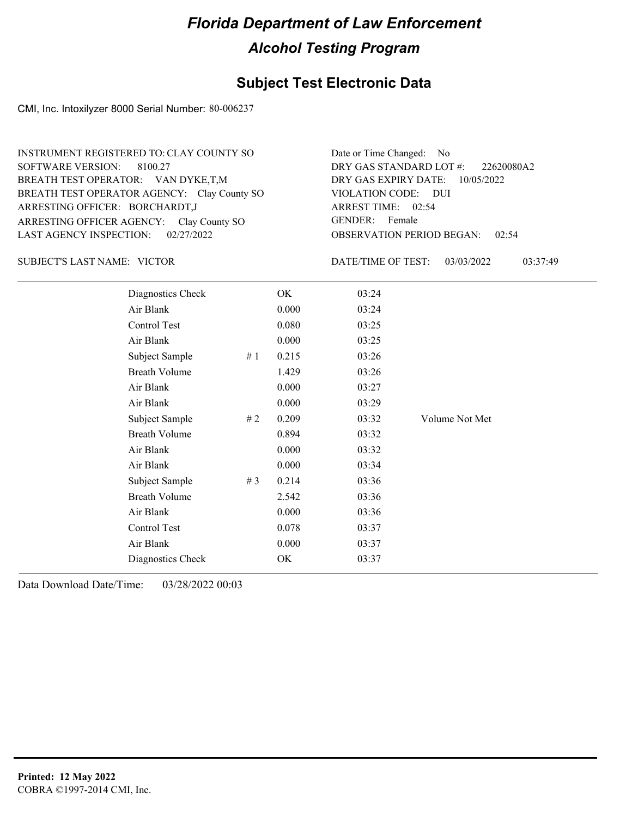### **Subject Test Electronic Data**

CMI, Inc. Intoxilyzer 8000 Serial Number: 80-006237

ARRESTING OFFICER AGENCY: GENDER: Clay County SO BREATH TEST OPERATOR AGENCY: Clay County SO VIOLATION CODE: SOFTWARE VERSION: 8100.27 ARRESTING OFFICER: BORCHARDT,J BREATH TEST OPERATOR: VAN DYKE,T,M LAST AGENCY INSPECTION: 02/27/2022 INSTRUMENT REGISTERED TO: CLAY COUNTY SO

OBSERVATION PERIOD BEGAN: 02:54 VIOLATION CODE: DUI ARREST TIME: 02:54 DRY GAS EXPIRY DATE: 10/05/2022 22620080A2 DRY GAS STANDARD LOT #: Date or Time Changed: No GENDER: Female

SUBJECT'S LAST NAME: VICTOR **Example 20 SUBJECT'S LAST NAME:** VICTOR

DATE/TIME OF TEST: 03/03/2022 03:37:49

| Diagnostics Check    |       | OK    | 03:24 |                |
|----------------------|-------|-------|-------|----------------|
| Air Blank            |       | 0.000 | 03:24 |                |
| Control Test         |       | 0.080 | 03:25 |                |
| Air Blank            |       | 0.000 | 03:25 |                |
| Subject Sample       | #1    | 0.215 | 03:26 |                |
| <b>Breath Volume</b> |       | 1.429 | 03:26 |                |
| Air Blank            |       | 0.000 | 03:27 |                |
| Air Blank            |       | 0.000 | 03:29 |                |
| Subject Sample       | #2    | 0.209 | 03:32 | Volume Not Met |
| <b>Breath Volume</b> |       | 0.894 | 03:32 |                |
| Air Blank            |       | 0.000 | 03:32 |                |
| Air Blank            |       | 0.000 | 03:34 |                |
| Subject Sample       | # $3$ | 0.214 | 03:36 |                |
| <b>Breath Volume</b> |       | 2.542 | 03:36 |                |
| Air Blank            |       | 0.000 | 03:36 |                |
| Control Test         |       | 0.078 | 03:37 |                |
| Air Blank            |       | 0.000 | 03:37 |                |
| Diagnostics Check    |       | OK    | 03:37 |                |
|                      |       |       |       |                |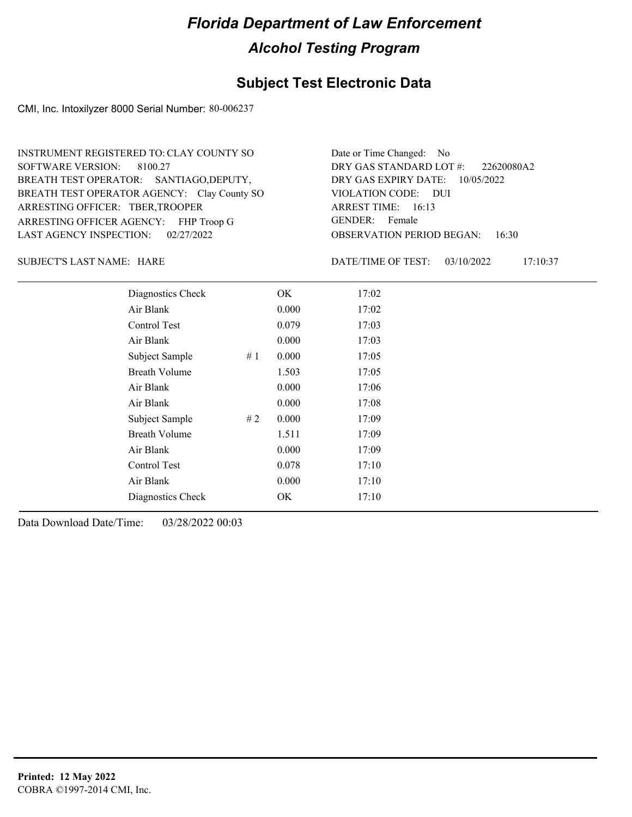### **Subject Test Electronic Data**

CMI, Inc. Intoxilyzer 8000 Serial Number: 80-006237

ARRESTING OFFICER AGENCY: FHP Troop G GENDER: BREATH TEST OPERATOR AGENCY: Clay County SO VIOLATION CODE: SOFTWARE VERSION: 8100.27 ARRESTING OFFICER: TBER,TROOPER BREATH TEST OPERATOR: SANTIAGO,DEPUTY, LAST AGENCY INSPECTION: 02/27/2022 INSTRUMENT REGISTERED TO: CLAY COUNTY SO

OBSERVATION PERIOD BEGAN: 16:30 VIOLATION CODE: DUI ARREST TIME: 16:13 DRY GAS EXPIRY DATE: 10/05/2022 22620080A2 DRY GAS STANDARD LOT #: Date or Time Changed: No GENDER: Female

SUBJECT'S LAST NAME: HARE DATE/TIME OF TEST:

DATE/TIME OF TEST: 03/10/2022 17:10:37

| Diagnostics Check    | OK    | 17:02 |
|----------------------|-------|-------|
| Air Blank            | 0.000 | 17:02 |
| Control Test         | 0.079 | 17:03 |
| Air Blank            | 0.000 | 17:03 |
| Subject Sample<br>#1 | 0.000 | 17:05 |
| <b>Breath Volume</b> | 1.503 | 17:05 |
| Air Blank            | 0.000 | 17:06 |
| Air Blank            | 0.000 | 17:08 |
| Subject Sample<br>#2 | 0.000 | 17:09 |
| <b>Breath Volume</b> | 1.511 | 17:09 |
| Air Blank            | 0.000 | 17:09 |
| Control Test         | 0.078 | 17:10 |
| Air Blank            | 0.000 | 17:10 |
| Diagnostics Check    | OK    | 17:10 |
|                      |       |       |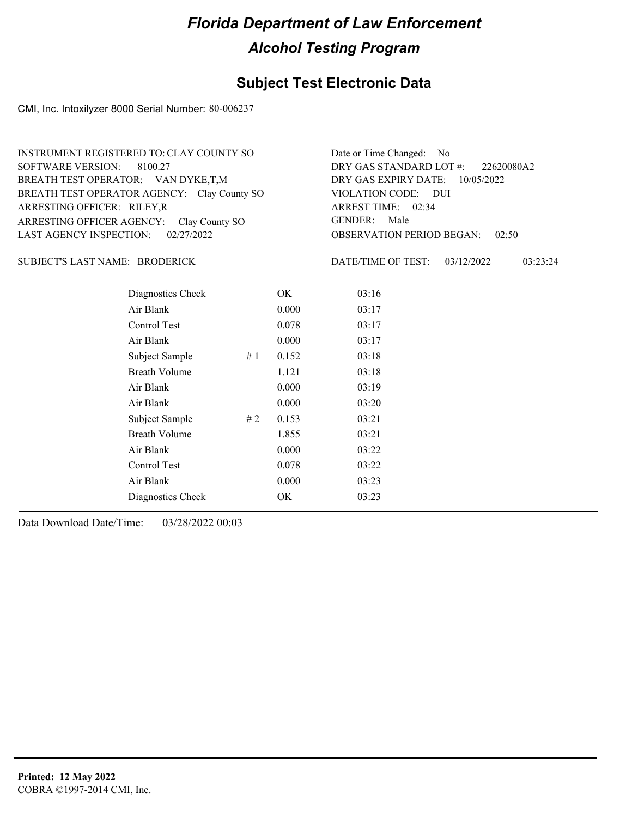### **Subject Test Electronic Data**

CMI, Inc. Intoxilyzer 8000 Serial Number: 80-006237

ARRESTING OFFICER AGENCY: GENDER: Clay County SO BREATH TEST OPERATOR AGENCY: Clay County SO VIOLATION CODE: SOFTWARE VERSION: 8100.27 ARRESTING OFFICER: RILEY,R BREATH TEST OPERATOR: VAN DYKE,T,M LAST AGENCY INSPECTION: 02/27/2022 INSTRUMENT REGISTERED TO: CLAY COUNTY SO

OBSERVATION PERIOD BEGAN: 02:50 VIOLATION CODE: DUI ARREST TIME: 02:34 DRY GAS EXPIRY DATE: 10/05/2022 22620080A2 DRY GAS STANDARD LOT #: Date or Time Changed: No GENDER: Male

### BRODERICK SUBJECT'S LAST NAME: DATE/TIME OF TEST:

DATE/TIME OF TEST: 03/12/2022 03:23:24

| Diagnostics Check    | OK    | 03:16 |
|----------------------|-------|-------|
| Air Blank            | 0.000 | 03:17 |
| Control Test         | 0.078 | 03:17 |
| Air Blank            | 0.000 | 03:17 |
| Subject Sample<br>#1 | 0.152 | 03:18 |
| <b>Breath Volume</b> | 1.121 | 03:18 |
| Air Blank            | 0.000 | 03:19 |
| Air Blank            | 0.000 | 03:20 |
| Subject Sample<br>#2 | 0.153 | 03:21 |
| <b>Breath Volume</b> | 1.855 | 03:21 |
| Air Blank            | 0.000 | 03:22 |
| Control Test         | 0.078 | 03:22 |
| Air Blank            | 0.000 | 03:23 |
| Diagnostics Check    | OK    | 03:23 |
|                      |       |       |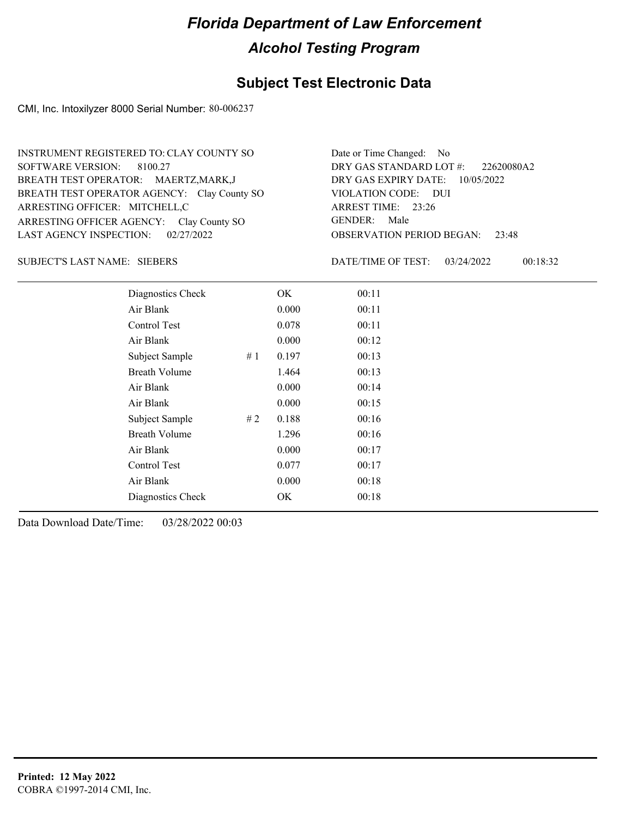### **Subject Test Electronic Data**

CMI, Inc. Intoxilyzer 8000 Serial Number: 80-006237

ARRESTING OFFICER AGENCY: GENDER: Clay County SO BREATH TEST OPERATOR AGENCY: Clay County SO VIOLATION CODE: SOFTWARE VERSION: 8100.27 ARRESTING OFFICER: MITCHELL,C BREATH TEST OPERATOR: MAERTZ,MARK,J LAST AGENCY INSPECTION: 02/27/2022 INSTRUMENT REGISTERED TO: CLAY COUNTY SO

OBSERVATION PERIOD BEGAN: 23:48 VIOLATION CODE: DUI 23:26 ARREST TIME: DRY GAS EXPIRY DATE: 10/05/2022 22620080A2 DRY GAS STANDARD LOT #: Date or Time Changed: No GENDER: Male

SUBJECT'S LAST NAME: SIEBERS DATE/TIME OF TEST:

DATE/TIME OF TEST: 03/24/2022 00:18:32

| Diagnostics Check    |    | OK    | 00:11 |
|----------------------|----|-------|-------|
| Air Blank            |    | 0.000 | 00:11 |
| Control Test         |    | 0.078 | 00:11 |
| Air Blank            |    | 0.000 | 00:12 |
| Subject Sample       | #1 | 0.197 | 00:13 |
| <b>Breath Volume</b> |    | 1.464 | 00:13 |
| Air Blank            |    | 0.000 | 00:14 |
| Air Blank            |    | 0.000 | 00:15 |
| Subject Sample       | #2 | 0.188 | 00:16 |
| <b>Breath Volume</b> |    | 1.296 | 00:16 |
| Air Blank            |    | 0.000 | 00:17 |
| Control Test         |    | 0.077 | 00:17 |
| Air Blank            |    | 0.000 | 00:18 |
| Diagnostics Check    |    | OK    | 00:18 |
|                      |    |       |       |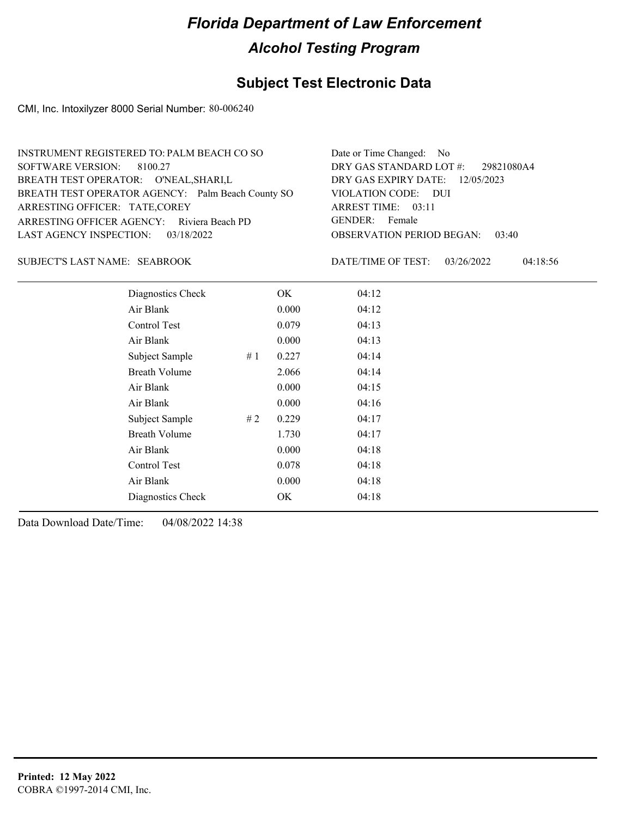### **Subject Test Electronic Data**

CMI, Inc. Intoxilyzer 8000 Serial Number: 80-006240

| INSTRUMENT REGISTERED TO: PALM BEACH CO SO        | Date or Time Changed: No               |
|---------------------------------------------------|----------------------------------------|
| SOFTWARE VERSION: 8100.27                         | DRY GAS STANDARD LOT #: 29821080A4     |
| BREATH TEST OPERATOR: O'NEAL, SHARI, L            | DRY GAS EXPIRY DATE: 12/05/2023        |
| BREATH TEST OPERATOR AGENCY: Palm Beach County SO | VIOLATION CODE: DUI                    |
| ARRESTING OFFICER: TATE, COREY                    | ARREST TIME: 03:11                     |
| ARRESTING OFFICER AGENCY: Riviera Beach PD        | GENDER: Female                         |
| LAST AGENCY INSPECTION: 03/18/2022                | <b>OBSERVATION PERIOD BEGAN: 03:40</b> |
|                                                   |                                        |

### SUBJECT'S LAST NAME: SEABROOK DATE/TIME OF TEST:

DATE/TIME OF TEST: 03/26/2022 04:18:56

| Diagnostics Check    |    | OK    | 04:12 |
|----------------------|----|-------|-------|
| Air Blank            |    | 0.000 | 04:12 |
| Control Test         |    | 0.079 | 04:13 |
| Air Blank            |    | 0.000 | 04:13 |
| Subject Sample       | #1 | 0.227 | 04:14 |
| <b>Breath Volume</b> |    | 2.066 | 04:14 |
| Air Blank            |    | 0.000 | 04:15 |
| Air Blank            |    | 0.000 | 04:16 |
| Subject Sample       | #2 | 0.229 | 04:17 |
| <b>Breath Volume</b> |    | 1.730 | 04:17 |
| Air Blank            |    | 0.000 | 04:18 |
| <b>Control Test</b>  |    | 0.078 | 04:18 |
| Air Blank            |    | 0.000 | 04:18 |
| Diagnostics Check    |    | OK    | 04:18 |
|                      |    |       |       |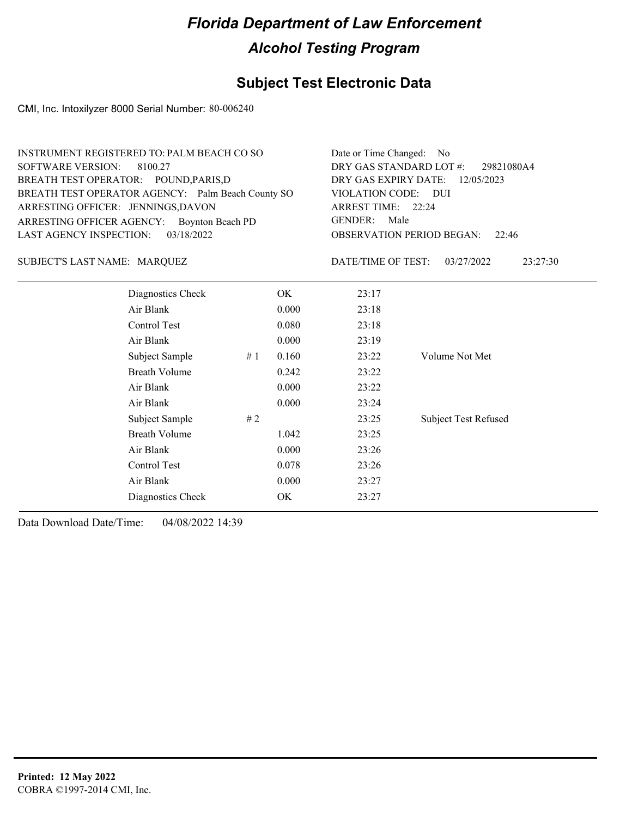## **Subject Test Electronic Data**

CMI, Inc. Intoxilyzer 8000 Serial Number: 80-006240

| INSTRUMENT REGISTERED TO: PALM BEACH CO SO        | Date or Time Changed: No               |
|---------------------------------------------------|----------------------------------------|
| SOFTWARE VERSION: 8100.27                         | DRY GAS STANDARD LOT #: 29821080A4     |
| BREATH TEST OPERATOR: POUND, PARIS, D             | DRY GAS EXPIRY DATE: $12/05/2023$      |
| BREATH TEST OPERATOR AGENCY: Palm Beach County SO | VIOLATION CODE: DUI                    |
| ARRESTING OFFICER: JENNINGS, DAVON                | ARREST TIME: 22:24                     |
| ARRESTING OFFICER AGENCY: Boynton Beach PD        | GENDER: Male                           |
| LAST AGENCY INSPECTION: 03/18/2022                | <b>OBSERVATION PERIOD BEGAN: 22:46</b> |

### MARQUEZ SUBJECT'S LAST NAME: DATE/TIME OF TEST:

DATE/TIME OF TEST: 03/27/2022 23:27:30

| Diagnostics Check    | OK.   | 23:17 |                             |
|----------------------|-------|-------|-----------------------------|
| Air Blank            | 0.000 | 23:18 |                             |
| Control Test         | 0.080 | 23:18 |                             |
| Air Blank            | 0.000 | 23:19 |                             |
| Subject Sample<br>#1 | 0.160 | 23:22 | Volume Not Met              |
| <b>Breath Volume</b> | 0.242 | 23:22 |                             |
| Air Blank            | 0.000 | 23:22 |                             |
| Air Blank            | 0.000 | 23:24 |                             |
| Subject Sample<br>#2 |       | 23:25 | <b>Subject Test Refused</b> |
| <b>Breath Volume</b> | 1.042 | 23:25 |                             |
| Air Blank            | 0.000 | 23:26 |                             |
| Control Test         | 0.078 | 23:26 |                             |
| Air Blank            | 0.000 | 23:27 |                             |
| Diagnostics Check    | OK    | 23:27 |                             |
|                      |       |       |                             |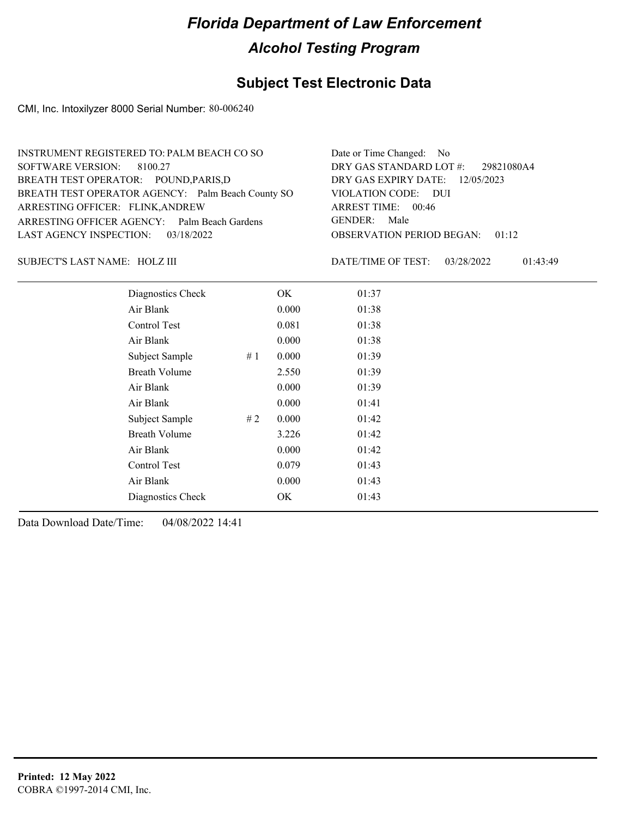### **Subject Test Electronic Data**

CMI, Inc. Intoxilyzer 8000 Serial Number: 80-006240

| INSTRUMENT REGISTERED TO: PALM BEACH CO SO        | Date or Time Changed: No               |
|---------------------------------------------------|----------------------------------------|
| SOFTWARE VERSION: 8100.27                         | DRY GAS STANDARD LOT #: 29821080A4     |
| BREATH TEST OPERATOR: POUND, PARIS, D             | DRY GAS EXPIRY DATE: 12/05/2023        |
| BREATH TEST OPERATOR AGENCY: Palm Beach County SO | VIOLATION CODE: DUI                    |
| ARRESTING OFFICER: FLINK, ANDREW                  | ARREST TIME: 00:46                     |
| ARRESTING OFFICER AGENCY: Palm Beach Gardens      | GENDER: Male                           |
| LAST AGENCY INSPECTION: 03/18/2022                | <b>OBSERVATION PERIOD BEGAN: 01:12</b> |
|                                                   |                                        |

HOLZ III SUBJECT'S LAST NAME: DATE/TIME OF TEST:

DATE/TIME OF TEST: 03/28/2022 01:43:49

| Diagnostics Check    |    | OK    | 01:37 |
|----------------------|----|-------|-------|
| Air Blank            |    | 0.000 | 01:38 |
| Control Test         |    | 0.081 | 01:38 |
| Air Blank            |    | 0.000 | 01:38 |
| Subject Sample       | #1 | 0.000 | 01:39 |
| <b>Breath Volume</b> |    | 2.550 | 01:39 |
| Air Blank            |    | 0.000 | 01:39 |
| Air Blank            |    | 0.000 | 01:41 |
| Subject Sample       | #2 | 0.000 | 01:42 |
| <b>Breath Volume</b> |    | 3.226 | 01:42 |
| Air Blank            |    | 0.000 | 01:42 |
| Control Test         |    | 0.079 | 01:43 |
| Air Blank            |    | 0.000 | 01:43 |
| Diagnostics Check    |    | OK    | 01:43 |
|                      |    |       |       |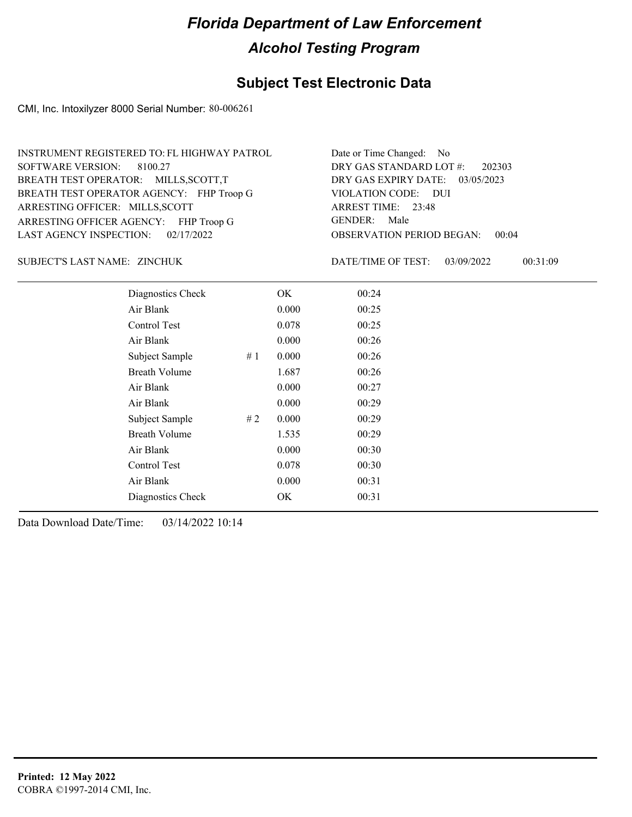## **Subject Test Electronic Data**

CMI, Inc. Intoxilyzer 8000 Serial Number: 80-006261

| INSTRUMENT REGISTERED TO: FL HIGHWAY PATROL | Date or Time Changed: No               |
|---------------------------------------------|----------------------------------------|
| SOFTWARE VERSION: 8100.27                   | DRY GAS STANDARD LOT #: 202303         |
| BREATH TEST OPERATOR: MILLS, SCOTT, T       | DRY GAS EXPIRY DATE: 03/05/2023        |
| BREATH TEST OPERATOR AGENCY: FHP Troop G    | VIOLATION CODE: DUI                    |
| ARRESTING OFFICER: MILLS, SCOTT             | ARREST TIME: 23:48                     |
| ARRESTING OFFICER AGENCY: FHP Troop G       | GENDER: Male                           |
| LAST AGENCY INSPECTION: $02/17/2022$        | <b>OBSERVATION PERIOD BEGAN: 00:04</b> |

ZINCHUK SUBJECT'S LAST NAME: DATE/TIME OF TEST:

DATE/TIME OF TEST: 03/09/2022 00:31:09

| Diagnostics Check    |    | OK    | 00:24 |  |
|----------------------|----|-------|-------|--|
| Air Blank            |    | 0.000 | 00:25 |  |
| <b>Control Test</b>  |    | 0.078 | 00:25 |  |
| Air Blank            |    | 0.000 | 00:26 |  |
| Subject Sample       | #1 | 0.000 | 00:26 |  |
| <b>Breath Volume</b> |    | 1.687 | 00:26 |  |
| Air Blank            |    | 0.000 | 00:27 |  |
| Air Blank            |    | 0.000 | 00:29 |  |
| Subject Sample       | #2 | 0.000 | 00:29 |  |
| <b>Breath Volume</b> |    | 1.535 | 00:29 |  |
| Air Blank            |    | 0.000 | 00:30 |  |
| Control Test         |    | 0.078 | 00:30 |  |
| Air Blank            |    | 0.000 | 00:31 |  |
| Diagnostics Check    |    | OK    | 00:31 |  |
|                      |    |       |       |  |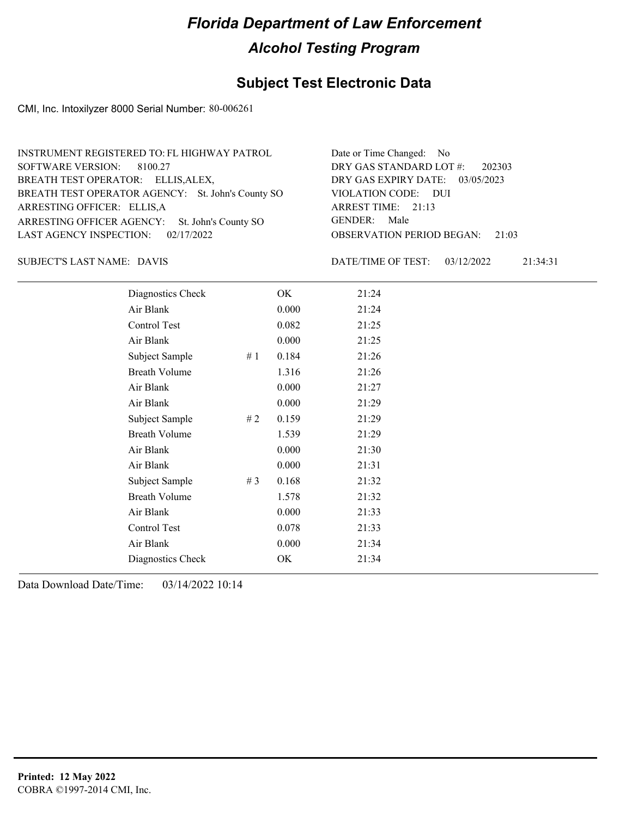## **Subject Test Electronic Data**

CMI, Inc. Intoxilyzer 8000 Serial Number: 80-006261

| INSTRUMENT REGISTERED TO: FL HIGHWAY PATROL       | Date or Time Changed: No               |
|---------------------------------------------------|----------------------------------------|
| SOFTWARE VERSION: 8100.27                         | DRY GAS STANDARD LOT #: 202303         |
| BREATH TEST OPERATOR: ELLIS, ALEX,                | DRY GAS EXPIRY DATE: 03/05/2023        |
| BREATH TEST OPERATOR AGENCY: St. John's County SO | VIOLATION CODE: DUI                    |
| ARRESTING OFFICER: ELLIS, A                       | ARREST TIME: 21:13                     |
| ARRESTING OFFICER AGENCY: St. John's County SO    | GENDER: Male                           |
| LAST AGENCY INSPECTION: $02/17/2022$              | <b>OBSERVATION PERIOD BEGAN: 21:03</b> |
|                                                   |                                        |

DAVIS SUBJECT'S LAST NAME: DATE/TIME OF TEST:

DATE/TIME OF TEST: 03/12/2022 21:34:31

| Diagnostics Check    |       | OK    | 21:24 |
|----------------------|-------|-------|-------|
| Air Blank            |       | 0.000 | 21:24 |
| Control Test         |       | 0.082 | 21:25 |
| Air Blank            |       | 0.000 | 21:25 |
| Subject Sample       | #1    | 0.184 | 21:26 |
| <b>Breath Volume</b> |       | 1.316 | 21:26 |
| Air Blank            |       | 0.000 | 21:27 |
| Air Blank            |       | 0.000 | 21:29 |
| Subject Sample       | #2    | 0.159 | 21:29 |
| <b>Breath Volume</b> |       | 1.539 | 21:29 |
| Air Blank            |       | 0.000 | 21:30 |
| Air Blank            |       | 0.000 | 21:31 |
| Subject Sample       | # $3$ | 0.168 | 21:32 |
| <b>Breath Volume</b> |       | 1.578 | 21:32 |
| Air Blank            |       | 0.000 | 21:33 |
| Control Test         |       | 0.078 | 21:33 |
| Air Blank            |       | 0.000 | 21:34 |
| Diagnostics Check    |       | OK    | 21:34 |
|                      |       |       |       |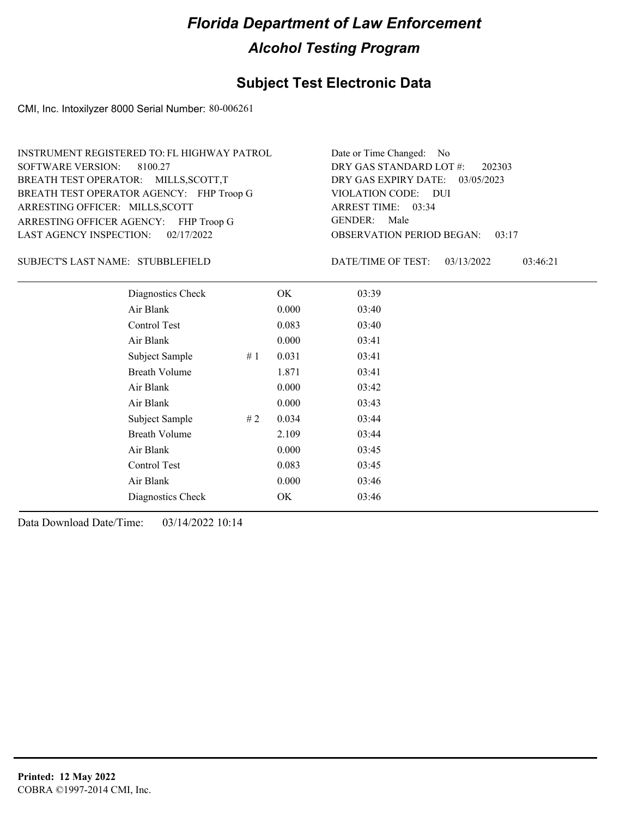## **Subject Test Electronic Data**

CMI, Inc. Intoxilyzer 8000 Serial Number: 80-006261

| INSTRUMENT REGISTERED TO: FL HIGHWAY PATROL | Date or Time Changed: No               |
|---------------------------------------------|----------------------------------------|
| SOFTWARE VERSION: 8100.27                   | DRY GAS STANDARD LOT #: 202303         |
| BREATH TEST OPERATOR: MILLS, SCOTT, T       | DRY GAS EXPIRY DATE: 03/05/2023        |
| BREATH TEST OPERATOR AGENCY: FHP Troop G    | VIOLATION CODE: DUI                    |
| ARRESTING OFFICER: MILLS, SCOTT             | ARREST TIME: 03:34                     |
| ARRESTING OFFICER AGENCY: FHP Troop G       | GENDER: Male                           |
| LAST AGENCY INSPECTION: $02/17/2022$        | <b>OBSERVATION PERIOD BEGAN: 03:17</b> |

SUBJECT'S LAST NAME: STUBBLEFIELD DATE/TIME OF TEST:

DATE/TIME OF TEST: 03/13/2022 03:46:21

| Diagnostics Check    |     | OK    | 03:39 |  |
|----------------------|-----|-------|-------|--|
| Air Blank            |     | 0.000 | 03:40 |  |
| Control Test         |     | 0.083 | 03:40 |  |
| Air Blank            |     | 0.000 | 03:41 |  |
| Subject Sample       | #1  | 0.031 | 03:41 |  |
| <b>Breath Volume</b> |     | 1.871 | 03:41 |  |
| Air Blank            |     | 0.000 | 03:42 |  |
| Air Blank            |     | 0.000 | 03:43 |  |
| Subject Sample       | # 2 | 0.034 | 03:44 |  |
| <b>Breath Volume</b> |     | 2.109 | 03:44 |  |
| Air Blank            |     | 0.000 | 03:45 |  |
| Control Test         |     | 0.083 | 03:45 |  |
| Air Blank            |     | 0.000 | 03:46 |  |
| Diagnostics Check    |     | OK    | 03:46 |  |
|                      |     |       |       |  |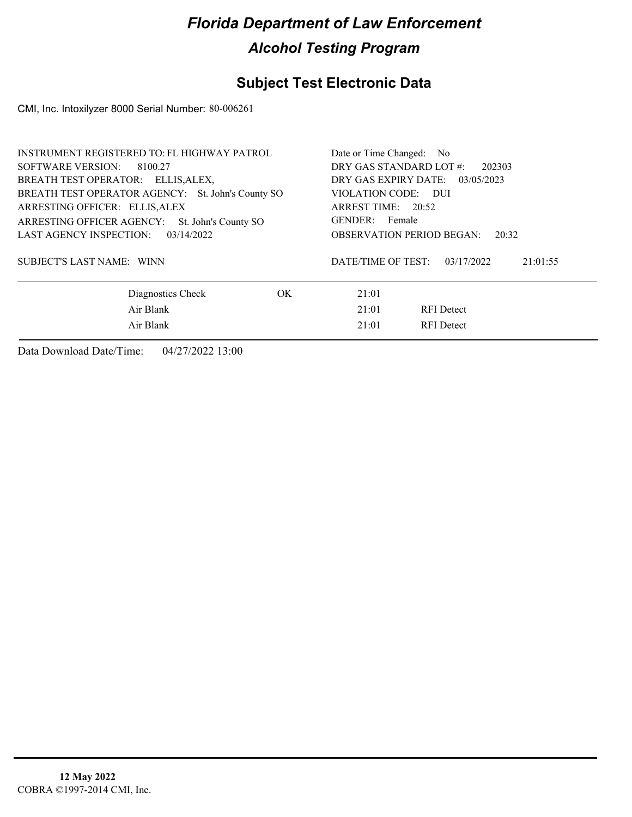## **Subject Test Electronic Data**

CMI, Inc. Intoxilyzer 8000 Serial Number: 80-006261

| INSTRUMENT REGISTERED TO: FL HIGHWAY PATROL       |                                   | Date or Time Changed: No                     |  |  |  |
|---------------------------------------------------|-----------------------------------|----------------------------------------------|--|--|--|
| SOFTWARE VERSION: 8100.27                         | DRY GAS STANDARD LOT #:<br>202303 |                                              |  |  |  |
| BREATH TEST OPERATOR: ELLIS, ALEX,                |                                   | DRY GAS EXPIRY DATE: 03/05/2023              |  |  |  |
| BREATH TEST OPERATOR AGENCY: St. John's County SO |                                   | VIOLATION CODE: DUI                          |  |  |  |
| ARRESTING OFFICER: ELLIS, ALEX                    |                                   | ARREST TIME: 20:52                           |  |  |  |
| ARRESTING OFFICER AGENCY: St. John's County SO    |                                   | GENDER: Female                               |  |  |  |
| LAST AGENCY INSPECTION:<br>03/14/2022             |                                   | OBSERVATION PERIOD BEGAN:<br>20:32           |  |  |  |
| <b>SUBJECT'S LAST NAME: WINN</b>                  |                                   | DATE/TIME OF TEST:<br>03/17/2022<br>21:01:55 |  |  |  |
| Diagnostics Check                                 | OK.                               | 21:01                                        |  |  |  |
| Air Blank                                         |                                   | 21:01<br><b>RFI</b> Detect                   |  |  |  |
| Air Blank                                         |                                   | 21:01<br><b>RFI</b> Detect                   |  |  |  |
|                                                   |                                   |                                              |  |  |  |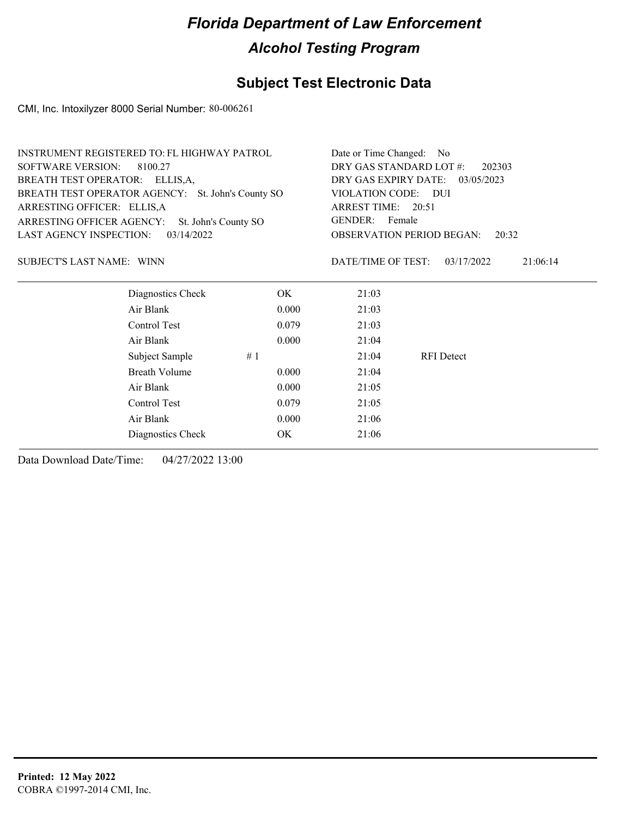## **Subject Test Electronic Data**

CMI, Inc. Intoxilyzer 8000 Serial Number: 80-006261

| <b>INSTRUMENT REGISTERED TO: FL HIGHWAY PATROL</b> | Date or Time Changed:<br>N <sub>o</sub> |                                                                       |                   |          |
|----------------------------------------------------|-----------------------------------------|-----------------------------------------------------------------------|-------------------|----------|
| <b>SOFTWARE VERSION:</b><br>8100.27                | DRY GAS STANDARD LOT #:<br>202303       |                                                                       |                   |          |
| <b>BREATH TEST OPERATOR:</b><br>ELLIS,A,           | DRY GAS EXPIRY DATE:<br>03/05/2023      |                                                                       |                   |          |
| BREATH TEST OPERATOR AGENCY: St. John's County SO  |                                         | VIOLATION CODE: DUI<br>ARREST TIME: 20:51<br><b>GENDER:</b><br>Female |                   |          |
| ARRESTING OFFICER: ELLIS, A                        |                                         |                                                                       |                   |          |
| ARRESTING OFFICER AGENCY:<br>St. John's County SO  |                                         |                                                                       |                   |          |
| <b>LAST AGENCY INSPECTION:</b><br>03/14/2022       |                                         | <b>OBSERVATION PERIOD BEGAN:</b><br>20:32                             |                   |          |
| <b>SUBJECT'S LAST NAME: WINN</b>                   |                                         | DATE/TIME OF TEST:                                                    | 03/17/2022        | 21:06:14 |
| Diagnostics Check                                  | OK.                                     | 21:03                                                                 |                   |          |
| Air Blank                                          | 0.000                                   | 21:03                                                                 |                   |          |
| Control Test                                       | 0.079                                   | 21:03                                                                 |                   |          |
| Air Blank                                          | 0.000                                   | 21:04                                                                 |                   |          |
| Subject Sample                                     | #1                                      | 21:04                                                                 | <b>RFI</b> Detect |          |
| <b>Breath Volume</b>                               | 0.000                                   | 21:04                                                                 |                   |          |
| Air Blank                                          | 0.000                                   | 21:05                                                                 |                   |          |
| Control Test                                       | 0.079                                   | 21:05                                                                 |                   |          |
| Air Blank                                          | 0.000                                   | 21:06                                                                 |                   |          |
| Diagnostics Check                                  | OK                                      | 21:06                                                                 |                   |          |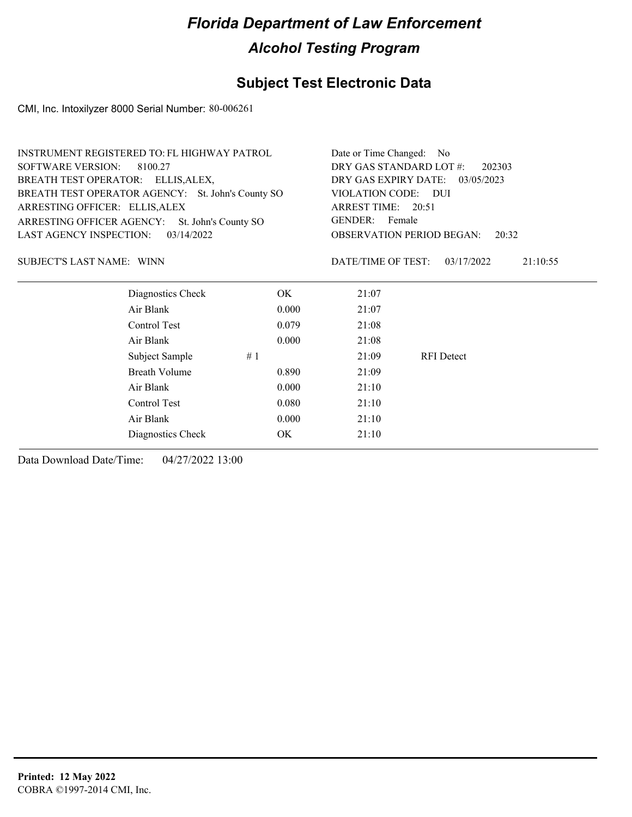### **Subject Test Electronic Data**

CMI, Inc. Intoxilyzer 8000 Serial Number: 80-006261

| <b>INSTRUMENT REGISTERED TO: FL HIGHWAY PATROL</b> | Date or Time Changed: No                                  |                    |                                  |          |
|----------------------------------------------------|-----------------------------------------------------------|--------------------|----------------------------------|----------|
| <b>SOFTWARE VERSION:</b><br>8100.27                | DRY GAS STANDARD LOT #:<br>202303                         |                    |                                  |          |
| BREATH TEST OPERATOR: ELLIS, ALEX,                 | DRY GAS EXPIRY DATE:<br>03/05/2023<br>VIOLATION CODE: DUI |                    |                                  |          |
| BREATH TEST OPERATOR AGENCY: St. John's County SO  |                                                           |                    |                                  |          |
| ARRESTING OFFICER: ELLIS, ALEX                     |                                                           | ARREST TIME: 20:51 |                                  |          |
| ARRESTING OFFICER AGENCY:<br>St. John's County SO  | GENDER: Female                                            |                    |                                  |          |
| LAST AGENCY INSPECTION:<br>03/14/2022              |                                                           |                    | <b>OBSERVATION PERIOD BEGAN:</b> | 20:32    |
|                                                    |                                                           |                    |                                  |          |
| SUBJECT'S LAST NAME: WINN                          |                                                           | DATE/TIME OF TEST: | 03/17/2022                       | 21:10:55 |
|                                                    |                                                           |                    |                                  |          |
| Diagnostics Check                                  | OK.                                                       | 21:07              |                                  |          |
| Air Blank                                          | 0.000                                                     | 21:07              |                                  |          |
| Control Test                                       | 0.079                                                     | 21:08              |                                  |          |
| Air Blank                                          | 0.000                                                     | 21:08              |                                  |          |
| Subject Sample                                     | #1                                                        | 21:09              | <b>RFI</b> Detect                |          |
| Breath Volume                                      | 0.890                                                     | 21:09              |                                  |          |

Air Blank 0.000 21:10 Control Test 0.080 21:10 Air Blank 0.000 21:10

Diagnostics Check OK 21:10 Data Download Date/Time: 04/27/2022 13:00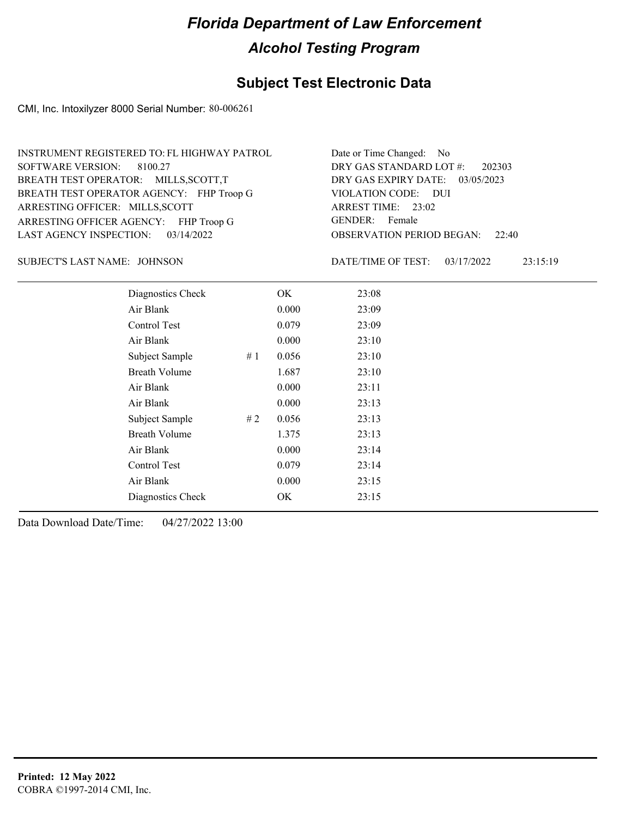## **Subject Test Electronic Data**

CMI, Inc. Intoxilyzer 8000 Serial Number: 80-006261

| INSTRUMENT REGISTERED TO: FL HIGHWAY PATROL | Date or Time Changed: No               |
|---------------------------------------------|----------------------------------------|
| SOFTWARE VERSION: 8100.27                   | DRY GAS STANDARD LOT #: 202303         |
| BREATH TEST OPERATOR: MILLS, SCOTT, T       | DRY GAS EXPIRY DATE: 03/05/2023        |
| BREATH TEST OPERATOR AGENCY: FHP Troop G    | VIOLATION CODE: DUI                    |
| ARRESTING OFFICER: MILLS, SCOTT             | ARREST TIME: 23:02                     |
| ARRESTING OFFICER AGENCY: FHP Troop G       | GENDER: Female                         |
| LAST AGENCY INSPECTION: $03/14/2022$        | <b>OBSERVATION PERIOD BEGAN: 22:40</b> |

JOHNSON SUBJECT'S LAST NAME: DATE/TIME OF TEST:

DATE/TIME OF TEST: 03/17/2022 23:15:19

| Diagnostics Check    |    | OK    | 23:08 |
|----------------------|----|-------|-------|
| Air Blank            |    | 0.000 | 23:09 |
| Control Test         |    | 0.079 | 23:09 |
| Air Blank            |    | 0.000 | 23:10 |
| Subject Sample       | #1 | 0.056 | 23:10 |
| <b>Breath Volume</b> |    | 1.687 | 23:10 |
| Air Blank            |    | 0.000 | 23:11 |
| Air Blank            |    | 0.000 | 23:13 |
| Subject Sample       | #2 | 0.056 | 23:13 |
| <b>Breath Volume</b> |    | 1.375 | 23:13 |
| Air Blank            |    | 0.000 | 23:14 |
| Control Test         |    | 0.079 | 23:14 |
| Air Blank            |    | 0.000 | 23:15 |
| Diagnostics Check    |    | OK    | 23:15 |
|                      |    |       |       |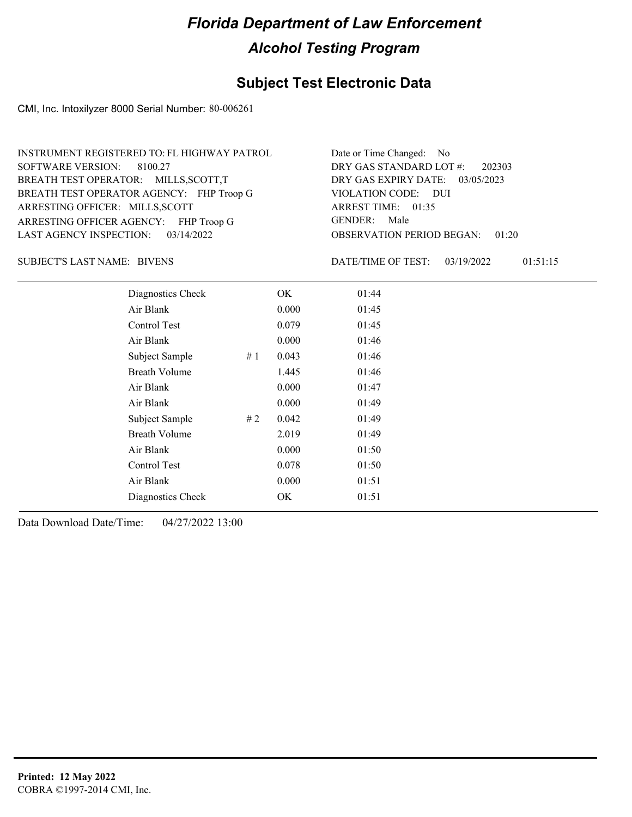## **Subject Test Electronic Data**

CMI, Inc. Intoxilyzer 8000 Serial Number: 80-006261

| INSTRUMENT REGISTERED TO: FL HIGHWAY PATROL | Date or Time Changed: No               |
|---------------------------------------------|----------------------------------------|
| SOFTWARE VERSION: 8100.27                   | DRY GAS STANDARD LOT #: 202303         |
| BREATH TEST OPERATOR: MILLS, SCOTT, T       | DRY GAS EXPIRY DATE: 03/05/2023        |
| BREATH TEST OPERATOR AGENCY: FHP Troop G    | VIOLATION CODE: DUI                    |
| ARRESTING OFFICER: MILLS, SCOTT             | ARREST TIME: 01:35                     |
| ARRESTING OFFICER AGENCY: FHP Troop G       | GENDER: Male                           |
| LAST AGENCY INSPECTION: 03/14/2022          | <b>OBSERVATION PERIOD BEGAN: 01:20</b> |

SUBJECT'S LAST NAME: BIVENS **Example 20** BATE/TIME OF TEST:

DATE/TIME OF TEST: 03/19/2022 01:51:15

| Diagnostics Check    |    | OK    | 01:44 |
|----------------------|----|-------|-------|
| Air Blank            |    | 0.000 | 01:45 |
| Control Test         |    | 0.079 | 01:45 |
| Air Blank            |    | 0.000 | 01:46 |
| Subject Sample       | #1 | 0.043 | 01:46 |
| <b>Breath Volume</b> |    | 1.445 | 01:46 |
| Air Blank            |    | 0.000 | 01:47 |
| Air Blank            |    | 0.000 | 01:49 |
| Subject Sample       | #2 | 0.042 | 01:49 |
| <b>Breath Volume</b> |    | 2.019 | 01:49 |
| Air Blank            |    | 0.000 | 01:50 |
| <b>Control Test</b>  |    | 0.078 | 01:50 |
| Air Blank            |    | 0.000 | 01:51 |
| Diagnostics Check    |    | OK    | 01:51 |
|                      |    |       |       |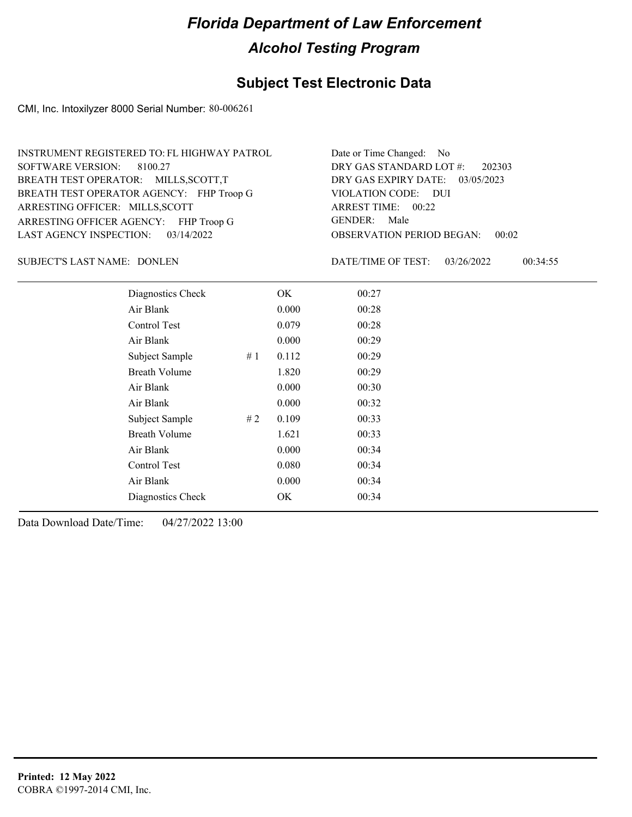### **Subject Test Electronic Data**

CMI, Inc. Intoxilyzer 8000 Serial Number: 80-006261

| INSTRUMENT REGISTERED TO: FL HIGHWAY PATROL | Date or Time Changed: No               |
|---------------------------------------------|----------------------------------------|
| SOFTWARE VERSION: 8100.27                   | DRY GAS STANDARD LOT $\#$ : 202303     |
| BREATH TEST OPERATOR: MILLS, SCOTT, T       | DRY GAS EXPIRY DATE: 03/05/2023        |
| BREATH TEST OPERATOR AGENCY: FHP Troop G    | VIOLATION CODE: DUI                    |
| ARRESTING OFFICER: MILLS, SCOTT             | ARREST TIME: 00:22                     |
| ARRESTING OFFICER AGENCY: FHP Troop G       | GENDER: Male                           |
| LAST AGENCY INSPECTION: $03/14/2022$        | <b>OBSERVATION PERIOD BEGAN: 00:02</b> |

SUBJECT'S LAST NAME: DONLEN DATE/TIME OF TEST:

DATE/TIME OF TEST: 03/26/2022 00:34:55

| Diagnostics Check    |    | OK    | 00:27 |  |
|----------------------|----|-------|-------|--|
| Air Blank            |    | 0.000 | 00:28 |  |
| Control Test         |    | 0.079 | 00:28 |  |
| Air Blank            |    | 0.000 | 00:29 |  |
| Subject Sample       | #1 | 0.112 | 00:29 |  |
| <b>Breath Volume</b> |    | 1.820 | 00:29 |  |
| Air Blank            |    | 0.000 | 00:30 |  |
| Air Blank            |    | 0.000 | 00:32 |  |
| Subject Sample       | #2 | 0.109 | 00:33 |  |
| <b>Breath Volume</b> |    | 1.621 | 00:33 |  |
| Air Blank            |    | 0.000 | 00:34 |  |
| Control Test         |    | 0.080 | 00:34 |  |
| Air Blank            |    | 0.000 | 00:34 |  |
| Diagnostics Check    |    | OK    | 00:34 |  |
|                      |    |       |       |  |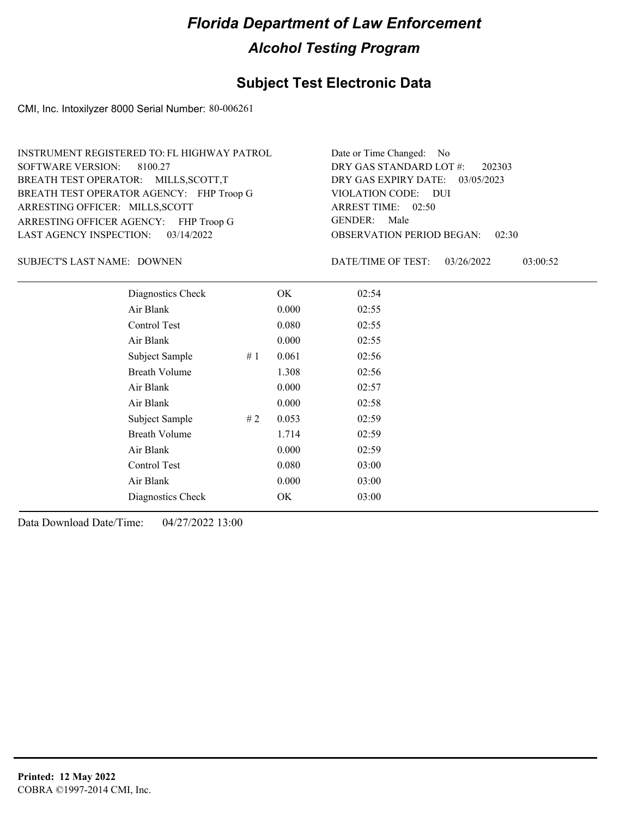### **Subject Test Electronic Data**

CMI, Inc. Intoxilyzer 8000 Serial Number: 80-006261

| INSTRUMENT REGISTERED TO: FL HIGHWAY PATROL | Date or Time Changed: No               |
|---------------------------------------------|----------------------------------------|
| SOFTWARE VERSION: 8100.27                   | DRY GAS STANDARD LOT #: 202303         |
| BREATH TEST OPERATOR: MILLS, SCOTT, T       | DRY GAS EXPIRY DATE: 03/05/2023        |
| BREATH TEST OPERATOR AGENCY: FHP Troop G    | VIOLATION CODE: DUI                    |
| ARRESTING OFFICER: MILLS, SCOTT             | ARREST TIME: 02:50                     |
| ARRESTING OFFICER AGENCY: FHP Troop G       | GENDER: Male                           |
| LAST AGENCY INSPECTION: 03/14/2022          | <b>OBSERVATION PERIOD BEGAN: 02:30</b> |

SUBJECT'S LAST NAME: DOWNEN DATE/TIME OF TEST:

DATE/TIME OF TEST: 03/26/2022 03:00:52

| Diagnostics Check    |    | OK    | 02:54 |  |
|----------------------|----|-------|-------|--|
| Air Blank            |    | 0.000 | 02:55 |  |
| <b>Control Test</b>  |    | 0.080 | 02:55 |  |
| Air Blank            |    | 0.000 | 02:55 |  |
| Subject Sample       | #1 | 0.061 | 02:56 |  |
| <b>Breath Volume</b> |    | 1.308 | 02:56 |  |
| Air Blank            |    | 0.000 | 02:57 |  |
| Air Blank            |    | 0.000 | 02:58 |  |
| Subject Sample       | #2 | 0.053 | 02:59 |  |
| <b>Breath Volume</b> |    | 1.714 | 02:59 |  |
| Air Blank            |    | 0.000 | 02:59 |  |
| Control Test         |    | 0.080 | 03:00 |  |
| Air Blank            |    | 0.000 | 03:00 |  |
| Diagnostics Check    |    | OK    | 03:00 |  |
|                      |    |       |       |  |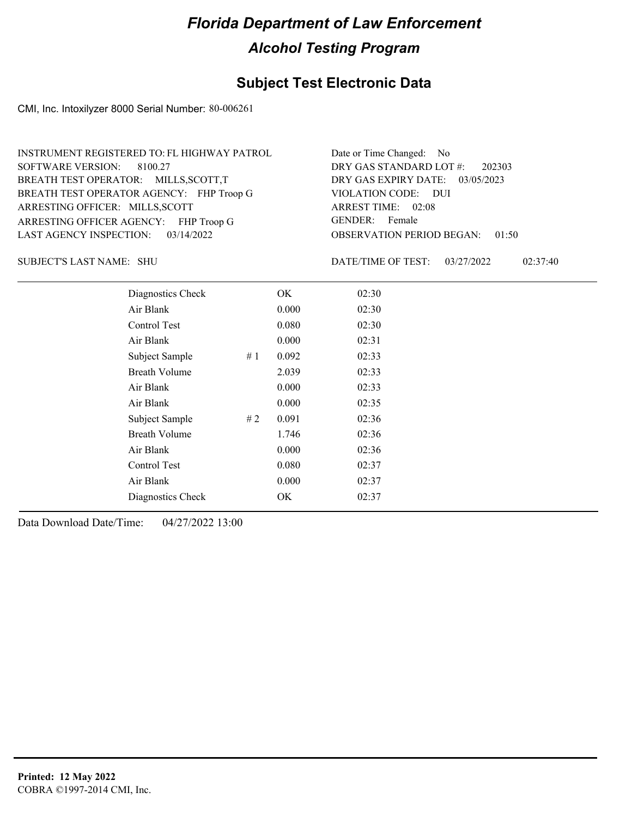## **Subject Test Electronic Data**

CMI, Inc. Intoxilyzer 8000 Serial Number: 80-006261

| INSTRUMENT REGISTERED TO: FL HIGHWAY PATROL | Date or Time Changed: No               |
|---------------------------------------------|----------------------------------------|
| SOFTWARE VERSION: 8100.27                   | DRY GAS STANDARD LOT #: 202303         |
| BREATH TEST OPERATOR: MILLS, SCOTT, T       | DRY GAS EXPIRY DATE: 03/05/2023        |
| BREATH TEST OPERATOR AGENCY: FHP Troop G    | VIOLATION CODE: DUI                    |
| ARRESTING OFFICER: MILLS, SCOTT             | ARREST TIME: 02:08                     |
| ARRESTING OFFICER AGENCY: FHP Troop G       | GENDER: Female                         |
| LAST AGENCY INSPECTION: $03/14/2022$        | <b>OBSERVATION PERIOD BEGAN: 01:50</b> |

SHU SUBJECT'S LAST NAME: DATE/TIME OF TEST:

DATE/TIME OF TEST: 03/27/2022 02:37:40

| Diagnostics Check    |    | OK    | 02:30 |
|----------------------|----|-------|-------|
| Air Blank            |    | 0.000 | 02:30 |
| Control Test         |    | 0.080 | 02:30 |
| Air Blank            |    | 0.000 | 02:31 |
| Subject Sample       | #1 | 0.092 | 02:33 |
| <b>Breath Volume</b> |    | 2.039 | 02:33 |
| Air Blank            |    | 0.000 | 02:33 |
| Air Blank            |    | 0.000 | 02:35 |
| Subject Sample       | #2 | 0.091 | 02:36 |
| <b>Breath Volume</b> |    | 1.746 | 02:36 |
| Air Blank            |    | 0.000 | 02:36 |
| Control Test         |    | 0.080 | 02:37 |
| Air Blank            |    | 0.000 | 02:37 |
| Diagnostics Check    |    | OK    | 02:37 |
|                      |    |       |       |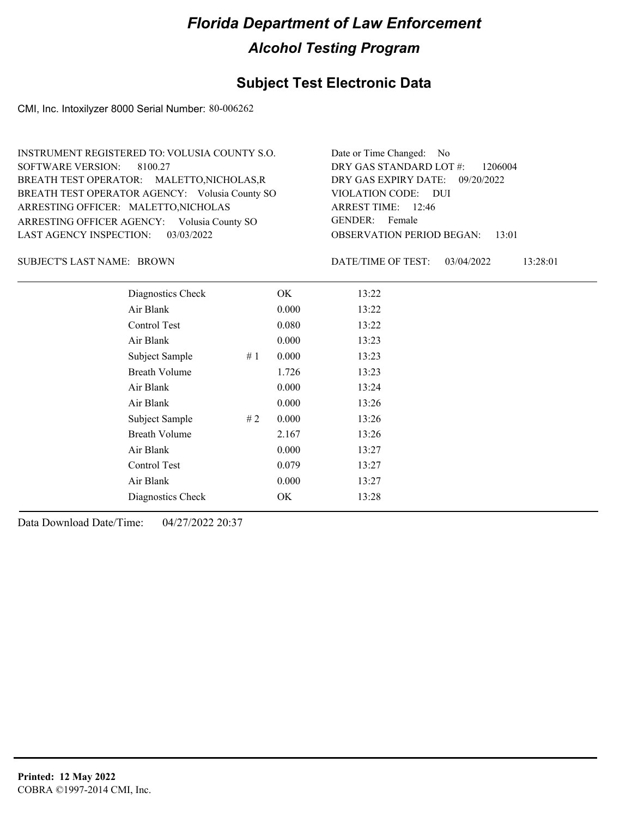## **Subject Test Electronic Data**

CMI, Inc. Intoxilyzer 8000 Serial Number: 80-006262

| INSTRUMENT REGISTERED TO: VOLUSIA COUNTY S.O.  | Date or Time Changed: No               |
|------------------------------------------------|----------------------------------------|
| SOFTWARE VERSION: 8100.27                      | DRY GAS STANDARD LOT $\#$ : 1206004    |
| BREATH TEST OPERATOR: MALETTO, NICHOLAS, R     | DRY GAS EXPIRY DATE: 09/20/2022        |
| BREATH TEST OPERATOR AGENCY: Volusia County SO | VIOLATION CODE: DUI                    |
| ARRESTING OFFICER: MALETTO, NICHOLAS           | ARREST TIME: 12:46                     |
| ARRESTING OFFICER AGENCY: Volusia County SO    | GENDER: Female                         |
| LAST AGENCY INSPECTION: 03/03/2022             | <b>OBSERVATION PERIOD BEGAN: 13:01</b> |
|                                                |                                        |

SUBJECT'S LAST NAME: BROWN DATE/TIME OF TEST:

DATE/TIME OF TEST: 03/04/2022 13:28:01

| Diagnostics Check    |    | OK    | 13:22 |
|----------------------|----|-------|-------|
| Air Blank            |    | 0.000 | 13:22 |
| Control Test         |    | 0.080 | 13:22 |
| Air Blank            |    | 0.000 | 13:23 |
| Subject Sample       | #1 | 0.000 | 13:23 |
| <b>Breath Volume</b> |    | 1.726 | 13:23 |
| Air Blank            |    | 0.000 | 13:24 |
| Air Blank            |    | 0.000 | 13:26 |
| Subject Sample       | #2 | 0.000 | 13:26 |
| <b>Breath Volume</b> |    | 2.167 | 13:26 |
| Air Blank            |    | 0.000 | 13:27 |
| Control Test         |    | 0.079 | 13:27 |
| Air Blank            |    | 0.000 | 13:27 |
| Diagnostics Check    |    | OK.   | 13:28 |
|                      |    |       |       |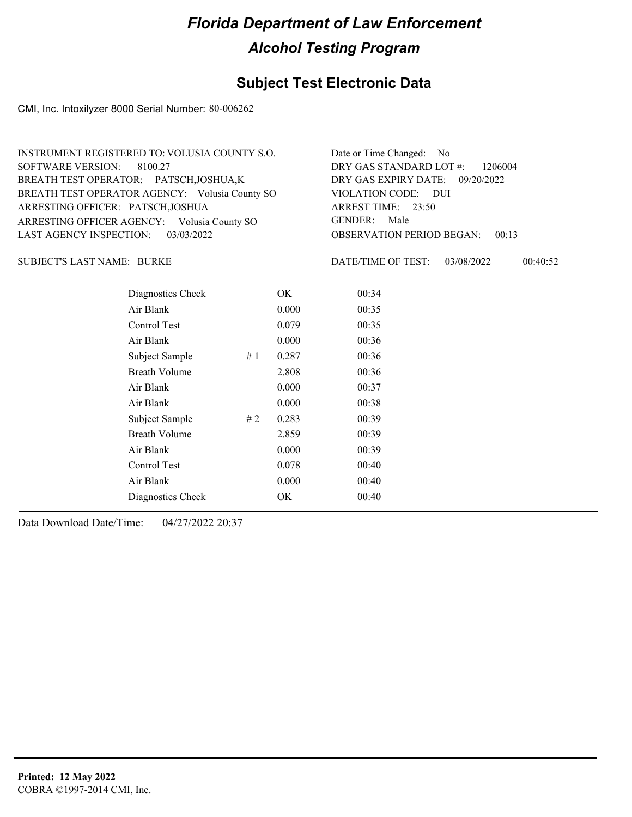## **Subject Test Electronic Data**

CMI, Inc. Intoxilyzer 8000 Serial Number: 80-006262

| INSTRUMENT REGISTERED TO: VOLUSIA COUNTY S.O.  | Date or Time Changed: No               |
|------------------------------------------------|----------------------------------------|
| SOFTWARE VERSION: 8100.27                      | DRY GAS STANDARD LOT #: 1206004        |
| BREATH TEST OPERATOR: PATSCH, JOSHUA, K        | DRY GAS EXPIRY DATE: 09/20/2022        |
| BREATH TEST OPERATOR AGENCY: Volusia County SO | VIOLATION CODE: DUI                    |
| ARRESTING OFFICER: PATSCH, JOSHUA              | ARREST TIME: 23:50                     |
| ARRESTING OFFICER AGENCY: Volusia County SO    | GENDER: Male                           |
| LAST AGENCY INSPECTION: 03/03/2022             | <b>OBSERVATION PERIOD BEGAN: 00:13</b> |

BURKE SUBJECT'S LAST NAME: DATE/TIME OF TEST:

DATE/TIME OF TEST: 03/08/2022 00:40:52

| Diagnostics Check    |    | OK    | 00:34 |
|----------------------|----|-------|-------|
| Air Blank            |    | 0.000 | 00:35 |
| Control Test         |    | 0.079 | 00:35 |
| Air Blank            |    | 0.000 | 00:36 |
| Subject Sample       | #1 | 0.287 | 00:36 |
| <b>Breath Volume</b> |    | 2.808 | 00:36 |
| Air Blank            |    | 0.000 | 00:37 |
| Air Blank            |    | 0.000 | 00:38 |
| Subject Sample       | #2 | 0.283 | 00:39 |
| <b>Breath Volume</b> |    | 2.859 | 00:39 |
| Air Blank            |    | 0.000 | 00:39 |
| Control Test         |    | 0.078 | 00:40 |
| Air Blank            |    | 0.000 | 00:40 |
| Diagnostics Check    |    | OK    | 00:40 |
|                      |    |       |       |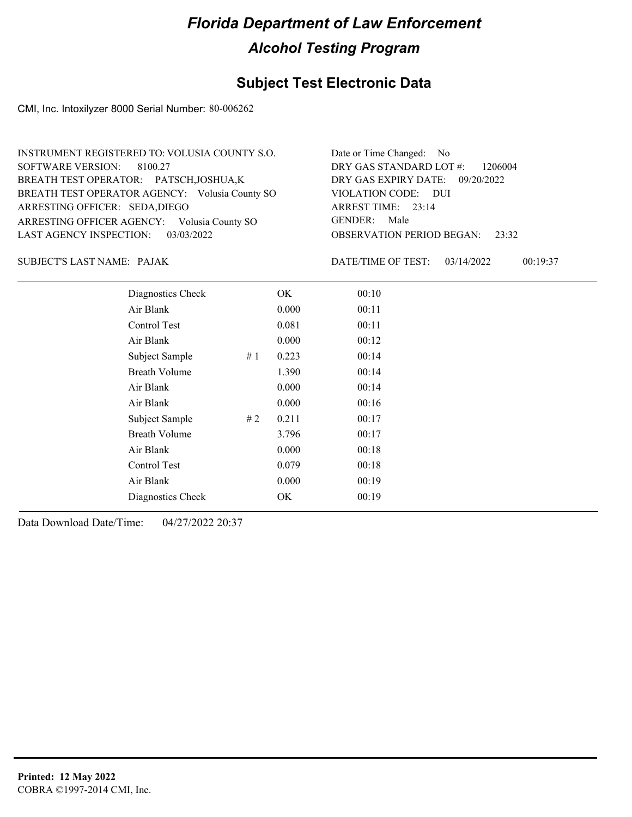### **Subject Test Electronic Data**

CMI, Inc. Intoxilyzer 8000 Serial Number: 80-006262

| INSTRUMENT REGISTERED TO: VOLUSIA COUNTY S.O.  | Date or Time Changed: No               |
|------------------------------------------------|----------------------------------------|
| SOFTWARE VERSION: 8100.27                      | DRY GAS STANDARD LOT #: 1206004        |
| BREATH TEST OPERATOR: PATSCH, JOSHUA, K        | DRY GAS EXPIRY DATE: 09/20/2022        |
| BREATH TEST OPERATOR AGENCY: Volusia County SO | VIOLATION CODE: DUI                    |
| ARRESTING OFFICER: SEDA, DIEGO                 | ARREST TIME: 23:14                     |
| ARRESTING OFFICER AGENCY: Volusia County SO    | GENDER: Male                           |
| LAST AGENCY INSPECTION: 03/03/2022             | <b>OBSERVATION PERIOD BEGAN: 23:32</b> |

PAJAK SUBJECT'S LAST NAME: DATE/TIME OF TEST:

DATE/TIME OF TEST: 03/14/2022 00:19:37

| Diagnostics Check    |    | OK    | 00:10 |
|----------------------|----|-------|-------|
| Air Blank            |    | 0.000 | 00:11 |
| Control Test         |    | 0.081 | 00:11 |
| Air Blank            |    | 0.000 | 00:12 |
| Subject Sample       | #1 | 0.223 | 00:14 |
| <b>Breath Volume</b> |    | 1.390 | 00:14 |
| Air Blank            |    | 0.000 | 00:14 |
| Air Blank            |    | 0.000 | 00:16 |
| Subject Sample       | #2 | 0.211 | 00:17 |
| <b>Breath Volume</b> |    | 3.796 | 00:17 |
| Air Blank            |    | 0.000 | 00:18 |
| Control Test         |    | 0.079 | 00:18 |
| Air Blank            |    | 0.000 | 00:19 |
| Diagnostics Check    |    | OK    | 00:19 |
|                      |    |       |       |

Data Download Date/Time: 04/27/2022 20:37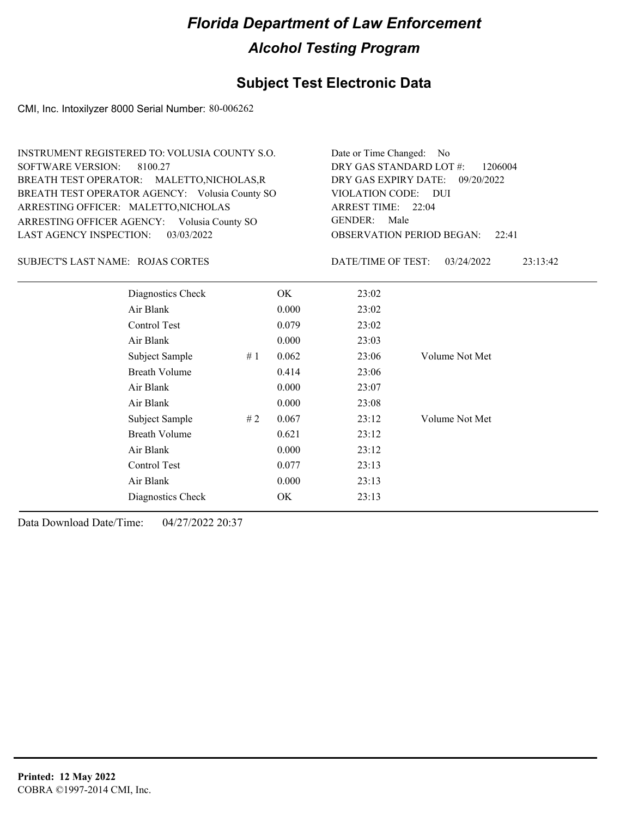### **Subject Test Electronic Data**

CMI, Inc. Intoxilyzer 8000 Serial Number: 80-006262

| INSTRUMENT REGISTERED TO: VOLUSIA COUNTY S.O.  | Date or Time Changed: No               |
|------------------------------------------------|----------------------------------------|
| SOFTWARE VERSION: 8100.27                      | DRY GAS STANDARD LOT #: 1206004        |
| BREATH TEST OPERATOR: MALETTO, NICHOLAS, R     | DRY GAS EXPIRY DATE: 09/20/2022        |
| BREATH TEST OPERATOR AGENCY: Volusia County SO | VIOLATION CODE: DUI                    |
| ARRESTING OFFICER: MALETTO, NICHOLAS           | ARREST TIME: 22:04                     |
| ARRESTING OFFICER AGENCY: Volusia County SO    | GENDER: Male                           |
| LAST AGENCY INSPECTION: 03/03/2022             | <b>OBSERVATION PERIOD BEGAN: 22:41</b> |
|                                                |                                        |

#### SUBJECT'S LAST NAME: ROJAS CORTES DATE/TIME OF TEST:

DATE/TIME OF TEST: 03/24/2022 23:13:42

| Diagnostics Check    | OK    | 23:02 |                |
|----------------------|-------|-------|----------------|
| Air Blank            | 0.000 | 23:02 |                |
| Control Test         | 0.079 | 23:02 |                |
| Air Blank            | 0.000 | 23:03 |                |
| Subject Sample<br>#1 | 0.062 | 23:06 | Volume Not Met |
| <b>Breath Volume</b> | 0.414 | 23:06 |                |
| Air Blank            | 0.000 | 23:07 |                |
| Air Blank            | 0.000 | 23:08 |                |
| Subject Sample<br>#2 | 0.067 | 23:12 | Volume Not Met |
| <b>Breath Volume</b> | 0.621 | 23:12 |                |
| Air Blank            | 0.000 | 23:12 |                |
| Control Test         | 0.077 | 23:13 |                |
| Air Blank            | 0.000 | 23:13 |                |
| Diagnostics Check    | OK    | 23:13 |                |
|                      |       |       |                |

Data Download Date/Time: 04/27/2022 20:37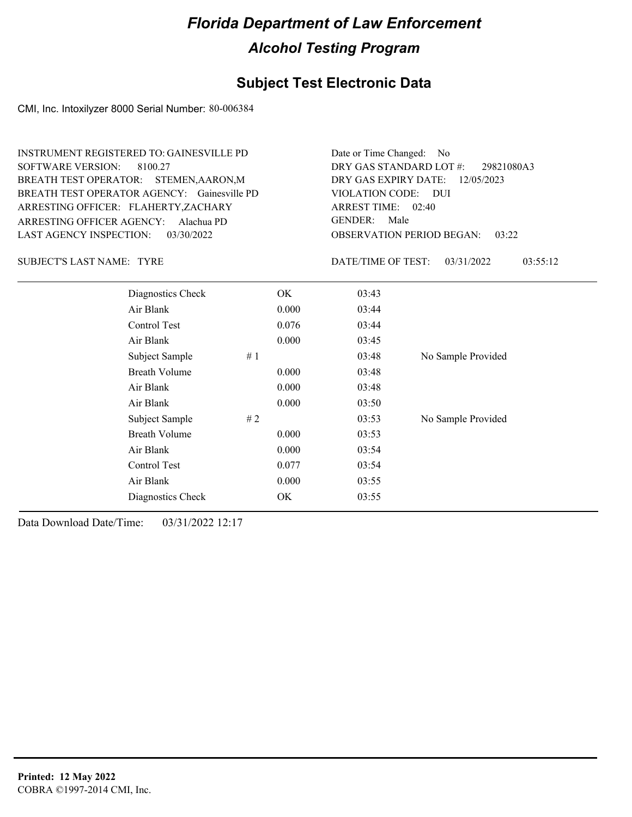#### **Subject Test Electronic Data**

CMI, Inc. Intoxilyzer 8000 Serial Number: 80-006384

ARRESTING OFFICER AGENCY: GENDER: Alachua PD BREATH TEST OPERATOR AGENCY: Gainesville PD VIOLATION CODE: SOFTWARE VERSION: 8100.27 ARRESTING OFFICER: FLAHERTY,ZACHARY BREATH TEST OPERATOR: STEMEN,AARON,M LAST AGENCY INSPECTION: 03/30/2022 INSTRUMENT REGISTERED TO: GAINESVILLE PD

OBSERVATION PERIOD BEGAN: 03:22 VIOLATION CODE: DUI 02:40 ARREST TIME: 12/05/2023 DRY GAS EXPIRY DATE: 29821080A3 DRY GAS STANDARD LOT #: Date or Time Changed: No GENDER: Male

SUBJECT'S LAST NAME: TYRE DATE/TIME OF TEST:

DATE/TIME OF TEST: 03/31/2022 03:55:12

| Diagnostics Check    | OK.   | 03:43 |                    |
|----------------------|-------|-------|--------------------|
| Air Blank            | 0.000 | 03:44 |                    |
| Control Test         | 0.076 | 03:44 |                    |
| Air Blank            | 0.000 | 03:45 |                    |
| Subject Sample<br>#1 |       | 03:48 | No Sample Provided |
| <b>Breath Volume</b> | 0.000 | 03:48 |                    |
| Air Blank            | 0.000 | 03:48 |                    |
| Air Blank            | 0.000 | 03:50 |                    |
| Subject Sample<br>#2 |       | 03:53 | No Sample Provided |
| <b>Breath Volume</b> | 0.000 | 03:53 |                    |
| Air Blank            | 0.000 | 03:54 |                    |
| Control Test         | 0.077 | 03:54 |                    |
| Air Blank            | 0.000 | 03:55 |                    |
| Diagnostics Check    | OK    | 03:55 |                    |
|                      |       |       |                    |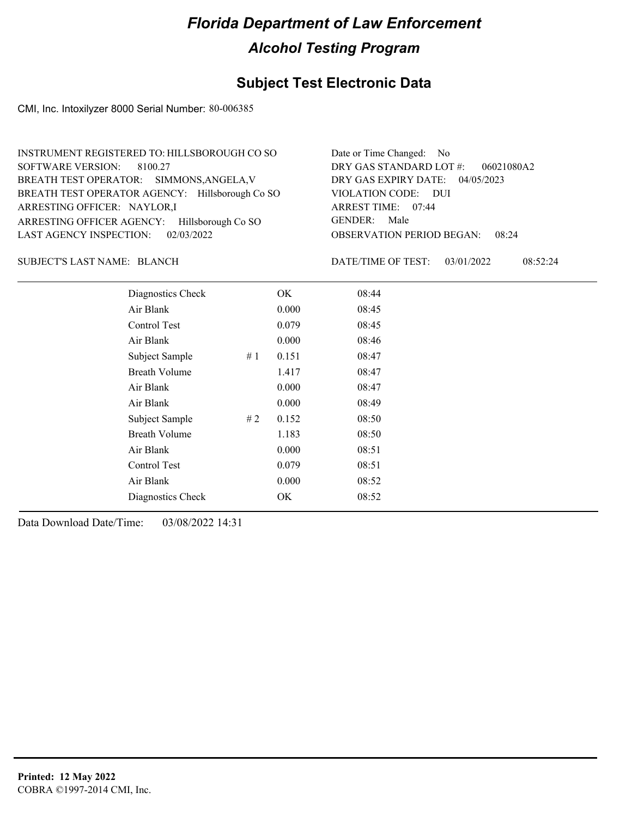### **Subject Test Electronic Data**

CMI, Inc. Intoxilyzer 8000 Serial Number: 80-006385

| INSTRUMENT REGISTERED TO: HILLSBOROUGH CO SO    | Date or Time Changed: No               |
|-------------------------------------------------|----------------------------------------|
| SOFTWARE VERSION: 8100.27                       | DRY GAS STANDARD LOT $\#$ : 06021080A2 |
| BREATH TEST OPERATOR: SIMMONS, ANGELA, V        | DRY GAS EXPIRY DATE: 04/05/2023        |
| BREATH TEST OPERATOR AGENCY: Hillsborough Co SO | VIOLATION CODE: DUI                    |
| ARRESTING OFFICER: NAYLOR,I                     | ARREST TIME: 07:44                     |
| ARRESTING OFFICER AGENCY: Hillsborough Co SO    | GENDER: Male                           |
| LAST AGENCY INSPECTION: 02/03/2022              | <b>OBSERVATION PERIOD BEGAN: 08:24</b> |

#### SUBJECT'S LAST NAME: BLANCH DATE/TIME OF TEST:

DATE/TIME OF TEST: 03/01/2022 08:52:24

| Diagnostics Check    |    | OK    | 08:44 |
|----------------------|----|-------|-------|
| Air Blank            |    | 0.000 | 08:45 |
| Control Test         |    | 0.079 | 08:45 |
| Air Blank            |    | 0.000 | 08:46 |
| Subject Sample       | #1 | 0.151 | 08:47 |
| <b>Breath Volume</b> |    | 1.417 | 08:47 |
| Air Blank            |    | 0.000 | 08:47 |
| Air Blank            |    | 0.000 | 08:49 |
| Subject Sample       | #2 | 0.152 | 08:50 |
| <b>Breath Volume</b> |    | 1.183 | 08:50 |
| Air Blank            |    | 0.000 | 08:51 |
| Control Test         |    | 0.079 | 08:51 |
| Air Blank            |    | 0.000 | 08:52 |
| Diagnostics Check    |    | OK    | 08:52 |
|                      |    |       |       |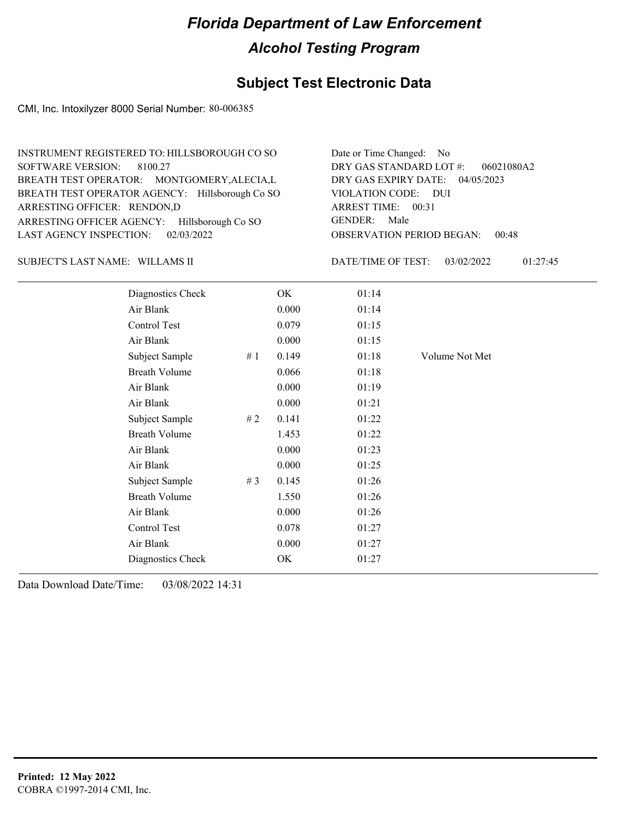### **Subject Test Electronic Data**

CMI, Inc. Intoxilyzer 8000 Serial Number: 80-006385

| INSTRUMENT REGISTERED TO: HILLSBOROUGH CO SO    | Date or Time Changed: No               |
|-------------------------------------------------|----------------------------------------|
| SOFTWARE VERSION: 8100.27                       | DRY GAS STANDARD LOT #:<br>06021080A2  |
| BREATH TEST OPERATOR: MONTGOMERY, ALECIA, L     | DRY GAS EXPIRY DATE: 04/05/2023        |
| BREATH TEST OPERATOR AGENCY: Hillsborough Co SO | VIOLATION CODE: DUI                    |
| ARRESTING OFFICER: RENDON,D                     | ARREST TIME: 00:31                     |
| ARRESTING OFFICER AGENCY: Hillsborough Co SO    | GENDER: Male                           |
| LAST AGENCY INSPECTION: 02/03/2022              | <b>OBSERVATION PERIOD BEGAN: 00:48</b> |

#### WILLAMS II SUBJECT'S LAST NAME: DATE/TIME OF TEST:

DATE/TIME OF TEST: 03/02/2022 01:27:45

| Diagnostics Check    |    | OK    | 01:14 |                |
|----------------------|----|-------|-------|----------------|
| Air Blank            |    | 0.000 | 01:14 |                |
| Control Test         |    | 0.079 | 01:15 |                |
| Air Blank            |    | 0.000 | 01:15 |                |
| Subject Sample       | #1 | 0.149 | 01:18 | Volume Not Met |
| <b>Breath Volume</b> |    | 0.066 | 01:18 |                |
| Air Blank            |    | 0.000 | 01:19 |                |
| Air Blank            |    | 0.000 | 01:21 |                |
| Subject Sample       | #2 | 0.141 | 01:22 |                |
| <b>Breath Volume</b> |    | 1.453 | 01:22 |                |
| Air Blank            |    | 0.000 | 01:23 |                |
| Air Blank            |    | 0.000 | 01:25 |                |
| Subject Sample       | #3 | 0.145 | 01:26 |                |
| <b>Breath Volume</b> |    | 1.550 | 01:26 |                |
| Air Blank            |    | 0.000 | 01:26 |                |
| Control Test         |    | 0.078 | 01:27 |                |
| Air Blank            |    | 0.000 | 01:27 |                |
| Diagnostics Check    |    | OK    | 01:27 |                |
|                      |    |       |       |                |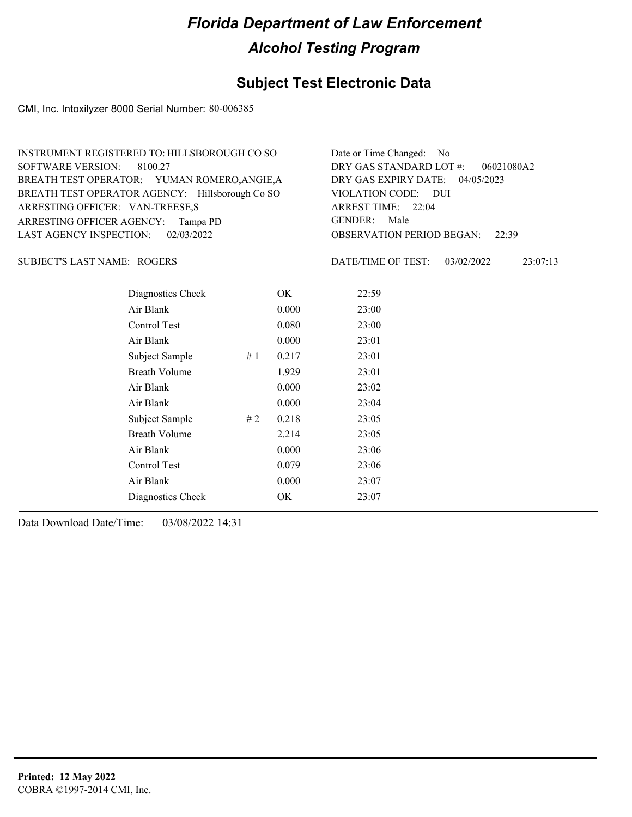### **Subject Test Electronic Data**

CMI, Inc. Intoxilyzer 8000 Serial Number: 80-006385

| INSTRUMENT REGISTERED TO: HILLSBOROUGH CO SO    | Date or Time Changed: No               |
|-------------------------------------------------|----------------------------------------|
| SOFTWARE VERSION: 8100.27                       | DRY GAS STANDARD LOT $\#$ : 06021080A2 |
| BREATH TEST OPERATOR: YUMAN ROMERO, ANGIE, A    | DRY GAS EXPIRY DATE: 04/05/2023        |
| BREATH TEST OPERATOR AGENCY: Hillsborough Co SO | VIOLATION CODE: DUI                    |
| ARRESTING OFFICER: VAN-TREESE,S                 | ARREST TIME: 22:04                     |
| ARRESTING OFFICER AGENCY: Tampa PD              | GENDER: Male                           |
| LAST AGENCY INSPECTION: 02/03/2022              | <b>OBSERVATION PERIOD BEGAN: 22:39</b> |

SUBJECT'S LAST NAME: ROGERS DATE/TIME OF TEST:

DATE/TIME OF TEST: 03/02/2022 23:07:13

| Diagnostics Check    |    | OK    | 22:59 |
|----------------------|----|-------|-------|
| Air Blank            |    | 0.000 | 23:00 |
| Control Test         |    | 0.080 | 23:00 |
| Air Blank            |    | 0.000 | 23:01 |
| Subject Sample       | #1 | 0.217 | 23:01 |
| <b>Breath Volume</b> |    | 1.929 | 23:01 |
| Air Blank            |    | 0.000 | 23:02 |
| Air Blank            |    | 0.000 | 23:04 |
| Subject Sample       | #2 | 0.218 | 23:05 |
| <b>Breath Volume</b> |    | 2.214 | 23:05 |
| Air Blank            |    | 0.000 | 23:06 |
| Control Test         |    | 0.079 | 23:06 |
| Air Blank            |    | 0.000 | 23:07 |
| Diagnostics Check    |    | OK    | 23:07 |
|                      |    |       |       |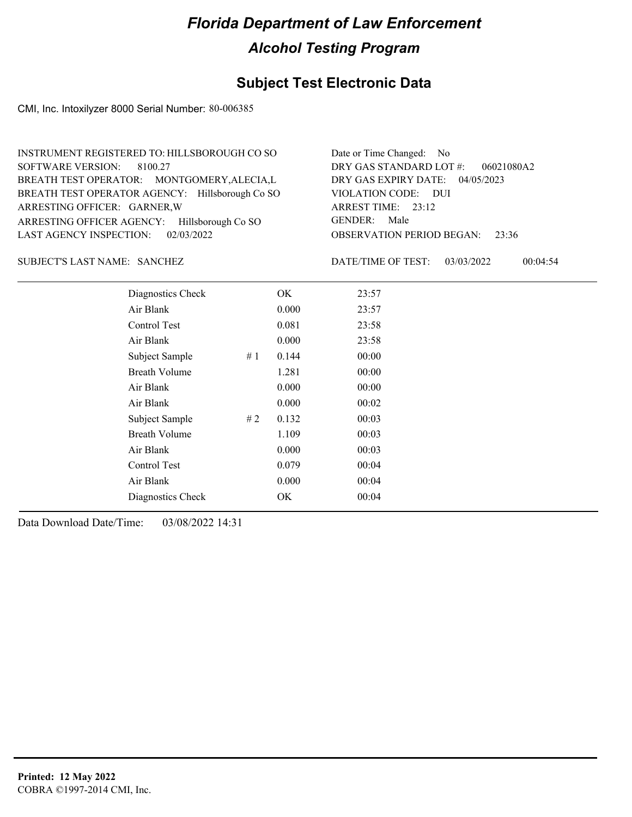### **Subject Test Electronic Data**

CMI, Inc. Intoxilyzer 8000 Serial Number: 80-006385

| INSTRUMENT REGISTERED TO: HILLSBOROUGH CO SO    | Date or Time Changed: No               |
|-------------------------------------------------|----------------------------------------|
| SOFTWARE VERSION: 8100.27                       | DRY GAS STANDARD LOT #: 06021080A2     |
| BREATH TEST OPERATOR: MONTGOMERY, ALECIA, L     | DRY GAS EXPIRY DATE: 04/05/2023        |
| BREATH TEST OPERATOR AGENCY: Hillsborough Co SO | VIOLATION CODE: DUI                    |
| ARRESTING OFFICER: GARNER, W                    | ARREST TIME: $23:12$                   |
| ARRESTING OFFICER AGENCY: Hillsborough Co SO    | GENDER: Male                           |
| LAST AGENCY INSPECTION: 02/03/2022              | <b>OBSERVATION PERIOD BEGAN: 23:36</b> |

#### SANCHEZ SUBJECT'S LAST NAME: DATE/TIME OF TEST:

DATE/TIME OF TEST: 03/03/2022 00:04:54

| Diagnostics Check    |    | OK    | 23:57 |  |
|----------------------|----|-------|-------|--|
| Air Blank            |    | 0.000 | 23:57 |  |
| Control Test         |    | 0.081 | 23:58 |  |
| Air Blank            |    | 0.000 | 23:58 |  |
| Subject Sample       | #1 | 0.144 | 00:00 |  |
| <b>Breath Volume</b> |    | 1.281 | 00:00 |  |
| Air Blank            |    | 0.000 | 00:00 |  |
| Air Blank            |    | 0.000 | 00:02 |  |
| Subject Sample       | #2 | 0.132 | 00:03 |  |
| <b>Breath Volume</b> |    | 1.109 | 00:03 |  |
| Air Blank            |    | 0.000 | 00:03 |  |
| Control Test         |    | 0.079 | 00:04 |  |
| Air Blank            |    | 0.000 | 00:04 |  |
| Diagnostics Check    |    | OK    | 00:04 |  |
|                      |    |       |       |  |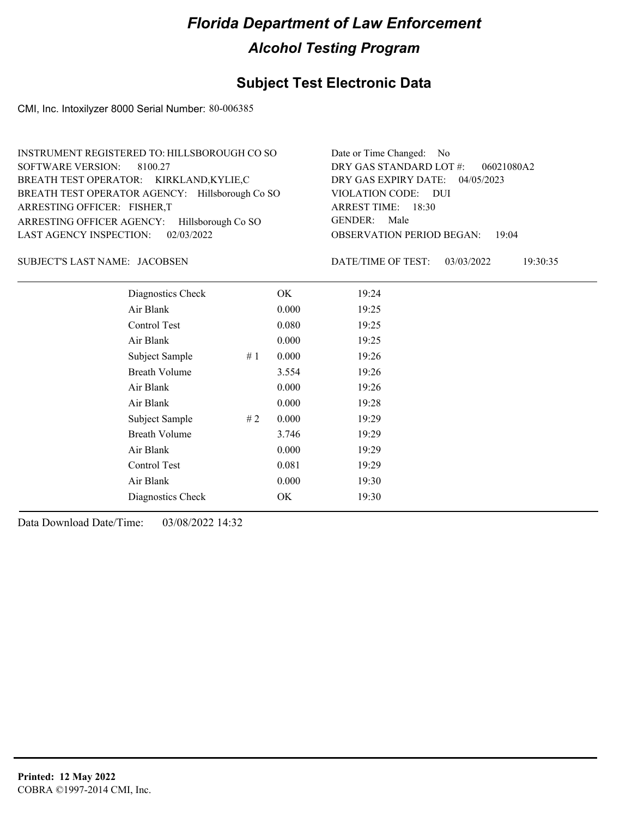### **Subject Test Electronic Data**

CMI, Inc. Intoxilyzer 8000 Serial Number: 80-006385

| INSTRUMENT REGISTERED TO: HILLSBOROUGH CO SO    | Date or Time Changed: No               |
|-------------------------------------------------|----------------------------------------|
| SOFTWARE VERSION: 8100.27                       | DRY GAS STANDARD LOT #: 06021080A2     |
| BREATH TEST OPERATOR: KIRKLAND,KYLIE,C          | DRY GAS EXPIRY DATE: 04/05/2023        |
| BREATH TEST OPERATOR AGENCY: Hillsborough Co SO | VIOLATION CODE: DUI                    |
| ARRESTING OFFICER: FISHER,T                     | ARREST TIME: 18:30                     |
| ARRESTING OFFICER AGENCY: Hillsborough Co SO    | GENDER: Male                           |
| LAST AGENCY INSPECTION: $02/03/2022$            | <b>OBSERVATION PERIOD BEGAN: 19:04</b> |

JACOBSEN SUBJECT'S LAST NAME: DATE/TIME OF TEST:

DATE/TIME OF TEST: 03/03/2022 19:30:35

| Diagnostics Check    |    | OK    | 19:24 |  |
|----------------------|----|-------|-------|--|
| Air Blank            |    | 0.000 | 19:25 |  |
| Control Test         |    | 0.080 | 19:25 |  |
| Air Blank            |    | 0.000 | 19:25 |  |
| Subject Sample       | #1 | 0.000 | 19:26 |  |
| <b>Breath Volume</b> |    | 3.554 | 19:26 |  |
| Air Blank            |    | 0.000 | 19:26 |  |
| Air Blank            |    | 0.000 | 19:28 |  |
| Subject Sample       | #2 | 0.000 | 19:29 |  |
| <b>Breath Volume</b> |    | 3.746 | 19:29 |  |
| Air Blank            |    | 0.000 | 19:29 |  |
| Control Test         |    | 0.081 | 19:29 |  |
| Air Blank            |    | 0.000 | 19:30 |  |
| Diagnostics Check    |    | OK    | 19:30 |  |
|                      |    |       |       |  |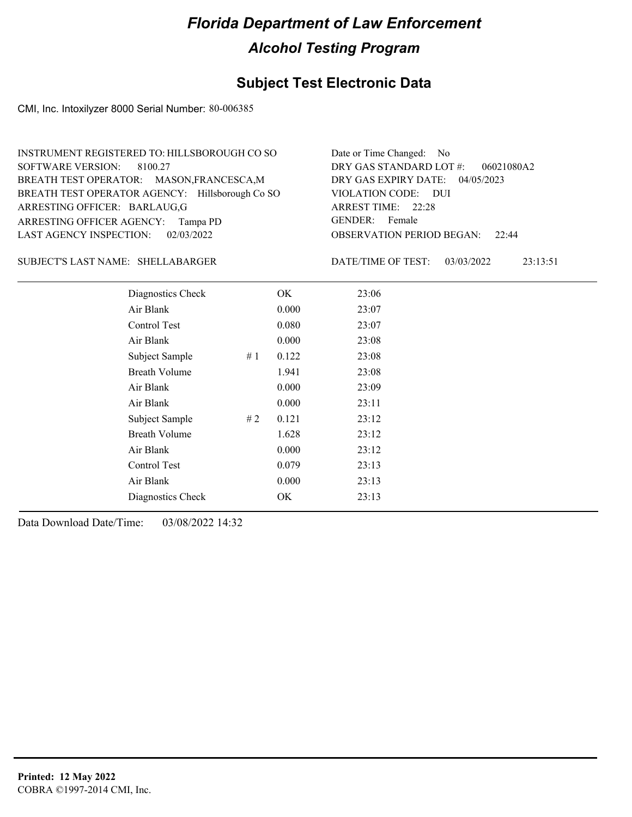### **Subject Test Electronic Data**

CMI, Inc. Intoxilyzer 8000 Serial Number: 80-006385

| INSTRUMENT REGISTERED TO: HILLSBOROUGH CO SO    | Date or Time Changed: No               |
|-------------------------------------------------|----------------------------------------|
| SOFTWARE VERSION: 8100.27                       | DRY GAS STANDARD LOT #: 06021080A2     |
| BREATH TEST OPERATOR: MASON, FRANCESCA, M       | DRY GAS EXPIRY DATE: 04/05/2023        |
| BREATH TEST OPERATOR AGENCY: Hillsborough Co SO | VIOLATION CODE: DUI                    |
| ARRESTING OFFICER: BARLAUG,G                    | ARREST TIME: 22:28                     |
| ARRESTING OFFICER AGENCY: Tampa PD              | GENDER: Female                         |
| LAST AGENCY INSPECTION: 02/03/2022              | <b>OBSERVATION PERIOD BEGAN: 22:44</b> |

#### SHELLABARGER SUBJECT'S LAST NAME: DATE/TIME OF TEST:

DATE/TIME OF TEST: 03/03/2022 23:13:51

| Diagnostics Check    |    | OK    | 23:06 |
|----------------------|----|-------|-------|
| Air Blank            |    | 0.000 | 23:07 |
| Control Test         |    | 0.080 | 23:07 |
| Air Blank            |    | 0.000 | 23:08 |
| Subject Sample       | #1 | 0.122 | 23:08 |
| <b>Breath Volume</b> |    | 1.941 | 23:08 |
| Air Blank            |    | 0.000 | 23:09 |
| Air Blank            |    | 0.000 | 23:11 |
| Subject Sample       | #2 | 0.121 | 23:12 |
| <b>Breath Volume</b> |    | 1.628 | 23:12 |
| Air Blank            |    | 0.000 | 23:12 |
| <b>Control Test</b>  |    | 0.079 | 23:13 |
| Air Blank            |    | 0.000 | 23:13 |
| Diagnostics Check    |    | OK    | 23:13 |
|                      |    |       |       |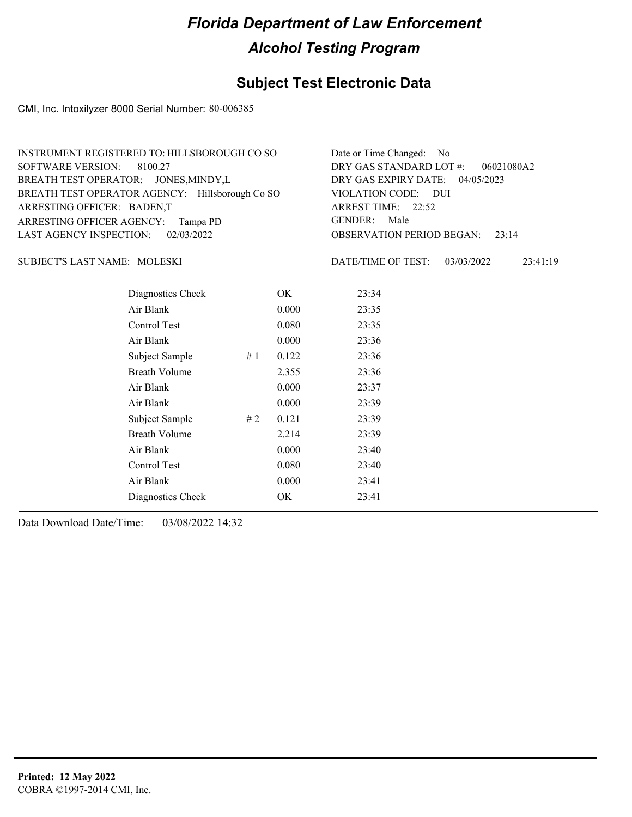### **Subject Test Electronic Data**

CMI, Inc. Intoxilyzer 8000 Serial Number: 80-006385

| INSTRUMENT REGISTERED TO: HILLSBOROUGH CO SO    | Date or Time Changed: No               |
|-------------------------------------------------|----------------------------------------|
| SOFTWARE VERSION: 8100.27                       | DRY GAS STANDARD LOT #: 06021080A2     |
| BREATH TEST OPERATOR: JONES, MINDY, L           | DRY GAS EXPIRY DATE: 04/05/2023        |
| BREATH TEST OPERATOR AGENCY: Hillsborough Co SO | VIOLATION CODE: DUI                    |
| ARRESTING OFFICER: BADEN,T                      | ARREST TIME: 22:52                     |
| ARRESTING OFFICER AGENCY: Tampa PD              | GENDER: Male                           |
| LAST AGENCY INSPECTION: 02/03/2022              | <b>OBSERVATION PERIOD BEGAN:</b> 23:14 |

#### MOLESKI SUBJECT'S LAST NAME: DATE/TIME OF TEST:

DATE/TIME OF TEST: 03/03/2022 23:41:19

| Diagnostics Check    |    | OK    | 23:34 |
|----------------------|----|-------|-------|
| Air Blank            |    | 0.000 | 23:35 |
| Control Test         |    | 0.080 | 23:35 |
| Air Blank            |    | 0.000 | 23:36 |
| Subject Sample       | #1 | 0.122 | 23:36 |
| <b>Breath Volume</b> |    | 2.355 | 23:36 |
| Air Blank            |    | 0.000 | 23:37 |
| Air Blank            |    | 0.000 | 23:39 |
| Subject Sample       | #2 | 0.121 | 23:39 |
| <b>Breath Volume</b> |    | 2.214 | 23:39 |
| Air Blank            |    | 0.000 | 23:40 |
| Control Test         |    | 0.080 | 23:40 |
| Air Blank            |    | 0.000 | 23:41 |
| Diagnostics Check    |    | OK    | 23:41 |
|                      |    |       |       |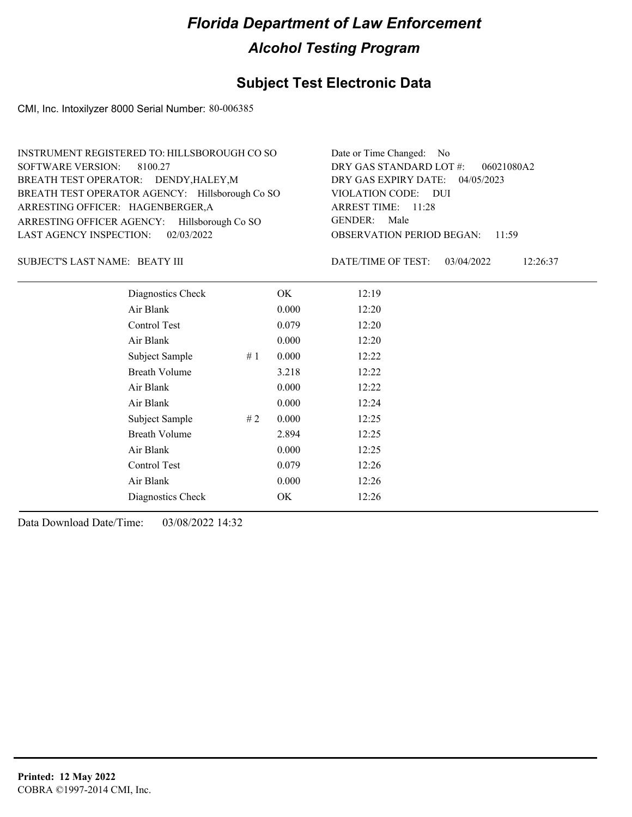### **Subject Test Electronic Data**

CMI, Inc. Intoxilyzer 8000 Serial Number: 80-006385

| INSTRUMENT REGISTERED TO: HILLSBOROUGH CO SO    | Date or Time Changed: No               |
|-------------------------------------------------|----------------------------------------|
| SOFTWARE VERSION: 8100.27                       | DRY GAS STANDARD LOT $#$ : 06021080A2  |
| BREATH TEST OPERATOR: DENDY, HALEY, M           | DRY GAS EXPIRY DATE: 04/05/2023        |
| BREATH TEST OPERATOR AGENCY: Hillsborough Co SO | VIOLATION CODE: DUI                    |
| ARRESTING OFFICER: HAGENBERGER, A               | ARREST TIME: 11:28                     |
| ARRESTING OFFICER AGENCY: Hillsborough Co SO    | GENDER: Male                           |
| LAST AGENCY INSPECTION: $02/03/2022$            | <b>OBSERVATION PERIOD BEGAN: 11:59</b> |

#### BEATY III SUBJECT'S LAST NAME: DATE/TIME OF TEST:

DATE/TIME OF TEST: 03/04/2022 12:26:37

| Diagnostics Check    |     | OK    | 12:19 |  |
|----------------------|-----|-------|-------|--|
| Air Blank            |     | 0.000 | 12:20 |  |
| Control Test         |     | 0.079 | 12:20 |  |
| Air Blank            |     | 0.000 | 12:20 |  |
| Subject Sample       | #1  | 0.000 | 12:22 |  |
| <b>Breath Volume</b> |     | 3.218 | 12:22 |  |
| Air Blank            |     | 0.000 | 12:22 |  |
| Air Blank            |     | 0.000 | 12:24 |  |
| Subject Sample       | # 2 | 0.000 | 12:25 |  |
| <b>Breath Volume</b> |     | 2.894 | 12:25 |  |
| Air Blank            |     | 0.000 | 12:25 |  |
| <b>Control Test</b>  |     | 0.079 | 12:26 |  |
| Air Blank            |     | 0.000 | 12:26 |  |
| Diagnostics Check    |     | OK    | 12:26 |  |
|                      |     |       |       |  |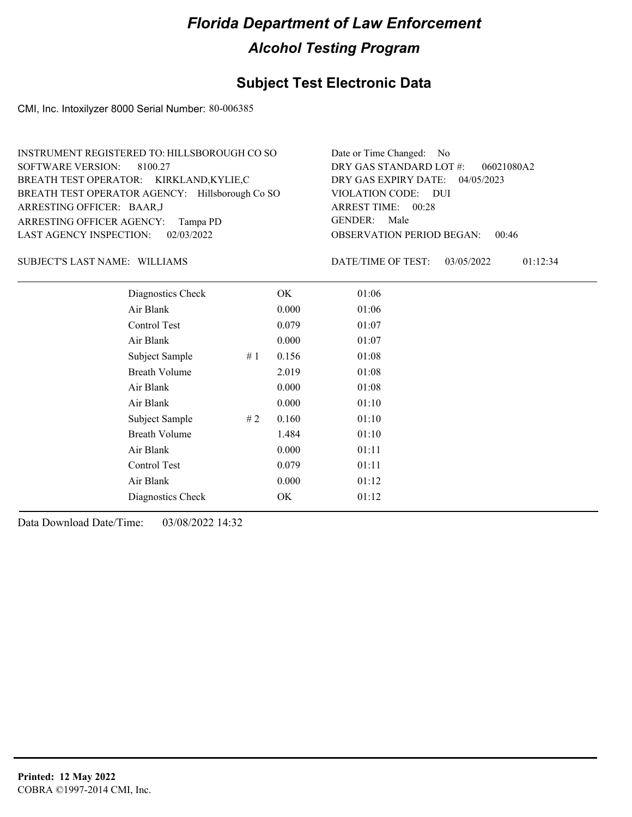### **Subject Test Electronic Data**

CMI, Inc. Intoxilyzer 8000 Serial Number: 80-006385

| INSTRUMENT REGISTERED TO: HILLSBOROUGH CO SO    | Date or Time Changed: No               |
|-------------------------------------------------|----------------------------------------|
| SOFTWARE VERSION: 8100.27                       | DRY GAS STANDARD LOT $\#$ : 06021080A2 |
| BREATH TEST OPERATOR: KIRKLAND,KYLIE,C          | DRY GAS EXPIRY DATE: 04/05/2023        |
| BREATH TEST OPERATOR AGENCY: Hillsborough Co SO | VIOLATION CODE: DUI                    |
| ARRESTING OFFICER: BAAR,J                       | ARREST TIME: 00:28                     |
| ARRESTING OFFICER AGENCY: Tampa PD              | GENDER: Male                           |
| LAST AGENCY INSPECTION: 02/03/2022              | <b>OBSERVATION PERIOD BEGAN: 00:46</b> |

#### SUBJECT'S LAST NAME: WILLIAMS DATE/TIME OF TEST:

DATE/TIME OF TEST: 03/05/2022 01:12:34

| Diagnostics Check    |    | OK    | 01:06 |
|----------------------|----|-------|-------|
| Air Blank            |    | 0.000 | 01:06 |
| Control Test         |    | 0.079 | 01:07 |
| Air Blank            |    | 0.000 | 01:07 |
| Subject Sample       | #1 | 0.156 | 01:08 |
| <b>Breath Volume</b> |    | 2.019 | 01:08 |
| Air Blank            |    | 0.000 | 01:08 |
| Air Blank            |    | 0.000 | 01:10 |
| Subject Sample       | #2 | 0.160 | 01:10 |
| <b>Breath Volume</b> |    | 1.484 | 01:10 |
| Air Blank            |    | 0.000 | 01:11 |
| Control Test         |    | 0.079 | 01:11 |
| Air Blank            |    | 0.000 | 01:12 |
| Diagnostics Check    |    | OK    | 01:12 |
|                      |    |       |       |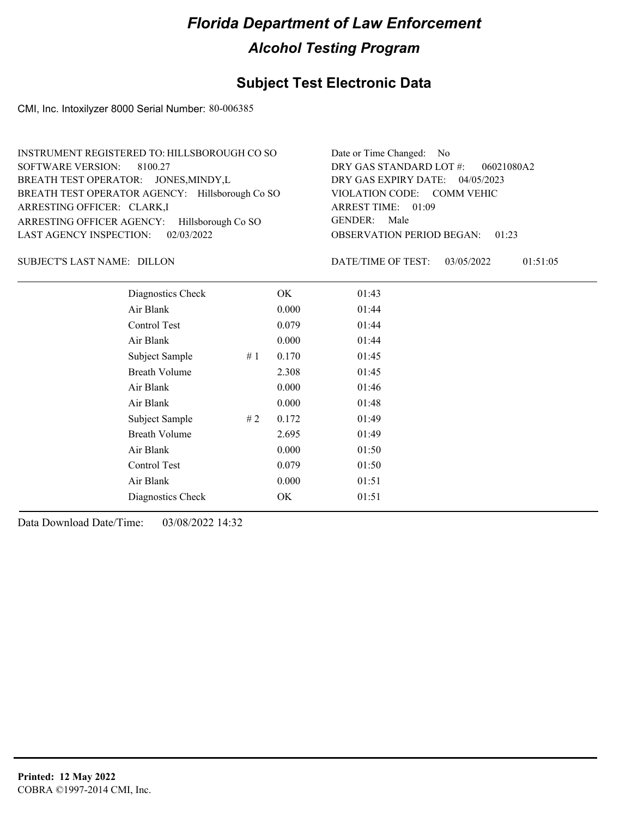### **Subject Test Electronic Data**

CMI, Inc. Intoxilyzer 8000 Serial Number: 80-006385

| INSTRUMENT REGISTERED TO: HILLSBOROUGH CO SO    | Date or Time Changed: No               |
|-------------------------------------------------|----------------------------------------|
| SOFTWARE VERSION: 8100.27                       | DRY GAS STANDARD LOT #:<br>06021080A2  |
| BREATH TEST OPERATOR: JONES, MINDY, L           | DRY GAS EXPIRY DATE: 04/05/2023        |
| BREATH TEST OPERATOR AGENCY: Hillsborough Co SO | VIOLATION CODE: COMM VEHIC             |
| ARRESTING OFFICER: CLARK,I                      | ARREST TIME: 01:09                     |
| ARRESTING OFFICER AGENCY: Hillsborough Co SO    | GENDER: Male                           |
| LAST AGENCY INSPECTION: $02/03/2022$            | <b>OBSERVATION PERIOD BEGAN: 01:23</b> |

SUBJECT'S LAST NAME: DILLON DATE/TIME OF TEST:

DATE/TIME OF TEST: 03/05/2022 01:51:05

| Diagnostics Check    |    | OK    | 01:43 |
|----------------------|----|-------|-------|
| Air Blank            |    | 0.000 | 01:44 |
| Control Test         |    | 0.079 | 01:44 |
| Air Blank            |    | 0.000 | 01:44 |
| Subject Sample       | #1 | 0.170 | 01:45 |
| <b>Breath Volume</b> |    | 2.308 | 01:45 |
| Air Blank            |    | 0.000 | 01:46 |
| Air Blank            |    | 0.000 | 01:48 |
| Subject Sample       | #2 | 0.172 | 01:49 |
| <b>Breath Volume</b> |    | 2.695 | 01:49 |
| Air Blank            |    | 0.000 | 01:50 |
| Control Test         |    | 0.079 | 01:50 |
| Air Blank            |    | 0.000 | 01:51 |
| Diagnostics Check    |    | OK    | 01:51 |
|                      |    |       |       |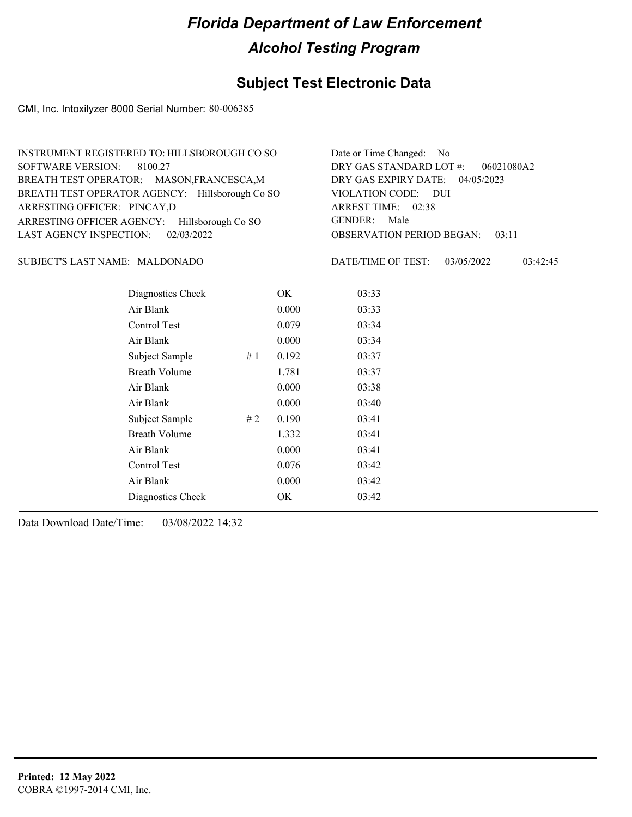### **Subject Test Electronic Data**

CMI, Inc. Intoxilyzer 8000 Serial Number: 80-006385

| INSTRUMENT REGISTERED TO: HILLSBOROUGH CO SO    | Date or Time Changed: No               |
|-------------------------------------------------|----------------------------------------|
| SOFTWARE VERSION: 8100.27                       | DRY GAS STANDARD LOT $#$ : 06021080A2  |
| BREATH TEST OPERATOR: MASON, FRANCESCA, M       | DRY GAS EXPIRY DATE: 04/05/2023        |
| BREATH TEST OPERATOR AGENCY: Hillsborough Co SO | VIOLATION CODE: DUI                    |
| ARRESTING OFFICER: PINCAY,D                     | ARREST TIME: 02:38                     |
| ARRESTING OFFICER AGENCY: Hillsborough Co SO    | GENDER: Male                           |
| LAST AGENCY INSPECTION: $02/03/2022$            | <b>OBSERVATION PERIOD BEGAN: 03:11</b> |

#### MALDONADO SUBJECT'S LAST NAME: DATE/TIME OF TEST:

DATE/TIME OF TEST: 03/05/2022 03:42:45

| Diagnostics Check    |    | OK    | 03:33 |
|----------------------|----|-------|-------|
| Air Blank            |    | 0.000 | 03:33 |
| Control Test         |    | 0.079 | 03:34 |
| Air Blank            |    | 0.000 | 03:34 |
| Subject Sample       | #1 | 0.192 | 03:37 |
| <b>Breath Volume</b> |    | 1.781 | 03:37 |
| Air Blank            |    | 0.000 | 03:38 |
| Air Blank            |    | 0.000 | 03:40 |
| Subject Sample       | #2 | 0.190 | 03:41 |
| <b>Breath Volume</b> |    | 1.332 | 03:41 |
| Air Blank            |    | 0.000 | 03:41 |
| <b>Control Test</b>  |    | 0.076 | 03:42 |
| Air Blank            |    | 0.000 | 03:42 |
| Diagnostics Check    |    | OK    | 03:42 |
|                      |    |       |       |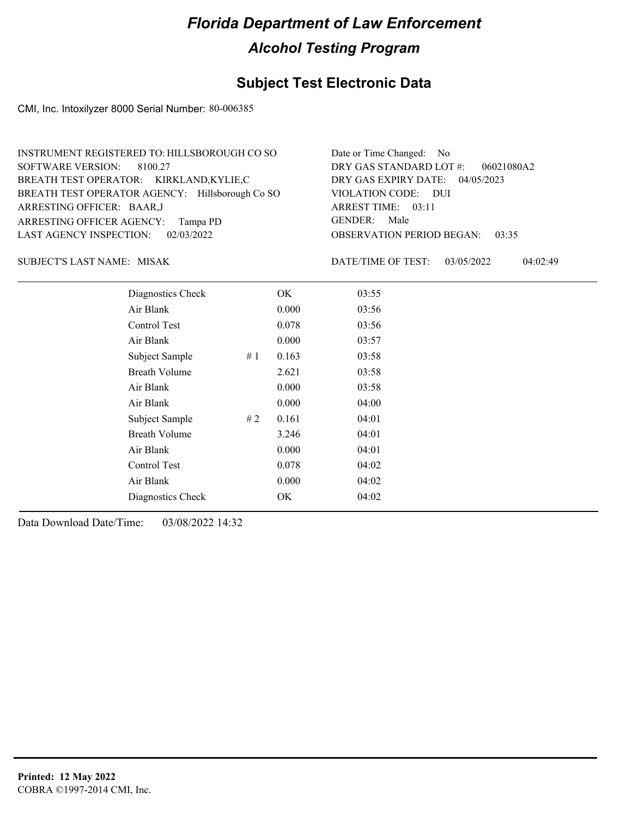### **Subject Test Electronic Data**

CMI, Inc. Intoxilyzer 8000 Serial Number: 80-006385

| INSTRUMENT REGISTERED TO: HILLSBOROUGH CO SO    | Date or Time Changed: No               |
|-------------------------------------------------|----------------------------------------|
| SOFTWARE VERSION: 8100.27                       | DRY GAS STANDARD LOT $\#$ : 06021080A2 |
| BREATH TEST OPERATOR: KIRKLAND,KYLIE,C          | DRY GAS EXPIRY DATE: 04/05/2023        |
| BREATH TEST OPERATOR AGENCY: Hillsborough Co SO | VIOLATION CODE: DUI                    |
| ARRESTING OFFICER: BAAR,J                       | ARREST TIME: 03:11                     |
| ARRESTING OFFICER AGENCY: Tampa PD              | GENDER: Male                           |
| LAST AGENCY INSPECTION: 02/03/2022              | <b>OBSERVATION PERIOD BEGAN: 03:35</b> |

MISAK SUBJECT'S LAST NAME: DATE/TIME OF TEST:

DATE/TIME OF TEST: 03/05/2022 04:02:49

| Diagnostics Check    |    | OK    | 03:55 |
|----------------------|----|-------|-------|
| Air Blank            |    | 0.000 | 03:56 |
| Control Test         |    | 0.078 | 03:56 |
| Air Blank            |    | 0.000 | 03:57 |
| Subject Sample       | #1 | 0.163 | 03:58 |
| <b>Breath Volume</b> |    | 2.621 | 03:58 |
| Air Blank            |    | 0.000 | 03:58 |
| Air Blank            |    | 0.000 | 04:00 |
| Subject Sample       | #2 | 0.161 | 04:01 |
| <b>Breath Volume</b> |    | 3.246 | 04:01 |
| Air Blank            |    | 0.000 | 04:01 |
| Control Test         |    | 0.078 | 04:02 |
| Air Blank            |    | 0.000 | 04:02 |
| Diagnostics Check    |    | OK    | 04:02 |
|                      |    |       |       |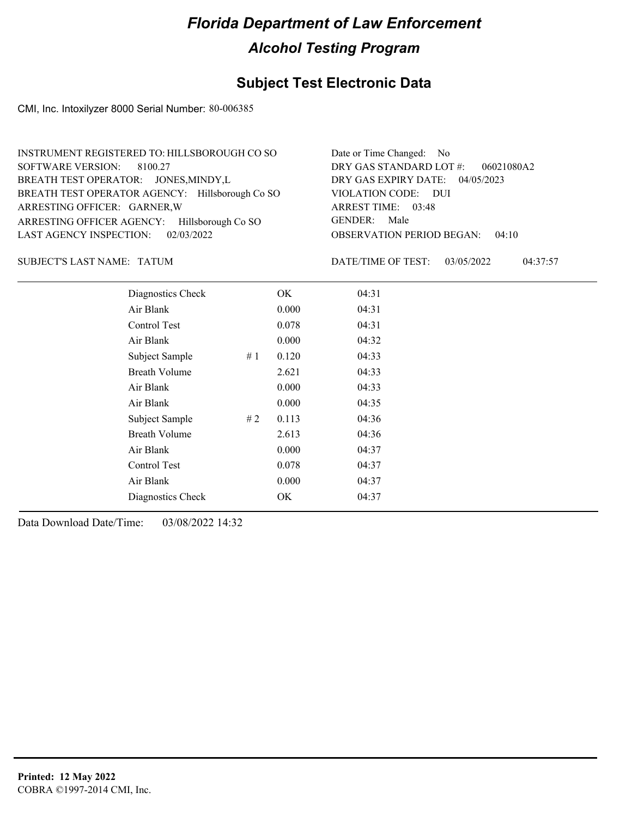### **Subject Test Electronic Data**

CMI, Inc. Intoxilyzer 8000 Serial Number: 80-006385

| INSTRUMENT REGISTERED TO: HILLSBOROUGH CO SO    | Date or Time Changed: No               |
|-------------------------------------------------|----------------------------------------|
| SOFTWARE VERSION: 8100.27                       | DRY GAS STANDARD LOT $\#$ : 06021080A2 |
| BREATH TEST OPERATOR: JONES, MINDY, L           | DRY GAS EXPIRY DATE: 04/05/2023        |
| BREATH TEST OPERATOR AGENCY: Hillsborough Co SO | VIOLATION CODE: DUI                    |
| ARRESTING OFFICER: GARNER, W                    | ARREST TIME: 03:48                     |
| ARRESTING OFFICER AGENCY: Hillsborough Co SO    | GENDER: Male                           |
| LAST AGENCY INSPECTION: $02/03/2022$            | <b>OBSERVATION PERIOD BEGAN: 04:10</b> |

SUBJECT'S LAST NAME: TATUM **Example 20** OATE/TIME OF TEST:

DATE/TIME OF TEST: 03/05/2022 04:37:57

| Diagnostics Check    |    | OK    | 04:31 |
|----------------------|----|-------|-------|
| Air Blank            |    | 0.000 | 04:31 |
| Control Test         |    | 0.078 | 04:31 |
| Air Blank            |    | 0.000 | 04:32 |
| Subject Sample       | #1 | 0.120 | 04:33 |
| <b>Breath Volume</b> |    | 2.621 | 04:33 |
| Air Blank            |    | 0.000 | 04:33 |
| Air Blank            |    | 0.000 | 04:35 |
| Subject Sample       | #2 | 0.113 | 04:36 |
| <b>Breath Volume</b> |    | 2.613 | 04:36 |
| Air Blank            |    | 0.000 | 04:37 |
| Control Test         |    | 0.078 | 04:37 |
| Air Blank            |    | 0.000 | 04:37 |
| Diagnostics Check    |    | OK    | 04:37 |
|                      |    |       |       |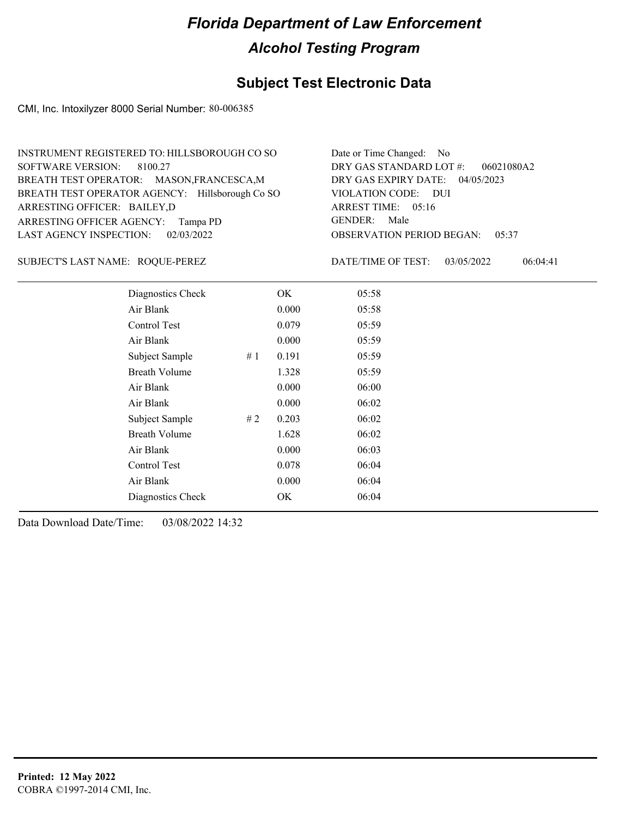### **Subject Test Electronic Data**

CMI, Inc. Intoxilyzer 8000 Serial Number: 80-006385

| INSTRUMENT REGISTERED TO: HILLSBOROUGH CO SO    | Date or Time Changed: No               |
|-------------------------------------------------|----------------------------------------|
| SOFTWARE VERSION: 8100.27                       | DRY GAS STANDARD LOT $#$ : 06021080A2  |
| BREATH TEST OPERATOR: MASON, FRANCESCA, M       | DRY GAS EXPIRY DATE: 04/05/2023        |
| BREATH TEST OPERATOR AGENCY: Hillsborough Co SO | VIOLATION CODE: DUI                    |
| ARRESTING OFFICER: BAILEY,D                     | ARREST TIME: 05:16                     |
| ARRESTING OFFICER AGENCY: Tampa PD              | GENDER: Male                           |
| LAST AGENCY INSPECTION: 02/03/2022              | <b>OBSERVATION PERIOD BEGAN: 05:37</b> |

SUBJECT'S LAST NAME: ROQUE-PEREZ DATE/TIME OF TEST:

DATE/TIME OF TEST: 03/05/2022 06:04:41

| Diagnostics Check    |    | OK    | 05:58 |
|----------------------|----|-------|-------|
| Air Blank            |    | 0.000 | 05:58 |
| Control Test         |    | 0.079 | 05:59 |
| Air Blank            |    | 0.000 | 05:59 |
| Subject Sample       | #1 | 0.191 | 05:59 |
| <b>Breath Volume</b> |    | 1.328 | 05:59 |
| Air Blank            |    | 0.000 | 06:00 |
| Air Blank            |    | 0.000 | 06:02 |
| Subject Sample       | #2 | 0.203 | 06:02 |
| <b>Breath Volume</b> |    | 1.628 | 06:02 |
| Air Blank            |    | 0.000 | 06:03 |
| <b>Control Test</b>  |    | 0.078 | 06:04 |
| Air Blank            |    | 0.000 | 06:04 |
| Diagnostics Check    |    | OK    | 06:04 |
|                      |    |       |       |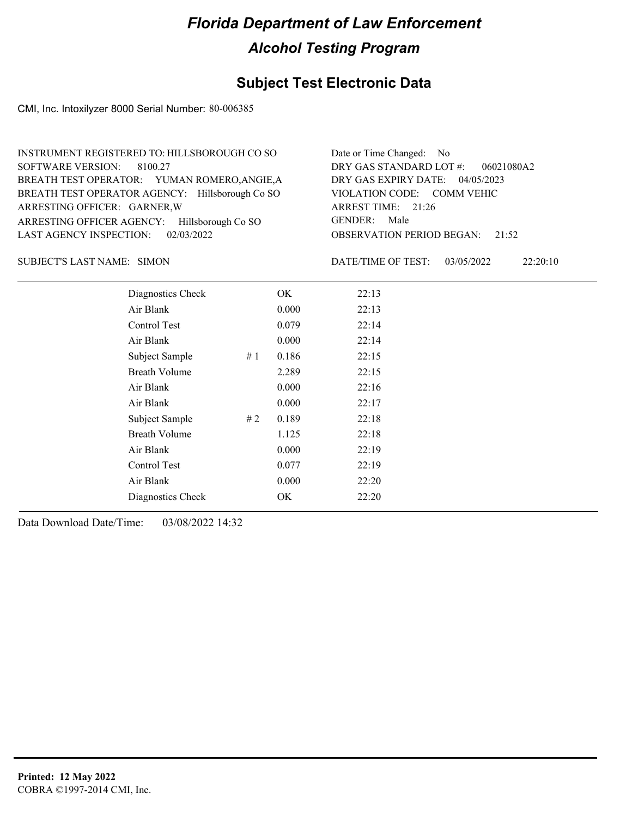### **Subject Test Electronic Data**

CMI, Inc. Intoxilyzer 8000 Serial Number: 80-006385

| INSTRUMENT REGISTERED TO: HILLSBOROUGH CO SO    | Date or Time Changed: No               |
|-------------------------------------------------|----------------------------------------|
| SOFTWARE VERSION: 8100.27                       | DRY GAS STANDARD LOT $\#$ : 06021080A2 |
| BREATH TEST OPERATOR: YUMAN ROMERO, ANGIE, A    | DRY GAS EXPIRY DATE: 04/05/2023        |
| BREATH TEST OPERATOR AGENCY: Hillsborough Co SO | VIOLATION CODE: COMM VEHIC             |
| ARRESTING OFFICER: GARNER, W                    | ARREST TIME: 21:26                     |
| ARRESTING OFFICER AGENCY: Hillsborough Co SO    | GENDER: Male                           |
| LAST AGENCY INSPECTION: 02/03/2022              | <b>OBSERVATION PERIOD BEGAN:</b> 21:52 |

SUBJECT'S LAST NAME: SIMON DATE/TIME OF TEST:

DATE/TIME OF TEST: 03/05/2022 22:20:10

| Diagnostics Check    |    | OK    | 22:13 |
|----------------------|----|-------|-------|
| Air Blank            |    | 0.000 | 22:13 |
| Control Test         |    | 0.079 | 22:14 |
| Air Blank            |    | 0.000 | 22:14 |
| Subject Sample       | #1 | 0.186 | 22:15 |
| <b>Breath Volume</b> |    | 2.289 | 22:15 |
| Air Blank            |    | 0.000 | 22:16 |
| Air Blank            |    | 0.000 | 22:17 |
| Subject Sample       | #2 | 0.189 | 22:18 |
| <b>Breath Volume</b> |    | 1.125 | 22:18 |
| Air Blank            |    | 0.000 | 22:19 |
| Control Test         |    | 0.077 | 22:19 |
| Air Blank            |    | 0.000 | 22:20 |
| Diagnostics Check    |    | OK    | 22:20 |
|                      |    |       |       |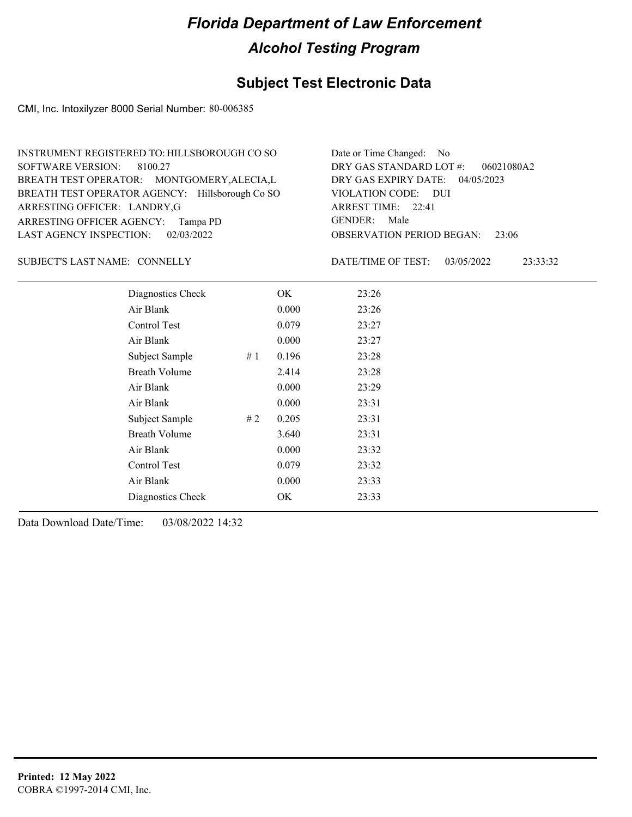### **Subject Test Electronic Data**

CMI, Inc. Intoxilyzer 8000 Serial Number: 80-006385

| INSTRUMENT REGISTERED TO: HILLSBOROUGH CO SO    | Date or Time Changed: No               |
|-------------------------------------------------|----------------------------------------|
| SOFTWARE VERSION: 8100.27                       | DRY GAS STANDARD LOT $\#$ : 06021080A2 |
| BREATH TEST OPERATOR: MONTGOMERY, ALECIA, L     | DRY GAS EXPIRY DATE: 04/05/2023        |
| BREATH TEST OPERATOR AGENCY: Hillsborough Co SO | VIOLATION CODE: DUI                    |
| ARRESTING OFFICER: LANDRY,G                     | ARREST TIME: 22:41                     |
| ARRESTING OFFICER AGENCY: Tampa PD              | GENDER: Male                           |
| LAST AGENCY INSPECTION: 02/03/2022              | <b>OBSERVATION PERIOD BEGAN: 23:06</b> |

#### SUBJECT'S LAST NAME: CONNELLY DATE/TIME OF TEST:

DATE/TIME OF TEST: 03/05/2022 23:33:32

| Diagnostics Check    |     | OK    | 23:26 |
|----------------------|-----|-------|-------|
| Air Blank            |     | 0.000 | 23:26 |
| Control Test         |     | 0.079 | 23:27 |
| Air Blank            |     | 0.000 | 23:27 |
| Subject Sample       | #1  | 0.196 | 23:28 |
| <b>Breath Volume</b> |     | 2.414 | 23:28 |
| Air Blank            |     | 0.000 | 23:29 |
| Air Blank            |     | 0.000 | 23:31 |
| Subject Sample       | # 2 | 0.205 | 23:31 |
| <b>Breath Volume</b> |     | 3.640 | 23:31 |
| Air Blank            |     | 0.000 | 23:32 |
| Control Test         |     | 0.079 | 23:32 |
| Air Blank            |     | 0.000 | 23:33 |
| Diagnostics Check    |     | OK    | 23:33 |
|                      |     |       |       |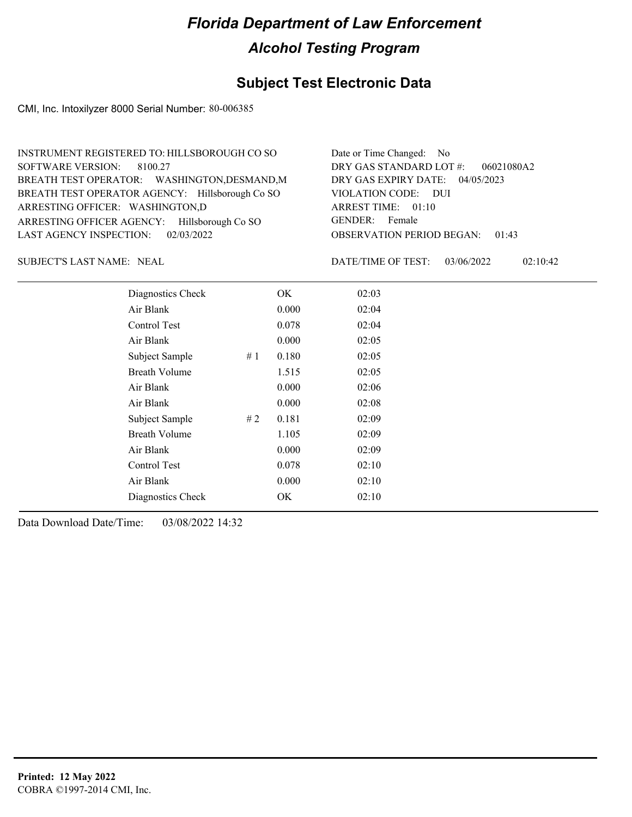### **Subject Test Electronic Data**

CMI, Inc. Intoxilyzer 8000 Serial Number: 80-006385

| INSTRUMENT REGISTERED TO: HILLSBOROUGH CO SO    | Date or Time Changed: No               |
|-------------------------------------------------|----------------------------------------|
| SOFTWARE VERSION: 8100.27                       | DRY GAS STANDARD LOT $\#$ : 06021080A2 |
| BREATH TEST OPERATOR: WASHINGTON, DESMAND, M    | DRY GAS EXPIRY DATE: 04/05/2023        |
| BREATH TEST OPERATOR AGENCY: Hillsborough Co SO | VIOLATION CODE: DUI                    |
| ARRESTING OFFICER: WASHINGTON,D                 | ARREST TIME: 01:10                     |
| ARRESTING OFFICER AGENCY: Hillsborough Co SO    | GENDER: Female                         |
| LAST AGENCY INSPECTION: 02/03/2022              | <b>OBSERVATION PERIOD BEGAN: 01:43</b> |

SUBJECT'S LAST NAME: NEAL **Example 20** DATE/TIME OF TEST:

DATE/TIME OF TEST: 03/06/2022 02:10:42

| Diagnostics Check    |    | OK    | 02:03 |
|----------------------|----|-------|-------|
| Air Blank            |    | 0.000 | 02:04 |
| <b>Control Test</b>  |    | 0.078 | 02:04 |
| Air Blank            |    | 0.000 | 02:05 |
| Subject Sample       | #1 | 0.180 | 02:05 |
| <b>Breath Volume</b> |    | 1.515 | 02:05 |
| Air Blank            |    | 0.000 | 02:06 |
| Air Blank            |    | 0.000 | 02:08 |
| Subject Sample       | #2 | 0.181 | 02:09 |
| <b>Breath Volume</b> |    | 1.105 | 02:09 |
| Air Blank            |    | 0.000 | 02:09 |
| Control Test         |    | 0.078 | 02:10 |
| Air Blank            |    | 0.000 | 02:10 |
| Diagnostics Check    |    | OK    | 02:10 |
|                      |    |       |       |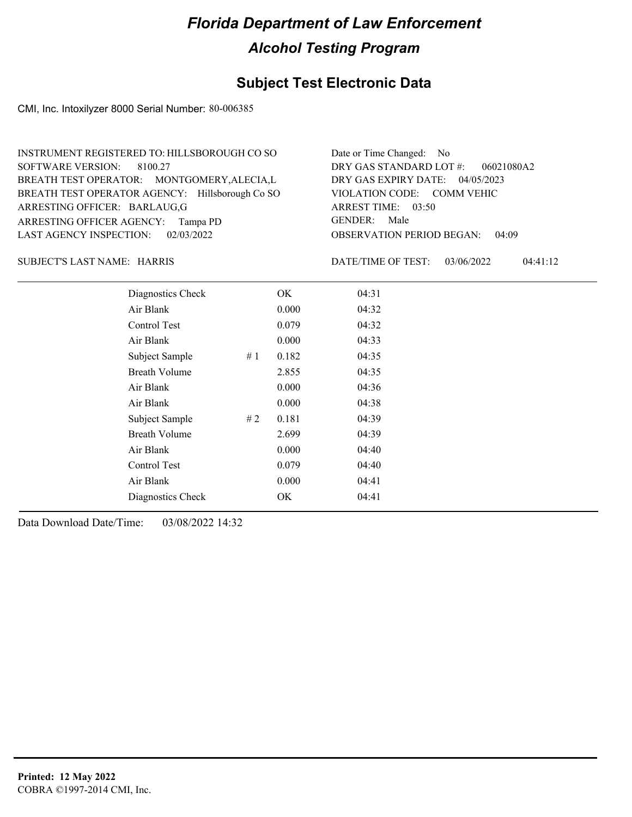### **Subject Test Electronic Data**

CMI, Inc. Intoxilyzer 8000 Serial Number: 80-006385

| INSTRUMENT REGISTERED TO: HILLSBOROUGH CO SO    | Date or Time Changed: No               |
|-------------------------------------------------|----------------------------------------|
| SOFTWARE VERSION: 8100.27                       | DRY GAS STANDARD LOT $\#$ : 06021080A2 |
| BREATH TEST OPERATOR: MONTGOMERY, ALECIA, L     | DRY GAS EXPIRY DATE: 04/05/2023        |
| BREATH TEST OPERATOR AGENCY: Hillsborough Co SO | VIOLATION CODE: COMM VEHIC             |
| ARRESTING OFFICER: BARLAUG,G                    | ARREST TIME: 03:50                     |
| ARRESTING OFFICER AGENCY: Tampa PD              | GENDER: Male                           |
| LAST AGENCY INSPECTION: $02/03/2022$            | <b>OBSERVATION PERIOD BEGAN: 04:09</b> |

SUBJECT'S LAST NAME: HARRIS DATE/TIME OF TEST:

DATE/TIME OF TEST: 03/06/2022 04:41:12

| Diagnostics Check    |    | OK    | 04:31 |
|----------------------|----|-------|-------|
| Air Blank            |    | 0.000 | 04:32 |
| Control Test         |    | 0.079 | 04:32 |
| Air Blank            |    | 0.000 | 04:33 |
| Subject Sample       | #1 | 0.182 | 04:35 |
| <b>Breath Volume</b> |    | 2.855 | 04:35 |
| Air Blank            |    | 0.000 | 04:36 |
| Air Blank            |    | 0.000 | 04:38 |
| Subject Sample       | #2 | 0.181 | 04:39 |
| <b>Breath Volume</b> |    | 2.699 | 04:39 |
| Air Blank            |    | 0.000 | 04:40 |
| Control Test         |    | 0.079 | 04:40 |
| Air Blank            |    | 0.000 | 04:41 |
| Diagnostics Check    |    | OK    | 04:41 |
|                      |    |       |       |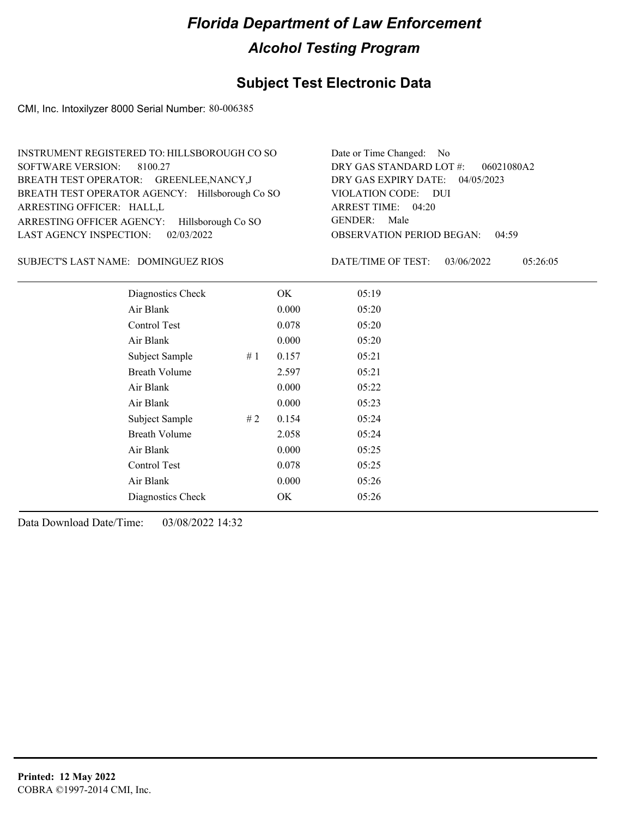### **Subject Test Electronic Data**

CMI, Inc. Intoxilyzer 8000 Serial Number: 80-006385

| INSTRUMENT REGISTERED TO: HILLSBOROUGH CO SO    | Date or Time Changed: No               |
|-------------------------------------------------|----------------------------------------|
| SOFTWARE VERSION: 8100.27                       | DRY GAS STANDARD LOT $\#$ : 06021080A2 |
| BREATH TEST OPERATOR: GREENLEE, NANCY, J        | DRY GAS EXPIRY DATE: 04/05/2023        |
| BREATH TEST OPERATOR AGENCY: Hillsborough Co SO | VIOLATION CODE: DUI                    |
| ARRESTING OFFICER: HALL,L                       | ARREST TIME: 04:20                     |
| ARRESTING OFFICER AGENCY: Hillsborough Co SO    | GENDER: Male                           |
| LAST AGENCY INSPECTION: 02/03/2022              | <b>OBSERVATION PERIOD BEGAN: 04:59</b> |

#### DOMINGUEZ RIOS SUBJECT'S LAST NAME: DATE/TIME OF TEST:

DATE/TIME OF TEST: 03/06/2022 05:26:05

|           | Diagnostics Check    | OK    | 05:19 |
|-----------|----------------------|-------|-------|
| Air Blank |                      | 0.000 | 05:20 |
|           | Control Test         | 0.078 | 05:20 |
| Air Blank |                      | 0.000 | 05:20 |
|           | Subject Sample<br>#1 | 0.157 | 05:21 |
|           | <b>Breath Volume</b> | 2.597 | 05:21 |
| Air Blank |                      | 0.000 | 05:22 |
| Air Blank |                      | 0.000 | 05:23 |
|           | Subject Sample<br>#2 | 0.154 | 05:24 |
|           | <b>Breath Volume</b> | 2.058 | 05:24 |
| Air Blank |                      | 0.000 | 05:25 |
|           | Control Test         | 0.078 | 05:25 |
| Air Blank |                      | 0.000 | 05:26 |
|           | Diagnostics Check    | OK    | 05:26 |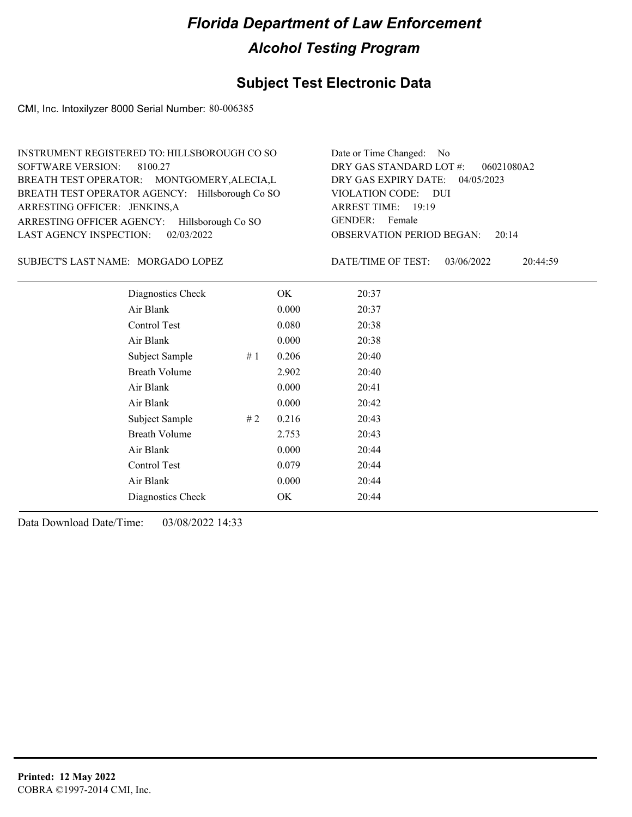### **Subject Test Electronic Data**

CMI, Inc. Intoxilyzer 8000 Serial Number: 80-006385

| INSTRUMENT REGISTERED TO: HILLSBOROUGH CO SO    | Date or Time Changed: No               |
|-------------------------------------------------|----------------------------------------|
| SOFTWARE VERSION: 8100.27                       | DRY GAS STANDARD LOT #: 06021080A2     |
| BREATH TEST OPERATOR: MONTGOMERY, ALECIA, L     | DRY GAS EXPIRY DATE: 04/05/2023        |
| BREATH TEST OPERATOR AGENCY: Hillsborough Co SO | VIOLATION CODE: DUI                    |
| ARRESTING OFFICER: JENKINS,A                    | ARREST TIME: 19:19                     |
| ARRESTING OFFICER AGENCY: Hillsborough Co SO    | GENDER: Female                         |
| LAST AGENCY INSPECTION: 02/03/2022              | <b>OBSERVATION PERIOD BEGAN: 20:14</b> |

#### SUBJECT'S LAST NAME: MORGADO LOPEZ DATE/TIME OF TEST:

DATE/TIME OF TEST: 03/06/2022 20:44:59

| Diagnostics Check     | OK    | 20:37 |
|-----------------------|-------|-------|
| Air Blank             | 0.000 | 20:37 |
| Control Test          | 0.080 | 20:38 |
| Air Blank             | 0.000 | 20:38 |
| Subject Sample<br>#1  | 0.206 | 20:40 |
| <b>Breath Volume</b>  | 2.902 | 20:40 |
| Air Blank             | 0.000 | 20:41 |
| Air Blank             | 0.000 | 20:42 |
| Subject Sample<br># 2 | 0.216 | 20:43 |
| Breath Volume         | 2.753 | 20:43 |
| Air Blank             | 0.000 | 20:44 |
| <b>Control Test</b>   | 0.079 | 20:44 |
| Air Blank             | 0.000 | 20:44 |
| Diagnostics Check     | OK    | 20:44 |
|                       |       |       |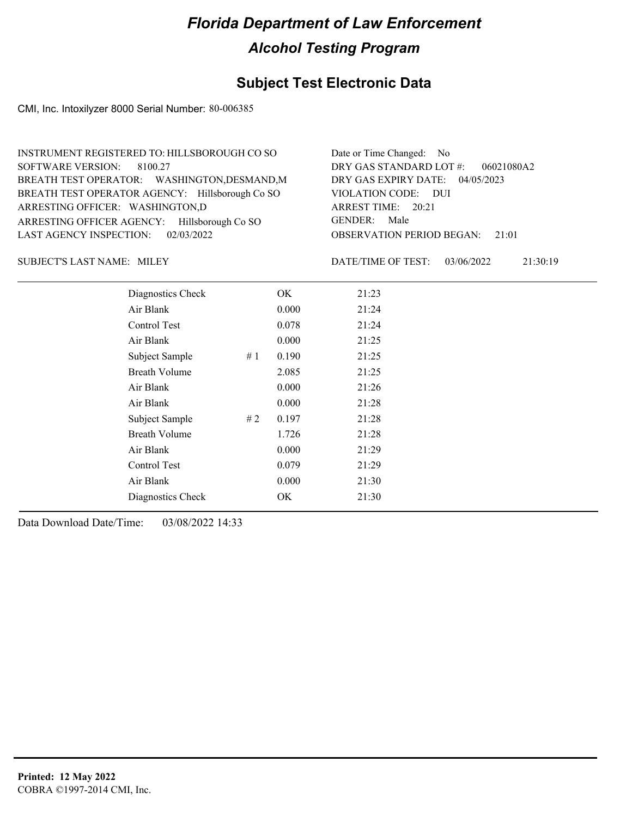### **Subject Test Electronic Data**

CMI, Inc. Intoxilyzer 8000 Serial Number: 80-006385

| INSTRUMENT REGISTERED TO: HILLSBOROUGH CO SO    | Date or Time Changed: No               |
|-------------------------------------------------|----------------------------------------|
| SOFTWARE VERSION: 8100.27                       | DRY GAS STANDARD LOT #: 06021080A2     |
| BREATH TEST OPERATOR: WASHINGTON, DESMAND, M    | DRY GAS EXPIRY DATE: 04/05/2023        |
| BREATH TEST OPERATOR AGENCY: Hillsborough Co SO | VIOLATION CODE: DUI                    |
| ARRESTING OFFICER: WASHINGTON,D                 | ARREST TIME: 20:21                     |
| ARRESTING OFFICER AGENCY: Hillsborough Co SO    | GENDER: Male                           |
| LAST AGENCY INSPECTION: 02/03/2022              | <b>OBSERVATION PERIOD BEGAN:</b> 21:01 |

SUBJECT'S LAST NAME: MILEY DATE/TIME OF TEST:

DATE/TIME OF TEST: 03/06/2022 21:30:19

| Diagnostics Check    | OK    | 21:23 |
|----------------------|-------|-------|
| Air Blank            | 0.000 | 21:24 |
| Control Test         | 0.078 | 21:24 |
| Air Blank            | 0.000 | 21:25 |
| Subject Sample<br>#1 | 0.190 | 21:25 |
| <b>Breath Volume</b> | 2.085 | 21:25 |
| Air Blank            | 0.000 | 21:26 |
| Air Blank            | 0.000 | 21:28 |
| Subject Sample<br>#2 | 0.197 | 21:28 |
| <b>Breath Volume</b> | 1.726 | 21:28 |
| Air Blank            | 0.000 | 21:29 |
| Control Test         | 0.079 | 21:29 |
| Air Blank            | 0.000 | 21:30 |
| Diagnostics Check    | OK    | 21:30 |
|                      |       |       |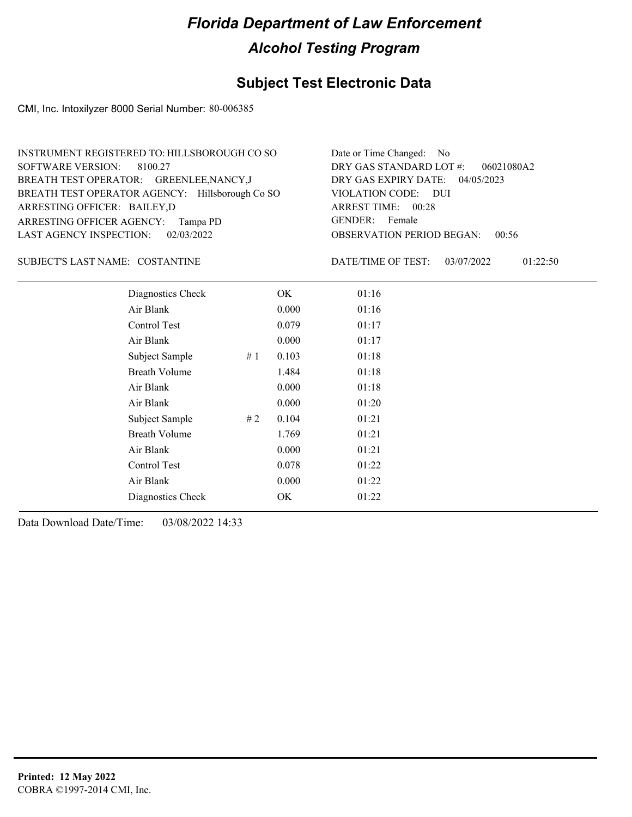### **Subject Test Electronic Data**

CMI, Inc. Intoxilyzer 8000 Serial Number: 80-006385

| INSTRUMENT REGISTERED TO: HILLSBOROUGH CO SO    | Date or Time Changed: No               |
|-------------------------------------------------|----------------------------------------|
| SOFTWARE VERSION: 8100.27                       | DRY GAS STANDARD LOT #: 06021080A2     |
| BREATH TEST OPERATOR: GREENLEE, NANCY, J        | DRY GAS EXPIRY DATE: 04/05/2023        |
| BREATH TEST OPERATOR AGENCY: Hillsborough Co SO | VIOLATION CODE: DUI                    |
| ARRESTING OFFICER: BAILEY,D                     | ARREST TIME: 00:28                     |
| ARRESTING OFFICER AGENCY: Tampa PD              | GENDER: Female                         |
| LAST AGENCY INSPECTION: $02/03/2022$            | <b>OBSERVATION PERIOD BEGAN: 00:56</b> |

SUBJECT'S LAST NAME: COSTANTINE  $\qquad \qquad$  DATE/TIME OF TEST:

DATE/TIME OF TEST: 03/07/2022 01:22:50

| Diagnostics Check    |    | OK    | 01:16 |
|----------------------|----|-------|-------|
| Air Blank            |    | 0.000 | 01:16 |
| Control Test         |    | 0.079 | 01:17 |
| Air Blank            |    | 0.000 | 01:17 |
| Subject Sample       | #1 | 0.103 | 01:18 |
| <b>Breath Volume</b> |    | 1.484 | 01:18 |
| Air Blank            |    | 0.000 | 01:18 |
| Air Blank            |    | 0.000 | 01:20 |
| Subject Sample       | #2 | 0.104 | 01:21 |
| <b>Breath Volume</b> |    | 1.769 | 01:21 |
| Air Blank            |    | 0.000 | 01:21 |
| Control Test         |    | 0.078 | 01:22 |
| Air Blank            |    | 0.000 | 01:22 |
| Diagnostics Check    |    | OK    | 01:22 |
|                      |    |       |       |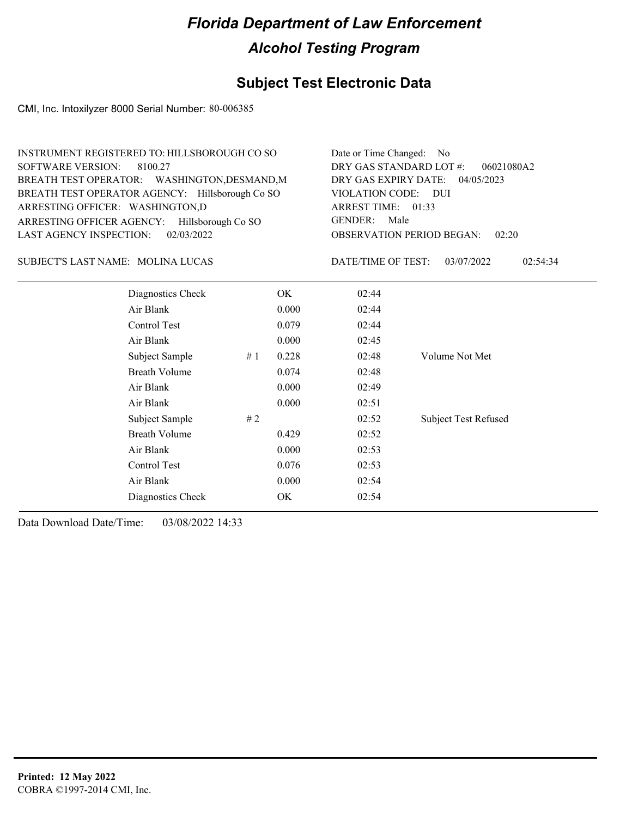### **Subject Test Electronic Data**

CMI, Inc. Intoxilyzer 8000 Serial Number: 80-006385

| INSTRUMENT REGISTERED TO: HILLSBOROUGH CO SO    | Date or Time Changed: No               |
|-------------------------------------------------|----------------------------------------|
| SOFTWARE VERSION: 8100.27                       | DRY GAS STANDARD LOT $\#$ : 06021080A2 |
| BREATH TEST OPERATOR: WASHINGTON, DESMAND, M    | DRY GAS EXPIRY DATE: 04/05/2023        |
| BREATH TEST OPERATOR AGENCY: Hillsborough Co SO | VIOLATION CODE: DUI                    |
| ARRESTING OFFICER: WASHINGTON,D                 | ARREST TIME: 01:33                     |
| ARRESTING OFFICER AGENCY: Hillsborough Co SO    | GENDER: Male                           |
| LAST AGENCY INSPECTION: $02/03/2022$            | <b>OBSERVATION PERIOD BEGAN: 02:20</b> |

SUBJECT'S LAST NAME: MOLINA LUCAS DATE/TIME OF TEST:

DATE/TIME OF TEST: 03/07/2022 02:54:34

| Diagnostics Check    | OK    | 02:44 |                             |
|----------------------|-------|-------|-----------------------------|
| Air Blank            | 0.000 | 02:44 |                             |
| Control Test         | 0.079 | 02:44 |                             |
| Air Blank            | 0.000 | 02:45 |                             |
| Subject Sample<br>#1 | 0.228 | 02:48 | Volume Not Met              |
| <b>Breath Volume</b> | 0.074 | 02:48 |                             |
| Air Blank            | 0.000 | 02:49 |                             |
| Air Blank            | 0.000 | 02:51 |                             |
| Subject Sample<br>#2 |       | 02:52 | <b>Subject Test Refused</b> |
| <b>Breath Volume</b> | 0.429 | 02:52 |                             |
| Air Blank            | 0.000 | 02:53 |                             |
| Control Test         | 0.076 | 02:53 |                             |
| Air Blank            | 0.000 | 02:54 |                             |
| Diagnostics Check    | OK    | 02:54 |                             |
|                      |       |       |                             |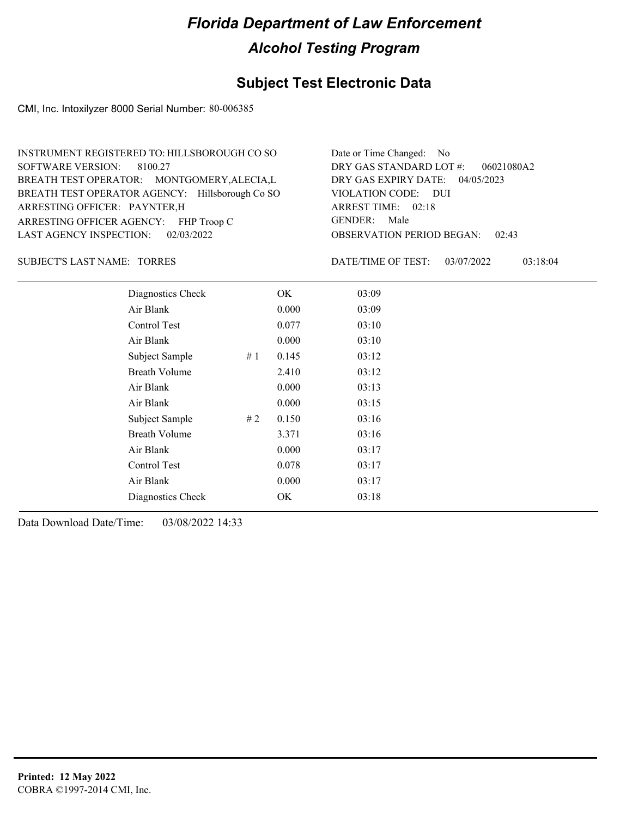#### **Subject Test Electronic Data**

CMI, Inc. Intoxilyzer 8000 Serial Number: 80-006385

OBSERVATION PERIOD BEGAN: 02:43 ARRESTING OFFICER AGENCY: FHP Troop C GENDER: BREATH TEST OPERATOR AGENCY: Hillsborough Co SO VIOLATION CODE: SOFTWARE VERSION: 8100.27 VIOLATION CODE: DUI ARREST TIME: 02:18 ARRESTING OFFICER: PAYNTER,H 04/05/2023 DRY GAS EXPIRY DATE: 06021080A2 BREATH TEST OPERATOR: MONTGOMERY,ALECIA,L LAST AGENCY INSPECTION: 02/03/2022 INSTRUMENT REGISTERED TO: HILLSBOROUGH CO SO DRY GAS STANDARD LOT #: Date or Time Changed: No GENDER: Male

SUBJECT'S LAST NAME: TORRES DATE/TIME OF TEST:

DATE/TIME OF TEST: 03/07/2022 03:18:04

| Diagnostics Check    |    | OK    | 03:09 |
|----------------------|----|-------|-------|
| Air Blank            |    | 0.000 | 03:09 |
| Control Test         |    | 0.077 | 03:10 |
| Air Blank            |    | 0.000 | 03:10 |
| Subject Sample       | #1 | 0.145 | 03:12 |
| <b>Breath Volume</b> |    | 2.410 | 03:12 |
| Air Blank            |    | 0.000 | 03:13 |
| Air Blank            |    | 0.000 | 03:15 |
| Subject Sample       | #2 | 0.150 | 03:16 |
| <b>Breath Volume</b> |    | 3.371 | 03:16 |
| Air Blank            |    | 0.000 | 03:17 |
| Control Test         |    | 0.078 | 03:17 |
| Air Blank            |    | 0.000 | 03:17 |
| Diagnostics Check    |    | OK    | 03:18 |
|                      |    |       |       |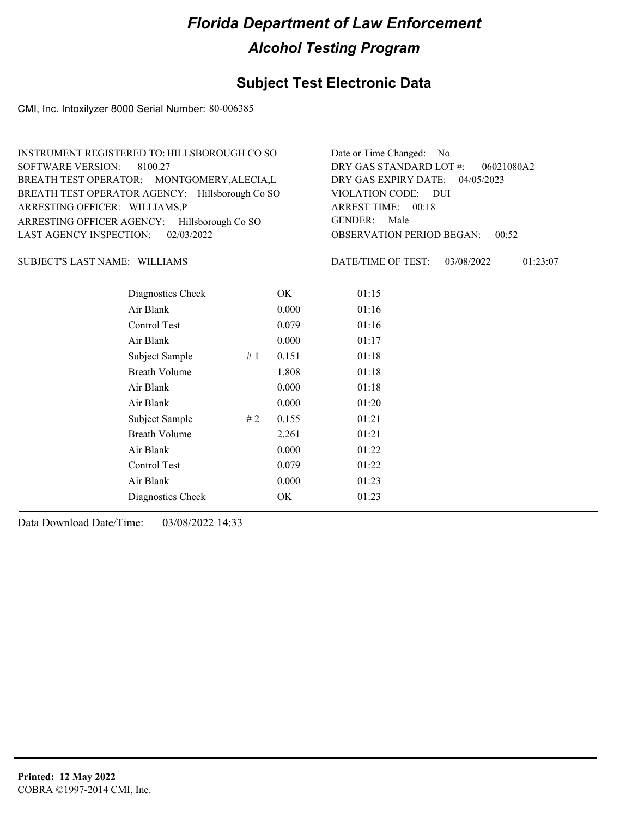### **Subject Test Electronic Data**

CMI, Inc. Intoxilyzer 8000 Serial Number: 80-006385

| INSTRUMENT REGISTERED TO: HILLSBOROUGH CO SO    | Date or Time Changed: No               |
|-------------------------------------------------|----------------------------------------|
| SOFTWARE VERSION: 8100.27                       | DRY GAS STANDARD LOT $\#$ : 06021080A2 |
| BREATH TEST OPERATOR: MONTGOMERY, ALECIA, L     | DRY GAS EXPIRY DATE: 04/05/2023        |
| BREATH TEST OPERATOR AGENCY: Hillsborough Co SO | VIOLATION CODE: DUI                    |
| ARRESTING OFFICER: WILLIAMS,P                   | ARREST TIME: 00:18                     |
| ARRESTING OFFICER AGENCY: Hillsborough Co SO    | GENDER: Male                           |
| LAST AGENCY INSPECTION: $02/03/2022$            | <b>OBSERVATION PERIOD BEGAN: 00:52</b> |

#### SUBJECT'S LAST NAME: WILLIAMS DATE/TIME OF TEST:

DATE/TIME OF TEST: 03/08/2022 01:23:07

| Diagnostics Check    |    | OK    | 01:15 |  |
|----------------------|----|-------|-------|--|
| Air Blank            |    | 0.000 | 01:16 |  |
| Control Test         |    | 0.079 | 01:16 |  |
| Air Blank            |    | 0.000 | 01:17 |  |
| Subject Sample       | #1 | 0.151 | 01:18 |  |
| <b>Breath Volume</b> |    | 1.808 | 01:18 |  |
| Air Blank            |    | 0.000 | 01:18 |  |
| Air Blank            |    | 0.000 | 01:20 |  |
| Subject Sample       | #2 | 0.155 | 01:21 |  |
| <b>Breath Volume</b> |    | 2.261 | 01:21 |  |
| Air Blank            |    | 0.000 | 01:22 |  |
| Control Test         |    | 0.079 | 01:22 |  |
| Air Blank            |    | 0.000 | 01:23 |  |
| Diagnostics Check    |    | OK    | 01:23 |  |
|                      |    |       |       |  |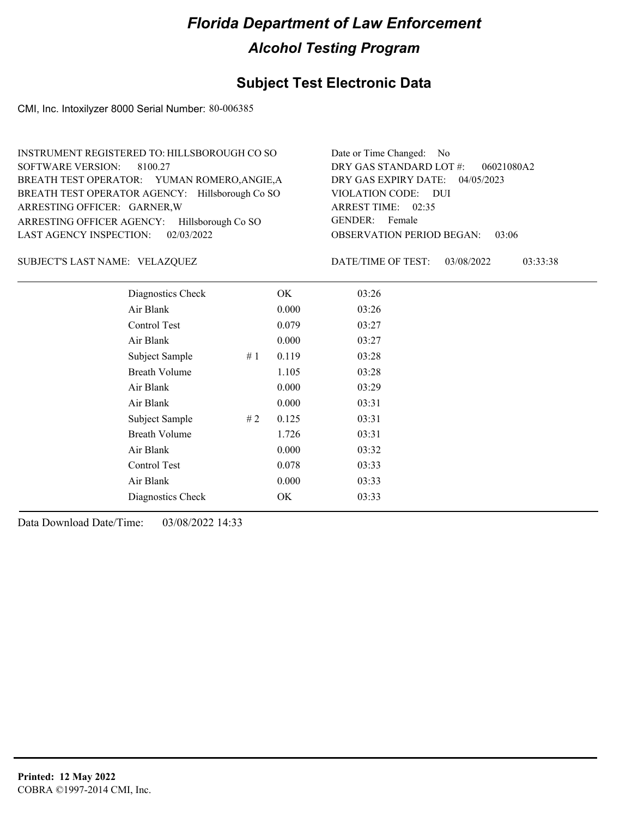### **Subject Test Electronic Data**

CMI, Inc. Intoxilyzer 8000 Serial Number: 80-006385

| INSTRUMENT REGISTERED TO: HILLSBOROUGH CO SO    | Date or Time Changed: No               |
|-------------------------------------------------|----------------------------------------|
| SOFTWARE VERSION: 8100.27                       | DRY GAS STANDARD LOT $\#$ : 06021080A2 |
| BREATH TEST OPERATOR: YUMAN ROMERO, ANGIE, A    | DRY GAS EXPIRY DATE: 04/05/2023        |
| BREATH TEST OPERATOR AGENCY: Hillsborough Co SO | VIOLATION CODE: DUI                    |
| ARRESTING OFFICER: GARNER, W                    | ARREST TIME: 02:35                     |
| ARRESTING OFFICER AGENCY: Hillsborough Co SO    | GENDER: Female                         |
| LAST AGENCY INSPECTION: 02/03/2022              | <b>OBSERVATION PERIOD BEGAN: 03:06</b> |

#### VELAZQUEZ SUBJECT'S LAST NAME: DATE/TIME OF TEST:

DATE/TIME OF TEST: 03/08/2022 03:33:38

| Diagnostics Check    |    | OK    | 03:26 |
|----------------------|----|-------|-------|
| Air Blank            |    | 0.000 | 03:26 |
| Control Test         |    | 0.079 | 03:27 |
| Air Blank            |    | 0.000 | 03:27 |
| Subject Sample       | #1 | 0.119 | 03:28 |
| <b>Breath Volume</b> |    | 1.105 | 03:28 |
| Air Blank            |    | 0.000 | 03:29 |
| Air Blank            |    | 0.000 | 03:31 |
| Subject Sample       | #2 | 0.125 | 03:31 |
| <b>Breath Volume</b> |    | 1.726 | 03:31 |
| Air Blank            |    | 0.000 | 03:32 |
| Control Test         |    | 0.078 | 03:33 |
| Air Blank            |    | 0.000 | 03:33 |
| Diagnostics Check    |    | OK    | 03:33 |
|                      |    |       |       |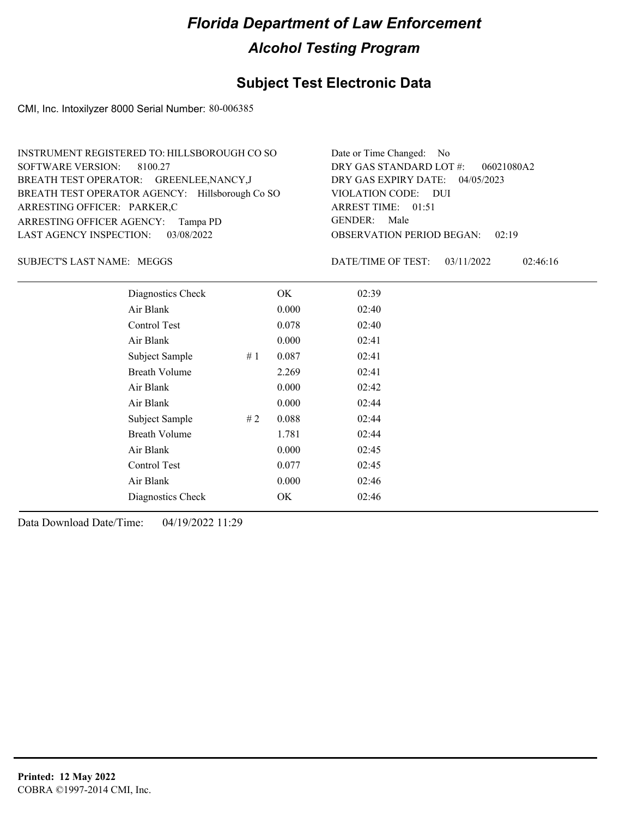### **Subject Test Electronic Data**

CMI, Inc. Intoxilyzer 8000 Serial Number: 80-006385

| INSTRUMENT REGISTERED TO: HILLSBOROUGH CO SO    | Date or Time Changed: No               |
|-------------------------------------------------|----------------------------------------|
| SOFTWARE VERSION: 8100.27                       | DRY GAS STANDARD LOT #: 06021080A2     |
| BREATH TEST OPERATOR: GREENLEE, NANCY, J        | DRY GAS EXPIRY DATE: 04/05/2023        |
| BREATH TEST OPERATOR AGENCY: Hillsborough Co SO | VIOLATION CODE: DUI                    |
| ARRESTING OFFICER: PARKER,C                     | ARREST TIME: 01:51                     |
| ARRESTING OFFICER AGENCY: Tampa PD              | GENDER: Male                           |
| LAST AGENCY INSPECTION: 03/08/2022              | <b>OBSERVATION PERIOD BEGAN: 02:19</b> |

MEGGS SUBJECT'S LAST NAME: DATE/TIME OF TEST:

DATE/TIME OF TEST: 03/11/2022 02:46:16

| Diagnostics Check    |    | OK    | 02:39 |
|----------------------|----|-------|-------|
| Air Blank            |    | 0.000 | 02:40 |
| Control Test         |    | 0.078 | 02:40 |
| Air Blank            |    | 0.000 | 02:41 |
| Subject Sample       | #1 | 0.087 | 02:41 |
| <b>Breath Volume</b> |    | 2.269 | 02:41 |
| Air Blank            |    | 0.000 | 02:42 |
| Air Blank            |    | 0.000 | 02:44 |
| Subject Sample       | #2 | 0.088 | 02:44 |
| <b>Breath Volume</b> |    | 1.781 | 02:44 |
| Air Blank            |    | 0.000 | 02:45 |
| Control Test         |    | 0.077 | 02:45 |
| Air Blank            |    | 0.000 | 02:46 |
| Diagnostics Check    |    | OK    | 02:46 |
|                      |    |       |       |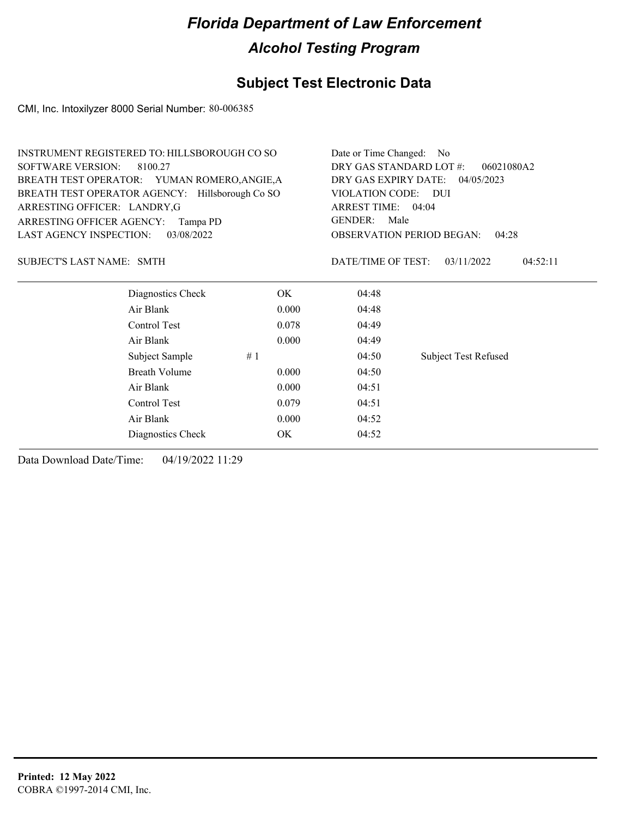#### **Subject Test Electronic Data**

CMI, Inc. Intoxilyzer 8000 Serial Number: 80-006385

| INSTRUMENT REGISTERED TO: HILLSBOROUGH CO SO    | Date or Time Changed: No               |
|-------------------------------------------------|----------------------------------------|
| SOFTWARE VERSION: 8100.27                       | DRY GAS STANDARD LOT #: 06021080A2     |
| BREATH TEST OPERATOR: YUMAN ROMERO, ANGIE, A    | DRY GAS EXPIRY DATE: 04/05/2023        |
| BREATH TEST OPERATOR AGENCY: Hillsborough Co SO | VIOLATION CODE: DUI                    |
| ARRESTING OFFICER: LANDRY, G                    | ARREST TIME: 04:04                     |
| ARRESTING OFFICER AGENCY: Tampa PD              | GENDER: Male                           |
| LAST AGENCY INSPECTION: 03/08/2022              | <b>OBSERVATION PERIOD BEGAN: 04:28</b> |

SMTH SUBJECT'S LAST NAME: DATE/TIME OF TEST:

DATE/TIME OF TEST: 03/11/2022 04:52:11

| Diagnostics Check |    | OK    | 04:48 |                             |
|-------------------|----|-------|-------|-----------------------------|
| Air Blank         |    | 0.000 | 04:48 |                             |
| Control Test      |    | 0.078 | 04:49 |                             |
| Air Blank         |    | 0.000 | 04:49 |                             |
| Subject Sample    | #1 |       | 04:50 | <b>Subject Test Refused</b> |
| Breath Volume     |    | 0.000 | 04:50 |                             |
| Air Blank         |    | 0.000 | 04:51 |                             |
| Control Test      |    | 0.079 | 04:51 |                             |
| Air Blank         |    | 0.000 | 04:52 |                             |
| Diagnostics Check |    | OK    | 04:52 |                             |
|                   |    |       |       |                             |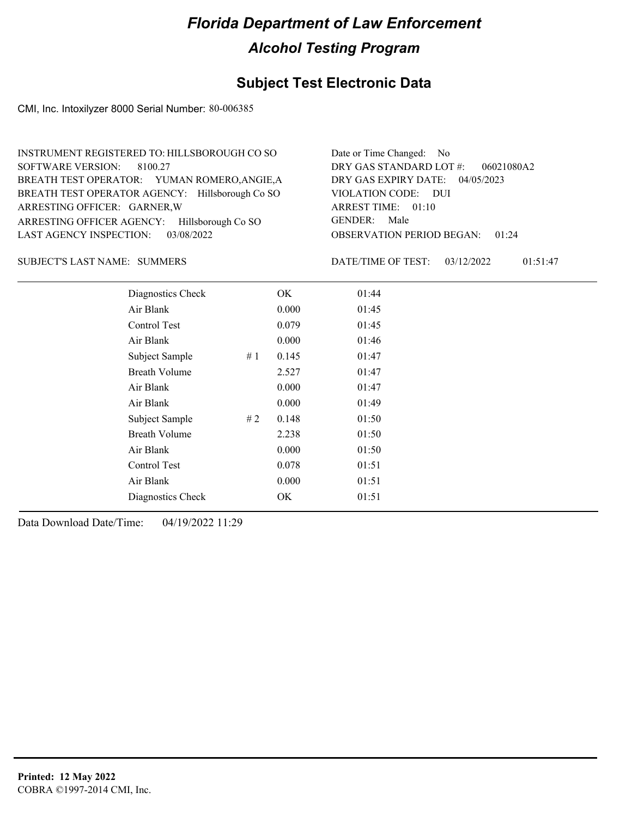### **Subject Test Electronic Data**

CMI, Inc. Intoxilyzer 8000 Serial Number: 80-006385

| INSTRUMENT REGISTERED TO: HILLSBOROUGH CO SO    | Date or Time Changed: No               |
|-------------------------------------------------|----------------------------------------|
| SOFTWARE VERSION: 8100.27                       | DRY GAS STANDARD LOT #:<br>06021080A2  |
| BREATH TEST OPERATOR: YUMAN ROMERO, ANGIE, A    | DRY GAS EXPIRY DATE: 04/05/2023        |
| BREATH TEST OPERATOR AGENCY: Hillsborough Co SO | VIOLATION CODE: DUI                    |
| ARRESTING OFFICER: GARNER, W                    | ARREST TIME: 01:10                     |
| ARRESTING OFFICER AGENCY: Hillsborough Co SO    | GENDER: Male                           |
| LAST AGENCY INSPECTION: 03/08/2022              | <b>OBSERVATION PERIOD BEGAN: 01:24</b> |

#### SUBJECT'S LAST NAME: SUMMERS DATE/TIME OF TEST:

DATE/TIME OF TEST: 03/12/2022 01:51:47

| Diagnostics Check    |    | OK    | 01:44 |
|----------------------|----|-------|-------|
| Air Blank            |    | 0.000 | 01:45 |
| Control Test         |    | 0.079 | 01:45 |
| Air Blank            |    | 0.000 | 01:46 |
| Subject Sample       | #1 | 0.145 | 01:47 |
| <b>Breath Volume</b> |    | 2.527 | 01:47 |
| Air Blank            |    | 0.000 | 01:47 |
| Air Blank            |    | 0.000 | 01:49 |
| Subject Sample       | #2 | 0.148 | 01:50 |
| <b>Breath Volume</b> |    | 2.238 | 01:50 |
| Air Blank            |    | 0.000 | 01:50 |
| Control Test         |    | 0.078 | 01:51 |
| Air Blank            |    | 0.000 | 01:51 |
| Diagnostics Check    |    | OK    | 01:51 |
|                      |    |       |       |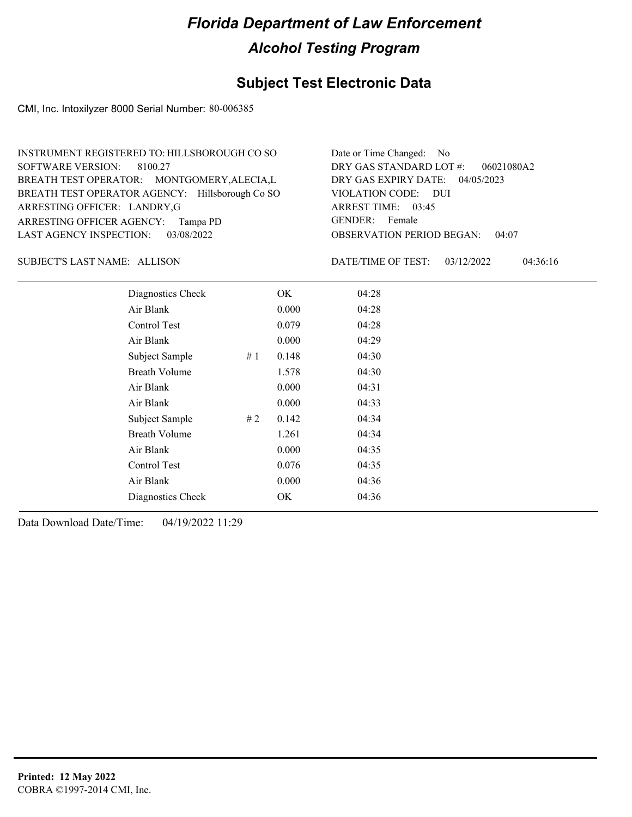### **Subject Test Electronic Data**

CMI, Inc. Intoxilyzer 8000 Serial Number: 80-006385

| INSTRUMENT REGISTERED TO: HILLSBOROUGH CO SO    | Date or Time Changed: No               |
|-------------------------------------------------|----------------------------------------|
| SOFTWARE VERSION: 8100.27                       | DRY GAS STANDARD LOT $\#$ : 06021080A2 |
| BREATH TEST OPERATOR: MONTGOMERY, ALECIA, L     | DRY GAS EXPIRY DATE: 04/05/2023        |
| BREATH TEST OPERATOR AGENCY: Hillsborough Co SO | VIOLATION CODE: DUI                    |
| ARRESTING OFFICER: LANDRY,G                     | ARREST TIME: 03:45                     |
| ARRESTING OFFICER AGENCY: Tampa PD              | GENDER: Female                         |
| LAST AGENCY INSPECTION: 03/08/2022              | <b>OBSERVATION PERIOD BEGAN: 04:07</b> |

SUBJECT'S LAST NAME: ALLISON DATE/TIME OF TEST:

DATE/TIME OF TEST: 03/12/2022 04:36:16

| Diagnostics Check    |    | OK    | 04:28 |
|----------------------|----|-------|-------|
| Air Blank            |    | 0.000 | 04:28 |
| Control Test         |    | 0.079 | 04:28 |
| Air Blank            |    | 0.000 | 04:29 |
| Subject Sample       | #1 | 0.148 | 04:30 |
| <b>Breath Volume</b> |    | 1.578 | 04:30 |
| Air Blank            |    | 0.000 | 04:31 |
| Air Blank            |    | 0.000 | 04:33 |
| Subject Sample       | #2 | 0.142 | 04:34 |
| <b>Breath Volume</b> |    | 1.261 | 04:34 |
| Air Blank            |    | 0.000 | 04:35 |
| Control Test         |    | 0.076 | 04:35 |
| Air Blank            |    | 0.000 | 04:36 |
| Diagnostics Check    |    | OK    | 04:36 |
|                      |    |       |       |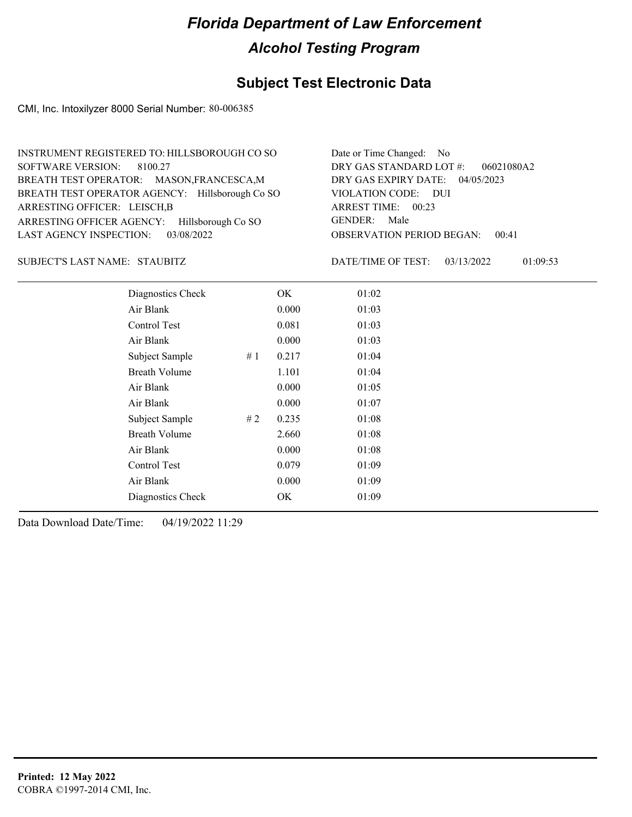### **Subject Test Electronic Data**

CMI, Inc. Intoxilyzer 8000 Serial Number: 80-006385

| INSTRUMENT REGISTERED TO: HILLSBOROUGH CO SO    | Date or Time Changed: No               |
|-------------------------------------------------|----------------------------------------|
| SOFTWARE VERSION: 8100.27                       | DRY GAS STANDARD LOT #:<br>06021080A2  |
| BREATH TEST OPERATOR: MASON, FRANCESCA, M       | DRY GAS EXPIRY DATE: 04/05/2023        |
| BREATH TEST OPERATOR AGENCY: Hillsborough Co SO | VIOLATION CODE: DUI                    |
| ARRESTING OFFICER: LEISCH, B                    | ARREST TIME: 00:23                     |
| ARRESTING OFFICER AGENCY: Hillsborough Co SO    | GENDER: Male                           |
| LAST AGENCY INSPECTION: 03/08/2022              | <b>OBSERVATION PERIOD BEGAN: 00:41</b> |

#### SUBJECT'S LAST NAME: STAUBITZ DATE/TIME OF TEST:

DATE/TIME OF TEST: 03/13/2022 01:09:53

| Diagnostics Check    |     | OK    | 01:02 |
|----------------------|-----|-------|-------|
| Air Blank            |     | 0.000 | 01:03 |
| Control Test         |     | 0.081 | 01:03 |
| Air Blank            |     | 0.000 | 01:03 |
| Subject Sample       | #1  | 0.217 | 01:04 |
| <b>Breath Volume</b> |     | 1.101 | 01:04 |
| Air Blank            |     | 0.000 | 01:05 |
| Air Blank            |     | 0.000 | 01:07 |
| Subject Sample       | # 2 | 0.235 | 01:08 |
| <b>Breath Volume</b> |     | 2.660 | 01:08 |
| Air Blank            |     | 0.000 | 01:08 |
| Control Test         |     | 0.079 | 01:09 |
| Air Blank            |     | 0.000 | 01:09 |
| Diagnostics Check    |     | OK    | 01:09 |
|                      |     |       |       |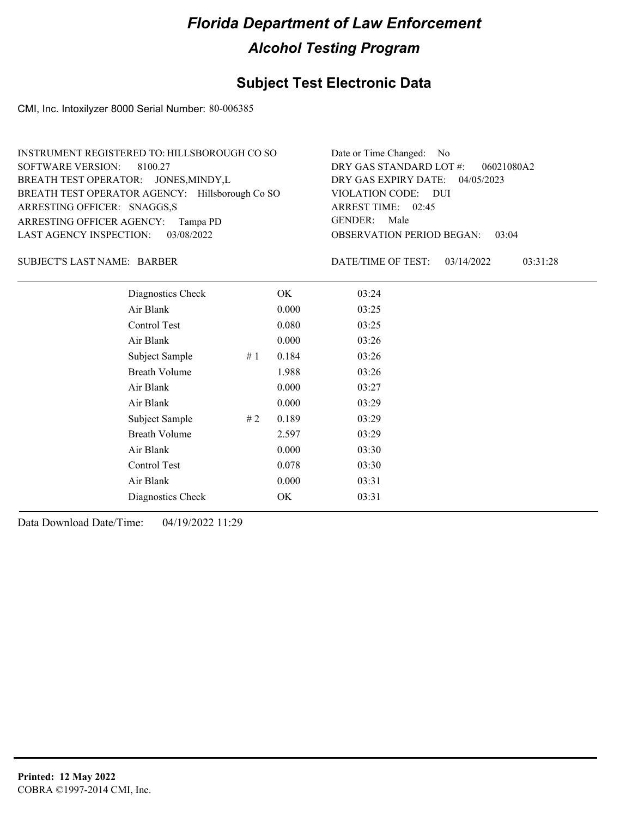### **Subject Test Electronic Data**

CMI, Inc. Intoxilyzer 8000 Serial Number: 80-006385

| INSTRUMENT REGISTERED TO: HILLSBOROUGH CO SO    | Date or Time Changed: No               |
|-------------------------------------------------|----------------------------------------|
| SOFTWARE VERSION: 8100.27                       | DRY GAS STANDARD LOT $\#$ : 06021080A2 |
| BREATH TEST OPERATOR: JONES, MINDY, L           | DRY GAS EXPIRY DATE: 04/05/2023        |
| BREATH TEST OPERATOR AGENCY: Hillsborough Co SO | VIOLATION CODE: DUI                    |
| ARRESTING OFFICER: SNAGGS,S                     | ARREST TIME: 02:45                     |
| ARRESTING OFFICER AGENCY: Tampa PD              | GENDER: Male                           |
| LAST AGENCY INSPECTION: 03/08/2022              | <b>OBSERVATION PERIOD BEGAN: 03:04</b> |

SUBJECT'S LAST NAME: BARBER DATE/TIME OF TEST:

DATE/TIME OF TEST: 03/14/2022 03:31:28

| Diagnostics Check    |    | OK    | 03:24 |
|----------------------|----|-------|-------|
| Air Blank            |    | 0.000 | 03:25 |
| Control Test         |    | 0.080 | 03:25 |
| Air Blank            |    | 0.000 | 03:26 |
| Subject Sample       | #1 | 0.184 | 03:26 |
| <b>Breath Volume</b> |    | 1.988 | 03:26 |
| Air Blank            |    | 0.000 | 03:27 |
| Air Blank            |    | 0.000 | 03:29 |
| Subject Sample       | #2 | 0.189 | 03:29 |
| <b>Breath Volume</b> |    | 2.597 | 03:29 |
| Air Blank            |    | 0.000 | 03:30 |
| Control Test         |    | 0.078 | 03:30 |
| Air Blank            |    | 0.000 | 03:31 |
| Diagnostics Check    |    | OK    | 03:31 |
|                      |    |       |       |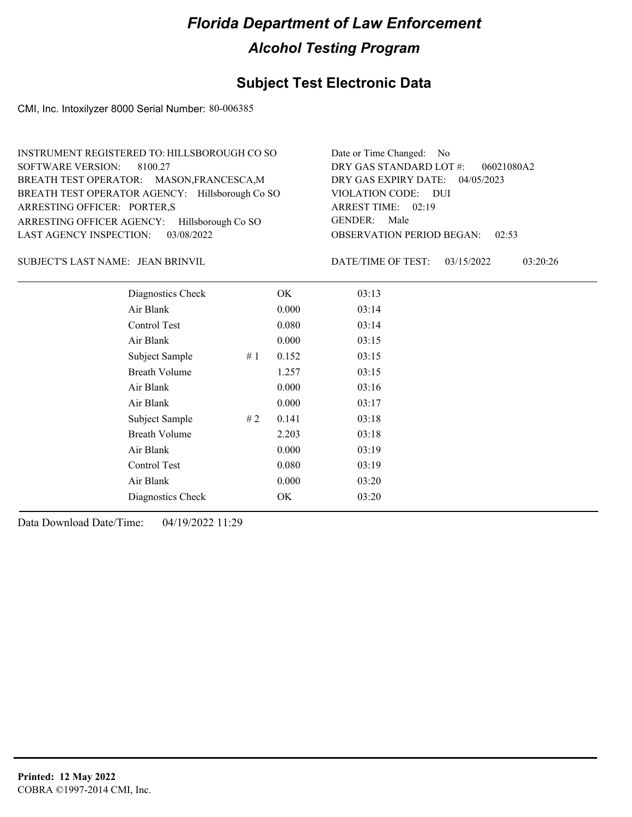### **Subject Test Electronic Data**

CMI, Inc. Intoxilyzer 8000 Serial Number: 80-006385

| INSTRUMENT REGISTERED TO: HILLSBOROUGH CO SO    | Date or Time Changed: No               |
|-------------------------------------------------|----------------------------------------|
| SOFTWARE VERSION: 8100.27                       | DRY GAS STANDARD LOT #: 06021080A2     |
| BREATH TEST OPERATOR: MASON, FRANCESCA, M       | DRY GAS EXPIRY DATE: 04/05/2023        |
| BREATH TEST OPERATOR AGENCY: Hillsborough Co SO | VIOLATION CODE: DUI                    |
| ARRESTING OFFICER: PORTER,S                     | ARREST TIME: 02:19                     |
| ARRESTING OFFICER AGENCY: Hillsborough Co SO    | GENDER: Male                           |
| LAST AGENCY INSPECTION: 03/08/2022              | <b>OBSERVATION PERIOD BEGAN: 02:53</b> |

JEAN BRINVIL SUBJECT'S LAST NAME: DATE/TIME OF TEST:

DATE/TIME OF TEST: 03/15/2022 03:20:26

| Diagnostics Check    |    | OK    | 03:13 |
|----------------------|----|-------|-------|
| Air Blank            |    | 0.000 | 03:14 |
| Control Test         |    | 0.080 | 03:14 |
| Air Blank            |    | 0.000 | 03:15 |
| Subject Sample       | #1 | 0.152 | 03:15 |
| <b>Breath Volume</b> |    | 1.257 | 03:15 |
| Air Blank            |    | 0.000 | 03:16 |
| Air Blank            |    | 0.000 | 03:17 |
| Subject Sample       | #2 | 0.141 | 03:18 |
| <b>Breath Volume</b> |    | 2.203 | 03:18 |
| Air Blank            |    | 0.000 | 03:19 |
| Control Test         |    | 0.080 | 03:19 |
| Air Blank            |    | 0.000 | 03:20 |
| Diagnostics Check    |    | OK    | 03:20 |
|                      |    |       |       |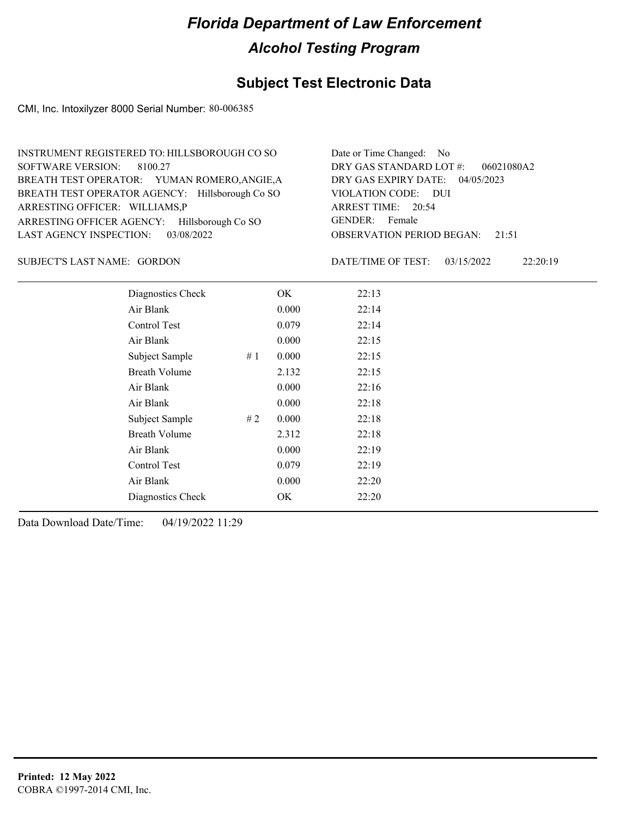### **Subject Test Electronic Data**

CMI, Inc. Intoxilyzer 8000 Serial Number: 80-006385

| INSTRUMENT REGISTERED TO: HILLSBOROUGH CO SO    | Date or Time Changed: No               |
|-------------------------------------------------|----------------------------------------|
| SOFTWARE VERSION: 8100.27                       | DRY GAS STANDARD LOT $#$ : 06021080A2  |
| BREATH TEST OPERATOR: YUMAN ROMERO, ANGIE, A    | DRY GAS EXPIRY DATE: 04/05/2023        |
| BREATH TEST OPERATOR AGENCY: Hillsborough Co SO | VIOLATION CODE: DUI                    |
| ARRESTING OFFICER: WILLIAMS,P                   | ARREST TIME: 20:54                     |
| ARRESTING OFFICER AGENCY: Hillsborough Co SO    | GENDER: Female                         |
| LAST AGENCY INSPECTION: 03/08/2022              | <b>OBSERVATION PERIOD BEGAN:</b> 21:51 |

#### SUBJECT'S LAST NAME: GORDON DATE/TIME OF TEST:

DATE/TIME OF TEST: 03/15/2022 22:20:19

| Diagnostics Check    |     | OK    | 22:13 |
|----------------------|-----|-------|-------|
| Air Blank            |     | 0.000 | 22:14 |
| Control Test         |     | 0.079 | 22:14 |
| Air Blank            |     | 0.000 | 22:15 |
| Subject Sample       | #1  | 0.000 | 22:15 |
| <b>Breath Volume</b> |     | 2.132 | 22:15 |
| Air Blank            |     | 0.000 | 22:16 |
| Air Blank            |     | 0.000 | 22:18 |
| Subject Sample       | # 2 | 0.000 | 22:18 |
| <b>Breath Volume</b> |     | 2.312 | 22:18 |
| Air Blank            |     | 0.000 | 22:19 |
| Control Test         |     | 0.079 | 22:19 |
| Air Blank            |     | 0.000 | 22:20 |
| Diagnostics Check    |     | OK    | 22:20 |
|                      |     |       |       |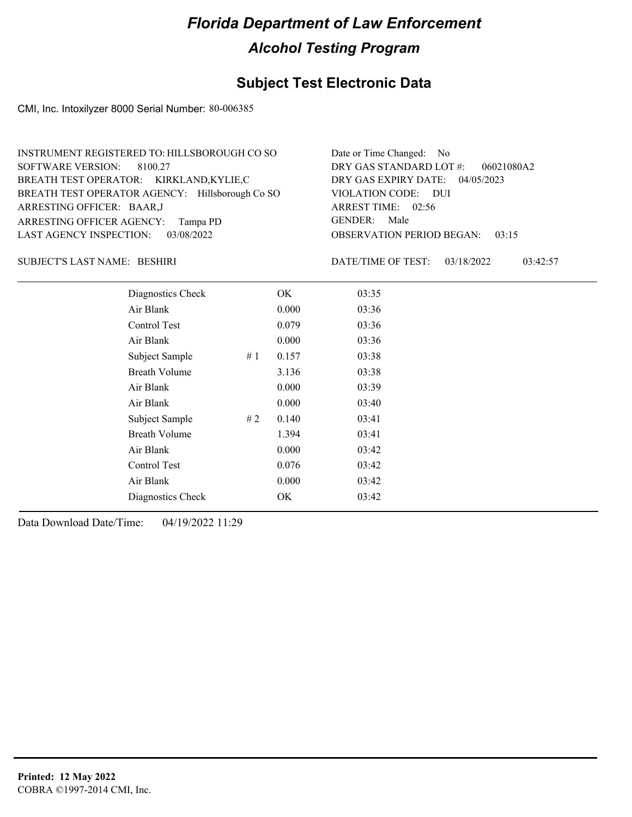### **Subject Test Electronic Data**

CMI, Inc. Intoxilyzer 8000 Serial Number: 80-006385

| INSTRUMENT REGISTERED TO: HILLSBOROUGH CO SO    | Date or Time Changed: No               |
|-------------------------------------------------|----------------------------------------|
| SOFTWARE VERSION: 8100.27                       | DRY GAS STANDARD LOT $\#$ : 06021080A2 |
| BREATH TEST OPERATOR: KIRKLAND,KYLIE,C          | DRY GAS EXPIRY DATE: 04/05/2023        |
| BREATH TEST OPERATOR AGENCY: Hillsborough Co SO | VIOLATION CODE: DUI                    |
| ARRESTING OFFICER: BAAR,J                       | ARREST TIME: 02:56                     |
| ARRESTING OFFICER AGENCY: Tampa PD              | GENDER: Male                           |
| LAST AGENCY INSPECTION: 03/08/2022              | <b>OBSERVATION PERIOD BEGAN: 03:15</b> |

BESHIRI SUBJECT'S LAST NAME: DATE/TIME OF TEST:

DATE/TIME OF TEST: 03/18/2022 03:42:57

| Diagnostics Check    |    | OK    | 03:35 |
|----------------------|----|-------|-------|
| Air Blank            |    | 0.000 | 03:36 |
| Control Test         |    | 0.079 | 03:36 |
| Air Blank            |    | 0.000 | 03:36 |
| Subject Sample       | #1 | 0.157 | 03:38 |
| <b>Breath Volume</b> |    | 3.136 | 03:38 |
| Air Blank            |    | 0.000 | 03:39 |
| Air Blank            |    | 0.000 | 03:40 |
| Subject Sample       | #2 | 0.140 | 03:41 |
| <b>Breath Volume</b> |    | 1.394 | 03:41 |
| Air Blank            |    | 0.000 | 03:42 |
| Control Test         |    | 0.076 | 03:42 |
| Air Blank            |    | 0.000 | 03:42 |
| Diagnostics Check    |    | OK    | 03:42 |
|                      |    |       |       |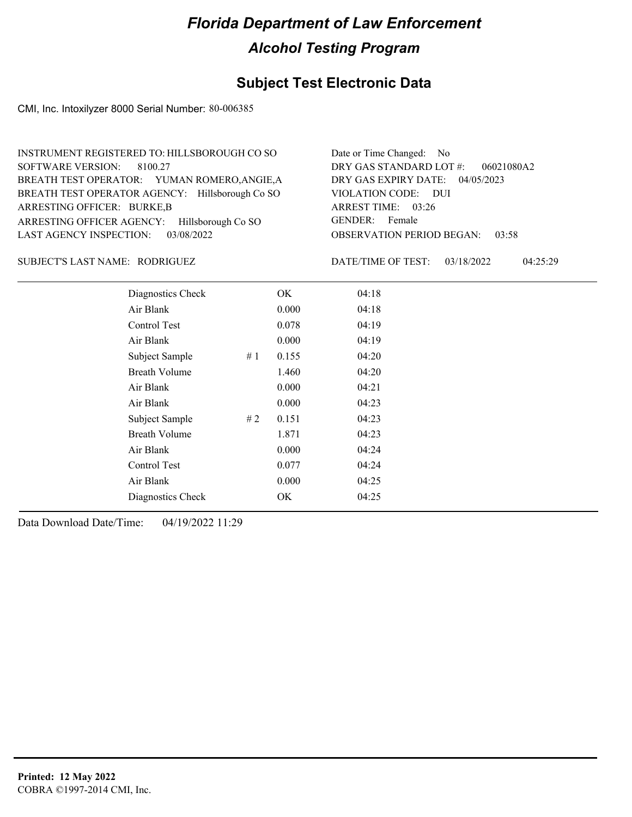### **Subject Test Electronic Data**

CMI, Inc. Intoxilyzer 8000 Serial Number: 80-006385

| INSTRUMENT REGISTERED TO: HILLSBOROUGH CO SO    | Date or Time Changed: No               |
|-------------------------------------------------|----------------------------------------|
| SOFTWARE VERSION: 8100.27                       | DRY GAS STANDARD LOT $\#$ : 06021080A2 |
| BREATH TEST OPERATOR: YUMAN ROMERO, ANGIE, A    | DRY GAS EXPIRY DATE: 04/05/2023        |
| BREATH TEST OPERATOR AGENCY: Hillsborough Co SO | VIOLATION CODE: DUI                    |
| ARRESTING OFFICER: BURKE,B                      | ARREST TIME: 03:26                     |
| ARRESTING OFFICER AGENCY: Hillsborough Co SO    | GENDER: Female                         |
| LAST AGENCY INSPECTION: 03/08/2022              | <b>OBSERVATION PERIOD BEGAN: 03:58</b> |

#### RODRIGUEZ SUBJECT'S LAST NAME: DATE/TIME OF TEST:

DATE/TIME OF TEST: 03/18/2022 04:25:29

| Diagnostics Check    |    | OK    | 04:18 |
|----------------------|----|-------|-------|
| Air Blank            |    | 0.000 | 04:18 |
| Control Test         |    | 0.078 | 04:19 |
| Air Blank            |    | 0.000 | 04:19 |
| Subject Sample       | #1 | 0.155 | 04:20 |
| <b>Breath Volume</b> |    | 1.460 | 04:20 |
| Air Blank            |    | 0.000 | 04:21 |
| Air Blank            |    | 0.000 | 04:23 |
| Subject Sample       | #2 | 0.151 | 04:23 |
| <b>Breath Volume</b> |    | 1.871 | 04:23 |
| Air Blank            |    | 0.000 | 04:24 |
| Control Test         |    | 0.077 | 04:24 |
| Air Blank            |    | 0.000 | 04:25 |
| Diagnostics Check    |    | OK    | 04:25 |
|                      |    |       |       |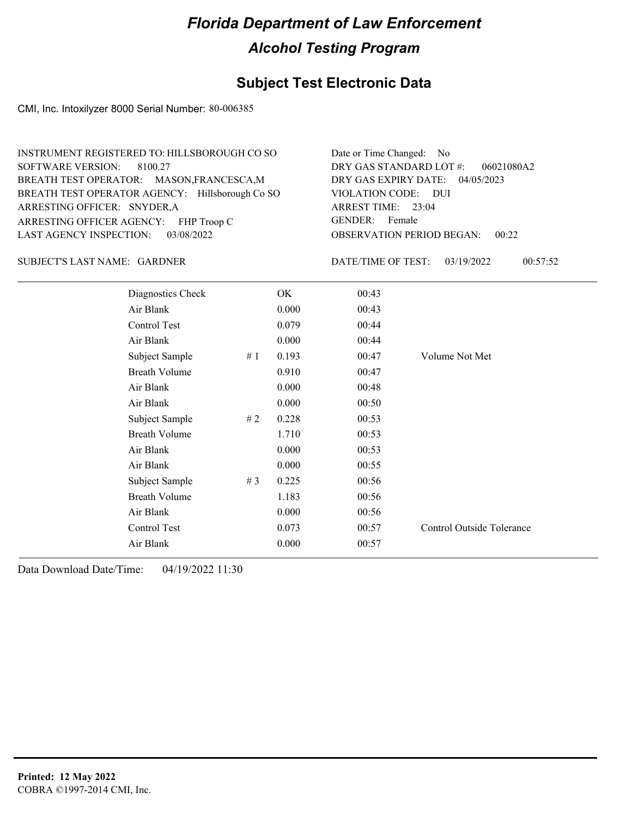#### **Subject Test Electronic Data**

CMI, Inc. Intoxilyzer 8000 Serial Number: 80-006385

| INSTRUMENT REGISTERED TO: HILLSBOROUGH CO SO    | Date or Time Changed: No               |
|-------------------------------------------------|----------------------------------------|
| SOFTWARE VERSION: 8100.27                       | DRY GAS STANDARD LOT #: 06021080A2     |
| BREATH TEST OPERATOR: MASON, FRANCESCA, M       | DRY GAS EXPIRY DATE: 04/05/2023        |
| BREATH TEST OPERATOR AGENCY: Hillsborough Co SO | VIOLATION CODE: DUI                    |
| ARRESTING OFFICER: SNYDER, A                    | ARREST TIME: 23:04                     |
| ARRESTING OFFICER AGENCY: FHP Troop C           | GENDER: Female                         |
| LAST AGENCY INSPECTION: 03/08/2022              | <b>OBSERVATION PERIOD BEGAN: 00:22</b> |

#### GARDNER SUBJECT'S LAST NAME: DATE/TIME OF TEST:

DATE/TIME OF TEST: 03/19/2022 00:57:52

| Diagnostics Check    |       | OK    | 00:43 |                           |
|----------------------|-------|-------|-------|---------------------------|
| Air Blank            |       | 0.000 | 00:43 |                           |
| Control Test         |       | 0.079 | 00:44 |                           |
| Air Blank            |       | 0.000 | 00:44 |                           |
| Subject Sample       | #1    | 0.193 | 00:47 | Volume Not Met            |
| <b>Breath Volume</b> |       | 0.910 | 00:47 |                           |
| Air Blank            |       | 0.000 | 00:48 |                           |
| Air Blank            |       | 0.000 | 00:50 |                           |
| Subject Sample       | #2    | 0.228 | 00:53 |                           |
| <b>Breath Volume</b> |       | 1.710 | 00:53 |                           |
| Air Blank            |       | 0.000 | 00:53 |                           |
| Air Blank            |       | 0.000 | 00:55 |                           |
| Subject Sample       | # $3$ | 0.225 | 00:56 |                           |
| <b>Breath Volume</b> |       | 1.183 | 00:56 |                           |
| Air Blank            |       | 0.000 | 00:56 |                           |
| Control Test         |       | 0.073 | 00:57 | Control Outside Tolerance |
| Air Blank            |       | 0.000 | 00:57 |                           |
|                      |       |       |       |                           |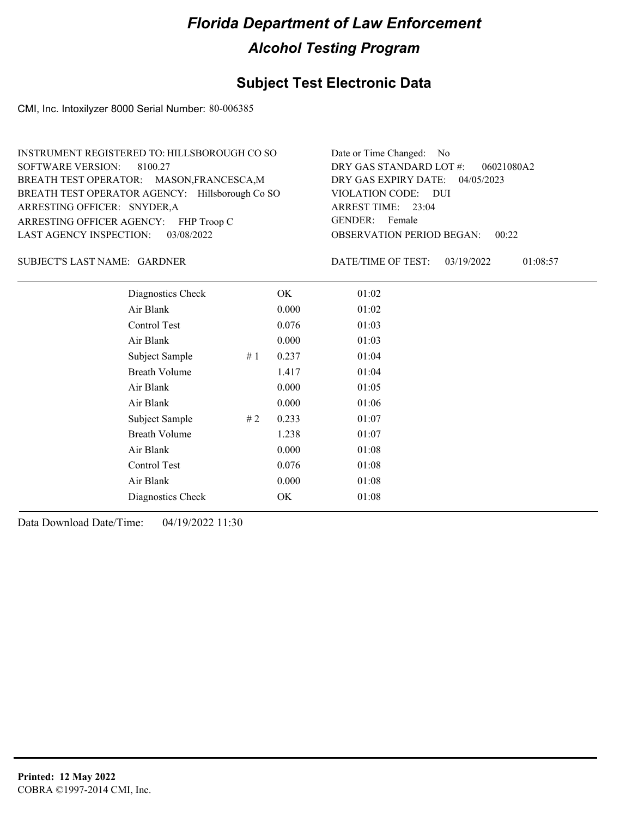### **Subject Test Electronic Data**

CMI, Inc. Intoxilyzer 8000 Serial Number: 80-006385

| INSTRUMENT REGISTERED TO: HILLSBOROUGH CO SO    | Date or Time Changed: No               |
|-------------------------------------------------|----------------------------------------|
| SOFTWARE VERSION: 8100.27                       | DRY GAS STANDARD LOT $\#$ : 06021080A2 |
| BREATH TEST OPERATOR: MASON, FRANCESCA, M       | DRY GAS EXPIRY DATE: 04/05/2023        |
| BREATH TEST OPERATOR AGENCY: Hillsborough Co SO | VIOLATION CODE: DUI                    |
| ARRESTING OFFICER: SNYDER, A                    | ARREST TIME: 23:04                     |
| ARRESTING OFFICER AGENCY: FHP Troop C           | GENDER: Female                         |
| LAST AGENCY INSPECTION: 03/08/2022              | <b>OBSERVATION PERIOD BEGAN: 00:22</b> |

#### GARDNER SUBJECT'S LAST NAME: DATE/TIME OF TEST:

DATE/TIME OF TEST: 03/19/2022 01:08:57

| Diagnostics Check    |    | OK    | 01:02 |  |
|----------------------|----|-------|-------|--|
| Air Blank            |    | 0.000 | 01:02 |  |
| Control Test         |    | 0.076 | 01:03 |  |
| Air Blank            |    | 0.000 | 01:03 |  |
| Subject Sample       | #1 | 0.237 | 01:04 |  |
| <b>Breath Volume</b> |    | 1.417 | 01:04 |  |
| Air Blank            |    | 0.000 | 01:05 |  |
| Air Blank            |    | 0.000 | 01:06 |  |
| Subject Sample       | #2 | 0.233 | 01:07 |  |
| <b>Breath Volume</b> |    | 1.238 | 01:07 |  |
| Air Blank            |    | 0.000 | 01:08 |  |
| Control Test         |    | 0.076 | 01:08 |  |
| Air Blank            |    | 0.000 | 01:08 |  |
| Diagnostics Check    |    | OK    | 01:08 |  |
|                      |    |       |       |  |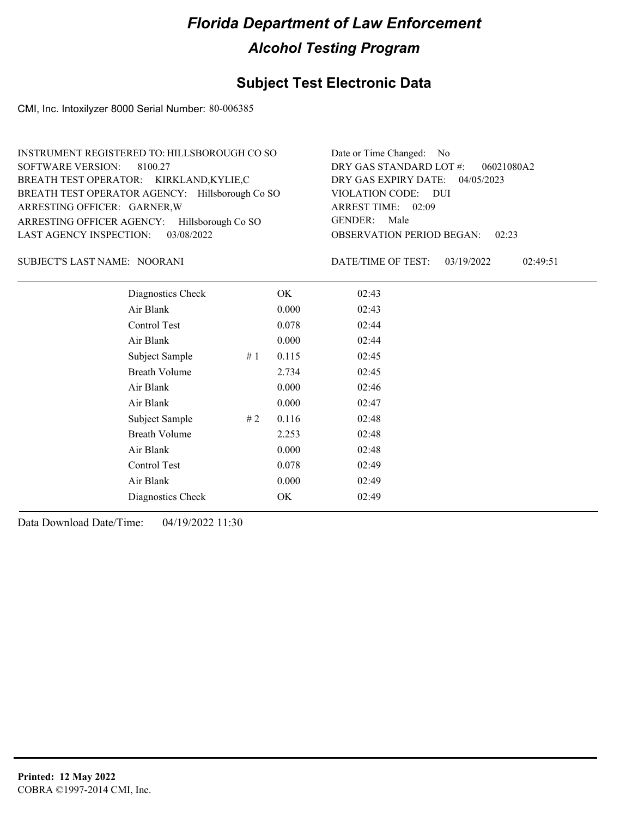#### **Subject Test Electronic Data**

CMI, Inc. Intoxilyzer 8000 Serial Number: 80-006385

| INSTRUMENT REGISTERED TO: HILLSBOROUGH CO SO    | Date or Time Changed: No               |
|-------------------------------------------------|----------------------------------------|
| SOFTWARE VERSION: 8100.27                       | DRY GAS STANDARD LOT $\#$ : 06021080A2 |
| BREATH TEST OPERATOR: KIRKLAND,KYLIE,C          | DRY GAS EXPIRY DATE: 04/05/2023        |
| BREATH TEST OPERATOR AGENCY: Hillsborough Co SO | VIOLATION CODE: DUI                    |
| ARRESTING OFFICER: GARNER, W                    | ARREST TIME: 02:09                     |
| ARRESTING OFFICER AGENCY: Hillsborough Co SO    | GENDER: Male                           |
| LAST AGENCY INSPECTION: 03/08/2022              | <b>OBSERVATION PERIOD BEGAN: 02:23</b> |

#### NOORANI SUBJECT'S LAST NAME: DATE/TIME OF TEST:

DATE/TIME OF TEST: 03/19/2022 02:49:51

| Diagnostics Check    |    | OK    | 02:43 |
|----------------------|----|-------|-------|
| Air Blank            |    | 0.000 | 02:43 |
| Control Test         |    | 0.078 | 02:44 |
| Air Blank            |    | 0.000 | 02:44 |
| Subject Sample       | #1 | 0.115 | 02:45 |
| <b>Breath Volume</b> |    | 2.734 | 02:45 |
| Air Blank            |    | 0.000 | 02:46 |
| Air Blank            |    | 0.000 | 02:47 |
| Subject Sample       | #2 | 0.116 | 02:48 |
| <b>Breath Volume</b> |    | 2.253 | 02:48 |
| Air Blank            |    | 0.000 | 02:48 |
| Control Test         |    | 0.078 | 02:49 |
| Air Blank            |    | 0.000 | 02:49 |
| Diagnostics Check    |    | OK    | 02:49 |
|                      |    |       |       |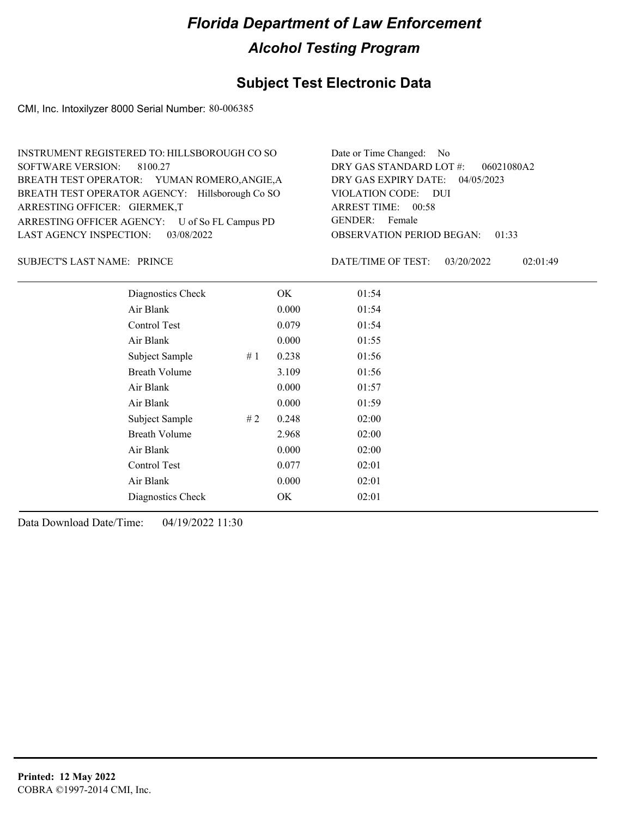### **Subject Test Electronic Data**

CMI, Inc. Intoxilyzer 8000 Serial Number: 80-006385

| INSTRUMENT REGISTERED TO: HILLSBOROUGH CO SO    | Date or Time Changed: No               |
|-------------------------------------------------|----------------------------------------|
| SOFTWARE VERSION: 8100.27                       | DRY GAS STANDARD LOT #:<br>06021080A2  |
| BREATH TEST OPERATOR: YUMAN ROMERO, ANGIE, A    | DRY GAS EXPIRY DATE: 04/05/2023        |
| BREATH TEST OPERATOR AGENCY: Hillsborough Co SO | VIOLATION CODE: DUI                    |
| ARRESTING OFFICER: GIERMEK,T                    | ARREST TIME: 00:58                     |
| ARRESTING OFFICER AGENCY: U of So FL Campus PD  | GENDER: Female                         |
| LAST AGENCY INSPECTION: 03/08/2022              | <b>OBSERVATION PERIOD BEGAN: 01:33</b> |

SUBJECT'S LAST NAME: PRINCE **Example 20 SUBJECT'S LAST NAME:** PRINCE

DATE/TIME OF TEST: 03/20/2022 02:01:49

| Diagnostics Check    | OK    | 01:54 |
|----------------------|-------|-------|
| Air Blank            | 0.000 | 01:54 |
| Control Test         | 0.079 | 01:54 |
| Air Blank            | 0.000 | 01:55 |
| Subject Sample<br>#1 | 0.238 | 01:56 |
| <b>Breath Volume</b> | 3.109 | 01:56 |
| Air Blank            | 0.000 | 01:57 |
| Air Blank            | 0.000 | 01:59 |
| Subject Sample<br>#2 | 0.248 | 02:00 |
| <b>Breath Volume</b> | 2.968 | 02:00 |
| Air Blank            | 0.000 | 02:00 |
| <b>Control Test</b>  | 0.077 | 02:01 |
| Air Blank            | 0.000 | 02:01 |
| Diagnostics Check    | OK    | 02:01 |
|                      |       |       |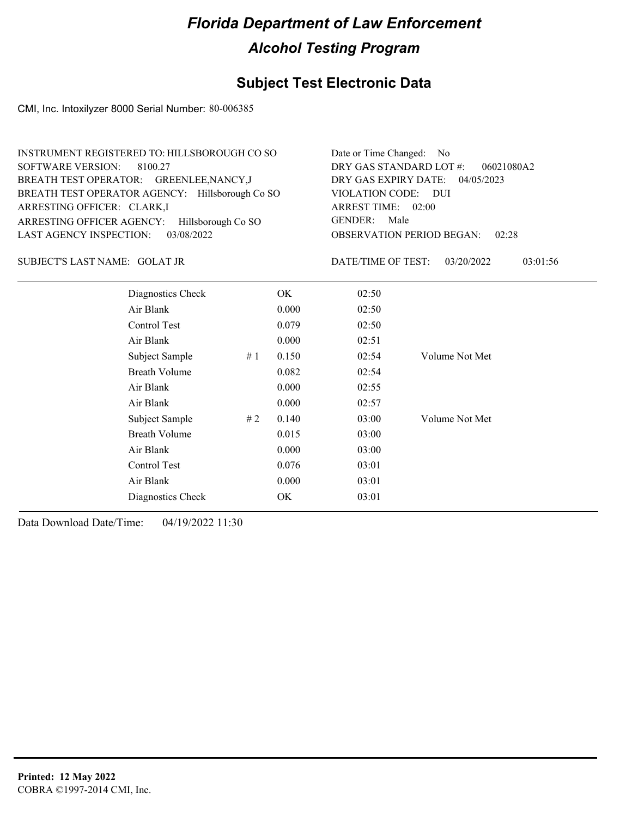### **Subject Test Electronic Data**

CMI, Inc. Intoxilyzer 8000 Serial Number: 80-006385

| INSTRUMENT REGISTERED TO: HILLSBOROUGH CO SO    | Date or Time Changed: No               |
|-------------------------------------------------|----------------------------------------|
| SOFTWARE VERSION: 8100.27                       | DRY GAS STANDARD LOT $#$ : 06021080A2  |
| BREATH TEST OPERATOR: GREENLEE, NANCY, J        | DRY GAS EXPIRY DATE: 04/05/2023        |
| BREATH TEST OPERATOR AGENCY: Hillsborough Co SO | VIOLATION CODE: DUI                    |
| ARRESTING OFFICER: CLARK,I                      | ARREST TIME: 02:00                     |
| ARRESTING OFFICER AGENCY: Hillsborough Co SO    | GENDER: Male                           |
| LAST AGENCY INSPECTION: 03/08/2022              | <b>OBSERVATION PERIOD BEGAN: 02:28</b> |

#### GOLAT JR SUBJECT'S LAST NAME: DATE/TIME OF TEST:

DATE/TIME OF TEST: 03/20/2022 03:01:56

| Diagnostics Check    |    | OK    | 02:50 |                |
|----------------------|----|-------|-------|----------------|
| Air Blank            |    | 0.000 | 02:50 |                |
| Control Test         |    | 0.079 | 02:50 |                |
| Air Blank            |    | 0.000 | 02:51 |                |
| Subject Sample       | #1 | 0.150 | 02:54 | Volume Not Met |
| <b>Breath Volume</b> |    | 0.082 | 02:54 |                |
| Air Blank            |    | 0.000 | 02:55 |                |
| Air Blank            |    | 0.000 | 02:57 |                |
| Subject Sample       | #2 | 0.140 | 03:00 | Volume Not Met |
| <b>Breath Volume</b> |    | 0.015 | 03:00 |                |
| Air Blank            |    | 0.000 | 03:00 |                |
| Control Test         |    | 0.076 | 03:01 |                |
| Air Blank            |    | 0.000 | 03:01 |                |
| Diagnostics Check    |    | OK    | 03:01 |                |
|                      |    |       |       |                |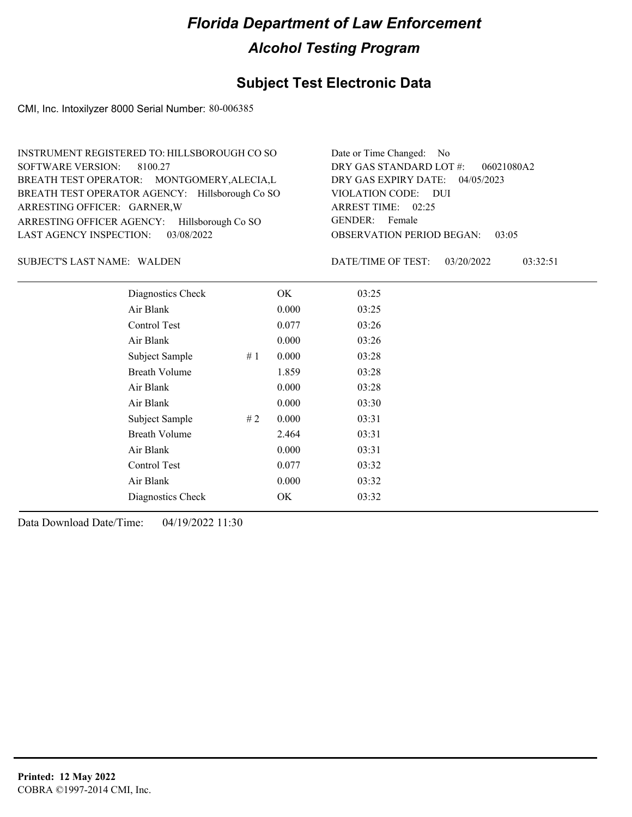### **Subject Test Electronic Data**

CMI, Inc. Intoxilyzer 8000 Serial Number: 80-006385

| INSTRUMENT REGISTERED TO: HILLSBOROUGH CO SO    | Date or Time Changed: No               |
|-------------------------------------------------|----------------------------------------|
| SOFTWARE VERSION: 8100.27                       | DRY GAS STANDARD LOT #: 06021080A2     |
| BREATH TEST OPERATOR: MONTGOMERY, ALECIA, L     | DRY GAS EXPIRY DATE: 04/05/2023        |
| BREATH TEST OPERATOR AGENCY: Hillsborough Co SO | VIOLATION CODE: DUI                    |
| ARRESTING OFFICER: GARNER, W                    | ARREST TIME: 02:25                     |
| ARRESTING OFFICER AGENCY: Hillsborough Co SO    | GENDER: Female                         |
| LAST AGENCY INSPECTION: 03/08/2022              | <b>OBSERVATION PERIOD BEGAN: 03:05</b> |

SUBJECT'S LAST NAME: WALDEN **Example 20** DATE/TIME OF TEST:

DATE/TIME OF TEST: 03/20/2022 03:32:51

| Diagnostics Check    |    | OK    | 03:25 |
|----------------------|----|-------|-------|
| Air Blank            |    | 0.000 | 03:25 |
| Control Test         |    | 0.077 | 03:26 |
| Air Blank            |    | 0.000 | 03:26 |
| Subject Sample       | #1 | 0.000 | 03:28 |
| <b>Breath Volume</b> |    | 1.859 | 03:28 |
| Air Blank            |    | 0.000 | 03:28 |
| Air Blank            |    | 0.000 | 03:30 |
| Subject Sample       | #2 | 0.000 | 03:31 |
| <b>Breath Volume</b> |    | 2.464 | 03:31 |
| Air Blank            |    | 0.000 | 03:31 |
| Control Test         |    | 0.077 | 03:32 |
| Air Blank            |    | 0.000 | 03:32 |
| Diagnostics Check    |    | OK    | 03:32 |
|                      |    |       |       |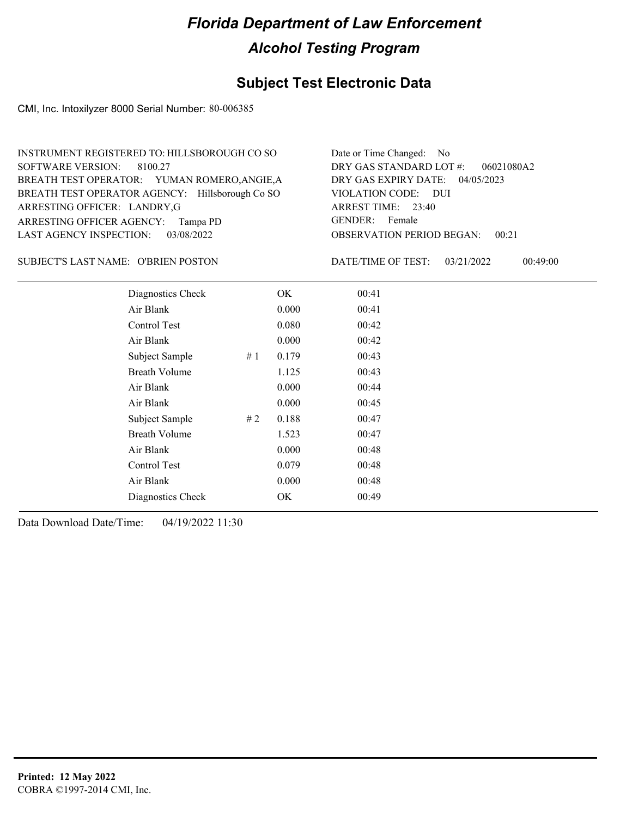### **Subject Test Electronic Data**

CMI, Inc. Intoxilyzer 8000 Serial Number: 80-006385

| INSTRUMENT REGISTERED TO: HILLSBOROUGH CO SO    | Date or Time Changed: No               |
|-------------------------------------------------|----------------------------------------|
| SOFTWARE VERSION: 8100.27                       | DRY GAS STANDARD LOT $\#$ : 06021080A2 |
| BREATH TEST OPERATOR: YUMAN ROMERO, ANGIE, A    | DRY GAS EXPIRY DATE: 04/05/2023        |
| BREATH TEST OPERATOR AGENCY: Hillsborough Co SO | VIOLATION CODE: DUI                    |
| ARRESTING OFFICER: LANDRY, G                    | ARREST TIME: 23:40                     |
| ARRESTING OFFICER AGENCY: Tampa PD              | GENDER: Female                         |
| LAST AGENCY INSPECTION: 03/08/2022              | <b>OBSERVATION PERIOD BEGAN: 00:21</b> |

SUBJECT'S LAST NAME: O'BRIEN POSTON DATE/TIME OF TEST:

DATE/TIME OF TEST: 03/21/2022 00:49:00

| Diagnostics Check    |     | OK    | 00:41 |  |
|----------------------|-----|-------|-------|--|
| Air Blank            |     | 0.000 | 00:41 |  |
| Control Test         |     | 0.080 | 00:42 |  |
| Air Blank            |     | 0.000 | 00:42 |  |
| Subject Sample       | #1  | 0.179 | 00:43 |  |
| <b>Breath Volume</b> |     | 1.125 | 00:43 |  |
| Air Blank            |     | 0.000 | 00:44 |  |
| Air Blank            |     | 0.000 | 00:45 |  |
| Subject Sample       | # 2 | 0.188 | 00:47 |  |
| <b>Breath Volume</b> |     | 1.523 | 00:47 |  |
| Air Blank            |     | 0.000 | 00:48 |  |
| Control Test         |     | 0.079 | 00:48 |  |
| Air Blank            |     | 0.000 | 00:48 |  |
| Diagnostics Check    |     | OK    | 00:49 |  |
|                      |     |       |       |  |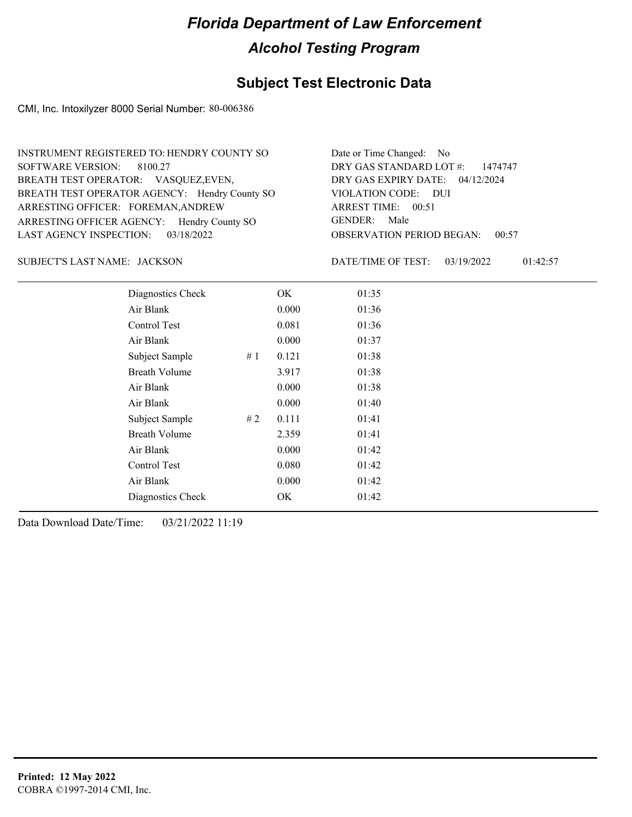### **Subject Test Electronic Data**

CMI, Inc. Intoxilyzer 8000 Serial Number: 80-006386

| INSTRUMENT REGISTERED TO: HENDRY COUNTY SO    | Date or Time Changed: No               |
|-----------------------------------------------|----------------------------------------|
| SOFTWARE VERSION: 8100.27                     | DRY GAS STANDARD LOT #: 1474747        |
| BREATH TEST OPERATOR: VASQUEZ, EVEN,          | DRY GAS EXPIRY DATE: 04/12/2024        |
| BREATH TEST OPERATOR AGENCY: Hendry County SO | VIOLATION CODE: DUI                    |
| ARRESTING OFFICER: FOREMAN, ANDREW            | ARREST TIME: 00:51                     |
| ARRESTING OFFICER AGENCY: Hendry County SO    | GENDER: Male                           |
| LAST AGENCY INSPECTION: 03/18/2022            | <b>OBSERVATION PERIOD BEGAN: 00:57</b> |

JACKSON SUBJECT'S LAST NAME: DATE/TIME OF TEST:

DATE/TIME OF TEST: 03/19/2022 01:42:57

| Diagnostics Check    | OK    | 01:35 |
|----------------------|-------|-------|
| Air Blank            | 0.000 | 01:36 |
| Control Test         | 0.081 | 01:36 |
| Air Blank            | 0.000 | 01:37 |
| Subject Sample<br>#1 | 0.121 | 01:38 |
| <b>Breath Volume</b> | 3.917 | 01:38 |
| Air Blank            | 0.000 | 01:38 |
| Air Blank            | 0.000 | 01:40 |
| Subject Sample<br>#2 | 0.111 | 01:41 |
| <b>Breath Volume</b> | 2.359 | 01:41 |
| Air Blank            | 0.000 | 01:42 |
| Control Test         | 0.080 | 01:42 |
| Air Blank            | 0.000 | 01:42 |
| Diagnostics Check    | OK.   | 01:42 |
|                      |       |       |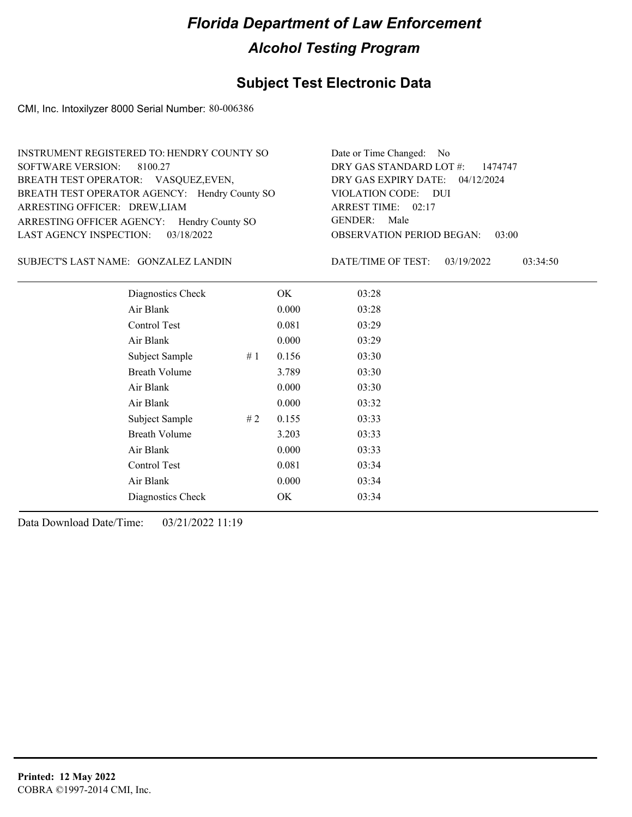### **Subject Test Electronic Data**

CMI, Inc. Intoxilyzer 8000 Serial Number: 80-006386

| INSTRUMENT REGISTERED TO: HENDRY COUNTY SO    | Date or Time Changed: No               |
|-----------------------------------------------|----------------------------------------|
| SOFTWARE VERSION: 8100.27                     | DRY GAS STANDARD LOT $\#$ : 1474747    |
| BREATH TEST OPERATOR: VASQUEZ, EVEN,          | DRY GAS EXPIRY DATE: 04/12/2024        |
| BREATH TEST OPERATOR AGENCY: Hendry County SO | VIOLATION CODE: DUI                    |
| ARRESTING OFFICER: DREW, LIAM                 | ARREST TIME: 02:17                     |
| ARRESTING OFFICER AGENCY: Hendry County SO    | GENDER: Male                           |
| LAST AGENCY INSPECTION: $03/18/2022$          | <b>OBSERVATION PERIOD BEGAN: 03:00</b> |

#### SUBJECT'S LAST NAME: GONZALEZ LANDIN DATE/TIME OF TEST:

DATE/TIME OF TEST: 03/19/2022 03:34:50

| Diagnostics Check    |    | OK    | 03:28 |
|----------------------|----|-------|-------|
| Air Blank            |    | 0.000 | 03:28 |
| Control Test         |    | 0.081 | 03:29 |
| Air Blank            |    | 0.000 | 03:29 |
| Subject Sample       | #1 | 0.156 | 03:30 |
| <b>Breath Volume</b> |    | 3.789 | 03:30 |
| Air Blank            |    | 0.000 | 03:30 |
| Air Blank            |    | 0.000 | 03:32 |
| Subject Sample       | #2 | 0.155 | 03:33 |
| <b>Breath Volume</b> |    | 3.203 | 03:33 |
| Air Blank            |    | 0.000 | 03:33 |
| Control Test         |    | 0.081 | 03:34 |
| Air Blank            |    | 0.000 | 03:34 |
| Diagnostics Check    |    | OK    | 03:34 |
|                      |    |       |       |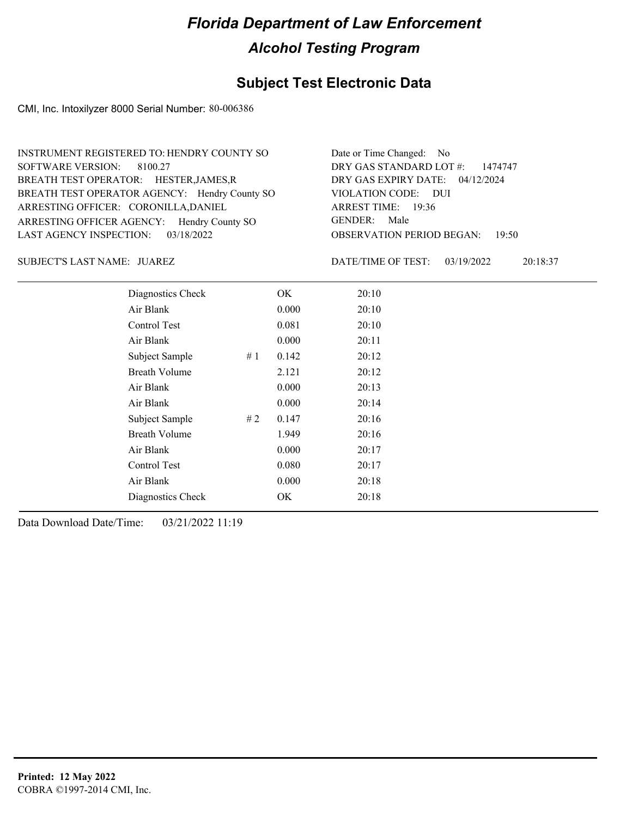### **Subject Test Electronic Data**

CMI, Inc. Intoxilyzer 8000 Serial Number: 80-006386

| INSTRUMENT REGISTERED TO: HENDRY COUNTY SO    | Date or Time Changed: No               |
|-----------------------------------------------|----------------------------------------|
| SOFTWARE VERSION: 8100.27                     | DRY GAS STANDARD LOT $\#$ : 1474747    |
| BREATH TEST OPERATOR: HESTER, JAMES, R        | DRY GAS EXPIRY DATE: 04/12/2024        |
| BREATH TEST OPERATOR AGENCY: Hendry County SO | VIOLATION CODE: DUI                    |
| ARRESTING OFFICER: CORONILLA, DANIEL          | ARREST TIME: 19:36                     |
| ARRESTING OFFICER AGENCY: Hendry County SO    | GENDER: Male                           |
| LAST AGENCY INSPECTION: $03/18/2022$          | <b>OBSERVATION PERIOD BEGAN: 19:50</b> |

JUAREZ SUBJECT'S LAST NAME: DATE/TIME OF TEST:

DATE/TIME OF TEST: 03/19/2022 20:18:37

| Diagnostics Check    |    | OK    | 20:10 |
|----------------------|----|-------|-------|
| Air Blank            |    | 0.000 | 20:10 |
| Control Test         |    | 0.081 | 20:10 |
| Air Blank            |    | 0.000 | 20:11 |
| Subject Sample       | #1 | 0.142 | 20:12 |
| <b>Breath Volume</b> |    | 2.121 | 20:12 |
| Air Blank            |    | 0.000 | 20:13 |
| Air Blank            |    | 0.000 | 20:14 |
| Subject Sample       | #2 | 0.147 | 20:16 |
| <b>Breath Volume</b> |    | 1.949 | 20:16 |
| Air Blank            |    | 0.000 | 20:17 |
| Control Test         |    | 0.080 | 20:17 |
| Air Blank            |    | 0.000 | 20:18 |
| Diagnostics Check    |    | OK    | 20:18 |
|                      |    |       |       |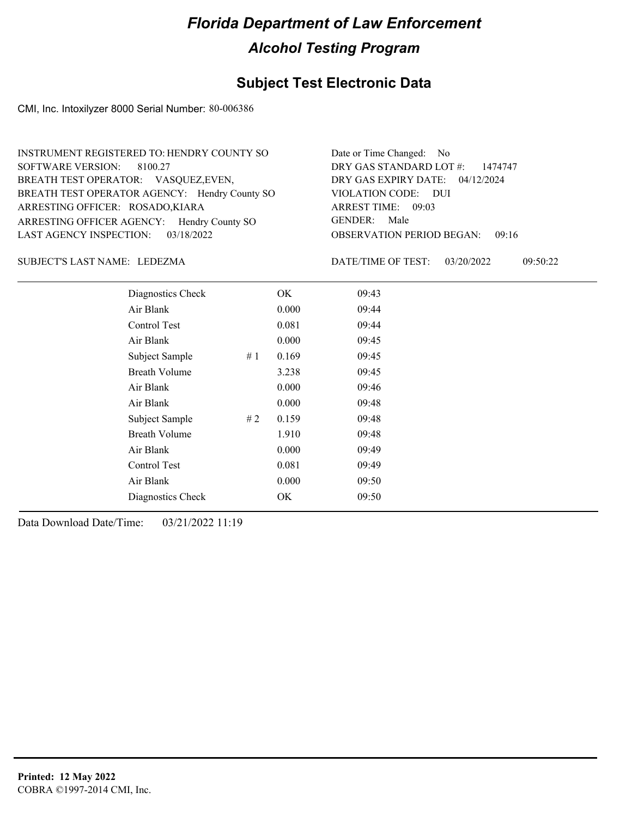### **Subject Test Electronic Data**

CMI, Inc. Intoxilyzer 8000 Serial Number: 80-006386

| INSTRUMENT REGISTERED TO: HENDRY COUNTY SO    | Date or Time Changed: No               |
|-----------------------------------------------|----------------------------------------|
| SOFTWARE VERSION: 8100.27                     | DRY GAS STANDARD LOT #: 1474747        |
| BREATH TEST OPERATOR: VASQUEZ, EVEN,          | DRY GAS EXPIRY DATE: 04/12/2024        |
| BREATH TEST OPERATOR AGENCY: Hendry County SO | VIOLATION CODE: DUI                    |
| ARRESTING OFFICER: ROSADO, KIARA              | ARREST TIME: 09:03                     |
| ARRESTING OFFICER AGENCY: Hendry County SO    | GENDER: Male                           |
| LAST AGENCY INSPECTION: 03/18/2022            | <b>OBSERVATION PERIOD BEGAN: 09:16</b> |

#### LEDEZMA SUBJECT'S LAST NAME: DATE/TIME OF TEST:

DATE/TIME OF TEST: 03/20/2022 09:50:22

| Diagnostics Check    |    | OK    | 09:43 |  |
|----------------------|----|-------|-------|--|
| Air Blank            |    | 0.000 | 09:44 |  |
| Control Test         |    | 0.081 | 09:44 |  |
| Air Blank            |    | 0.000 | 09:45 |  |
| Subject Sample       | #1 | 0.169 | 09:45 |  |
| <b>Breath Volume</b> |    | 3.238 | 09:45 |  |
| Air Blank            |    | 0.000 | 09:46 |  |
| Air Blank            |    | 0.000 | 09:48 |  |
| Subject Sample       | #2 | 0.159 | 09:48 |  |
| <b>Breath Volume</b> |    | 1.910 | 09:48 |  |
| Air Blank            |    | 0.000 | 09:49 |  |
| <b>Control Test</b>  |    | 0.081 | 09:49 |  |
| Air Blank            |    | 0.000 | 09:50 |  |
| Diagnostics Check    |    | OK    | 09:50 |  |
|                      |    |       |       |  |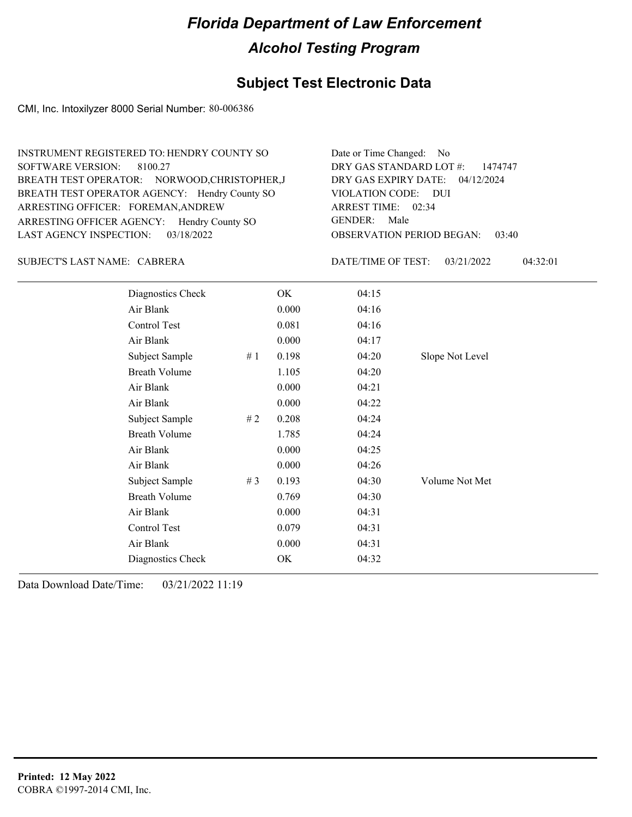### **Subject Test Electronic Data**

CMI, Inc. Intoxilyzer 8000 Serial Number: 80-006386

| INSTRUMENT REGISTERED TO: HENDRY COUNTY SO    | Date or Time Changed: No               |
|-----------------------------------------------|----------------------------------------|
| SOFTWARE VERSION: 8100.27                     | DRY GAS STANDARD LOT $\#$ : 1474747    |
| BREATH TEST OPERATOR: NORWOOD, CHRISTOPHER, J | DRY GAS EXPIRY DATE: 04/12/2024        |
| BREATH TEST OPERATOR AGENCY: Hendry County SO | VIOLATION CODE: DUI                    |
| ARRESTING OFFICER: FOREMAN, ANDREW            | ARREST TIME: 02:34                     |
| ARRESTING OFFICER AGENCY: Hendry County SO    | GENDER: Male                           |
| LAST AGENCY INSPECTION: $03/18/2022$          | <b>OBSERVATION PERIOD BEGAN: 03:40</b> |

#### CABRERA SUBJECT'S LAST NAME: DATE/TIME OF TEST:

DATE/TIME OF TEST: 03/21/2022 04:32:01

| Diagnostics Check    |       | OK    | 04:15 |                 |
|----------------------|-------|-------|-------|-----------------|
| Air Blank            |       | 0.000 | 04:16 |                 |
| Control Test         |       | 0.081 | 04:16 |                 |
| Air Blank            |       | 0.000 | 04:17 |                 |
| Subject Sample       | #1    | 0.198 | 04:20 | Slope Not Level |
| <b>Breath Volume</b> |       | 1.105 | 04:20 |                 |
| Air Blank            |       | 0.000 | 04:21 |                 |
| Air Blank            |       | 0.000 | 04:22 |                 |
| Subject Sample       | #2    | 0.208 | 04:24 |                 |
| <b>Breath Volume</b> |       | 1.785 | 04:24 |                 |
| Air Blank            |       | 0.000 | 04:25 |                 |
| Air Blank            |       | 0.000 | 04:26 |                 |
| Subject Sample       | # $3$ | 0.193 | 04:30 | Volume Not Met  |
| <b>Breath Volume</b> |       | 0.769 | 04:30 |                 |
| Air Blank            |       | 0.000 | 04:31 |                 |
| Control Test         |       | 0.079 | 04:31 |                 |
| Air Blank            |       | 0.000 | 04:31 |                 |
| Diagnostics Check    |       | OK    | 04:32 |                 |
|                      |       |       |       |                 |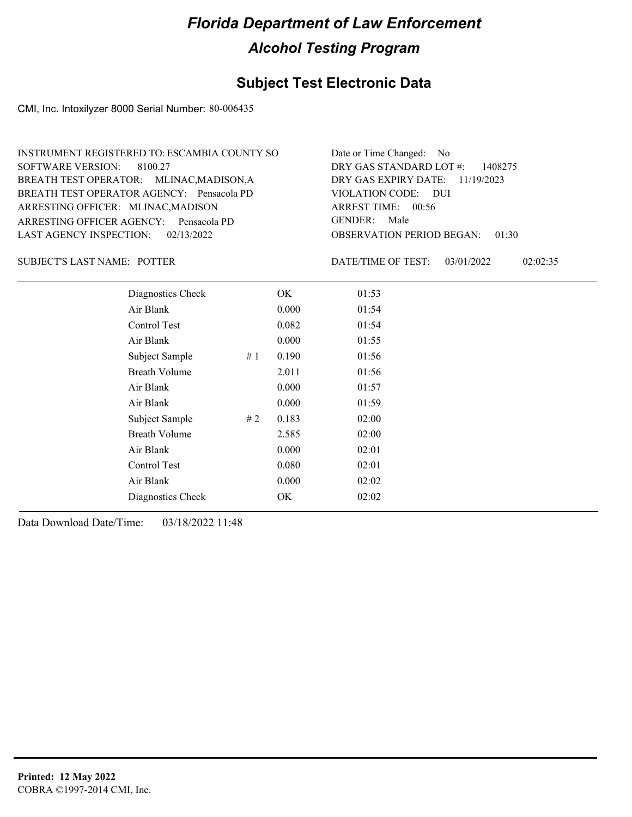### **Subject Test Electronic Data**

CMI, Inc. Intoxilyzer 8000 Serial Number: 80-006435

| INSTRUMENT REGISTERED TO: ESCAMBIA COUNTY SO | Date or Time Changed: No               |
|----------------------------------------------|----------------------------------------|
| SOFTWARE VERSION: 8100.27                    | DRY GAS STANDARD LOT $\#$ : 1408275    |
| BREATH TEST OPERATOR: MLINAC, MADISON, A     | DRY GAS EXPIRY DATE: $11/19/2023$      |
| BREATH TEST OPERATOR AGENCY: Pensacola PD    | VIOLATION CODE: DUI                    |
| ARRESTING OFFICER: MLINAC, MADISON           | ARREST TIME: 00:56                     |
| ARRESTING OFFICER AGENCY: Pensacola PD       | GENDER: Male                           |
| LAST AGENCY INSPECTION: 02/13/2022           | <b>OBSERVATION PERIOD BEGAN: 01:30</b> |

SUBJECT'S LAST NAME: POTTER DATE/TIME OF TEST:

DATE/TIME OF TEST: 03/01/2022 02:02:35

| Diagnostics Check    |    | OK    | 01:53 |
|----------------------|----|-------|-------|
| Air Blank            |    | 0.000 | 01:54 |
| Control Test         |    | 0.082 | 01:54 |
| Air Blank            |    | 0.000 | 01:55 |
| Subject Sample       | #1 | 0.190 | 01:56 |
| <b>Breath Volume</b> |    | 2.011 | 01:56 |
| Air Blank            |    | 0.000 | 01:57 |
| Air Blank            |    | 0.000 | 01:59 |
| Subject Sample       | #2 | 0.183 | 02:00 |
| <b>Breath Volume</b> |    | 2.585 | 02:00 |
| Air Blank            |    | 0.000 | 02:01 |
| Control Test         |    | 0.080 | 02:01 |
| Air Blank            |    | 0.000 | 02:02 |
| Diagnostics Check    |    | OK    | 02:02 |
|                      |    |       |       |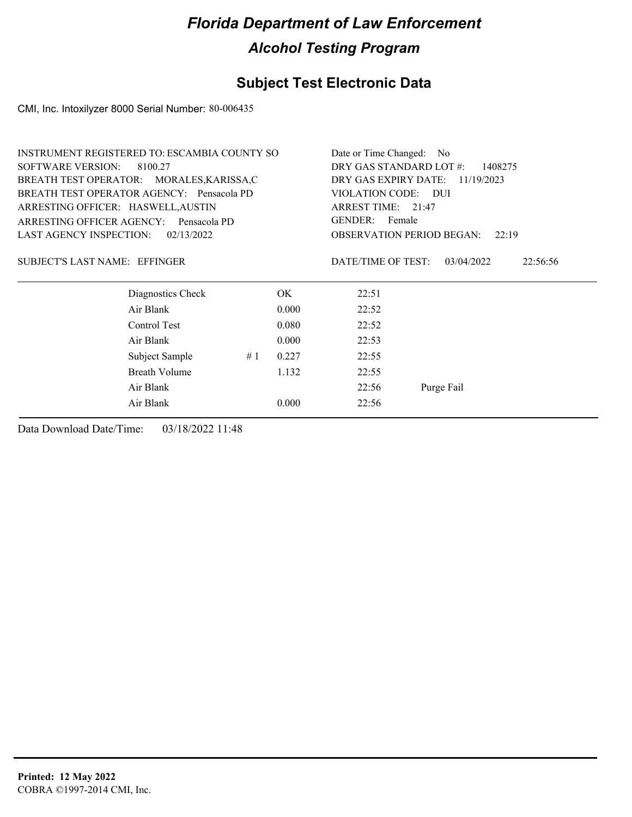### **Subject Test Electronic Data**

CMI, Inc. Intoxilyzer 8000 Serial Number: 80-006435

|                                                                                 | INSTRUMENT REGISTERED TO: ESCAMBIA COUNTY SO |    |                                    | Date or Time Changed: No |                                           |
|---------------------------------------------------------------------------------|----------------------------------------------|----|------------------------------------|--------------------------|-------------------------------------------|
| <b>SOFTWARE VERSION:</b><br>8100.27                                             |                                              |    | DRY GAS STANDARD LOT #:<br>1408275 |                          |                                           |
| BREATH TEST OPERATOR: MORALES, KARISSA, C                                       |                                              |    | DRY GAS EXPIRY DATE:<br>11/19/2023 |                          |                                           |
|                                                                                 | BREATH TEST OPERATOR AGENCY: Pensacola PD    |    |                                    | VIOLATION CODE:          | <b>DUI</b>                                |
| ARRESTING OFFICER: HASWELL, AUSTIN<br>ARRESTING OFFICER AGENCY:<br>Pensacola PD |                                              |    | ARREST TIME: 21:47                 |                          |                                           |
|                                                                                 |                                              |    | GENDER: Female                     |                          |                                           |
| <b>LAST AGENCY INSPECTION:</b>                                                  | 02/13/2022                                   |    |                                    |                          | <b>OBSERVATION PERIOD BEGAN:</b><br>22:19 |
| SUBJECT'S LAST NAME: EFFINGER                                                   |                                              |    |                                    | DATE/TIME OF TEST:       | 03/04/2022<br>22:56:56                    |
|                                                                                 | Diagnostics Check                            |    | OK.                                | 22:51                    |                                           |
|                                                                                 | Air Blank                                    |    | 0.000                              | 22:52                    |                                           |
|                                                                                 | Control Test                                 |    | 0.080                              | 22:52                    |                                           |
|                                                                                 | Air Blank                                    |    | 0.000                              | 22:53                    |                                           |
|                                                                                 | Subject Sample                               | #1 | 0.227                              | 22:55                    |                                           |
|                                                                                 | <b>Breath Volume</b>                         |    | 1.132                              | 22:55                    |                                           |
| Air Blank                                                                       |                                              |    | 22:56                              | Purge Fail               |                                           |
|                                                                                 | Air Blank                                    |    | 0.000                              | 22:56                    |                                           |
|                                                                                 |                                              |    |                                    |                          |                                           |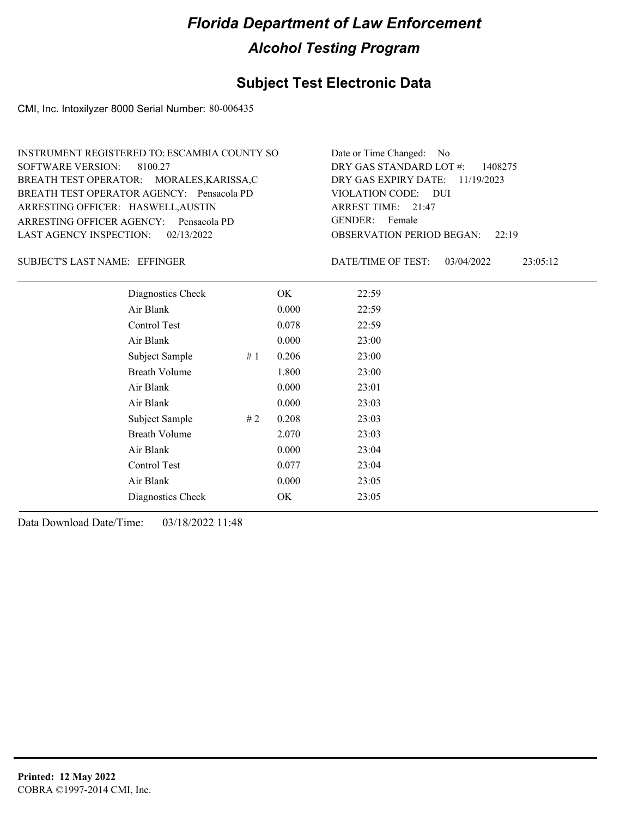### **Subject Test Electronic Data**

CMI, Inc. Intoxilyzer 8000 Serial Number: 80-006435

| INSTRUMENT REGISTERED TO: ESCAMBIA COUNTY SO | Date or Time Changed: No               |
|----------------------------------------------|----------------------------------------|
| SOFTWARE VERSION: 8100.27                    | DRY GAS STANDARD LOT $\#$ : 1408275    |
| BREATH TEST OPERATOR: MORALES, KARISSA, C    | DRY GAS EXPIRY DATE: $11/19/2023$      |
| BREATH TEST OPERATOR AGENCY: Pensacola PD    | VIOLATION CODE: DUI                    |
| ARRESTING OFFICER: HASWELL, AUSTIN           | ARREST TIME: $21:47$                   |
| ARRESTING OFFICER AGENCY: Pensacola PD       | GENDER: Female                         |
| LAST AGENCY INSPECTION: 02/13/2022           | <b>OBSERVATION PERIOD BEGAN: 22:19</b> |

#### EFFINGER SUBJECT'S LAST NAME: DATE/TIME OF TEST:

DATE/TIME OF TEST: 03/04/2022 23:05:12

| Diagnostics Check    |    | OK    | 22:59 |
|----------------------|----|-------|-------|
| Air Blank            |    | 0.000 | 22:59 |
| Control Test         |    | 0.078 | 22:59 |
| Air Blank            |    | 0.000 | 23:00 |
| Subject Sample       | #1 | 0.206 | 23:00 |
| <b>Breath Volume</b> |    | 1.800 | 23:00 |
| Air Blank            |    | 0.000 | 23:01 |
| Air Blank            |    | 0.000 | 23:03 |
| Subject Sample       | #2 | 0.208 | 23:03 |
| <b>Breath Volume</b> |    | 2.070 | 23:03 |
| Air Blank            |    | 0.000 | 23:04 |
| Control Test         |    | 0.077 | 23:04 |
| Air Blank            |    | 0.000 | 23:05 |
| Diagnostics Check    |    | OK    | 23:05 |
|                      |    |       |       |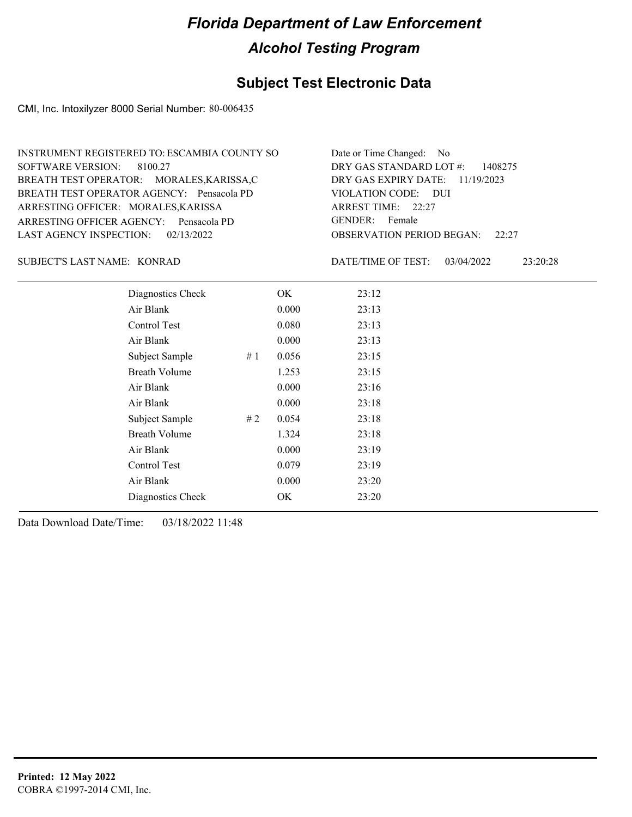### **Subject Test Electronic Data**

CMI, Inc. Intoxilyzer 8000 Serial Number: 80-006435

| INSTRUMENT REGISTERED TO: ESCAMBIA COUNTY SO | Date or Time Changed: No               |
|----------------------------------------------|----------------------------------------|
| SOFTWARE VERSION: 8100.27                    | DRY GAS STANDARD LOT $\#$ : 1408275    |
| BREATH TEST OPERATOR: MORALES, KARISSA, C    | DRY GAS EXPIRY DATE: $11/19/2023$      |
| BREATH TEST OPERATOR AGENCY: Pensacola PD    | VIOLATION CODE: DUI                    |
| ARRESTING OFFICER: MORALES, KARISSA          | ARREST TIME: $22:27$                   |
| ARRESTING OFFICER AGENCY: Pensacola PD       | GENDER: Female                         |
| LAST AGENCY INSPECTION: $02/13/2022$         | <b>OBSERVATION PERIOD BEGAN: 22:27</b> |

SUBJECT'S LAST NAME: KONRAD DATE/TIME OF TEST:

DATE/TIME OF TEST: 03/04/2022 23:20:28

| Diagnostics Check    |    | OK    | 23:12 |
|----------------------|----|-------|-------|
| Air Blank            |    | 0.000 | 23:13 |
| Control Test         |    | 0.080 | 23:13 |
| Air Blank            |    | 0.000 | 23:13 |
| Subject Sample       | #1 | 0.056 | 23:15 |
| <b>Breath Volume</b> |    | 1.253 | 23:15 |
| Air Blank            |    | 0.000 | 23:16 |
| Air Blank            |    | 0.000 | 23:18 |
| Subject Sample       | #2 | 0.054 | 23:18 |
| <b>Breath Volume</b> |    | 1.324 | 23:18 |
| Air Blank            |    | 0.000 | 23:19 |
| Control Test         |    | 0.079 | 23:19 |
| Air Blank            |    | 0.000 | 23:20 |
| Diagnostics Check    |    | OK    | 23:20 |
|                      |    |       |       |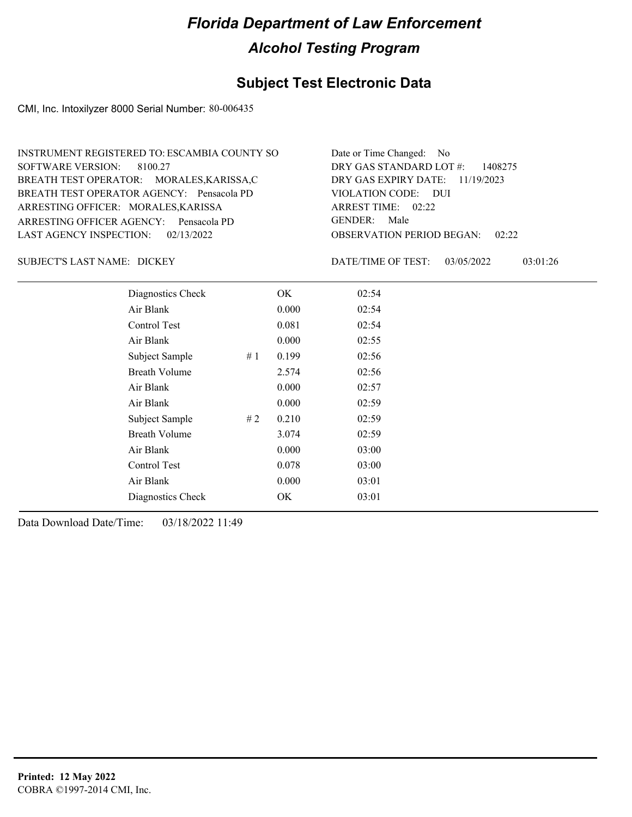### **Subject Test Electronic Data**

CMI, Inc. Intoxilyzer 8000 Serial Number: 80-006435

| INSTRUMENT REGISTERED TO: ESCAMBIA COUNTY SO | Date or Time Changed: No               |
|----------------------------------------------|----------------------------------------|
| SOFTWARE VERSION: 8100.27                    | DRY GAS STANDARD LOT $\#$ : 1408275    |
| BREATH TEST OPERATOR: MORALES, KARISSA, C    | DRY GAS EXPIRY DATE: 11/19/2023        |
| BREATH TEST OPERATOR AGENCY: Pensacola PD    | VIOLATION CODE: DUI                    |
| ARRESTING OFFICER: MORALES, KARISSA          | ARREST TIME: $02:22$                   |
| ARRESTING OFFICER AGENCY: Pensacola PD       | GENDER: Male                           |
| LAST AGENCY INSPECTION: 02/13/2022           | <b>OBSERVATION PERIOD BEGAN: 02:22</b> |

DICKEY SUBJECT'S LAST NAME: DATE/TIME OF TEST:

DATE/TIME OF TEST: 03/05/2022 03:01:26

| Diagnostics Check    |    | OK    | 02:54 |
|----------------------|----|-------|-------|
| Air Blank            |    | 0.000 | 02:54 |
| Control Test         |    | 0.081 | 02:54 |
| Air Blank            |    | 0.000 | 02:55 |
| Subject Sample       | #1 | 0.199 | 02:56 |
| <b>Breath Volume</b> |    | 2.574 | 02:56 |
| Air Blank            |    | 0.000 | 02:57 |
| Air Blank            |    | 0.000 | 02:59 |
| Subject Sample       | #2 | 0.210 | 02:59 |
| <b>Breath Volume</b> |    | 3.074 | 02:59 |
| Air Blank            |    | 0.000 | 03:00 |
| Control Test         |    | 0.078 | 03:00 |
| Air Blank            |    | 0.000 | 03:01 |
| Diagnostics Check    |    | OK    | 03:01 |
|                      |    |       |       |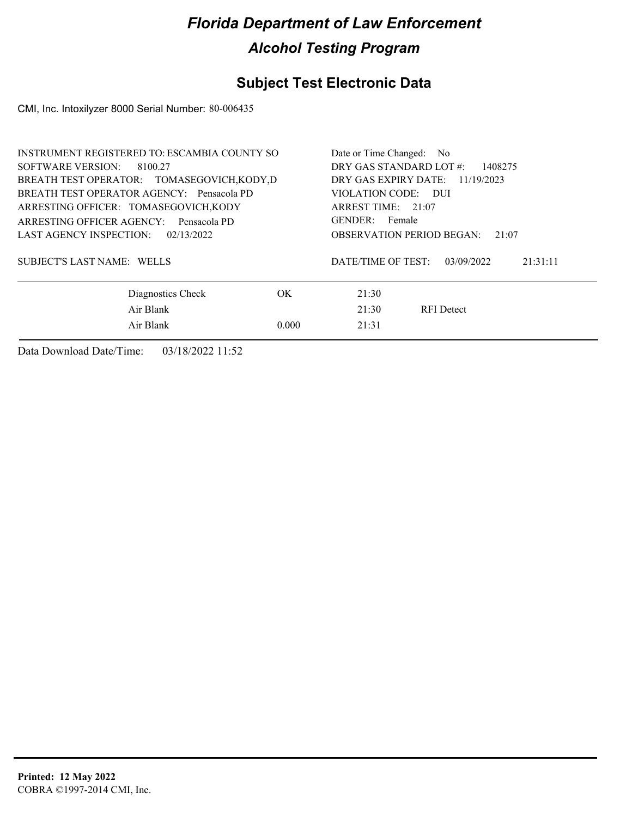### **Subject Test Electronic Data**

CMI, Inc. Intoxilyzer 8000 Serial Number: 80-006435

| <b>INSTRUMENT REGISTERED TO: ESCAMBIA COUNTY SO</b> | Date or Time Changed: No                     |  |  |  |
|-----------------------------------------------------|----------------------------------------------|--|--|--|
| SOFTWARE VERSION:<br>8100.27                        | DRY GAS STANDARD LOT #:<br>1408275           |  |  |  |
| BREATH TEST OPERATOR: TOMASEGOVICH, KODY, D         | DRY GAS EXPIRY DATE: 11/19/2023              |  |  |  |
| BREATH TEST OPERATOR AGENCY: Pensacola PD           | VIOLATION CODE: DUI                          |  |  |  |
| ARRESTING OFFICER: TOMASEGOVICH, KODY               | ARREST TIME: 21:07                           |  |  |  |
| ARRESTING OFFICER AGENCY: Pensacola PD              | GENDER: Female                               |  |  |  |
| LAST AGENCY INSPECTION:<br>02/13/2022               | <b>OBSERVATION PERIOD BEGAN:</b><br>21:07    |  |  |  |
| SUBJECT'S LAST NAME: WELLS                          | DATE/TIME OF TEST:<br>21:31:11<br>03/09/2022 |  |  |  |
| Diagnostics Check<br>OK.                            | 21:30                                        |  |  |  |
| Air Blank                                           | 21:30<br><b>RFI</b> Detect                   |  |  |  |
| Air Blank<br>0.000                                  | 21:31                                        |  |  |  |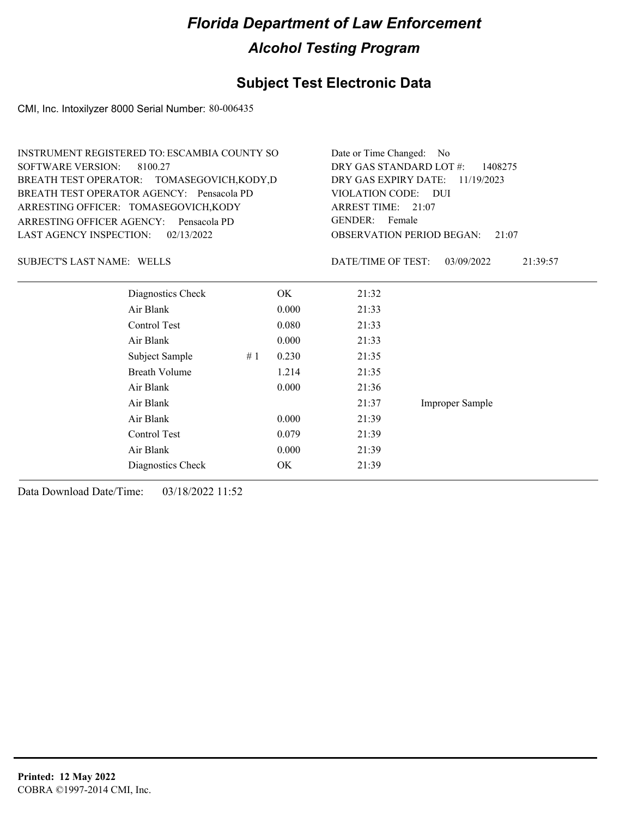### **Subject Test Electronic Data**

CMI, Inc. Intoxilyzer 8000 Serial Number: 80-006435

| <b>SOFTWARE VERSION:</b>          | <b>INSTRUMENT REGISTERED TO: ESCAMBIA COUNTY SO</b><br>8100.27<br>BREATH TEST OPERATOR: TOMASEGOVICH, KODY, D<br>BREATH TEST OPERATOR AGENCY: Pensacola PD |       | Date or Time Changed: No<br>DRY GAS STANDARD LOT #:<br>1408275<br>DRY GAS EXPIRY DATE:<br>11/19/2023 |                                           |                        |  |
|-----------------------------------|------------------------------------------------------------------------------------------------------------------------------------------------------------|-------|------------------------------------------------------------------------------------------------------|-------------------------------------------|------------------------|--|
|                                   | ARRESTING OFFICER: TOMASEGOVICH, KODY                                                                                                                      |       | VIOLATION CODE: DUI<br>ARREST TIME: 21:07<br><b>GENDER:</b><br>Female                                |                                           |                        |  |
| ARRESTING OFFICER AGENCY:         | Pensacola PD                                                                                                                                               |       |                                                                                                      |                                           |                        |  |
| <b>LAST AGENCY INSPECTION:</b>    | 02/13/2022                                                                                                                                                 |       |                                                                                                      | <b>OBSERVATION PERIOD BEGAN:</b><br>21:07 |                        |  |
| <b>SUBJECT'S LAST NAME: WELLS</b> |                                                                                                                                                            |       |                                                                                                      | DATE/TIME OF TEST:                        | 03/09/2022<br>21:39:57 |  |
|                                   | Diagnostics Check                                                                                                                                          |       | OK.                                                                                                  | 21:32                                     |                        |  |
|                                   | Air Blank                                                                                                                                                  |       | 0.000                                                                                                | 21:33                                     |                        |  |
|                                   | Control Test                                                                                                                                               |       | 0.080                                                                                                | 21:33                                     |                        |  |
|                                   | Air Blank                                                                                                                                                  |       | 0.000                                                                                                | 21:33                                     |                        |  |
|                                   | Subject Sample                                                                                                                                             | #1    | 0.230                                                                                                | 21:35                                     |                        |  |
|                                   | <b>Breath Volume</b>                                                                                                                                       |       | 1.214                                                                                                | 21:35                                     |                        |  |
|                                   | Air Blank                                                                                                                                                  |       | 0.000                                                                                                | 21:36                                     |                        |  |
|                                   | Air Blank                                                                                                                                                  | 21:37 | Improper Sample                                                                                      |                                           |                        |  |
|                                   | Air Blank                                                                                                                                                  |       | 0.000                                                                                                | 21:39                                     |                        |  |
|                                   | Control Test                                                                                                                                               |       | 0.079                                                                                                | 21:39                                     |                        |  |
|                                   |                                                                                                                                                            |       |                                                                                                      |                                           |                        |  |

Air Blank 0.000 21:39 Diagnostics Check OK 21:39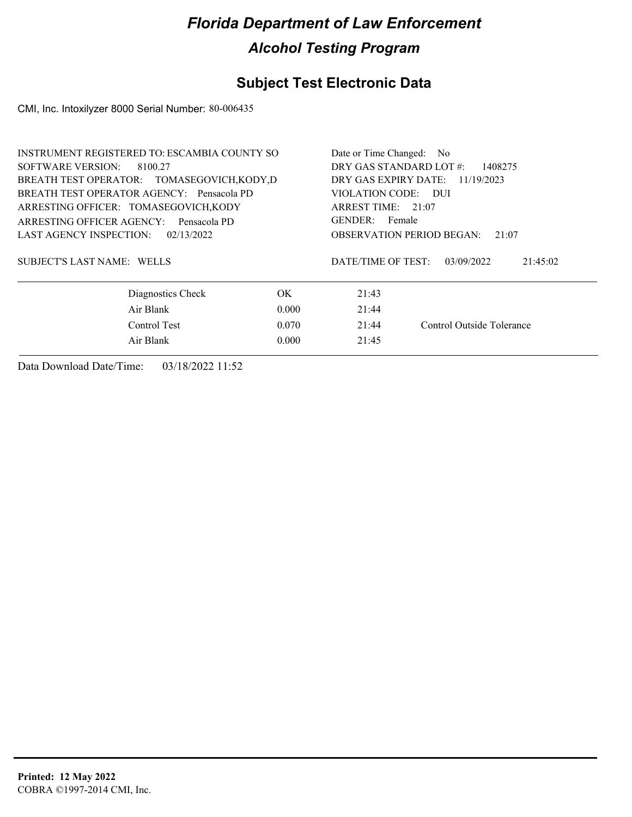### **Subject Test Electronic Data**

CMI, Inc. Intoxilyzer 8000 Serial Number: 80-006435

| <b>INSTRUMENT REGISTERED TO: ESCAMBIA COUNTY SO</b> | Date or Time Changed:<br>No.       |                                           |                           |  |
|-----------------------------------------------------|------------------------------------|-------------------------------------------|---------------------------|--|
| SOFTWARE VERSION:<br>8100.27                        | DRY GAS STANDARD LOT #:<br>1408275 |                                           |                           |  |
| BREATH TEST OPERATOR: TOMASEGOVICH, KODY, D         | DRY GAS EXPIRY DATE:<br>11/19/2023 |                                           |                           |  |
| BREATH TEST OPERATOR AGENCY: Pensacola PD           | VIOLATION CODE: DUI                |                                           |                           |  |
| ARRESTING OFFICER: TOMASEGOVICH, KODY               |                                    | ARREST TIME: 21:07                        |                           |  |
| ARRESTING OFFICER AGENCY:<br>Pensacola PD           |                                    | GENDER: Female                            |                           |  |
| LAST AGENCY INSPECTION:<br>02/13/2022               |                                    | <b>OBSERVATION PERIOD BEGAN:</b><br>21:07 |                           |  |
| SUBJECT'S LAST NAME: WELLS                          |                                    | DATE/TIME OF TEST:                        | 21:45:02<br>03/09/2022    |  |
| Diagnostics Check                                   | OK.                                | 21:43                                     |                           |  |
| Air Blank                                           | 0.000                              | 21:44                                     |                           |  |
| Control Test                                        | 0.070                              | 21:44                                     | Control Outside Tolerance |  |
| Air Blank                                           | 0.000                              | 21:45                                     |                           |  |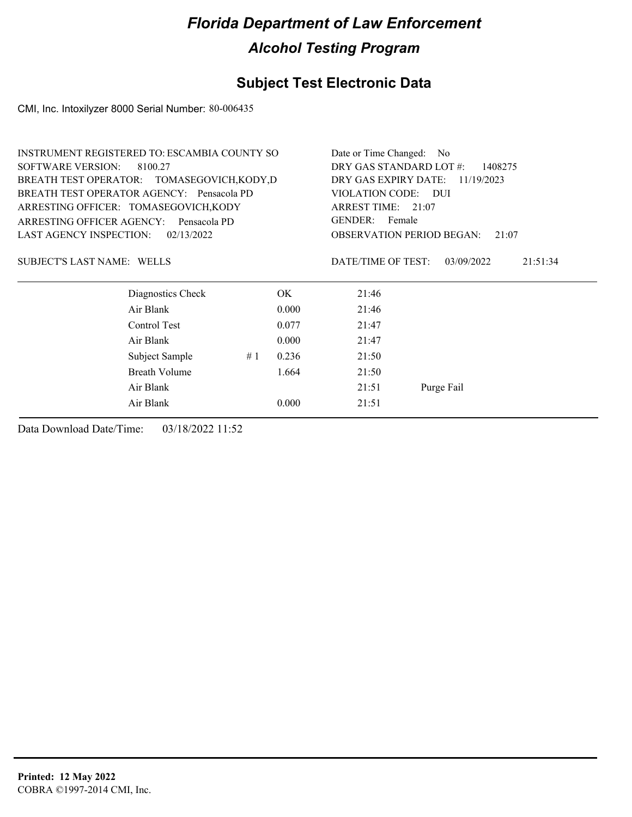### **Subject Test Electronic Data**

CMI, Inc. Intoxilyzer 8000 Serial Number: 80-006435

|                                | <b>INSTRUMENT REGISTERED TO: ESCAMBIA COUNTY SO</b> | Date or Time Changed: No           |            |                                           |                        |  |
|--------------------------------|-----------------------------------------------------|------------------------------------|------------|-------------------------------------------|------------------------|--|
| <b>SOFTWARE VERSION:</b>       | 8100.27                                             | DRY GAS STANDARD LOT #:<br>1408275 |            |                                           |                        |  |
|                                | BREATH TEST OPERATOR: TOMASEGOVICH, KODY, D         | DRY GAS EXPIRY DATE:<br>11/19/2023 |            |                                           |                        |  |
|                                | BREATH TEST OPERATOR AGENCY: Pensacola PD           | VIOLATION CODE:<br>– DUI           |            |                                           |                        |  |
|                                | ARRESTING OFFICER: TOMASEGOVICH, KODY               | ARREST TIME: 21:07                 |            |                                           |                        |  |
| ARRESTING OFFICER AGENCY:      | Pensacola PD                                        |                                    |            | GENDER: Female                            |                        |  |
| <b>LAST AGENCY INSPECTION:</b> | 02/13/2022                                          |                                    |            | <b>OBSERVATION PERIOD BEGAN:</b><br>21:07 |                        |  |
| SUBJECT'S LAST NAME: WELLS     |                                                     |                                    |            | DATE/TIME OF TEST:                        | 03/09/2022<br>21:51:34 |  |
|                                | Diagnostics Check                                   |                                    | OK         | 21:46                                     |                        |  |
|                                | Air Blank                                           |                                    | 0.000      | 21:46                                     |                        |  |
|                                | Control Test                                        |                                    | 0.077      | 21:47                                     |                        |  |
|                                | Air Blank                                           |                                    | 0.000      | 21:47                                     |                        |  |
|                                | Subject Sample                                      | #1                                 | 0.236      | 21:50                                     |                        |  |
|                                | Breath Volume                                       |                                    | 1.664      | 21:50                                     |                        |  |
|                                | Air Blank                                           | 21:51                              | Purge Fail |                                           |                        |  |
|                                | Air Blank                                           |                                    | 0.000      | 21:51                                     |                        |  |
|                                |                                                     |                                    |            |                                           |                        |  |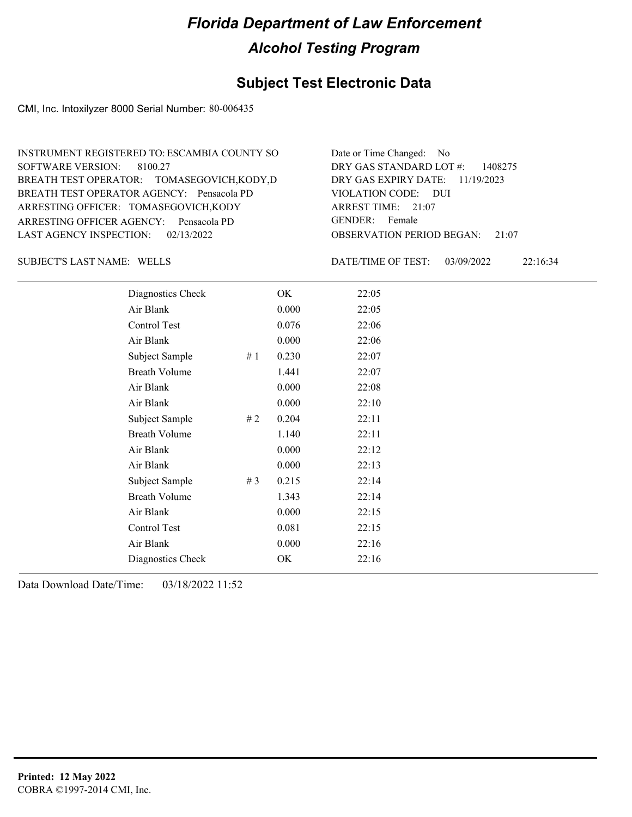### **Subject Test Electronic Data**

CMI, Inc. Intoxilyzer 8000 Serial Number: 80-006435

| INSTRUMENT REGISTERED TO: ESCAMBIA COUNTY SO | Date or Time Changed: No               |
|----------------------------------------------|----------------------------------------|
| SOFTWARE VERSION: 8100.27                    | DRY GAS STANDARD LOT $\#$ : 1408275    |
| BREATH TEST OPERATOR: TOMASEGOVICH, KODY, D  | DRY GAS EXPIRY DATE: $11/19/2023$      |
| BREATH TEST OPERATOR AGENCY: Pensacola PD    | VIOLATION CODE: DUI                    |
| ARRESTING OFFICER: TOMASEGOVICH, KODY        | ARREST TIME: $21:07$                   |
| ARRESTING OFFICER AGENCY: Pensacola PD       | GENDER: Female                         |
| LAST AGENCY INSPECTION: $02/13/2022$         | <b>OBSERVATION PERIOD BEGAN:</b> 21:07 |

SUBJECT'S LAST NAME: WELLS SUBJECT'S LAST NAME: WELLS

DATE/TIME OF TEST: 03/09/2022 22:16:34

| Diagnostics Check    |    | OK    | 22:05 |
|----------------------|----|-------|-------|
| Air Blank            |    | 0.000 | 22:05 |
| Control Test         |    | 0.076 | 22:06 |
| Air Blank            |    | 0.000 | 22:06 |
| Subject Sample       | #1 | 0.230 | 22:07 |
| <b>Breath Volume</b> |    | 1.441 | 22:07 |
| Air Blank            |    | 0.000 | 22:08 |
| Air Blank            |    | 0.000 | 22:10 |
| Subject Sample       | #2 | 0.204 | 22:11 |
| <b>Breath Volume</b> |    | 1.140 | 22:11 |
| Air Blank            |    | 0.000 | 22:12 |
| Air Blank            |    | 0.000 | 22:13 |
| Subject Sample       | #3 | 0.215 | 22:14 |
| <b>Breath Volume</b> |    | 1.343 | 22:14 |
| Air Blank            |    | 0.000 | 22:15 |
| Control Test         |    | 0.081 | 22:15 |
| Air Blank            |    | 0.000 | 22:16 |
| Diagnostics Check    |    | OK    | 22:16 |
|                      |    |       |       |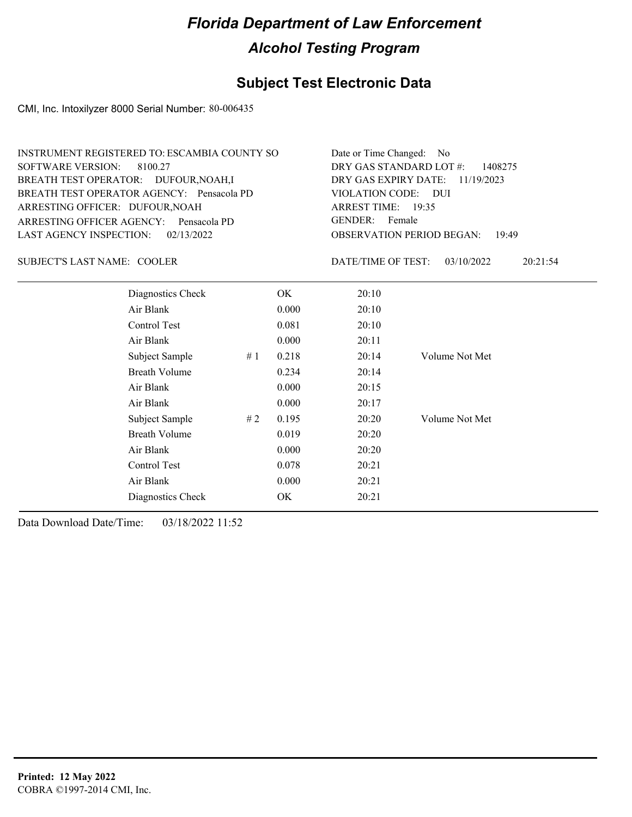### **Subject Test Electronic Data**

CMI, Inc. Intoxilyzer 8000 Serial Number: 80-006435

| INSTRUMENT REGISTERED TO: ESCAMBIA COUNTY SO | Date or Time Changed: No               |
|----------------------------------------------|----------------------------------------|
| SOFTWARE VERSION: 8100.27                    | DRY GAS STANDARD LOT $\#$ : 1408275    |
| BREATH TEST OPERATOR: DUFOUR, NOAH, I        | DRY GAS EXPIRY DATE: $11/19/2023$      |
| BREATH TEST OPERATOR AGENCY: Pensacola PD    | VIOLATION CODE: DUI                    |
| ARRESTING OFFICER: DUFOUR, NOAH              | ARREST TIME: $19:35$                   |
| ARRESTING OFFICER AGENCY: Pensacola PD       | GENDER: Female                         |
| LAST AGENCY INSPECTION: 02/13/2022           | <b>OBSERVATION PERIOD BEGAN: 19:49</b> |

SUBJECT'S LAST NAME: COOLER DATE/TIME OF TEST:

DATE/TIME OF TEST: 03/10/2022 20:21:54

| Diagnostics Check    |    | OK    | 20:10 |                |
|----------------------|----|-------|-------|----------------|
| Air Blank            |    | 0.000 | 20:10 |                |
| Control Test         |    | 0.081 | 20:10 |                |
| Air Blank            |    | 0.000 | 20:11 |                |
| Subject Sample       | #1 | 0.218 | 20:14 | Volume Not Met |
| <b>Breath Volume</b> |    | 0.234 | 20:14 |                |
| Air Blank            |    | 0.000 | 20:15 |                |
| Air Blank            |    | 0.000 | 20:17 |                |
| Subject Sample       | #2 | 0.195 | 20:20 | Volume Not Met |
| <b>Breath Volume</b> |    | 0.019 | 20:20 |                |
| Air Blank            |    | 0.000 | 20:20 |                |
| Control Test         |    | 0.078 | 20:21 |                |
| Air Blank            |    | 0.000 | 20:21 |                |
| Diagnostics Check    |    | OK    | 20:21 |                |
|                      |    |       |       |                |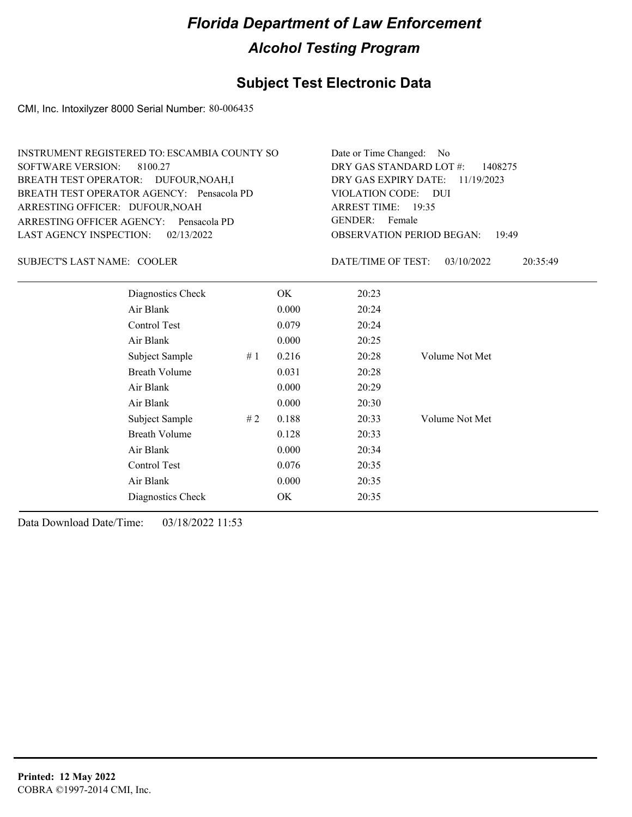### **Subject Test Electronic Data**

CMI, Inc. Intoxilyzer 8000 Serial Number: 80-006435

| INSTRUMENT REGISTERED TO: ESCAMBIA COUNTY SO | Date or Time Changed: No               |
|----------------------------------------------|----------------------------------------|
| SOFTWARE VERSION: 8100.27                    | DRY GAS STANDARD LOT $\#$ : 1408275    |
| BREATH TEST OPERATOR: DUFOUR, NOAH, I        | DRY GAS EXPIRY DATE: $11/19/2023$      |
| BREATH TEST OPERATOR AGENCY: Pensacola PD    | VIOLATION CODE: DUI                    |
| ARRESTING OFFICER: DUFOUR, NOAH              | ARREST TIME: $19:35$                   |
| ARRESTING OFFICER AGENCY: Pensacola PD       | GENDER: Female                         |
| LAST AGENCY INSPECTION: $02/13/2022$         | <b>OBSERVATION PERIOD BEGAN: 19:49</b> |

SUBJECT'S LAST NAME: COOLER DATE/TIME OF TEST:

DATE/TIME OF TEST: 03/10/2022 20:35:49

| Diagnostics Check    |    | OK    | 20:23 |                |
|----------------------|----|-------|-------|----------------|
| Air Blank            |    | 0.000 | 20:24 |                |
| Control Test         |    | 0.079 | 20:24 |                |
| Air Blank            |    | 0.000 | 20:25 |                |
| Subject Sample       | #1 | 0.216 | 20:28 | Volume Not Met |
| <b>Breath Volume</b> |    | 0.031 | 20:28 |                |
| Air Blank            |    | 0.000 | 20:29 |                |
| Air Blank            |    | 0.000 | 20:30 |                |
| Subject Sample       | #2 | 0.188 | 20:33 | Volume Not Met |
| <b>Breath Volume</b> |    | 0.128 | 20:33 |                |
| Air Blank            |    | 0.000 | 20:34 |                |
| Control Test         |    | 0.076 | 20:35 |                |
| Air Blank            |    | 0.000 | 20:35 |                |
| Diagnostics Check    |    | OK    | 20:35 |                |
|                      |    |       |       |                |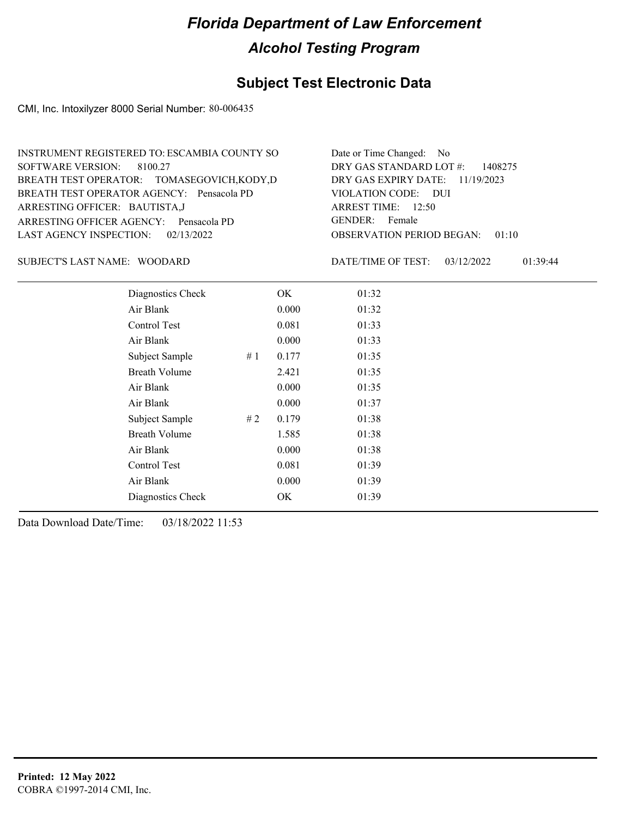### **Subject Test Electronic Data**

CMI, Inc. Intoxilyzer 8000 Serial Number: 80-006435

| INSTRUMENT REGISTERED TO: ESCAMBIA COUNTY SO | Date or Time Changed: No               |
|----------------------------------------------|----------------------------------------|
| SOFTWARE VERSION: 8100.27                    | DRY GAS STANDARD LOT $\#$ : 1408275    |
| BREATH TEST OPERATOR: TOMASEGOVICH, KODY, D  | DRY GAS EXPIRY DATE: 11/19/2023        |
| BREATH TEST OPERATOR AGENCY: Pensacola PD    | VIOLATION CODE: DUI                    |
| ARRESTING OFFICER: BAUTISTA,J                | ARREST TIME: $12:50$                   |
| ARRESTING OFFICER AGENCY: Pensacola PD       | GENDER: Female                         |
| LAST AGENCY INSPECTION: $02/13/2022$         | <b>OBSERVATION PERIOD BEGAN: 01:10</b> |

#### SUBJECT'S LAST NAME: WOODARD DATE/TIME OF TEST:

DATE/TIME OF TEST: 03/12/2022 01:39:44

| Diagnostics Check    |    | OK    | 01:32 |
|----------------------|----|-------|-------|
| Air Blank            |    | 0.000 | 01:32 |
| Control Test         |    | 0.081 | 01:33 |
| Air Blank            |    | 0.000 | 01:33 |
| Subject Sample       | #1 | 0.177 | 01:35 |
| <b>Breath Volume</b> |    | 2.421 | 01:35 |
| Air Blank            |    | 0.000 | 01:35 |
| Air Blank            |    | 0.000 | 01:37 |
| Subject Sample       | #2 | 0.179 | 01:38 |
| <b>Breath Volume</b> |    | 1.585 | 01:38 |
| Air Blank            |    | 0.000 | 01:38 |
| <b>Control Test</b>  |    | 0.081 | 01:39 |
| Air Blank            |    | 0.000 | 01:39 |
| Diagnostics Check    |    | OK    | 01:39 |
|                      |    |       |       |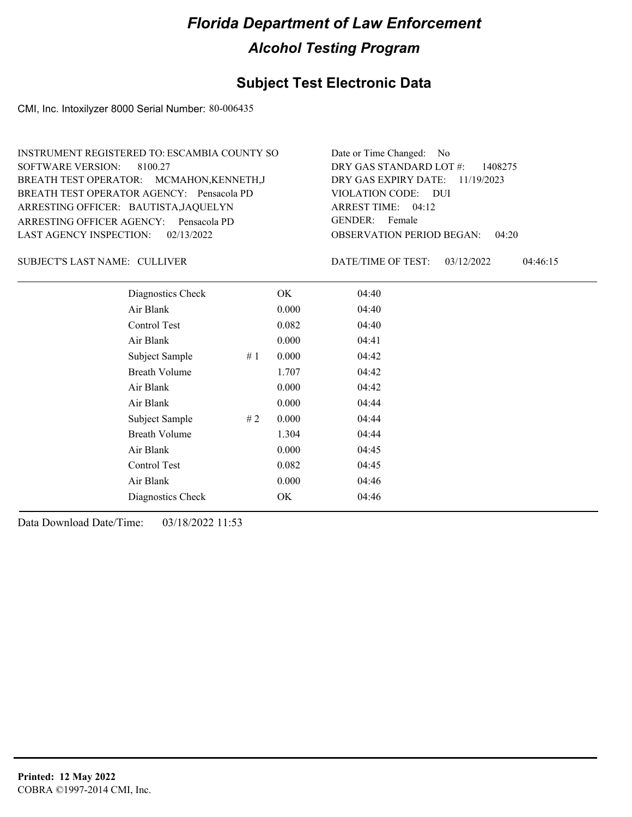### **Subject Test Electronic Data**

CMI, Inc. Intoxilyzer 8000 Serial Number: 80-006435

| INSTRUMENT REGISTERED TO: ESCAMBIA COUNTY SO | Date or Time Changed: No               |
|----------------------------------------------|----------------------------------------|
| SOFTWARE VERSION: 8100.27                    | DRY GAS STANDARD LOT $\#$ : 1408275    |
| BREATH TEST OPERATOR: MCMAHON, KENNETH, J    | DRY GAS EXPIRY DATE: 11/19/2023        |
| BREATH TEST OPERATOR AGENCY: Pensacola PD    | VIOLATION CODE: DUI                    |
| ARRESTING OFFICER: BAUTISTA, JAQUELYN        | ARREST TIME: $04:12$                   |
| ARRESTING OFFICER AGENCY: Pensacola PD       | GENDER: Female                         |
| LAST AGENCY INSPECTION: $02/13/2022$         | <b>OBSERVATION PERIOD BEGAN: 04:20</b> |

CULLIVER SUBJECT'S LAST NAME: DATE/TIME OF TEST:

DATE/TIME OF TEST: 03/12/2022 04:46:15

| Diagnostics Check    |    | OK    | 04:40 |
|----------------------|----|-------|-------|
| Air Blank            |    | 0.000 | 04:40 |
| Control Test         |    | 0.082 | 04:40 |
| Air Blank            |    | 0.000 | 04:41 |
| Subject Sample       | #1 | 0.000 | 04:42 |
| <b>Breath Volume</b> |    | 1.707 | 04:42 |
| Air Blank            |    | 0.000 | 04:42 |
| Air Blank            |    | 0.000 | 04:44 |
| Subject Sample       | #2 | 0.000 | 04:44 |
| <b>Breath Volume</b> |    | 1.304 | 04:44 |
| Air Blank            |    | 0.000 | 04:45 |
| Control Test         |    | 0.082 | 04:45 |
| Air Blank            |    | 0.000 | 04:46 |
| Diagnostics Check    |    | OK    | 04:46 |
|                      |    |       |       |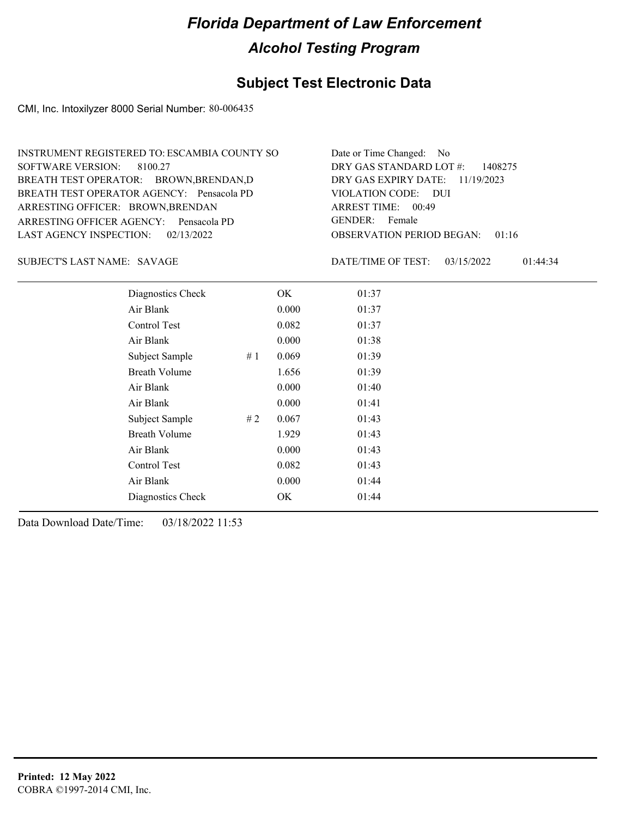### **Subject Test Electronic Data**

CMI, Inc. Intoxilyzer 8000 Serial Number: 80-006435

| INSTRUMENT REGISTERED TO: ESCAMBIA COUNTY SO | Date or Time Changed: No               |
|----------------------------------------------|----------------------------------------|
| SOFTWARE VERSION: 8100.27                    | DRY GAS STANDARD LOT $\#$ : 1408275    |
| BREATH TEST OPERATOR: BROWN, BRENDAN, D      | DRY GAS EXPIRY DATE: 11/19/2023        |
| BREATH TEST OPERATOR AGENCY: Pensacola PD    | VIOLATION CODE: DUI                    |
| ARRESTING OFFICER: BROWN, BRENDAN            | ARREST TIME: 00:49                     |
| ARRESTING OFFICER AGENCY: Pensacola PD       | GENDER: Female                         |
| LAST AGENCY INSPECTION: 02/13/2022           | <b>OBSERVATION PERIOD BEGAN: 01:16</b> |

SUBJECT'S LAST NAME: SAVAGE DATE/TIME OF TEST:

DATE/TIME OF TEST: 03/15/2022 01:44:34

| Diagnostics Check    | OK    | 01:37 |
|----------------------|-------|-------|
| Air Blank            | 0.000 | 01:37 |
| Control Test         | 0.082 | 01:37 |
| Air Blank            | 0.000 | 01:38 |
| Subject Sample<br>#1 | 0.069 | 01:39 |
| <b>Breath Volume</b> | 1.656 | 01:39 |
| Air Blank            | 0.000 | 01:40 |
| Air Blank            | 0.000 | 01:41 |
| Subject Sample<br>#2 | 0.067 | 01:43 |
| <b>Breath Volume</b> | 1.929 | 01:43 |
| Air Blank            | 0.000 | 01:43 |
| Control Test         | 0.082 | 01:43 |
| Air Blank            | 0.000 | 01:44 |
| Diagnostics Check    | OK    | 01:44 |
|                      |       |       |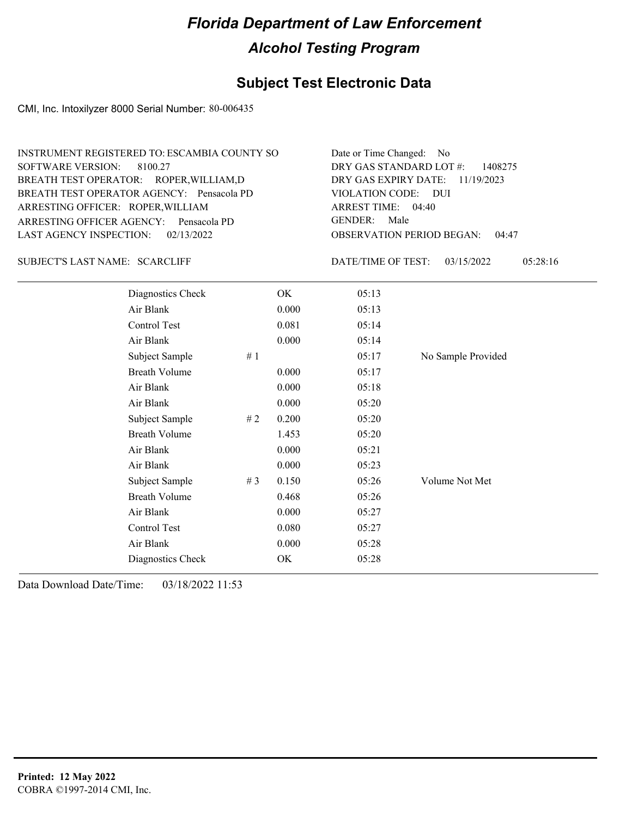### **Subject Test Electronic Data**

CMI, Inc. Intoxilyzer 8000 Serial Number: 80-006435

| INSTRUMENT REGISTERED TO: ESCAMBIA COUNTY SO | Date or Time Changed: No               |
|----------------------------------------------|----------------------------------------|
| SOFTWARE VERSION: 8100.27                    | DRY GAS STANDARD LOT $\#$ : 1408275    |
| BREATH TEST OPERATOR: ROPER, WILLIAM, D      | DRY GAS EXPIRY DATE: $11/19/2023$      |
| BREATH TEST OPERATOR AGENCY: Pensacola PD    | VIOLATION CODE: DUI                    |
| ARRESTING OFFICER: ROPER, WILLIAM            | ARREST TIME: $04:40$                   |
| ARRESTING OFFICER AGENCY: Pensacola PD       | GENDER: Male                           |
| LAST AGENCY INSPECTION: 02/13/2022           | <b>OBSERVATION PERIOD BEGAN: 04:47</b> |

SUBJECT'S LAST NAME: SCARCLIFF **Example 19 SET ASSESS** DATE/TIME OF TEST:

DATE/TIME OF TEST: 03/15/2022 05:28:16

| Diagnostics Check    |    | OK    | 05:13 |                    |
|----------------------|----|-------|-------|--------------------|
| Air Blank            |    | 0.000 | 05:13 |                    |
| Control Test         |    | 0.081 | 05:14 |                    |
| Air Blank            |    | 0.000 | 05:14 |                    |
| Subject Sample       | #1 |       | 05:17 | No Sample Provided |
| <b>Breath Volume</b> |    | 0.000 | 05:17 |                    |
| Air Blank            |    | 0.000 | 05:18 |                    |
| Air Blank            |    | 0.000 | 05:20 |                    |
| Subject Sample       | #2 | 0.200 | 05:20 |                    |
| <b>Breath Volume</b> |    | 1.453 | 05:20 |                    |
| Air Blank            |    | 0.000 | 05:21 |                    |
| Air Blank            |    | 0.000 | 05:23 |                    |
| Subject Sample       | #3 | 0.150 | 05:26 | Volume Not Met     |
| <b>Breath Volume</b> |    | 0.468 | 05:26 |                    |
| Air Blank            |    | 0.000 | 05:27 |                    |
| Control Test         |    | 0.080 | 05:27 |                    |
| Air Blank            |    | 0.000 | 05:28 |                    |
| Diagnostics Check    |    | OK    | 05:28 |                    |
|                      |    |       |       |                    |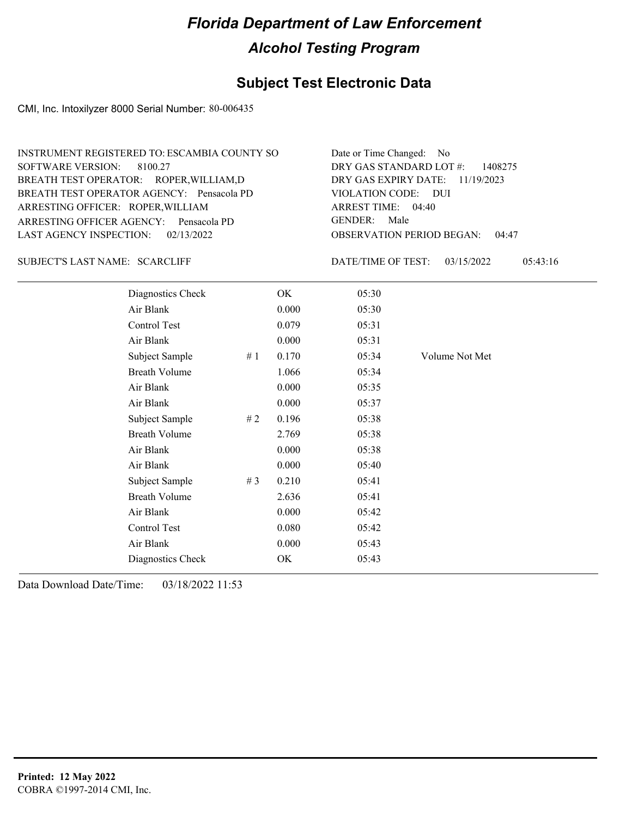### **Subject Test Electronic Data**

CMI, Inc. Intoxilyzer 8000 Serial Number: 80-006435

| INSTRUMENT REGISTERED TO: ESCAMBIA COUNTY SO | Date or Time Changed: No               |
|----------------------------------------------|----------------------------------------|
| SOFTWARE VERSION: 8100.27                    | DRY GAS STANDARD LOT $\#$ : 1408275    |
| BREATH TEST OPERATOR: ROPER, WILLIAM, D      | DRY GAS EXPIRY DATE: $11/19/2023$      |
| BREATH TEST OPERATOR AGENCY: Pensacola PD    | VIOLATION CODE: DUI                    |
| ARRESTING OFFICER: ROPER, WILLIAM            | ARREST TIME: 04:40                     |
| ARRESTING OFFICER AGENCY: Pensacola PD       | GENDER: Male                           |
| LAST AGENCY INSPECTION: 02/13/2022           | <b>OBSERVATION PERIOD BEGAN: 04:47</b> |

SUBJECT'S LAST NAME: SCARCLIFF **Example 19 SET ASSESS** DATE/TIME OF TEST:

DATE/TIME OF TEST: 03/15/2022 05:43:16

| Diagnostics Check    |       | OK    | 05:30 |                |
|----------------------|-------|-------|-------|----------------|
| Air Blank            |       | 0.000 | 05:30 |                |
| Control Test         |       | 0.079 | 05:31 |                |
| Air Blank            |       | 0.000 | 05:31 |                |
| Subject Sample       | #1    | 0.170 | 05:34 | Volume Not Met |
| <b>Breath Volume</b> |       | 1.066 | 05:34 |                |
| Air Blank            |       | 0.000 | 05:35 |                |
| Air Blank            |       | 0.000 | 05:37 |                |
| Subject Sample       | #2    | 0.196 | 05:38 |                |
| <b>Breath Volume</b> |       | 2.769 | 05:38 |                |
| Air Blank            |       | 0.000 | 05:38 |                |
| Air Blank            |       | 0.000 | 05:40 |                |
| Subject Sample       | # $3$ | 0.210 | 05:41 |                |
| <b>Breath Volume</b> |       | 2.636 | 05:41 |                |
| Air Blank            |       | 0.000 | 05:42 |                |
| Control Test         |       | 0.080 | 05:42 |                |
| Air Blank            |       | 0.000 | 05:43 |                |
| Diagnostics Check    |       | OK    | 05:43 |                |
|                      |       |       |       |                |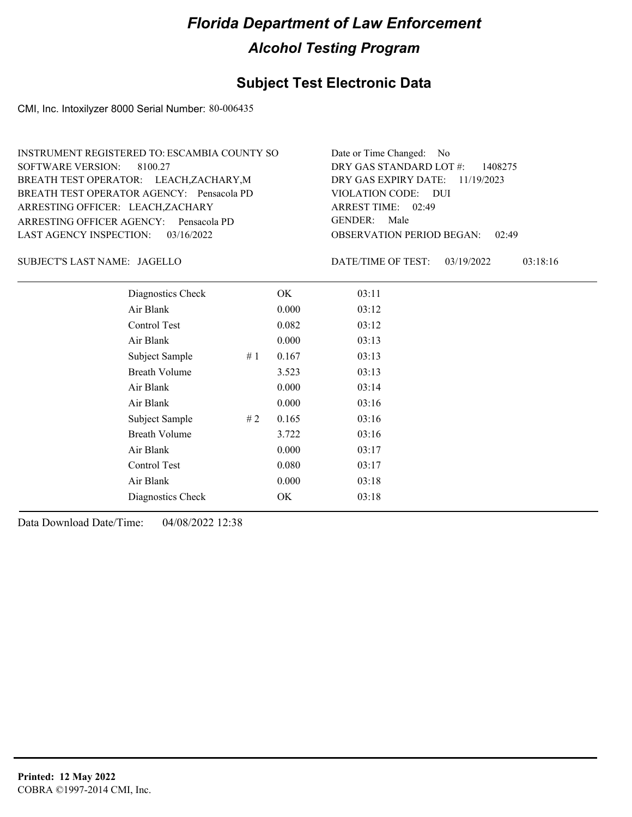### **Subject Test Electronic Data**

CMI, Inc. Intoxilyzer 8000 Serial Number: 80-006435

| INSTRUMENT REGISTERED TO: ESCAMBIA COUNTY SO | Date or Time Changed: No               |
|----------------------------------------------|----------------------------------------|
| SOFTWARE VERSION: 8100.27                    | DRY GAS STANDARD LOT $\#$ : 1408275    |
| BREATH TEST OPERATOR: LEACH, ZACHARY, M      | DRY GAS EXPIRY DATE: $11/19/2023$      |
| BREATH TEST OPERATOR AGENCY: Pensacola PD    | VIOLATION CODE: DUI                    |
| ARRESTING OFFICER: LEACH, ZACHARY            | ARREST TIME: 02:49                     |
| ARRESTING OFFICER AGENCY: Pensacola PD       | GENDER: Male                           |
| LAST AGENCY INSPECTION: $03/16/2022$         | <b>OBSERVATION PERIOD BEGAN: 02:49</b> |

JAGELLO SUBJECT'S LAST NAME: DATE/TIME OF TEST:

DATE/TIME OF TEST: 03/19/2022 03:18:16

| Diagnostics Check    |    | OK    | 03:11 |
|----------------------|----|-------|-------|
| Air Blank            |    | 0.000 | 03:12 |
| Control Test         |    | 0.082 | 03:12 |
| Air Blank            |    | 0.000 | 03:13 |
| Subject Sample       | #1 | 0.167 | 03:13 |
| <b>Breath Volume</b> |    | 3.523 | 03:13 |
| Air Blank            |    | 0.000 | 03:14 |
| Air Blank            |    | 0.000 | 03:16 |
| Subject Sample       | #2 | 0.165 | 03:16 |
| <b>Breath Volume</b> |    | 3.722 | 03:16 |
| Air Blank            |    | 0.000 | 03:17 |
| Control Test         |    | 0.080 | 03:17 |
| Air Blank            |    | 0.000 | 03:18 |
| Diagnostics Check    |    | OK    | 03:18 |
|                      |    |       |       |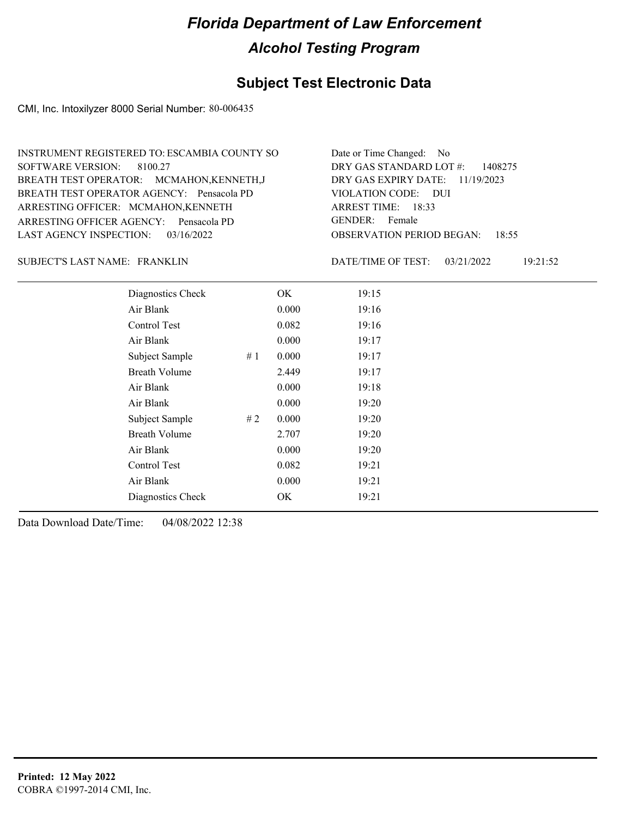### **Subject Test Electronic Data**

CMI, Inc. Intoxilyzer 8000 Serial Number: 80-006435

| INSTRUMENT REGISTERED TO: ESCAMBIA COUNTY SO | Date or Time Changed: No               |
|----------------------------------------------|----------------------------------------|
| SOFTWARE VERSION: 8100.27                    | DRY GAS STANDARD LOT $\#$ : 1408275    |
| BREATH TEST OPERATOR: MCMAHON, KENNETH, J    | DRY GAS EXPIRY DATE: $11/19/2023$      |
| BREATH TEST OPERATOR AGENCY: Pensacola PD    | VIOLATION CODE: DUI                    |
| ARRESTING OFFICER: MCMAHON, KENNETH          | ARREST TIME: 18:33                     |
| ARRESTING OFFICER AGENCY: Pensacola PD       | GENDER: Female                         |
| LAST AGENCY INSPECTION: $03/16/2022$         | <b>OBSERVATION PERIOD BEGAN: 18:55</b> |

#### FRANKLIN SUBJECT'S LAST NAME: DATE/TIME OF TEST:

DATE/TIME OF TEST: 03/21/2022 19:21:52

| Diagnostics Check    |    | OK    | 19:15 |  |
|----------------------|----|-------|-------|--|
| Air Blank            |    | 0.000 | 19:16 |  |
| Control Test         |    | 0.082 | 19:16 |  |
| Air Blank            |    | 0.000 | 19:17 |  |
| Subject Sample       | #1 | 0.000 | 19:17 |  |
| <b>Breath Volume</b> |    | 2.449 | 19:17 |  |
| Air Blank            |    | 0.000 | 19:18 |  |
| Air Blank            |    | 0.000 | 19:20 |  |
| Subject Sample       | #2 | 0.000 | 19:20 |  |
| <b>Breath Volume</b> |    | 2.707 | 19:20 |  |
| Air Blank            |    | 0.000 | 19:20 |  |
| Control Test         |    | 0.082 | 19:21 |  |
| Air Blank            |    | 0.000 | 19:21 |  |
| Diagnostics Check    |    | OK    | 19:21 |  |
|                      |    |       |       |  |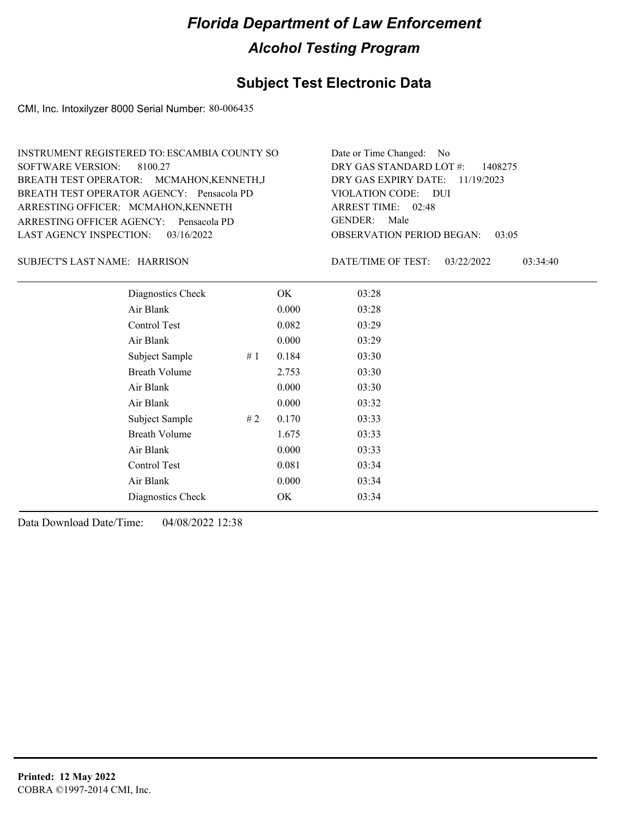### **Subject Test Electronic Data**

CMI, Inc. Intoxilyzer 8000 Serial Number: 80-006435

| INSTRUMENT REGISTERED TO: ESCAMBIA COUNTY SO | Date or Time Changed: No               |
|----------------------------------------------|----------------------------------------|
| SOFTWARE VERSION: 8100.27                    | DRY GAS STANDARD LOT $\#$ : 1408275    |
| BREATH TEST OPERATOR: MCMAHON, KENNETH, J    | DRY GAS EXPIRY DATE: $11/19/2023$      |
| BREATH TEST OPERATOR AGENCY: Pensacola PD    | VIOLATION CODE: DUI                    |
| ARRESTING OFFICER: MCMAHON, KENNETH          | ARREST TIME: 02:48                     |
| ARRESTING OFFICER AGENCY: Pensacola PD       | GENDER: Male                           |
| LAST AGENCY INSPECTION: $03/16/2022$         | <b>OBSERVATION PERIOD BEGAN: 03:05</b> |

#### HARRISON SUBJECT'S LAST NAME: DATE/TIME OF TEST:

DATE/TIME OF TEST: 03/22/2022 03:34:40

| Diagnostics Check    |    | OK    | 03:28 |
|----------------------|----|-------|-------|
| Air Blank            |    | 0.000 | 03:28 |
| Control Test         |    | 0.082 | 03:29 |
| Air Blank            |    | 0.000 | 03:29 |
| Subject Sample       | #1 | 0.184 | 03:30 |
| <b>Breath Volume</b> |    | 2.753 | 03:30 |
| Air Blank            |    | 0.000 | 03:30 |
| Air Blank            |    | 0.000 | 03:32 |
| Subject Sample       | #2 | 0.170 | 03:33 |
| <b>Breath Volume</b> |    | 1.675 | 03:33 |
| Air Blank            |    | 0.000 | 03:33 |
| Control Test         |    | 0.081 | 03:34 |
| Air Blank            |    | 0.000 | 03:34 |
| Diagnostics Check    |    | OK    | 03:34 |
|                      |    |       |       |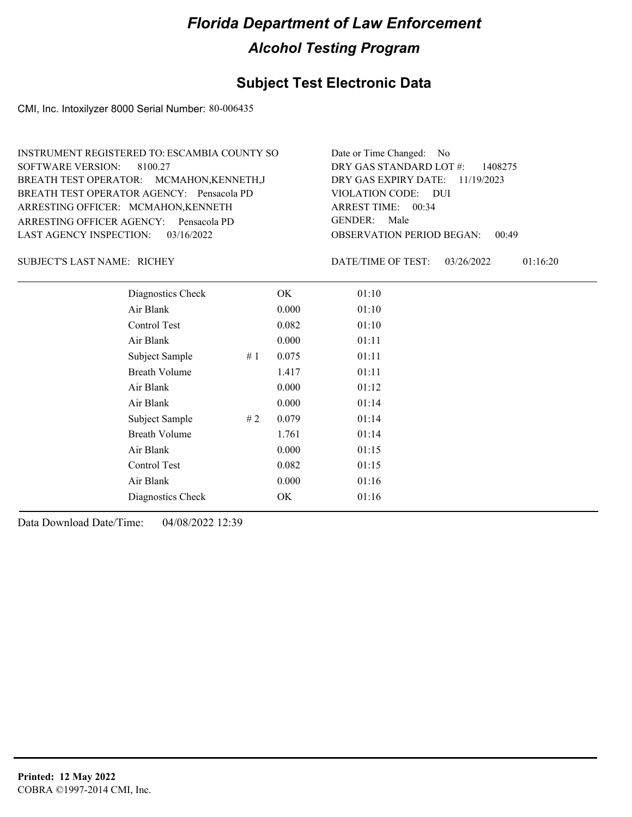### **Subject Test Electronic Data**

CMI, Inc. Intoxilyzer 8000 Serial Number: 80-006435

| INSTRUMENT REGISTERED TO: ESCAMBIA COUNTY SO | Date or Time Changed: No            |
|----------------------------------------------|-------------------------------------|
| SOFTWARE VERSION: 8100.27                    | DRY GAS STANDARD LOT $\#$ : 1408275 |
| BREATH TEST OPERATOR: MCMAHON, KENNETH, J    | DRY GAS EXPIRY DATE: $11/19/2023$   |
| BREATH TEST OPERATOR AGENCY: Pensacola PD    | VIOLATION CODE: DUI                 |
| ARRESTING OFFICER: MCMAHON, KENNETH          | ARREST TIME: $00:34$                |
| ARRESTING OFFICER AGENCY: Pensacola PD       | GENDER: Male                        |
| LAST AGENCY INSPECTION: $03/16/2022$         | OBSERVATION PERIOD BEGAN:<br>00:49  |

SUBJECT'S LAST NAME: RICHEY **Example 20** DATE/TIME OF TEST:

DATE/TIME OF TEST: 03/26/2022 01:16:20

| Diagnostics Check    |    | OK    | 01:10 |
|----------------------|----|-------|-------|
| Air Blank            |    | 0.000 | 01:10 |
| Control Test         |    | 0.082 | 01:10 |
| Air Blank            |    | 0.000 | 01:11 |
| Subject Sample       | #1 | 0.075 | 01:11 |
| <b>Breath Volume</b> |    | 1.417 | 01:11 |
| Air Blank            |    | 0.000 | 01:12 |
| Air Blank            |    | 0.000 | 01:14 |
| Subject Sample       | #2 | 0.079 | 01:14 |
| <b>Breath Volume</b> |    | 1.761 | 01:14 |
| Air Blank            |    | 0.000 | 01:15 |
| Control Test         |    | 0.082 | 01:15 |
| Air Blank            |    | 0.000 | 01:16 |
| Diagnostics Check    |    | OK    | 01:16 |
|                      |    |       |       |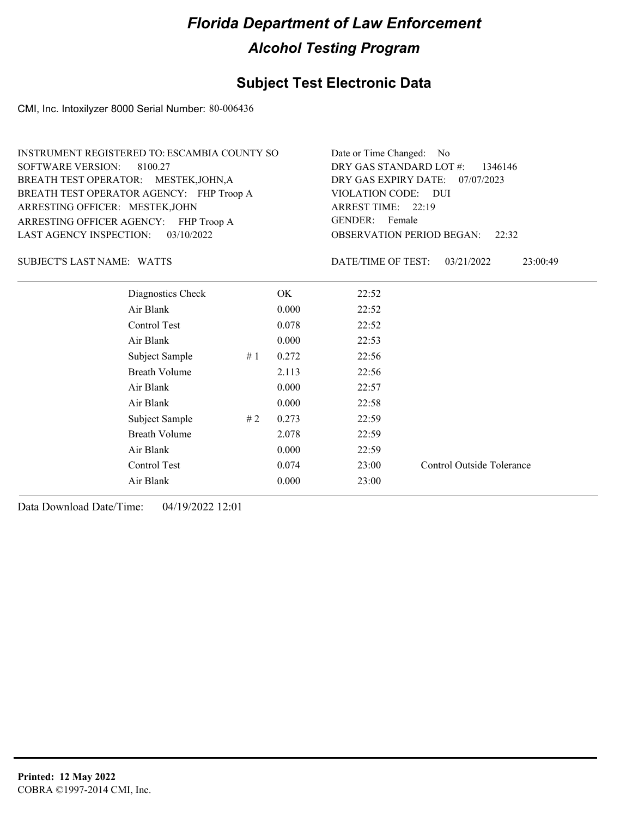#### **Subject Test Electronic Data**

CMI, Inc. Intoxilyzer 8000 Serial Number: 80-006436

| INSTRUMENT REGISTERED TO: ESCAMBIA COUNTY SO | Date or Time Changed: No               |
|----------------------------------------------|----------------------------------------|
| SOFTWARE VERSION: 8100.27                    | DRY GAS STANDARD LOT #: 1346146        |
| BREATH TEST OPERATOR: MESTEK, JOHN, A        | DRY GAS EXPIRY DATE: 07/07/2023        |
| BREATH TEST OPERATOR AGENCY: FHP Troop A     | VIOLATION CODE: DUI                    |
| ARRESTING OFFICER: MESTEK, JOHN              | ARREST TIME: 22:19                     |
| ARRESTING OFFICER AGENCY: FHP Troop A        | GENDER: Female                         |
| LAST AGENCY INSPECTION: $03/10/2022$         | <b>OBSERVATION PERIOD BEGAN:</b> 22:32 |

SUBJECT'S LAST NAME: WATTS **Example 20 IN A SUBJECT'S LAST NAME:** WATTS

DATE/TIME OF TEST: 03/21/2022 23:00:49

| Diagnostics Check    |    | OK.   | 22:52 |                           |
|----------------------|----|-------|-------|---------------------------|
| Air Blank            |    | 0.000 | 22:52 |                           |
| Control Test         |    | 0.078 | 22:52 |                           |
| Air Blank            |    | 0.000 | 22:53 |                           |
| Subject Sample       | #1 | 0.272 | 22:56 |                           |
| <b>Breath Volume</b> |    | 2.113 | 22:56 |                           |
| Air Blank            |    | 0.000 | 22:57 |                           |
| Air Blank            |    | 0.000 | 22:58 |                           |
| Subject Sample       | #2 | 0.273 | 22:59 |                           |
| <b>Breath Volume</b> |    | 2.078 | 22:59 |                           |
| Air Blank            |    | 0.000 | 22:59 |                           |
| Control Test         |    | 0.074 | 23:00 | Control Outside Tolerance |
| Air Blank            |    | 0.000 | 23:00 |                           |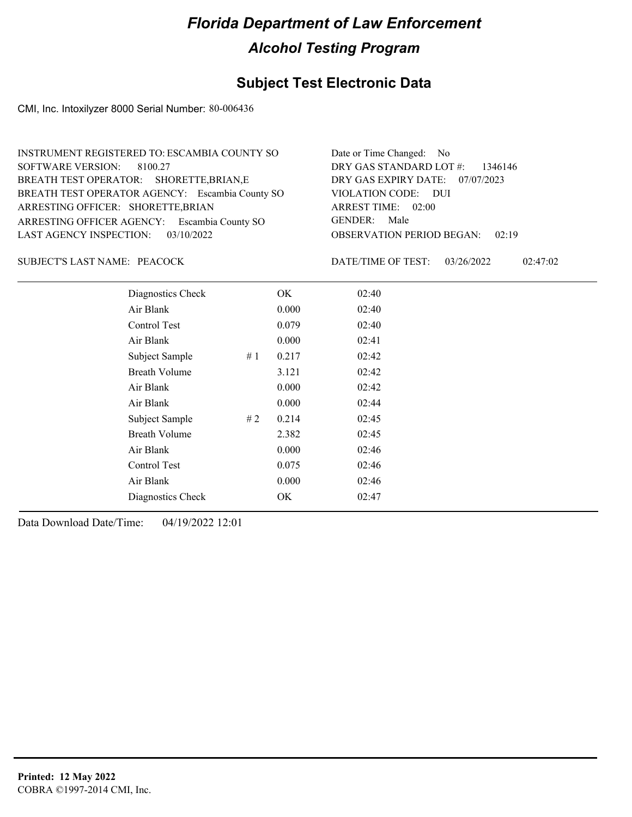### **Subject Test Electronic Data**

CMI, Inc. Intoxilyzer 8000 Serial Number: 80-006436

| Date or Time Changed: No               |
|----------------------------------------|
| DRY GAS STANDARD LOT $\#$ : 1346146    |
| DRY GAS EXPIRY DATE: 07/07/2023        |
| VIOLATION CODE: DUI                    |
| ARREST TIME: 02:00                     |
| GENDER: Male                           |
| <b>OBSERVATION PERIOD BEGAN: 02:19</b> |
|                                        |

#### SUBJECT'S LAST NAME: PEACOCK DATE/TIME OF TEST:

DATE/TIME OF TEST: 03/26/2022 02:47:02

| Diagnostics Check    |    | OK    | 02:40 |
|----------------------|----|-------|-------|
| Air Blank            |    | 0.000 | 02:40 |
| Control Test         |    | 0.079 | 02:40 |
| Air Blank            |    | 0.000 | 02:41 |
| Subject Sample       | #1 | 0.217 | 02:42 |
| <b>Breath Volume</b> |    | 3.121 | 02:42 |
| Air Blank            |    | 0.000 | 02:42 |
| Air Blank            |    | 0.000 | 02:44 |
| Subject Sample       | #2 | 0.214 | 02:45 |
| <b>Breath Volume</b> |    | 2.382 | 02:45 |
| Air Blank            |    | 0.000 | 02:46 |
| Control Test         |    | 0.075 | 02:46 |
| Air Blank            |    | 0.000 | 02:46 |
| Diagnostics Check    |    | OK    | 02:47 |
|                      |    |       |       |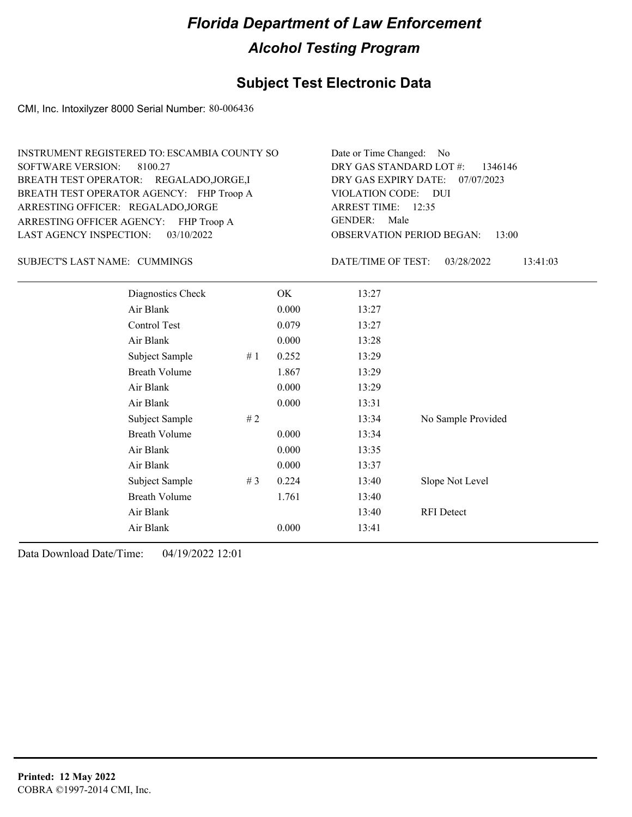### **Subject Test Electronic Data**

CMI, Inc. Intoxilyzer 8000 Serial Number: 80-006436

| INSTRUMENT REGISTERED TO: ESCAMBIA COUNTY SO | Date or Time Changed: No               |
|----------------------------------------------|----------------------------------------|
| SOFTWARE VERSION: 8100.27                    | DRY GAS STANDARD LOT $\#$ : 1346146    |
| BREATH TEST OPERATOR: REGALADO, JORGE, I     | DRY GAS EXPIRY DATE: 07/07/2023        |
| BREATH TEST OPERATOR AGENCY: FHP Troop A     | VIOLATION CODE: DUI                    |
| ARRESTING OFFICER: REGALADO, JORGE           | ARREST TIME: 12:35                     |
| ARRESTING OFFICER AGENCY: FHP Troop A        | GENDER: Male                           |
| LAST AGENCY INSPECTION: 03/10/2022           | <b>OBSERVATION PERIOD BEGAN: 13:00</b> |

SUBJECT'S LAST NAME: CUMMINGS DATE/TIME OF TEST:

DATE/TIME OF TEST: 03/28/2022 13:41:03

| Diagnostics Check    |    | OK    | 13:27 |                    |
|----------------------|----|-------|-------|--------------------|
| Air Blank            |    | 0.000 | 13:27 |                    |
| Control Test         |    | 0.079 | 13:27 |                    |
| Air Blank            |    | 0.000 | 13:28 |                    |
| Subject Sample       | #1 | 0.252 | 13:29 |                    |
| <b>Breath Volume</b> |    | 1.867 | 13:29 |                    |
| Air Blank            |    | 0.000 | 13:29 |                    |
| Air Blank            |    | 0.000 | 13:31 |                    |
| Subject Sample       | #2 |       | 13:34 | No Sample Provided |
| <b>Breath Volume</b> |    | 0.000 | 13:34 |                    |
| Air Blank            |    | 0.000 | 13:35 |                    |
| Air Blank            |    | 0.000 | 13:37 |                    |
| Subject Sample       | #3 | 0.224 | 13:40 | Slope Not Level    |
| <b>Breath Volume</b> |    | 1.761 | 13:40 |                    |
| Air Blank            |    |       | 13:40 | <b>RFI</b> Detect  |
| Air Blank            |    | 0.000 | 13:41 |                    |
|                      |    |       |       |                    |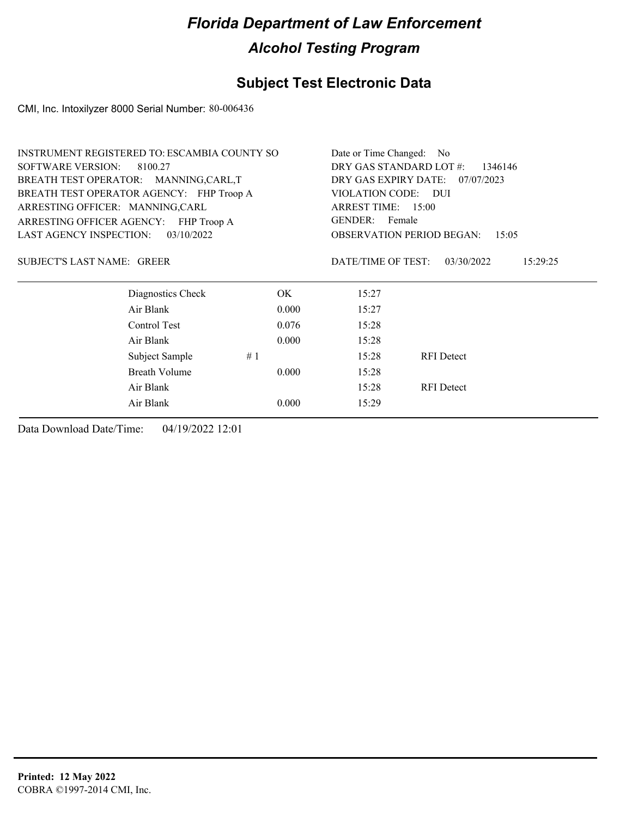## **Subject Test Electronic Data**

CMI, Inc. Intoxilyzer 8000 Serial Number: 80-006436

|                                      | INSTRUMENT REGISTERED TO: ESCAMBIA COUNTY SO |       |                                    | Date or Time Changed: No                  |  |  |  |
|--------------------------------------|----------------------------------------------|-------|------------------------------------|-------------------------------------------|--|--|--|
| <b>SOFTWARE VERSION:</b>             | 8100.27                                      |       | DRY GAS STANDARD LOT #:<br>1346146 |                                           |  |  |  |
| BREATH TEST OPERATOR: MANNING,CARL,T |                                              |       | DRY GAS EXPIRY DATE:<br>07/07/2023 |                                           |  |  |  |
|                                      | BREATH TEST OPERATOR AGENCY: FHP Troop A     |       | VIOLATION CODE: DUI                |                                           |  |  |  |
| ARRESTING OFFICER: MANNING,CARL      |                                              |       | ARREST TIME: 15:00                 |                                           |  |  |  |
|                                      | ARRESTING OFFICER AGENCY: FHP Troop A        |       | GENDER: Female                     |                                           |  |  |  |
| <b>LAST AGENCY INSPECTION:</b>       | 03/10/2022                                   |       |                                    | <b>OBSERVATION PERIOD BEGAN:</b><br>15:05 |  |  |  |
| <b>SUBJECT'S LAST NAME: GREER</b>    |                                              |       | DATE/TIME OF TEST:                 | 03/30/2022<br>15:29:25                    |  |  |  |
|                                      | Diagnostics Check                            | OK.   | 15:27                              |                                           |  |  |  |
|                                      | Air Blank                                    | 0.000 | 15:27                              |                                           |  |  |  |
|                                      | Control Test                                 | 0.076 | 15:28                              |                                           |  |  |  |
|                                      | Air Blank                                    | 0.000 | 15:28                              |                                           |  |  |  |
|                                      | Subject Sample                               | #1    | 15:28                              | <b>RFI</b> Detect                         |  |  |  |
|                                      | Breath Volume                                | 0.000 | 15:28                              |                                           |  |  |  |
|                                      | Air Blank                                    |       | 15:28                              | <b>RFI</b> Detect                         |  |  |  |
|                                      | Air Blank                                    | 0.000 | 15:29                              |                                           |  |  |  |
|                                      |                                              |       |                                    |                                           |  |  |  |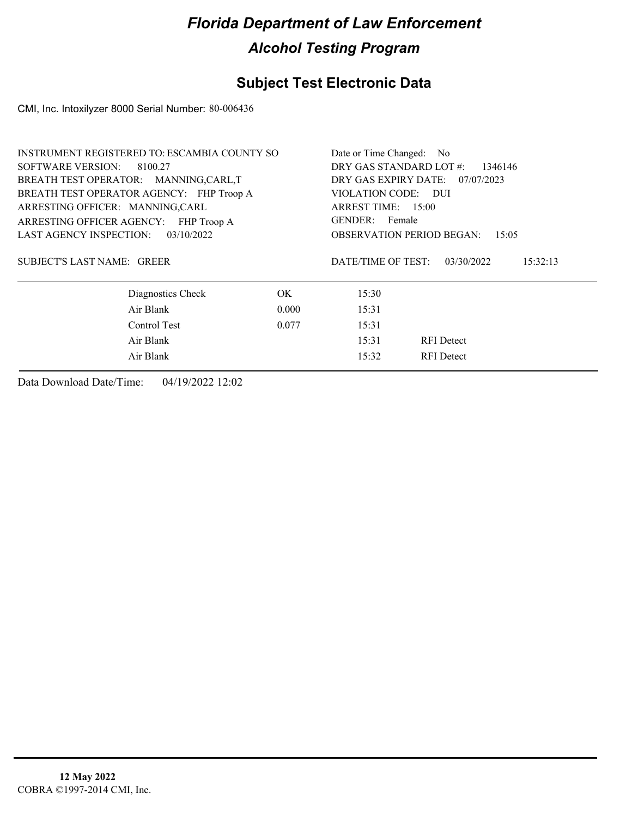## **Subject Test Electronic Data**

CMI, Inc. Intoxilyzer 8000 Serial Number: 80-006436

|                                          | INSTRUMENT REGISTERED TO: ESCAMBIA COUNTY SO |       |                                    | Date or Time Changed: No         |          |  |  |  |
|------------------------------------------|----------------------------------------------|-------|------------------------------------|----------------------------------|----------|--|--|--|
| <b>SOFTWARE VERSION:</b><br>8100.27      |                                              |       | DRY GAS STANDARD LOT #:<br>1346146 |                                  |          |  |  |  |
| BREATH TEST OPERATOR: MANNING,CARL,T     |                                              |       |                                    | DRY GAS EXPIRY DATE: 07/07/2023  |          |  |  |  |
| BREATH TEST OPERATOR AGENCY: FHP Troop A |                                              |       | VIOLATION CODE: DUI                |                                  |          |  |  |  |
| ARRESTING OFFICER: MANNING,CARL          |                                              |       | ARREST TIME: 15:00                 |                                  |          |  |  |  |
| ARRESTING OFFICER AGENCY: FHP Troop A    |                                              |       | GENDER: Female                     |                                  |          |  |  |  |
| <b>LAST AGENCY INSPECTION:</b>           | 03/10/2022                                   |       |                                    | <b>OBSERVATION PERIOD BEGAN:</b> | 15:05    |  |  |  |
| SUBJECT'S LAST NAME: GREER               |                                              |       | DATE/TIME OF TEST:                 | 03/30/2022                       | 15:32:13 |  |  |  |
|                                          | Diagnostics Check                            | OK.   | 15:30                              |                                  |          |  |  |  |
|                                          | Air Blank                                    | 0.000 | 15:31                              |                                  |          |  |  |  |
|                                          | Control Test                                 | 0.077 | 15:31                              |                                  |          |  |  |  |
|                                          | Air Blank                                    |       | 15:31                              | <b>RFI</b> Detect                |          |  |  |  |
|                                          | Air Blank                                    |       | 15:32                              | <b>RFI</b> Detect                |          |  |  |  |
|                                          |                                              |       |                                    |                                  |          |  |  |  |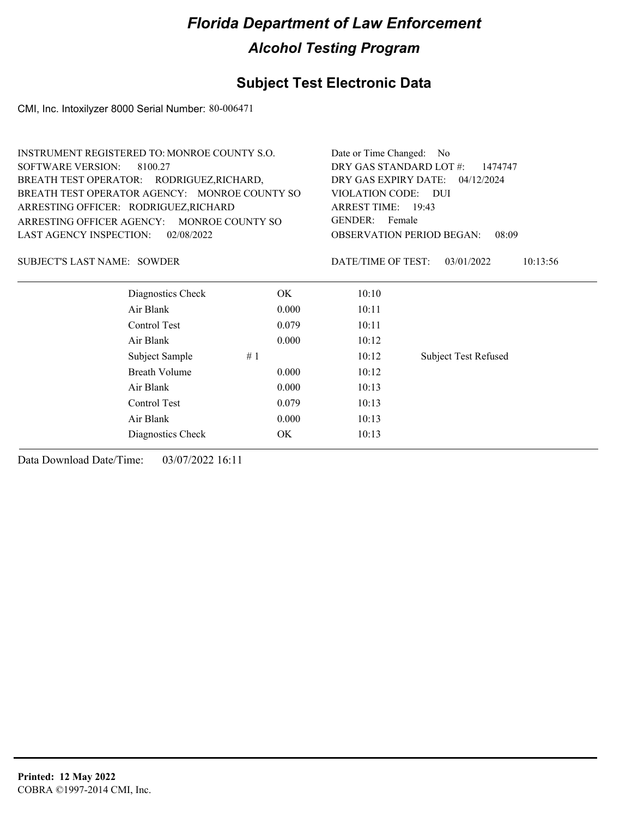### **Subject Test Electronic Data**

CMI, Inc. Intoxilyzer 8000 Serial Number: 80-006471

|                                               | <b>INSTRUMENT REGISTERED TO: MONROE COUNTY S.O.</b> |       | Date or Time Changed: No           |                                           |  |  |  |
|-----------------------------------------------|-----------------------------------------------------|-------|------------------------------------|-------------------------------------------|--|--|--|
| <b>SOFTWARE VERSION:</b>                      | 8100.27                                             |       | DRY GAS STANDARD LOT #:<br>1474747 |                                           |  |  |  |
| BREATH TEST OPERATOR: RODRIGUEZ, RICHARD,     |                                                     |       | DRY GAS EXPIRY DATE:<br>04/12/2024 |                                           |  |  |  |
| BREATH TEST OPERATOR AGENCY: MONROE COUNTY SO |                                                     |       | VIOLATION CODE: DUI                |                                           |  |  |  |
| ARRESTING OFFICER: RODRIGUEZ, RICHARD         |                                                     |       | ARREST TIME: 19:43                 |                                           |  |  |  |
|                                               | ARRESTING OFFICER AGENCY: MONROE COUNTY SO          |       | GENDER: Female                     |                                           |  |  |  |
| LAST AGENCY INSPECTION:                       | 02/08/2022                                          |       |                                    | <b>OBSERVATION PERIOD BEGAN:</b><br>08:09 |  |  |  |
| <b>SUBJECT'S LAST NAME: SOWDER</b>            |                                                     |       | DATE/TIME OF TEST:                 | 03/01/2022<br>10:13:56                    |  |  |  |
|                                               | Diagnostics Check                                   | OK.   | 10:10                              |                                           |  |  |  |
|                                               | Air Blank                                           | 0.000 | 10:11                              |                                           |  |  |  |
|                                               | Control Test                                        | 0.079 | 10:11                              |                                           |  |  |  |
|                                               | Air Blank                                           | 0.000 | 10:12                              |                                           |  |  |  |
|                                               | Subject Sample                                      | #1    | 10:12                              | <b>Subject Test Refused</b>               |  |  |  |
|                                               | <b>Breath Volume</b>                                | 0.000 | 10:12                              |                                           |  |  |  |
|                                               | Air Blank                                           | 0.000 | 10:13                              |                                           |  |  |  |
|                                               | Control Test                                        | 0.079 | 10:13                              |                                           |  |  |  |
|                                               | Air Blank                                           | 0.000 | 10:13                              |                                           |  |  |  |
|                                               |                                                     |       |                                    |                                           |  |  |  |

Diagnostics Check OK 10:13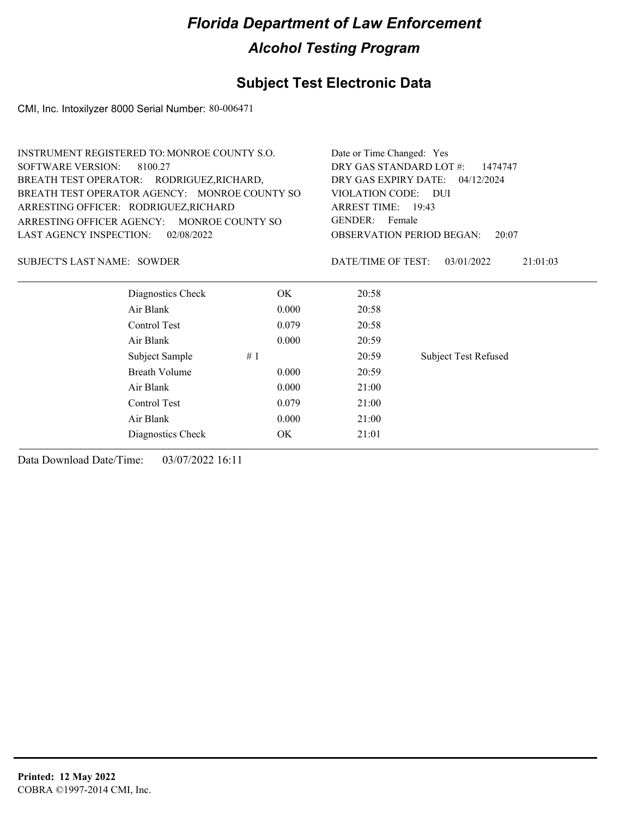## **Subject Test Electronic Data**

CMI, Inc. Intoxilyzer 8000 Serial Number: 80-006471

|                                               | <b>INSTRUMENT REGISTERED TO: MONROE COUNTY S.O.</b> |       |                                    | Date or Time Changed: Yes                 |  |  |  |
|-----------------------------------------------|-----------------------------------------------------|-------|------------------------------------|-------------------------------------------|--|--|--|
| <b>SOFTWARE VERSION:</b>                      | 8100.27                                             |       | DRY GAS STANDARD LOT #:<br>1474747 |                                           |  |  |  |
|                                               | BREATH TEST OPERATOR: RODRIGUEZ, RICHARD,           |       | DRY GAS EXPIRY DATE:<br>04/12/2024 |                                           |  |  |  |
| BREATH TEST OPERATOR AGENCY: MONROE COUNTY SO |                                                     |       | <b>VIOLATION CODE:</b>             | – DUI                                     |  |  |  |
|                                               | ARRESTING OFFICER: RODRIGUEZ, RICHARD               |       | ARREST TIME: 19:43                 |                                           |  |  |  |
| ARRESTING OFFICER AGENCY:                     | MONROE COUNTY SO                                    |       | <b>GENDER:</b><br>Female           |                                           |  |  |  |
| <b>LAST AGENCY INSPECTION:</b>                | 02/08/2022                                          |       |                                    | <b>OBSERVATION PERIOD BEGAN:</b><br>20:07 |  |  |  |
| <b>SUBJECT'S LAST NAME: SOWDER</b>            |                                                     |       | DATE/TIME OF TEST:                 | 03/01/2022<br>21:01:03                    |  |  |  |
|                                               | Diagnostics Check                                   | OK.   | 20:58                              |                                           |  |  |  |
|                                               | Air Blank                                           | 0.000 | 20:58                              |                                           |  |  |  |
|                                               | Control Test                                        | 0.079 | 20:58                              |                                           |  |  |  |
|                                               | Air Blank                                           | 0.000 | 20:59                              |                                           |  |  |  |
|                                               | Subject Sample                                      | #1    | 20:59                              | <b>Subject Test Refused</b>               |  |  |  |
|                                               | <b>Breath Volume</b>                                | 0.000 | 20:59                              |                                           |  |  |  |
|                                               | Air Blank                                           | 0.000 | 21:00                              |                                           |  |  |  |
|                                               | Control Test                                        | 0.079 | 21:00                              |                                           |  |  |  |
|                                               | Air Blank                                           | 0.000 | 21:00                              |                                           |  |  |  |
|                                               | Diagnostics Check                                   | OK    | 21:01                              |                                           |  |  |  |
|                                               |                                                     |       |                                    |                                           |  |  |  |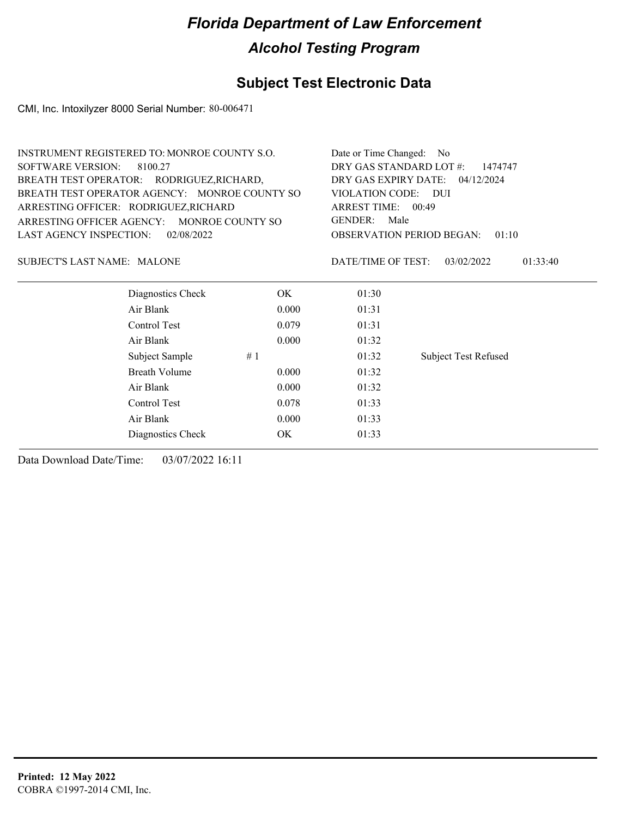## **Subject Test Electronic Data**

CMI, Inc. Intoxilyzer 8000 Serial Number: 80-006471

| <b>INSTRUMENT REGISTERED TO: MONROE COUNTY S.O.</b><br><b>SOFTWARE VERSION:</b><br>8100.27 |                                            |       |                                 | Date or Time Changed:<br>No<br>DRY GAS STANDARD LOT #:<br>1474747 |  |  |  |  |
|--------------------------------------------------------------------------------------------|--------------------------------------------|-------|---------------------------------|-------------------------------------------------------------------|--|--|--|--|
|                                                                                            | BREATH TEST OPERATOR: RODRIGUEZ, RICHARD,  |       |                                 | DRY GAS EXPIRY DATE: 04/12/2024                                   |  |  |  |  |
| BREATH TEST OPERATOR AGENCY: MONROE COUNTY SO<br>ARRESTING OFFICER: RODRIGUEZ, RICHARD     |                                            |       | <b>VIOLATION CODE:</b><br>- DUI |                                                                   |  |  |  |  |
|                                                                                            |                                            |       | ARREST TIME: 00:49              |                                                                   |  |  |  |  |
|                                                                                            | ARRESTING OFFICER AGENCY: MONROE COUNTY SO |       | <b>GENDER:</b><br>Male          |                                                                   |  |  |  |  |
| <b>LAST AGENCY INSPECTION:</b>                                                             | 02/08/2022                                 |       |                                 | <b>OBSERVATION PERIOD BEGAN:</b><br>01:10                         |  |  |  |  |
| SUBJECT'S LAST NAME: MALONE                                                                |                                            |       | DATE/TIME OF TEST:              | 03/02/2022<br>01:33:40                                            |  |  |  |  |
|                                                                                            | Diagnostics Check                          | OK.   | 01:30                           |                                                                   |  |  |  |  |
|                                                                                            | Air Blank                                  | 0.000 | 01:31                           |                                                                   |  |  |  |  |
|                                                                                            | Control Test                               | 0.079 | 01:31                           |                                                                   |  |  |  |  |
|                                                                                            | Air Blank                                  | 0.000 | 01:32                           |                                                                   |  |  |  |  |
|                                                                                            | Subject Sample                             | #1    | 01:32                           | <b>Subject Test Refused</b>                                       |  |  |  |  |
|                                                                                            | <b>Breath Volume</b>                       | 0.000 | 01:32                           |                                                                   |  |  |  |  |
|                                                                                            | Air Blank                                  | 0.000 | 01:32                           |                                                                   |  |  |  |  |
|                                                                                            | Control Test                               | 0.078 | 01:33                           |                                                                   |  |  |  |  |
|                                                                                            | Air Blank                                  | 0.000 | 01:33                           |                                                                   |  |  |  |  |
|                                                                                            | Diagnostics Check                          | OK.   | 01:33                           |                                                                   |  |  |  |  |
|                                                                                            |                                            |       |                                 |                                                                   |  |  |  |  |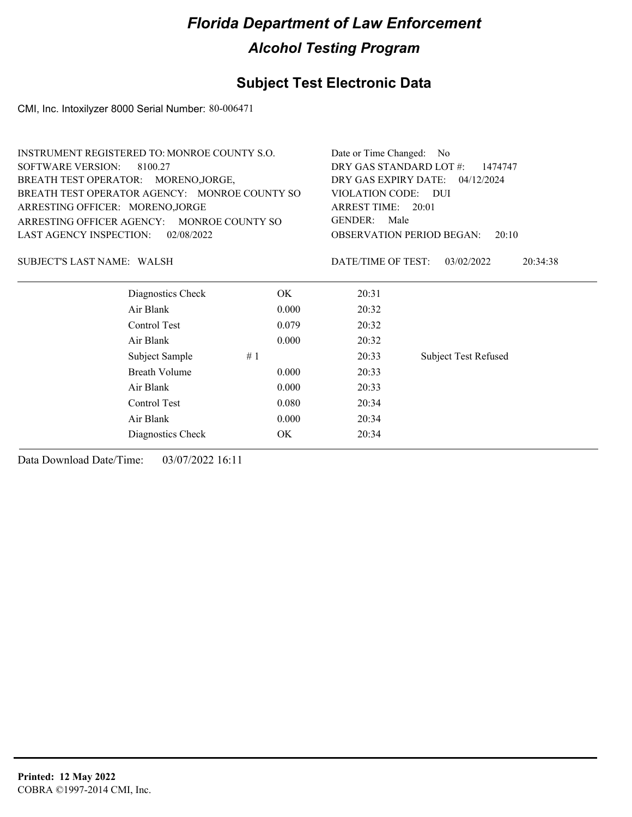### **Subject Test Electronic Data**

CMI, Inc. Intoxilyzer 8000 Serial Number: 80-006471

| <b>INSTRUMENT REGISTERED TO: MONROE COUNTY S.O.</b>                                                                       |                   |       | Date or Time Changed: No                                  |                             |                        |  |                    |
|---------------------------------------------------------------------------------------------------------------------------|-------------------|-------|-----------------------------------------------------------|-----------------------------|------------------------|--|--------------------|
| <b>SOFTWARE VERSION:</b>                                                                                                  | 8100.27           |       | DRY GAS STANDARD LOT #:<br>1474747                        |                             |                        |  |                    |
| BREATH TEST OPERATOR: MORENO, JORGE,<br>BREATH TEST OPERATOR AGENCY: MONROE COUNTY SO<br>ARRESTING OFFICER: MORENO, JORGE |                   |       | DRY GAS EXPIRY DATE:<br>04/12/2024<br>VIOLATION CODE: DUI |                             |                        |  |                    |
|                                                                                                                           |                   |       |                                                           |                             |                        |  | ARREST TIME: 20:01 |
|                                                                                                                           |                   |       | ARRESTING OFFICER AGENCY:<br>MONROE COUNTY SO             |                             | <b>GENDER:</b><br>Male |  |                    |
| <b>LAST AGENCY INSPECTION:</b>                                                                                            | 02/08/2022        |       | <b>OBSERVATION PERIOD BEGAN:</b><br>20:10                 |                             |                        |  |                    |
| SUBJECT'S LAST NAME: WALSH                                                                                                |                   |       | DATE/TIME OF TEST:                                        | 03/02/2022<br>20:34:38      |                        |  |                    |
|                                                                                                                           | Diagnostics Check | OK.   | 20:31                                                     |                             |                        |  |                    |
|                                                                                                                           | Air Blank         | 0.000 | 20:32                                                     |                             |                        |  |                    |
|                                                                                                                           | Control Test      | 0.079 | 20:32                                                     |                             |                        |  |                    |
|                                                                                                                           | Air Blank         | 0.000 | 20:32                                                     |                             |                        |  |                    |
|                                                                                                                           | Subject Sample    | #1    | 20:33                                                     | <b>Subject Test Refused</b> |                        |  |                    |
|                                                                                                                           | Breath Volume     | 0.000 | 20:33                                                     |                             |                        |  |                    |
|                                                                                                                           | Air Blank         | 0.000 | 20:33                                                     |                             |                        |  |                    |
|                                                                                                                           | Control Test      | 0.080 | 20:34                                                     |                             |                        |  |                    |
|                                                                                                                           | Air Blank         | 0.000 | 20:34                                                     |                             |                        |  |                    |
|                                                                                                                           | Diagnostics Check | OK.   | 20:34                                                     |                             |                        |  |                    |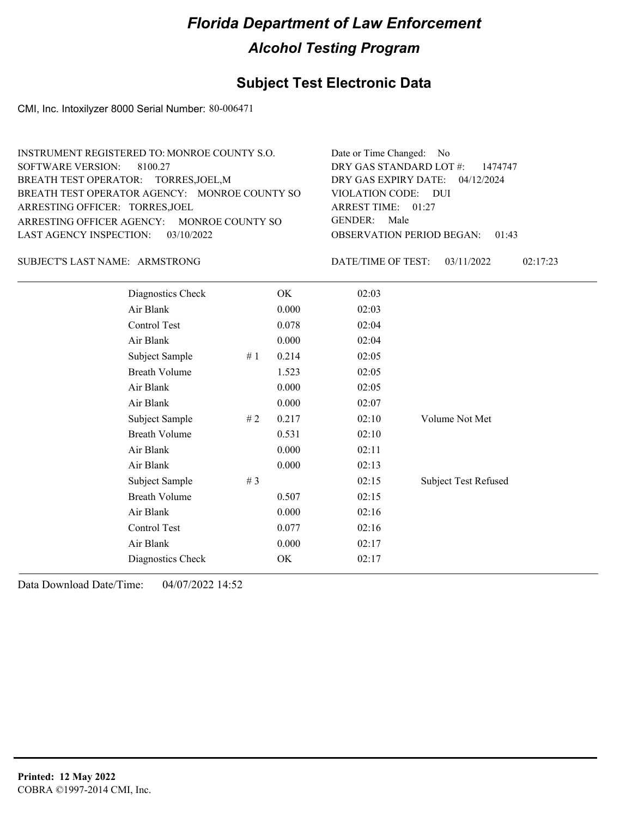### **Subject Test Electronic Data**

CMI, Inc. Intoxilyzer 8000 Serial Number: 80-006471

| INSTRUMENT REGISTERED TO: MONROE COUNTY S.O.  | Date or Time Changed: No               |
|-----------------------------------------------|----------------------------------------|
| SOFTWARE VERSION: 8100.27                     | DRY GAS STANDARD LOT $\#$ : 1474747    |
| BREATH TEST OPERATOR: TORRES, JOEL, M         | DRY GAS EXPIRY DATE: 04/12/2024        |
| BREATH TEST OPERATOR AGENCY: MONROE COUNTY SO | VIOLATION CODE: DUI                    |
| ARRESTING OFFICER: TORRES, JOEL               | ARREST TIME: $01:27$                   |
| ARRESTING OFFICER AGENCY: MONROE COUNTY SO    | GENDER: Male                           |
| LAST AGENCY INSPECTION: 03/10/2022            | <b>OBSERVATION PERIOD BEGAN: 01:43</b> |
|                                               |                                        |

ARMSTRONG SUBJECT'S LAST NAME: DATE/TIME OF TEST:

DATE/TIME OF TEST: 03/11/2022 02:17:23

| Diagnostics Check    |    | OK    | 02:03 |                             |
|----------------------|----|-------|-------|-----------------------------|
| Air Blank            |    | 0.000 | 02:03 |                             |
| Control Test         |    | 0.078 | 02:04 |                             |
| Air Blank            |    | 0.000 | 02:04 |                             |
| Subject Sample       | #1 | 0.214 | 02:05 |                             |
| <b>Breath Volume</b> |    | 1.523 | 02:05 |                             |
| Air Blank            |    | 0.000 | 02:05 |                             |
| Air Blank            |    | 0.000 | 02:07 |                             |
| Subject Sample       | #2 | 0.217 | 02:10 | Volume Not Met              |
| <b>Breath Volume</b> |    | 0.531 | 02:10 |                             |
| Air Blank            |    | 0.000 | 02:11 |                             |
| Air Blank            |    | 0.000 | 02:13 |                             |
| Subject Sample       | #3 |       | 02:15 | <b>Subject Test Refused</b> |
| <b>Breath Volume</b> |    | 0.507 | 02:15 |                             |
| Air Blank            |    | 0.000 | 02:16 |                             |
| Control Test         |    | 0.077 | 02:16 |                             |
| Air Blank            |    | 0.000 | 02:17 |                             |
| Diagnostics Check    |    | OK    | 02:17 |                             |
|                      |    |       |       |                             |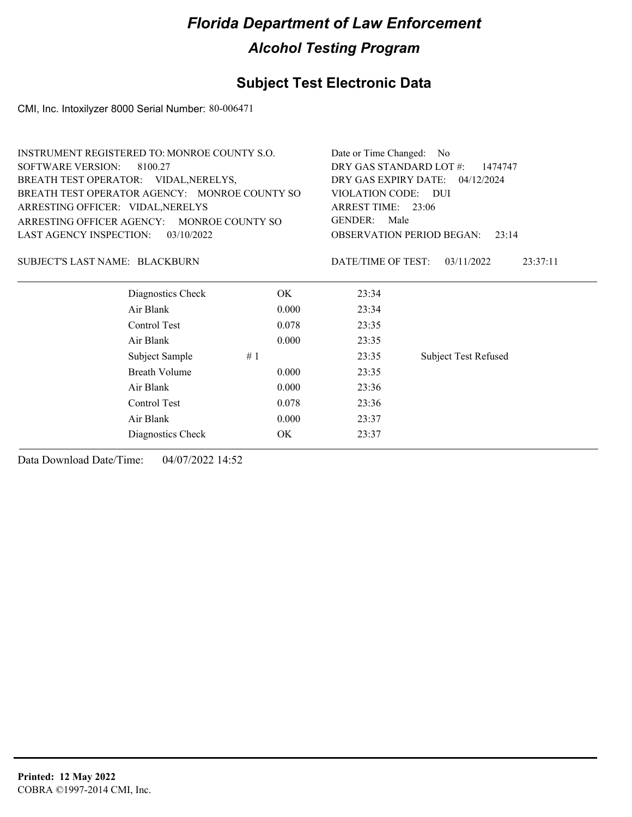#### **Subject Test Electronic Data**

CMI, Inc. Intoxilyzer 8000 Serial Number: 80-006471

| <b>INSTRUMENT REGISTERED TO: MONROE COUNTY S.O.</b> |                     | Date or Time Changed: No                     |  |  |
|-----------------------------------------------------|---------------------|----------------------------------------------|--|--|
| SOFTWARE VERSION:<br>8100.27                        |                     | DRY GAS STANDARD LOT #:<br>1474747           |  |  |
| BREATH TEST OPERATOR: VIDAL, NERELYS,               |                     | DRY GAS EXPIRY DATE:<br>04/12/2024           |  |  |
| BREATH TEST OPERATOR AGENCY: MONROE COUNTY SO       | VIOLATION CODE: DUI |                                              |  |  |
| ARRESTING OFFICER: VIDAL, NERELYS                   |                     | ARREST TIME: 23:06                           |  |  |
| ARRESTING OFFICER AGENCY: MONROE COUNTY SO          |                     | GENDER:<br>Male                              |  |  |
| LAST AGENCY INSPECTION: $03/10/2022$                |                     | <b>OBSERVATION PERIOD BEGAN:</b><br>23:14    |  |  |
| SUBJECT'S LAST NAME: BLACKBURN                      |                     | DATE/TIME OF TEST:<br>03/11/2022<br>23:37:11 |  |  |
| Diagnostics Check                                   | OK.                 | 23:34                                        |  |  |
| Air Blank                                           | 0.000               | 23:34                                        |  |  |
| Control Test                                        | 0.078               | 23:35                                        |  |  |
| Air Blank                                           | 0.000               | 23:35                                        |  |  |

Subject Sample # 1  $\qquad$  23:35 Subject Test Refused

Breath Volume 0.000 23:35 Air Blank 0.000 23:36 Control Test 0.078 23:36 Air Blank 0.000 23:37 Diagnostics Check OK 23:37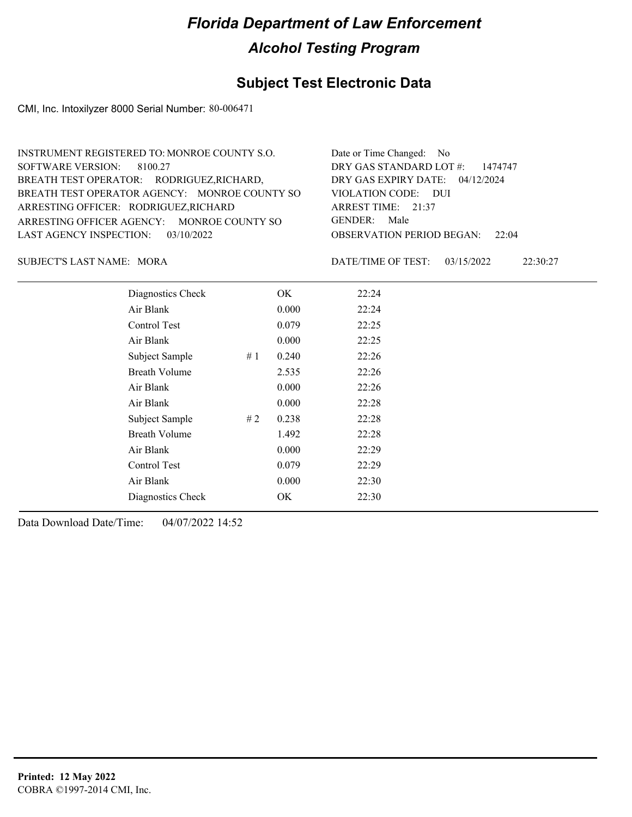### **Subject Test Electronic Data**

CMI, Inc. Intoxilyzer 8000 Serial Number: 80-006471

| INSTRUMENT REGISTERED TO: MONROE COUNTY S.O.  | Date or Time Changed: No               |
|-----------------------------------------------|----------------------------------------|
| SOFTWARE VERSION: 8100.27                     | DRY GAS STANDARD LOT $\#$ : 1474747    |
| BREATH TEST OPERATOR: RODRIGUEZ, RICHARD,     | DRY GAS EXPIRY DATE: 04/12/2024        |
| BREATH TEST OPERATOR AGENCY: MONROE COUNTY SO | VIOLATION CODE: DUI                    |
| ARRESTING OFFICER: RODRIGUEZ, RICHARD         | ARREST TIME: $21:37$                   |
| ARRESTING OFFICER AGENCY: MONROE COUNTY SO    | GENDER: Male                           |
| LAST AGENCY INSPECTION: $03/10/2022$          | <b>OBSERVATION PERIOD BEGAN: 22:04</b> |
|                                               |                                        |

MORA SUBJECT'S LAST NAME: DATE/TIME OF TEST:

DATE/TIME OF TEST: 03/15/2022 22:30:27

| Diagnostics Check    |    | OK    | 22:24 |
|----------------------|----|-------|-------|
| Air Blank            |    | 0.000 | 22:24 |
| Control Test         |    | 0.079 | 22:25 |
| Air Blank            |    | 0.000 | 22:25 |
| Subject Sample       | #1 | 0.240 | 22:26 |
| <b>Breath Volume</b> |    | 2.535 | 22:26 |
| Air Blank            |    | 0.000 | 22:26 |
| Air Blank            |    | 0.000 | 22:28 |
| Subject Sample       | #2 | 0.238 | 22:28 |
| <b>Breath Volume</b> |    | 1.492 | 22:28 |
| Air Blank            |    | 0.000 | 22:29 |
| Control Test         |    | 0.079 | 22:29 |
| Air Blank            |    | 0.000 | 22:30 |
| Diagnostics Check    |    | OK    | 22:30 |
|                      |    |       |       |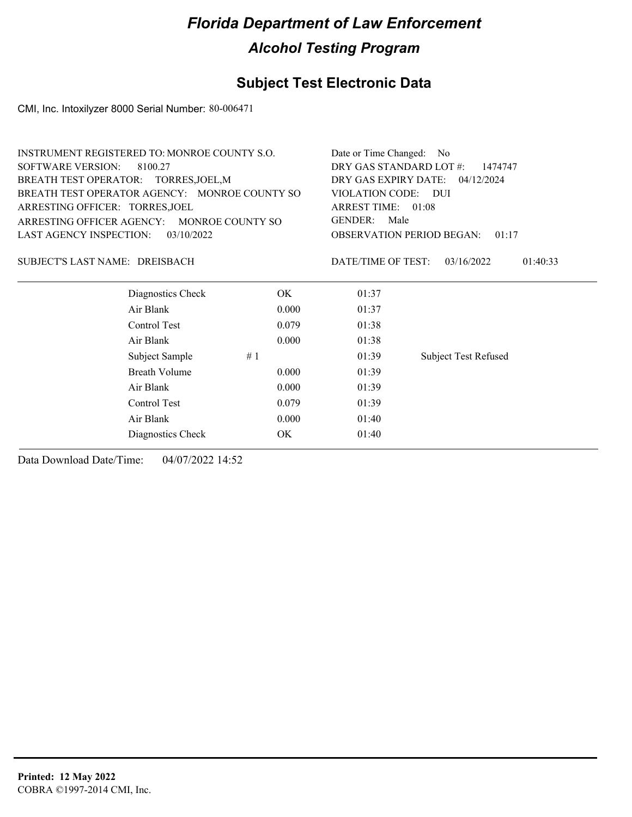## **Subject Test Electronic Data**

CMI, Inc. Intoxilyzer 8000 Serial Number: 80-006471

| INSTRUMENT REGISTERED TO: MONROE COUNTY S.O.  | Date or Time Changed: No                     |
|-----------------------------------------------|----------------------------------------------|
| SOFTWARE VERSION: 8100.27                     | DRY GAS STANDARD LOT $\#$ : 1474747          |
| BREATH TEST OPERATOR: TORRES, JOEL, M         | DRY GAS EXPIRY DATE: 04/12/2024              |
| BREATH TEST OPERATOR AGENCY: MONROE COUNTY SO | VIOLATION CODE: DUI                          |
| ARRESTING OFFICER: TORRES, JOEL               | ARREST TIME: $01:08$                         |
| ARRESTING OFFICER AGENCY: MONROE COUNTY SO    | GENDER: Male                                 |
| LAST AGENCY INSPECTION: $03/10/2022$          | <b>OBSERVATION PERIOD BEGAN: 01:17</b>       |
| SUBJECT'S LAST NAME: DREISBACH                | 01:40:33<br>DATE/TIME OF TEST:<br>03/16/2022 |

| Diagnostics Check    | OK.   | 01:37 |                             |
|----------------------|-------|-------|-----------------------------|
| Air Blank            | 0.000 | 01:37 |                             |
| Control Test         | 0.079 | 01:38 |                             |
| Air Blank            | 0.000 | 01:38 |                             |
| Subject Sample       | #1    | 01:39 | <b>Subject Test Refused</b> |
| <b>Breath Volume</b> | 0.000 | 01:39 |                             |
| Air Blank            | 0.000 | 01:39 |                             |
| Control Test         | 0.079 | 01:39 |                             |
| Air Blank            | 0.000 | 01:40 |                             |
| Diagnostics Check    | OK    | 01:40 |                             |
|                      |       |       |                             |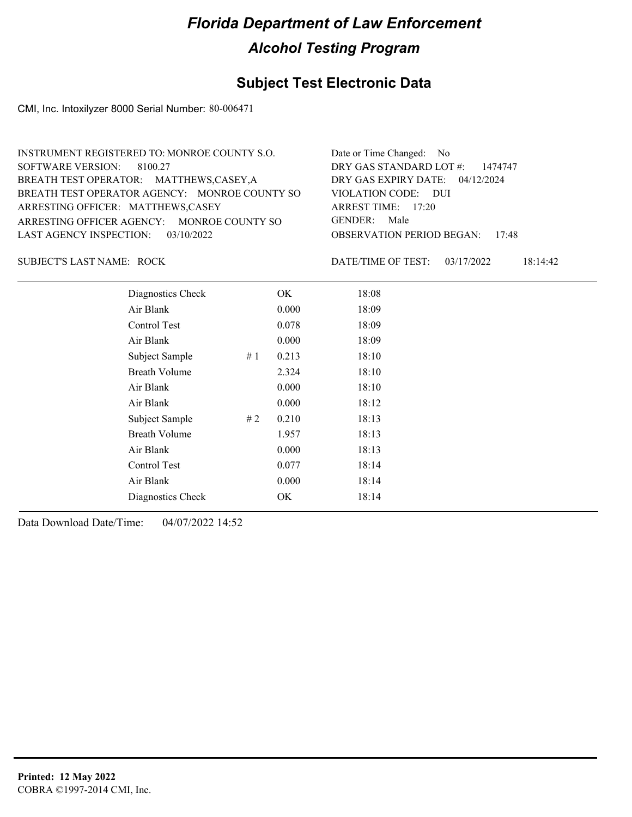### **Subject Test Electronic Data**

CMI, Inc. Intoxilyzer 8000 Serial Number: 80-006471

SUBJECT'S LAST NAME: ROCK DATE/TIME OF TEST:

DATE/TIME OF TEST: 03/17/2022 18:14:42

| Diagnostics Check    |    | OK    | 18:08 |  |
|----------------------|----|-------|-------|--|
| Air Blank            |    | 0.000 | 18:09 |  |
| Control Test         |    | 0.078 | 18:09 |  |
| Air Blank            |    | 0.000 | 18:09 |  |
| Subject Sample       | #1 | 0.213 | 18:10 |  |
| <b>Breath Volume</b> |    | 2.324 | 18:10 |  |
| Air Blank            |    | 0.000 | 18:10 |  |
| Air Blank            |    | 0.000 | 18:12 |  |
| Subject Sample       | #2 | 0.210 | 18:13 |  |
| <b>Breath Volume</b> |    | 1.957 | 18:13 |  |
| Air Blank            |    | 0.000 | 18:13 |  |
| Control Test         |    | 0.077 | 18:14 |  |
| Air Blank            |    | 0.000 | 18:14 |  |
| Diagnostics Check    |    | OK    | 18:14 |  |
|                      |    |       |       |  |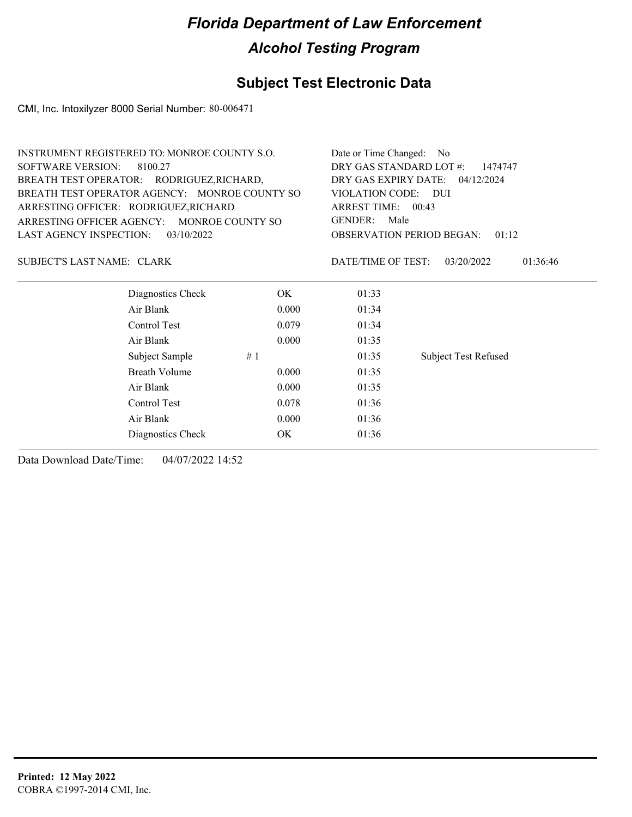## **Subject Test Electronic Data**

CMI, Inc. Intoxilyzer 8000 Serial Number: 80-006471

|                                   | <b>INSTRUMENT REGISTERED TO: MONROE COUNTY S.O.</b> |       |                         | Date or Time Changed: No                  |  |
|-----------------------------------|-----------------------------------------------------|-------|-------------------------|-------------------------------------------|--|
| <b>SOFTWARE VERSION:</b>          | 8100.27                                             |       | DRY GAS STANDARD LOT #: | 1474747                                   |  |
|                                   | BREATH TEST OPERATOR: RODRIGUEZ, RICHARD,           |       | DRY GAS EXPIRY DATE:    | 04/12/2024                                |  |
|                                   | BREATH TEST OPERATOR AGENCY: MONROE COUNTY SO       |       | <b>VIOLATION CODE:</b>  | – DUI                                     |  |
|                                   | ARRESTING OFFICER: RODRIGUEZ, RICHARD               |       | ARREST TIME: 00:43      |                                           |  |
|                                   | ARRESTING OFFICER AGENCY: MONROE COUNTY SO          |       | <b>GENDER:</b><br>Male  |                                           |  |
| LAST AGENCY INSPECTION:           | 03/10/2022                                          |       |                         | <b>OBSERVATION PERIOD BEGAN:</b><br>01:12 |  |
| <b>SUBJECT'S LAST NAME: CLARK</b> |                                                     |       | DATE/TIME OF TEST:      | 03/20/2022<br>01:36:46                    |  |
|                                   | Diagnostics Check                                   | OK.   | 01:33                   |                                           |  |
|                                   | Air Blank                                           | 0.000 | 01:34                   |                                           |  |
|                                   | Control Test                                        | 0.079 | 01:34                   |                                           |  |
|                                   | Air Blank                                           | 0.000 | 01:35                   |                                           |  |
|                                   | Subject Sample                                      | #1    | 01:35                   | <b>Subject Test Refused</b>               |  |
|                                   | <b>Breath Volume</b>                                | 0.000 | 01:35                   |                                           |  |
|                                   | Air Blank                                           | 0.000 | 01:35                   |                                           |  |
|                                   | Control Test                                        | 0.078 | 01:36                   |                                           |  |
|                                   | Air Blank                                           | 0.000 | 01:36                   |                                           |  |
|                                   | Diagnostics Check                                   | OK    | 01:36                   |                                           |  |
|                                   |                                                     |       |                         |                                           |  |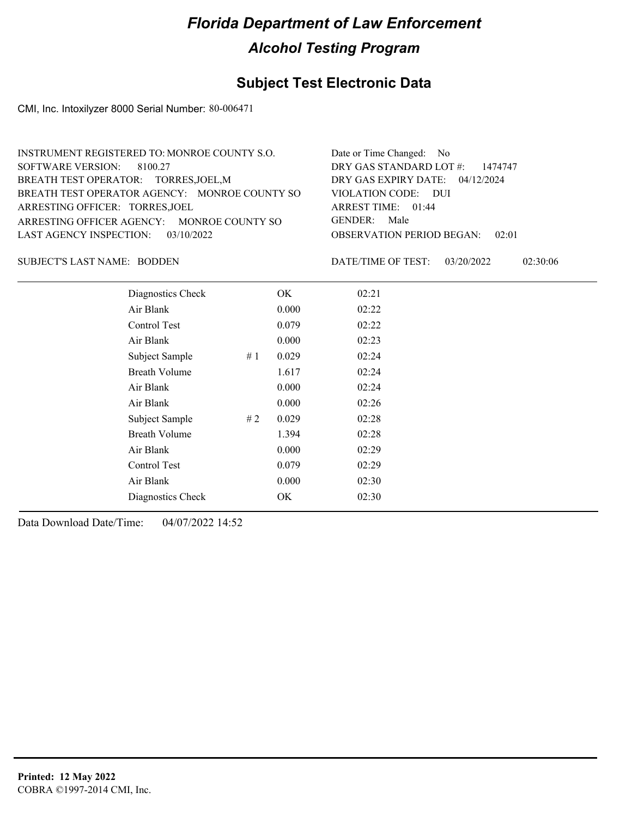### **Subject Test Electronic Data**

CMI, Inc. Intoxilyzer 8000 Serial Number: 80-006471

| INSTRUMENT REGISTERED TO: MONROE COUNTY S.O.  | Date or Time Changed: No               |
|-----------------------------------------------|----------------------------------------|
| SOFTWARE VERSION: 8100.27                     | DRY GAS STANDARD LOT $\#$ : 1474747    |
| BREATH TEST OPERATOR: TORRES, JOEL, M         | DRY GAS EXPIRY DATE: 04/12/2024        |
| BREATH TEST OPERATOR AGENCY: MONROE COUNTY SO | VIOLATION CODE: DUI                    |
| ARRESTING OFFICER: TORRES, JOEL               | ARREST TIME: 01:44                     |
| ARRESTING OFFICER AGENCY: MONROE COUNTY SO    | GENDER: Male                           |
| LAST AGENCY INSPECTION: 03/10/2022            | <b>OBSERVATION PERIOD BEGAN:</b> 02:01 |
|                                               |                                        |

SUBJECT'S LAST NAME: BODDEN DATE/TIME OF TEST:

DATE/TIME OF TEST: 03/20/2022 02:30:06

| Diagnostics Check    |    | OK    | 02:21 |
|----------------------|----|-------|-------|
| Air Blank            |    | 0.000 | 02:22 |
| Control Test         |    | 0.079 | 02:22 |
| Air Blank            |    | 0.000 | 02:23 |
| Subject Sample       | #1 | 0.029 | 02:24 |
| <b>Breath Volume</b> |    | 1.617 | 02:24 |
| Air Blank            |    | 0.000 | 02:24 |
| Air Blank            |    | 0.000 | 02:26 |
| Subject Sample       | #2 | 0.029 | 02:28 |
| <b>Breath Volume</b> |    | 1.394 | 02:28 |
| Air Blank            |    | 0.000 | 02:29 |
| Control Test         |    | 0.079 | 02:29 |
| Air Blank            |    | 0.000 | 02:30 |
| Diagnostics Check    |    | OK    | 02:30 |
|                      |    |       |       |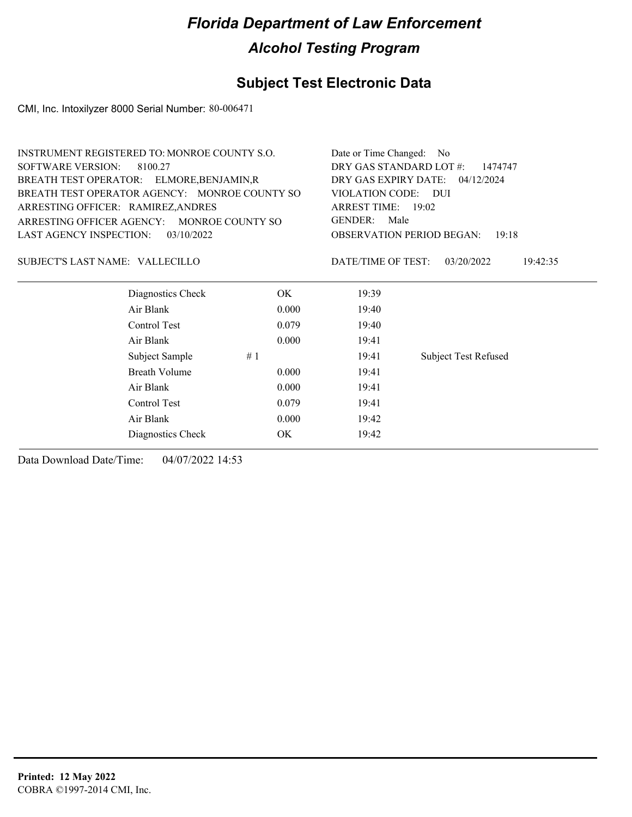## **Subject Test Electronic Data**

CMI, Inc. Intoxilyzer 8000 Serial Number: 80-006471

| INSTRUMENT REGISTERED TO: MONROE COUNTY S.O.  | Date or Time Changed: No                    |
|-----------------------------------------------|---------------------------------------------|
| SOFTWARE VERSION: 8100.27                     | DRY GAS STANDARD LOT $\#$ : 1474747         |
| BREATH TEST OPERATOR: ELMORE, BENJAMIN, R     | DRY GAS EXPIRY DATE: $04/12/2024$           |
| BREATH TEST OPERATOR AGENCY: MONROE COUNTY SO | VIOLATION CODE: DUI                         |
| ARRESTING OFFICER: RAMIREZ, ANDRES            | ARREST TIME: $19:02$                        |
| ARRESTING OFFICER AGENCY: MONROE COUNTY SO    | GENDER: Male                                |
| LAST AGENCY INSPECTION: $03/10/2022$          | <b>OBSERVATION PERIOD BEGAN: 19:18</b>      |
|                                               |                                             |
| SUBJECT'S LAST NAME: VALLECILLO               | 19:42:35<br>DATE/TIME OF TEST: $03/20/2022$ |

| Diagnostics Check    |    | OK.   | 19:39 |                             |
|----------------------|----|-------|-------|-----------------------------|
| Air Blank            |    | 0.000 | 19:40 |                             |
| Control Test         |    | 0.079 | 19:40 |                             |
| Air Blank            |    | 0.000 | 19:41 |                             |
| Subject Sample       | #1 |       | 19:41 | <b>Subject Test Refused</b> |
| <b>Breath Volume</b> |    | 0.000 | 19:41 |                             |
| Air Blank            |    | 0.000 | 19:41 |                             |
| Control Test         |    | 0.079 | 19:41 |                             |
| Air Blank            |    | 0.000 | 19:42 |                             |
| Diagnostics Check    |    | OK    | 19:42 |                             |
|                      |    |       |       |                             |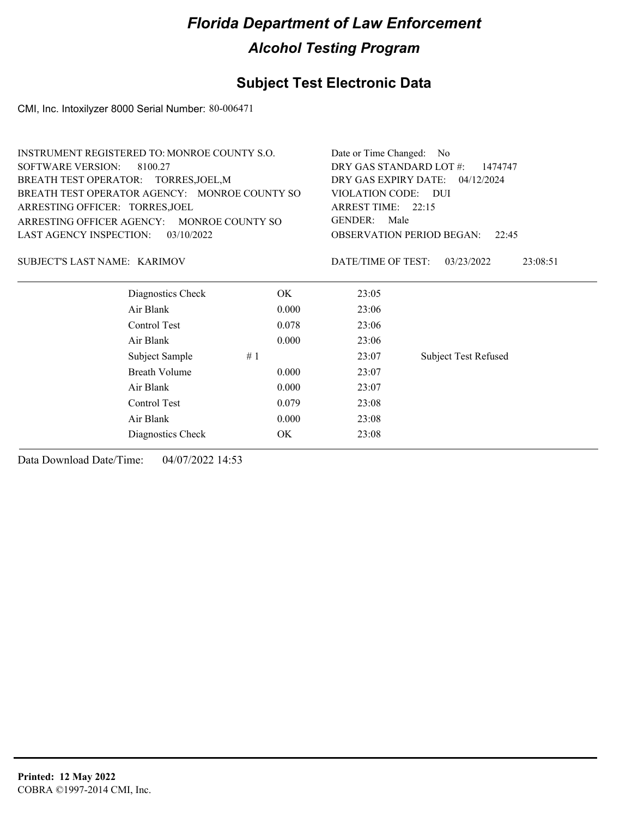#### **Subject Test Electronic Data**

CMI, Inc. Intoxilyzer 8000 Serial Number: 80-006471

| INSTRUMENT REGISTERED TO: MONROE COUNTY S.O.  | Date or Time Changed: No                    |
|-----------------------------------------------|---------------------------------------------|
| SOFTWARE VERSION: 8100.27                     | DRY GAS STANDARD LOT #: 1474747             |
| BREATH TEST OPERATOR: TORRES, JOEL, M         | DRY GAS EXPIRY DATE: $04/12/2024$           |
| BREATH TEST OPERATOR AGENCY: MONROE COUNTY SO | VIOLATION CODE: DUI                         |
| ARRESTING OFFICER: TORRES, JOEL               | ARREST TIME: $22:15$                        |
| ARRESTING OFFICER AGENCY: MONROE COUNTY SO    | GENDER: Male                                |
| LAST AGENCY INSPECTION: $03/10/2022$          | <b>OBSERVATION PERIOD BEGAN:</b> 22:45      |
|                                               |                                             |
| SUBJECT'S LAST NAME: KARIMOV                  | 23:08:51<br>DATE/TIME OF TEST: $03/23/2022$ |

| Diagnostics Check    | <b>OK</b> | 23:05 |                             |
|----------------------|-----------|-------|-----------------------------|
| Air Blank            | 0.000     | 23:06 |                             |
| Control Test         | 0.078     | 23:06 |                             |
| Air Blank            | 0.000     | 23:06 |                             |
| Subject Sample       | #1        | 23:07 | <b>Subject Test Refused</b> |
| <b>Breath Volume</b> | 0.000     | 23:07 |                             |
| Air Blank            | 0.000     | 23:07 |                             |
| Control Test         | 0.079     | 23:08 |                             |
| Air Blank            | 0.000     | 23:08 |                             |
| Diagnostics Check    | OK        | 23:08 |                             |
|                      |           |       |                             |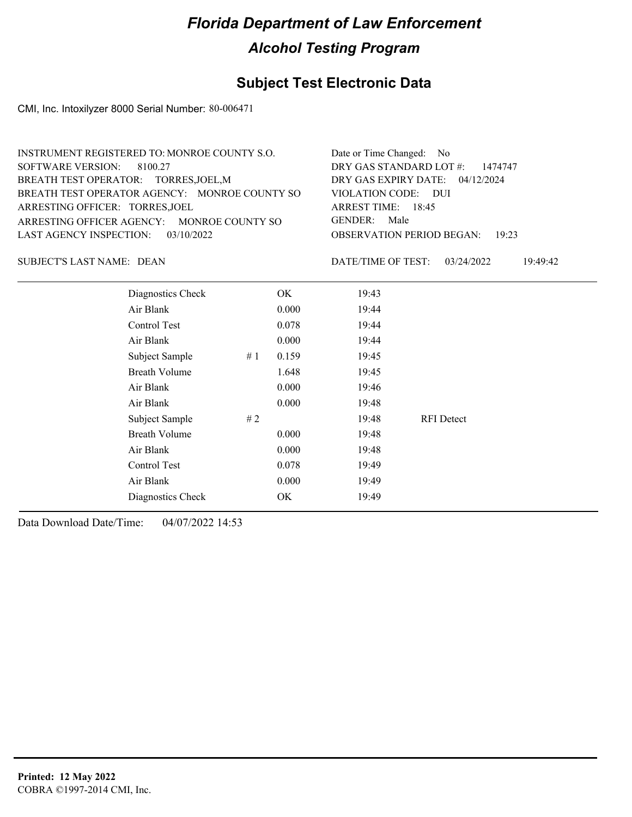### **Subject Test Electronic Data**

CMI, Inc. Intoxilyzer 8000 Serial Number: 80-006471

| INSTRUMENT REGISTERED TO: MONROE COUNTY S.O.  | Date or Time Changed: No               |
|-----------------------------------------------|----------------------------------------|
| SOFTWARE VERSION: 8100.27                     | DRY GAS STANDARD LOT #: 1474747        |
| BREATH TEST OPERATOR: TORRES, JOEL, M         | DRY GAS EXPIRY DATE: 04/12/2024        |
| BREATH TEST OPERATOR AGENCY: MONROE COUNTY SO | VIOLATION CODE: DUI                    |
| ARRESTING OFFICER: TORRES, JOEL               | ARREST TIME: 18:45                     |
| ARRESTING OFFICER AGENCY: MONROE COUNTY SO    | GENDER: Male                           |
| LAST AGENCY INSPECTION: $03/10/2022$          | <b>OBSERVATION PERIOD BEGAN: 19:23</b> |
|                                               |                                        |

SUBJECT'S LAST NAME: DEAN DATE/TIME OF TEST:

DATE/TIME OF TEST: 03/24/2022 19:49:42

| Diagnostics Check    |    | OK    | 19:43 |                   |  |
|----------------------|----|-------|-------|-------------------|--|
| Air Blank            |    | 0.000 | 19:44 |                   |  |
| Control Test         |    | 0.078 | 19:44 |                   |  |
| Air Blank            |    | 0.000 | 19:44 |                   |  |
| Subject Sample       | #1 | 0.159 | 19:45 |                   |  |
| <b>Breath Volume</b> |    | 1.648 | 19:45 |                   |  |
| Air Blank            |    | 0.000 | 19:46 |                   |  |
| Air Blank            |    | 0.000 | 19:48 |                   |  |
| Subject Sample       | #2 |       | 19:48 | <b>RFI</b> Detect |  |
| <b>Breath Volume</b> |    | 0.000 | 19:48 |                   |  |
| Air Blank            |    | 0.000 | 19:48 |                   |  |
| Control Test         |    | 0.078 | 19:49 |                   |  |
| Air Blank            |    | 0.000 | 19:49 |                   |  |
| Diagnostics Check    |    | OK    | 19:49 |                   |  |
|                      |    |       |       |                   |  |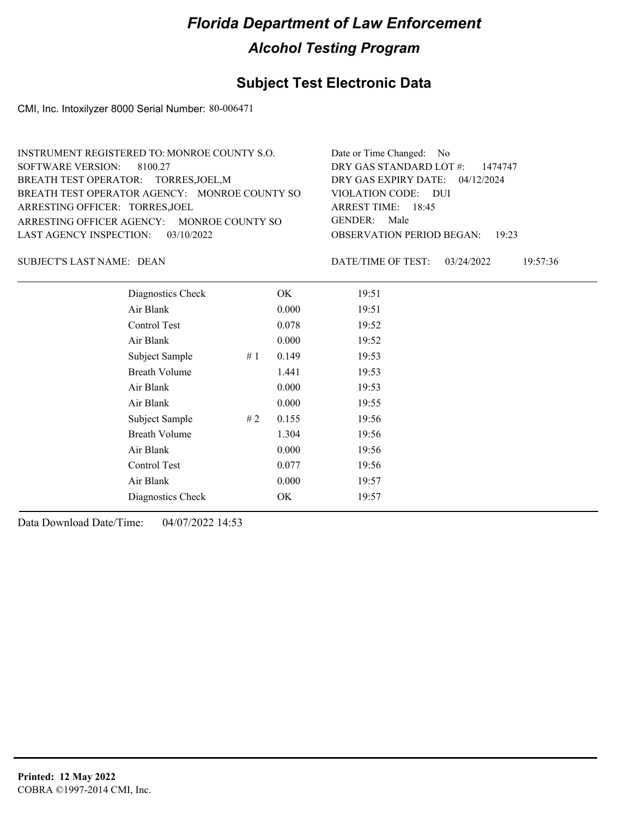### **Subject Test Electronic Data**

CMI, Inc. Intoxilyzer 8000 Serial Number: 80-006471

| INSTRUMENT REGISTERED TO: MONROE COUNTY S.O.  | Date or Time Changed: No               |
|-----------------------------------------------|----------------------------------------|
| SOFTWARE VERSION: 8100.27                     | DRY GAS STANDARD LOT $\#$ : 1474747    |
| BREATH TEST OPERATOR: TORRES, JOEL, M         | DRY GAS EXPIRY DATE: $04/12/2024$      |
| BREATH TEST OPERATOR AGENCY: MONROE COUNTY SO | VIOLATION CODE: DUI                    |
| ARRESTING OFFICER: TORRES, JOEL               | ARREST TIME: 18:45                     |
| ARRESTING OFFICER AGENCY: MONROE COUNTY SO    | GENDER: Male                           |
| LAST AGENCY INSPECTION: 03/10/2022            | <b>OBSERVATION PERIOD BEGAN: 19:23</b> |
|                                               |                                        |

SUBJECT'S LAST NAME: DEAN DATE/TIME OF TEST:

DATE/TIME OF TEST: 03/24/2022 19:57:36

| Diagnostics Check    |    | OK    | 19:51 |
|----------------------|----|-------|-------|
| Air Blank            |    | 0.000 | 19:51 |
| Control Test         |    | 0.078 | 19:52 |
| Air Blank            |    | 0.000 | 19:52 |
| Subject Sample       | #1 | 0.149 | 19:53 |
| <b>Breath Volume</b> |    | 1.441 | 19:53 |
| Air Blank            |    | 0.000 | 19:53 |
| Air Blank            |    | 0.000 | 19:55 |
| Subject Sample       | #2 | 0.155 | 19:56 |
| <b>Breath Volume</b> |    | 1.304 | 19:56 |
| Air Blank            |    | 0.000 | 19:56 |
| Control Test         |    | 0.077 | 19:56 |
| Air Blank            |    | 0.000 | 19:57 |
| Diagnostics Check    |    | OK    | 19:57 |
|                      |    |       |       |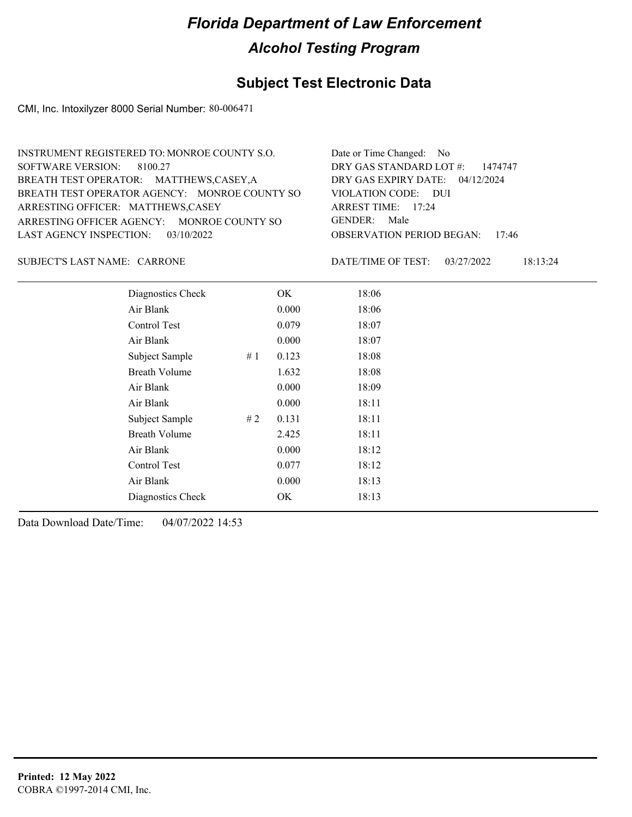### **Subject Test Electronic Data**

CMI, Inc. Intoxilyzer 8000 Serial Number: 80-006471

| INSTRUMENT REGISTERED TO: MONROE COUNTY S.O.  | Date or Time Changed: No               |
|-----------------------------------------------|----------------------------------------|
| SOFTWARE VERSION: 8100.27                     | DRY GAS STANDARD LOT $\#$ : 1474747    |
| BREATH TEST OPERATOR: MATTHEWS,CASEY,A        | DRY GAS EXPIRY DATE: 04/12/2024        |
| BREATH TEST OPERATOR AGENCY: MONROE COUNTY SO | VIOLATION CODE: DUI                    |
| ARRESTING OFFICER: MATTHEWS,CASEY             | ARREST TIME: $17:24$                   |
| ARRESTING OFFICER AGENCY: MONROE COUNTY SO    | GENDER: Male                           |
| LAST AGENCY INSPECTION: $03/10/2022$          | <b>OBSERVATION PERIOD BEGAN: 17:46</b> |
|                                               |                                        |

CARRONE SUBJECT'S LAST NAME: DATE/TIME OF TEST:

DATE/TIME OF TEST: 03/27/2022 18:13:24

| Diagnostics Check    |    | OK    | 18:06 |
|----------------------|----|-------|-------|
| Air Blank            |    | 0.000 | 18:06 |
| Control Test         |    | 0.079 | 18:07 |
| Air Blank            |    | 0.000 | 18:07 |
| Subject Sample       | #1 | 0.123 | 18:08 |
| <b>Breath Volume</b> |    | 1.632 | 18:08 |
| Air Blank            |    | 0.000 | 18:09 |
| Air Blank            |    | 0.000 | 18:11 |
| Subject Sample       | #2 | 0.131 | 18:11 |
| <b>Breath Volume</b> |    | 2.425 | 18:11 |
| Air Blank            |    | 0.000 | 18:12 |
| Control Test         |    | 0.077 | 18:12 |
| Air Blank            |    | 0.000 | 18:13 |
| Diagnostics Check    |    | OK    | 18:13 |
|                      |    |       |       |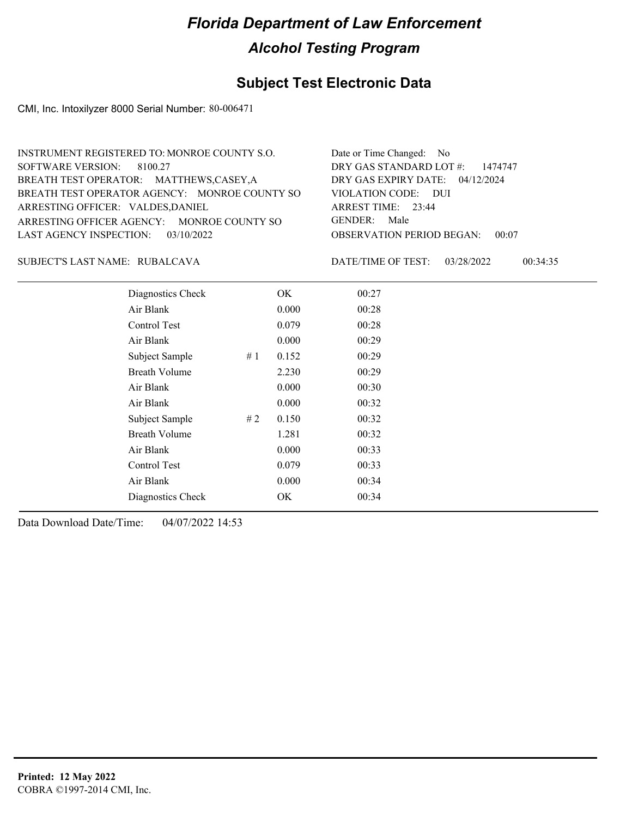### **Subject Test Electronic Data**

CMI, Inc. Intoxilyzer 8000 Serial Number: 80-006471

| INSTRUMENT REGISTERED TO: MONROE COUNTY S.O.  | Date or Time Changed: No               |
|-----------------------------------------------|----------------------------------------|
| SOFTWARE VERSION: 8100.27                     | DRY GAS STANDARD LOT #: 1474747        |
| BREATH TEST OPERATOR: MATTHEWS,CASEY,A        | DRY GAS EXPIRY DATE: $04/12/2024$      |
| BREATH TEST OPERATOR AGENCY: MONROE COUNTY SO | VIOLATION CODE: DUI                    |
| ARRESTING OFFICER: VALDES, DANIEL             | ARREST TIME: 23:44                     |
| ARRESTING OFFICER AGENCY: MONROE COUNTY SO    | GENDER: Male                           |
| LAST AGENCY INSPECTION: 03/10/2022            | <b>OBSERVATION PERIOD BEGAN: 00:07</b> |
|                                               |                                        |

RUBALCAVA SUBJECT'S LAST NAME: DATE/TIME OF TEST:

DATE/TIME OF TEST: 03/28/2022 00:34:35

| Diagnostics Check    |    | OK    | 00:27 |
|----------------------|----|-------|-------|
| Air Blank            |    | 0.000 | 00:28 |
| Control Test         |    | 0.079 | 00:28 |
| Air Blank            |    | 0.000 | 00:29 |
| Subject Sample       | #1 | 0.152 | 00:29 |
| <b>Breath Volume</b> |    | 2.230 | 00:29 |
| Air Blank            |    | 0.000 | 00:30 |
| Air Blank            |    | 0.000 | 00:32 |
| Subject Sample       | #2 | 0.150 | 00:32 |
| <b>Breath Volume</b> |    | 1.281 | 00:32 |
| Air Blank            |    | 0.000 | 00:33 |
| Control Test         |    | 0.079 | 00:33 |
| Air Blank            |    | 0.000 | 00:34 |
| Diagnostics Check    |    | OK    | 00:34 |
|                      |    |       |       |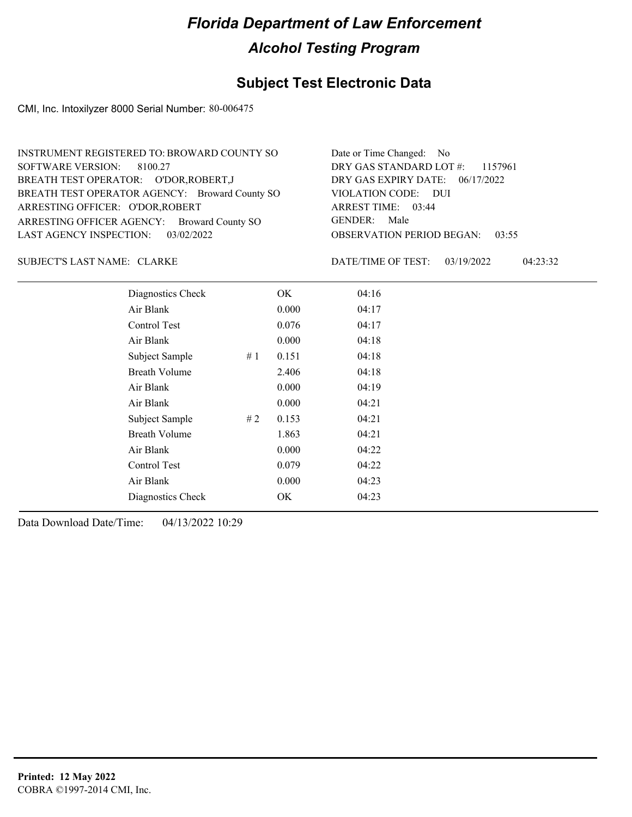### **Subject Test Electronic Data**

CMI, Inc. Intoxilyzer 8000 Serial Number: 80-006475

| INSTRUMENT REGISTERED TO: BROWARD COUNTY SO    | Date or Time Changed: No               |
|------------------------------------------------|----------------------------------------|
| SOFTWARE VERSION: 8100.27                      | DRY GAS STANDARD LOT #: 1157961        |
| BREATH TEST OPERATOR: O'DOR, ROBERT, J         | DRY GAS EXPIRY DATE: 06/17/2022        |
| BREATH TEST OPERATOR AGENCY: Broward County SO | VIOLATION CODE: DUI                    |
| ARRESTING OFFICER: O'DOR, ROBERT               | ARREST TIME: 03:44                     |
| ARRESTING OFFICER AGENCY: Broward County SO    | GENDER: Male                           |
| LAST AGENCY INSPECTION: 03/02/2022             | <b>OBSERVATION PERIOD BEGAN: 03:55</b> |

SUBJECT'S LAST NAME: CLARKE DATE/TIME OF TEST:

DATE/TIME OF TEST: 03/19/2022 04:23:32

| Diagnostics Check    |    | OK    | 04:16 |
|----------------------|----|-------|-------|
| Air Blank            |    | 0.000 | 04:17 |
| Control Test         |    | 0.076 | 04:17 |
| Air Blank            |    | 0.000 | 04:18 |
| Subject Sample       | #1 | 0.151 | 04:18 |
| <b>Breath Volume</b> |    | 2.406 | 04:18 |
| Air Blank            |    | 0.000 | 04:19 |
| Air Blank            |    | 0.000 | 04:21 |
| Subject Sample       | #2 | 0.153 | 04:21 |
| <b>Breath Volume</b> |    | 1.863 | 04:21 |
| Air Blank            |    | 0.000 | 04:22 |
| Control Test         |    | 0.079 | 04:22 |
| Air Blank            |    | 0.000 | 04:23 |
| Diagnostics Check    |    | OK    | 04:23 |
|                      |    |       |       |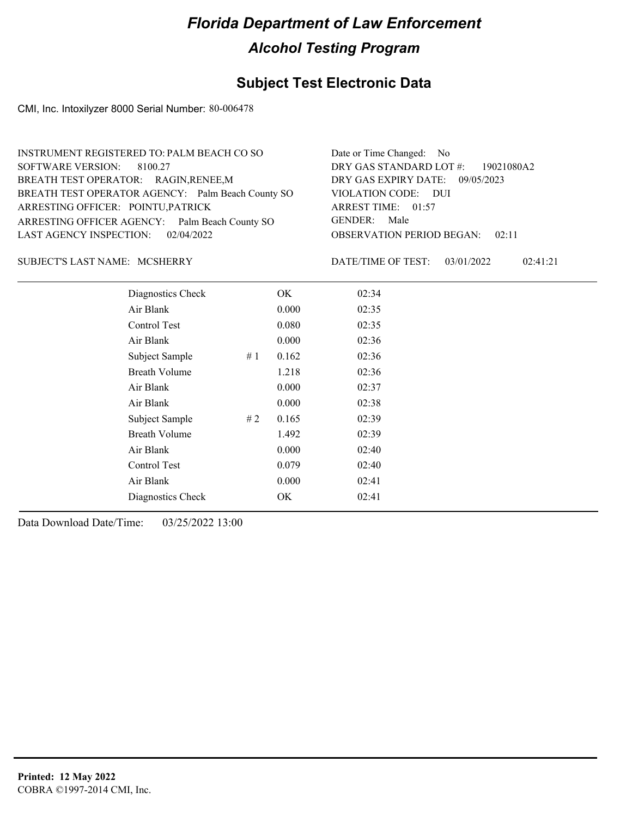### **Subject Test Electronic Data**

CMI, Inc. Intoxilyzer 8000 Serial Number: 80-006478

| INSTRUMENT REGISTERED TO: PALM BEACH CO SO        | Date or Time Changed: No               |
|---------------------------------------------------|----------------------------------------|
| SOFTWARE VERSION: 8100.27                         | DRY GAS STANDARD LOT #: 19021080A2     |
| BREATH TEST OPERATOR: RAGIN, RENEE, M             | DRY GAS EXPIRY DATE: 09/05/2023        |
| BREATH TEST OPERATOR AGENCY: Palm Beach County SO | VIOLATION CODE: DUI                    |
| ARRESTING OFFICER: POINTU, PATRICK                | ARREST TIME: 01:57                     |
| ARRESTING OFFICER AGENCY: Palm Beach County SO    | GENDER: Male                           |
| LAST AGENCY INSPECTION: 02/04/2022                | <b>OBSERVATION PERIOD BEGAN: 02:11</b> |
|                                                   |                                        |

#### MCSHERRY SUBJECT'S LAST NAME: DATE/TIME OF TEST:

DATE/TIME OF TEST: 03/01/2022 02:41:21

| Diagnostics Check    |    | OK    | 02:34 |
|----------------------|----|-------|-------|
| Air Blank            |    | 0.000 | 02:35 |
| Control Test         |    | 0.080 | 02:35 |
| Air Blank            |    | 0.000 | 02:36 |
| Subject Sample       | #1 | 0.162 | 02:36 |
| <b>Breath Volume</b> |    | 1.218 | 02:36 |
| Air Blank            |    | 0.000 | 02:37 |
| Air Blank            |    | 0.000 | 02:38 |
| Subject Sample       | #2 | 0.165 | 02:39 |
| <b>Breath Volume</b> |    | 1.492 | 02:39 |
| Air Blank            |    | 0.000 | 02:40 |
| Control Test         |    | 0.079 | 02:40 |
| Air Blank            |    | 0.000 | 02:41 |
| Diagnostics Check    |    | OK    | 02:41 |
|                      |    |       |       |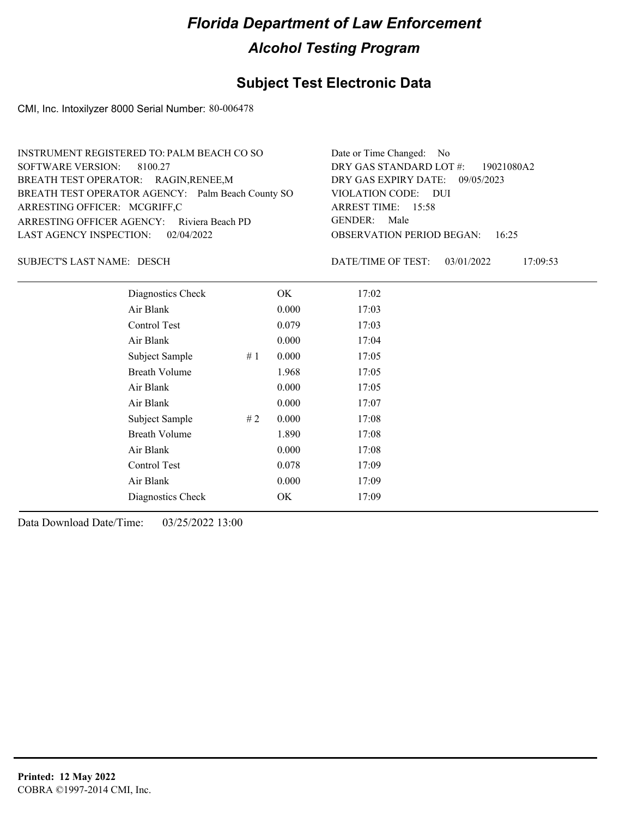### **Subject Test Electronic Data**

CMI, Inc. Intoxilyzer 8000 Serial Number: 80-006478

| INSTRUMENT REGISTERED TO: PALM BEACH CO SO        | Date or Time Changed: No               |
|---------------------------------------------------|----------------------------------------|
| SOFTWARE VERSION: 8100.27                         | DRY GAS STANDARD LOT #: 19021080A2     |
| BREATH TEST OPERATOR: RAGIN, RENEE, M             | DRY GAS EXPIRY DATE: 09/05/2023        |
| BREATH TEST OPERATOR AGENCY: Palm Beach County SO | VIOLATION CODE: DUI                    |
| ARRESTING OFFICER: MCGRIFF,C                      | ARREST TIME: $15:58$                   |
| ARRESTING OFFICER AGENCY: Riviera Beach PD        | GENDER: Male                           |
| LAST AGENCY INSPECTION: 02/04/2022                | <b>OBSERVATION PERIOD BEGAN: 16:25</b> |
|                                                   |                                        |

SUBJECT'S LAST NAME: DESCH DATE/TIME OF TEST:

DATE/TIME OF TEST: 03/01/2022 17:09:53

| Diagnostics Check    | OK    | 17:02 |
|----------------------|-------|-------|
| Air Blank            | 0.000 | 17:03 |
| Control Test         | 0.079 | 17:03 |
| Air Blank            | 0.000 | 17:04 |
| Subject Sample<br>#1 | 0.000 | 17:05 |
| <b>Breath Volume</b> | 1.968 | 17:05 |
| Air Blank            | 0.000 | 17:05 |
| Air Blank            | 0.000 | 17:07 |
| Subject Sample<br>#2 | 0.000 | 17:08 |
| <b>Breath Volume</b> | 1.890 | 17:08 |
| Air Blank            | 0.000 | 17:08 |
| Control Test         | 0.078 | 17:09 |
| Air Blank            | 0.000 | 17:09 |
| Diagnostics Check    | OK    | 17:09 |
|                      |       |       |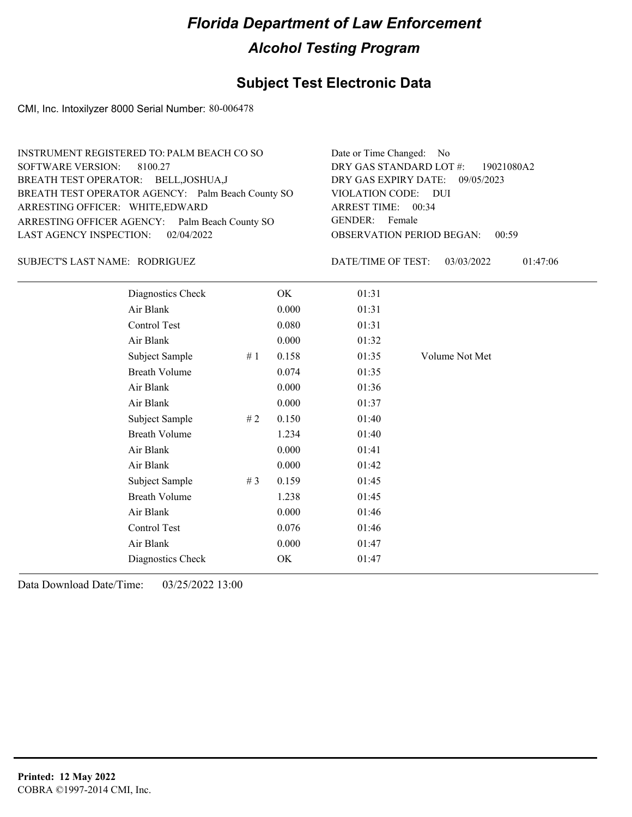### **Subject Test Electronic Data**

CMI, Inc. Intoxilyzer 8000 Serial Number: 80-006478

| INSTRUMENT REGISTERED TO: PALM BEACH CO SO        | Date or Time Changed: No                  |
|---------------------------------------------------|-------------------------------------------|
| SOFTWARE VERSION: 8100.27                         | DRY GAS STANDARD LOT #: 19021080A2        |
| BREATH TEST OPERATOR: BELL, JOSHUA, J             | DRY GAS EXPIRY DATE: 09/05/2023           |
| BREATH TEST OPERATOR AGENCY: Palm Beach County SO | VIOLATION CODE: DUI                       |
| ARRESTING OFFICER: WHITE, EDWARD                  | ARREST TIME: 00:34                        |
| ARRESTING OFFICER AGENCY: Palm Beach County SO    | GENDER: Female                            |
| LAST AGENCY INSPECTION: 02/04/2022                | <b>OBSERVATION PERIOD BEGAN:</b><br>00:59 |
|                                                   |                                           |

#### RODRIGUEZ SUBJECT'S LAST NAME: DATE/TIME OF TEST:

DATE/TIME OF TEST: 03/03/2022 01:47:06

| Diagnostics Check    |       | OK    | 01:31 |                |
|----------------------|-------|-------|-------|----------------|
| Air Blank            |       | 0.000 | 01:31 |                |
| Control Test         |       | 0.080 | 01:31 |                |
| Air Blank            |       | 0.000 | 01:32 |                |
| Subject Sample       | #1    | 0.158 | 01:35 | Volume Not Met |
| <b>Breath Volume</b> |       | 0.074 | 01:35 |                |
| Air Blank            |       | 0.000 | 01:36 |                |
| Air Blank            |       | 0.000 | 01:37 |                |
| Subject Sample       | #2    | 0.150 | 01:40 |                |
| <b>Breath Volume</b> |       | 1.234 | 01:40 |                |
| Air Blank            |       | 0.000 | 01:41 |                |
| Air Blank            |       | 0.000 | 01:42 |                |
| Subject Sample       | # $3$ | 0.159 | 01:45 |                |
| <b>Breath Volume</b> |       | 1.238 | 01:45 |                |
| Air Blank            |       | 0.000 | 01:46 |                |
| Control Test         |       | 0.076 | 01:46 |                |
| Air Blank            |       | 0.000 | 01:47 |                |
| Diagnostics Check    |       | OK    | 01:47 |                |
|                      |       |       |       |                |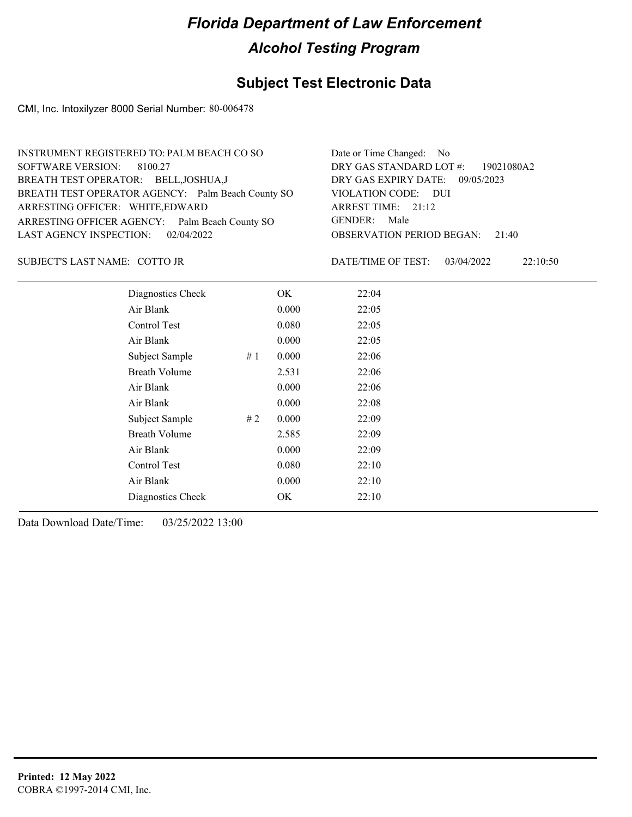### **Subject Test Electronic Data**

CMI, Inc. Intoxilyzer 8000 Serial Number: 80-006478

| INSTRUMENT REGISTERED TO: PALM BEACH CO SO        | Date or Time Changed: No               |
|---------------------------------------------------|----------------------------------------|
| SOFTWARE VERSION: 8100.27                         | DRY GAS STANDARD LOT #: 19021080A2     |
| BREATH TEST OPERATOR: BELL, JOSHUA, J             | DRY GAS EXPIRY DATE: 09/05/2023        |
| BREATH TEST OPERATOR AGENCY: Palm Beach County SO | VIOLATION CODE: DUI                    |
| ARRESTING OFFICER: WHITE, EDWARD                  | ARREST TIME: 21:12                     |
| ARRESTING OFFICER AGENCY: Palm Beach County SO    | GENDER: Male                           |
| LAST AGENCY INSPECTION: 02/04/2022                | <b>OBSERVATION PERIOD BEGAN: 21:40</b> |
|                                                   |                                        |

#### COTTO JR SUBJECT'S LAST NAME: DATE/TIME OF TEST:

DATE/TIME OF TEST: 03/04/2022 22:10:50

| Diagnostics Check    |    | OK    | 22:04 |
|----------------------|----|-------|-------|
| Air Blank            |    | 0.000 | 22:05 |
| Control Test         |    | 0.080 | 22:05 |
| Air Blank            |    | 0.000 | 22:05 |
| Subject Sample       | #1 | 0.000 | 22:06 |
| <b>Breath Volume</b> |    | 2.531 | 22:06 |
| Air Blank            |    | 0.000 | 22:06 |
| Air Blank            |    | 0.000 | 22:08 |
| Subject Sample       | #2 | 0.000 | 22:09 |
| <b>Breath Volume</b> |    | 2.585 | 22:09 |
| Air Blank            |    | 0.000 | 22:09 |
| Control Test         |    | 0.080 | 22:10 |
| Air Blank            |    | 0.000 | 22:10 |
| Diagnostics Check    |    | OK    | 22:10 |
|                      |    |       |       |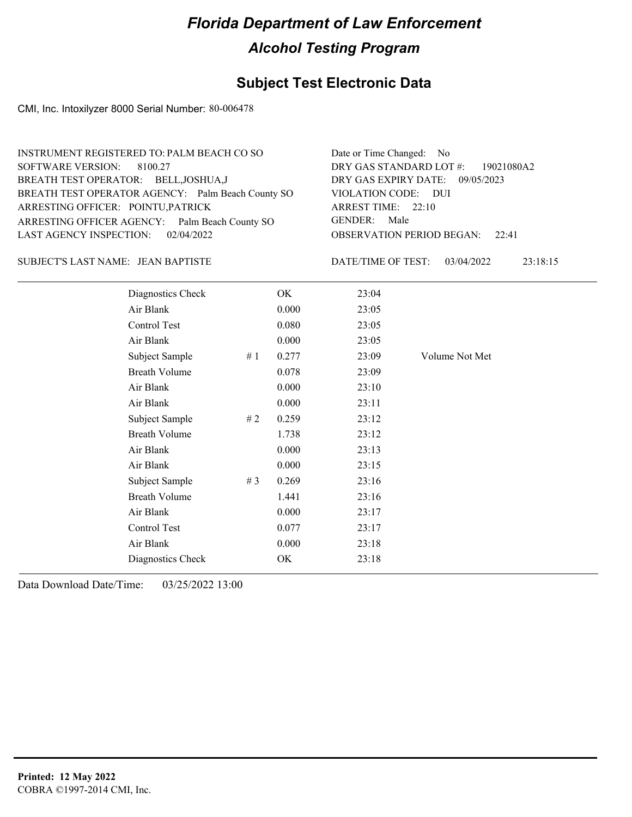### **Subject Test Electronic Data**

CMI, Inc. Intoxilyzer 8000 Serial Number: 80-006478

| INSTRUMENT REGISTERED TO: PALM BEACH CO SO        | Date or Time Changed: No               |
|---------------------------------------------------|----------------------------------------|
| SOFTWARE VERSION: 8100.27                         | DRY GAS STANDARD LOT $\#$ : 19021080A2 |
| BREATH TEST OPERATOR: BELL, JOSHUA, J             | DRY GAS EXPIRY DATE: 09/05/2023        |
| BREATH TEST OPERATOR AGENCY: Palm Beach County SO | VIOLATION CODE: DUI                    |
| ARRESTING OFFICER: POINTU, PATRICK                | ARREST TIME: 22:10                     |
| ARRESTING OFFICER AGENCY: Palm Beach County SO    | GENDER: Male                           |
| LAST AGENCY INSPECTION: 02/04/2022                | <b>OBSERVATION PERIOD BEGAN: 22:41</b> |
|                                                   |                                        |

#### JEAN BAPTISTE SUBJECT'S LAST NAME: DATE/TIME OF TEST:

DATE/TIME OF TEST: 03/04/2022 23:18:15

| Diagnostics Check    |    | OK    | 23:04 |                |
|----------------------|----|-------|-------|----------------|
| Air Blank            |    | 0.000 | 23:05 |                |
| Control Test         |    | 0.080 | 23:05 |                |
| Air Blank            |    | 0.000 | 23:05 |                |
| Subject Sample       | #1 | 0.277 | 23:09 | Volume Not Met |
| <b>Breath Volume</b> |    | 0.078 | 23:09 |                |
| Air Blank            |    | 0.000 | 23:10 |                |
| Air Blank            |    | 0.000 | 23:11 |                |
| Subject Sample       | #2 | 0.259 | 23:12 |                |
| <b>Breath Volume</b> |    | 1.738 | 23:12 |                |
| Air Blank            |    | 0.000 | 23:13 |                |
| Air Blank            |    | 0.000 | 23:15 |                |
| Subject Sample       | #3 | 0.269 | 23:16 |                |
| <b>Breath Volume</b> |    | 1.441 | 23:16 |                |
| Air Blank            |    | 0.000 | 23:17 |                |
| Control Test         |    | 0.077 | 23:17 |                |
| Air Blank            |    | 0.000 | 23:18 |                |
| Diagnostics Check    |    | OK    | 23:18 |                |
|                      |    |       |       |                |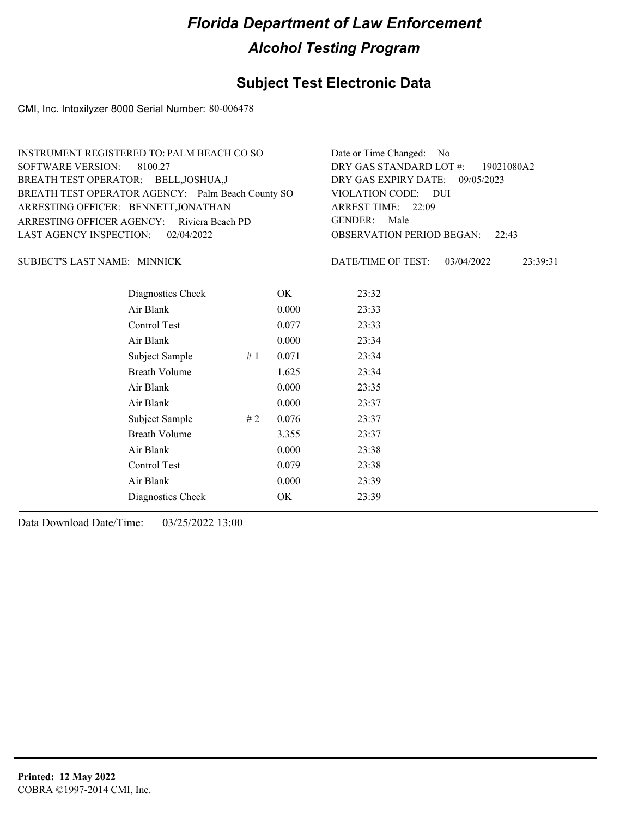### **Subject Test Electronic Data**

CMI, Inc. Intoxilyzer 8000 Serial Number: 80-006478

| INSTRUMENT REGISTERED TO: PALM BEACH CO SO        | Date or Time Changed: No               |
|---------------------------------------------------|----------------------------------------|
| SOFTWARE VERSION: 8100.27                         | DRY GAS STANDARD LOT #: 19021080A2     |
| BREATH TEST OPERATOR: BELL, JOSHUA, J             | DRY GAS EXPIRY DATE: 09/05/2023        |
| BREATH TEST OPERATOR AGENCY: Palm Beach County SO | VIOLATION CODE: DUI                    |
| ARRESTING OFFICER: BENNETT, JONATHAN              | ARREST TIME: 22:09                     |
| ARRESTING OFFICER AGENCY: Riviera Beach PD        | GENDER: Male                           |
| LAST AGENCY INSPECTION: 02/04/2022                | <b>OBSERVATION PERIOD BEGAN: 22:43</b> |
|                                                   |                                        |

#### SUBJECT'S LAST NAME: MINNICK DATE/TIME OF TEST:

DATE/TIME OF TEST: 03/04/2022 23:39:31

| Diagnostics Check    |    | OK    | 23:32 |
|----------------------|----|-------|-------|
| Air Blank            |    | 0.000 | 23:33 |
| Control Test         |    | 0.077 | 23:33 |
| Air Blank            |    | 0.000 | 23:34 |
| Subject Sample       | #1 | 0.071 | 23:34 |
| <b>Breath Volume</b> |    | 1.625 | 23:34 |
| Air Blank            |    | 0.000 | 23:35 |
| Air Blank            |    | 0.000 | 23:37 |
| Subject Sample       | #2 | 0.076 | 23:37 |
| <b>Breath Volume</b> |    | 3.355 | 23:37 |
| Air Blank            |    | 0.000 | 23:38 |
| <b>Control Test</b>  |    | 0.079 | 23:38 |
| Air Blank            |    | 0.000 | 23:39 |
| Diagnostics Check    |    | OK    | 23:39 |
|                      |    |       |       |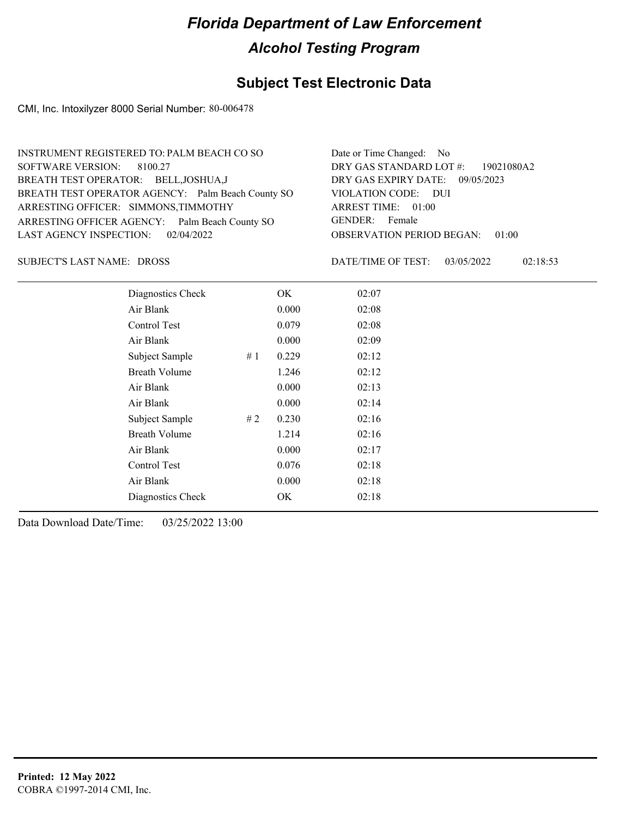### **Subject Test Electronic Data**

CMI, Inc. Intoxilyzer 8000 Serial Number: 80-006478

| INSTRUMENT REGISTERED TO: PALM BEACH CO SO        | Date or Time Changed: No               |
|---------------------------------------------------|----------------------------------------|
| SOFTWARE VERSION: 8100.27                         | DRY GAS STANDARD LOT #: 19021080A2     |
| BREATH TEST OPERATOR: BELL, JOSHUA, J             | DRY GAS EXPIRY DATE: 09/05/2023        |
| BREATH TEST OPERATOR AGENCY: Palm Beach County SO | VIOLATION CODE: DUI                    |
| ARRESTING OFFICER: SIMMONS, TIMMOTHY              | ARREST TIME: 01:00                     |
| ARRESTING OFFICER AGENCY: Palm Beach County SO    | GENDER: Female                         |
| LAST AGENCY INSPECTION: 02/04/2022                | <b>OBSERVATION PERIOD BEGAN: 01:00</b> |
|                                                   |                                        |

SUBJECT'S LAST NAME: DROSS **Example 20 SUBJECT'S LAST NAME:** DROSS

DATE/TIME OF TEST: 03/05/2022 02:18:53

| Diagnostics Check    | OK    | 02:07 |
|----------------------|-------|-------|
| Air Blank            | 0.000 | 02:08 |
| Control Test         | 0.079 | 02:08 |
| Air Blank            | 0.000 | 02:09 |
| Subject Sample<br>#1 | 0.229 | 02:12 |
| <b>Breath Volume</b> | 1.246 | 02:12 |
| Air Blank            | 0.000 | 02:13 |
| Air Blank            | 0.000 | 02:14 |
| Subject Sample<br>#2 | 0.230 | 02:16 |
| <b>Breath Volume</b> | 1.214 | 02:16 |
| Air Blank            | 0.000 | 02:17 |
| Control Test         | 0.076 | 02:18 |
| Air Blank            | 0.000 | 02:18 |
| Diagnostics Check    | OK    | 02:18 |
|                      |       |       |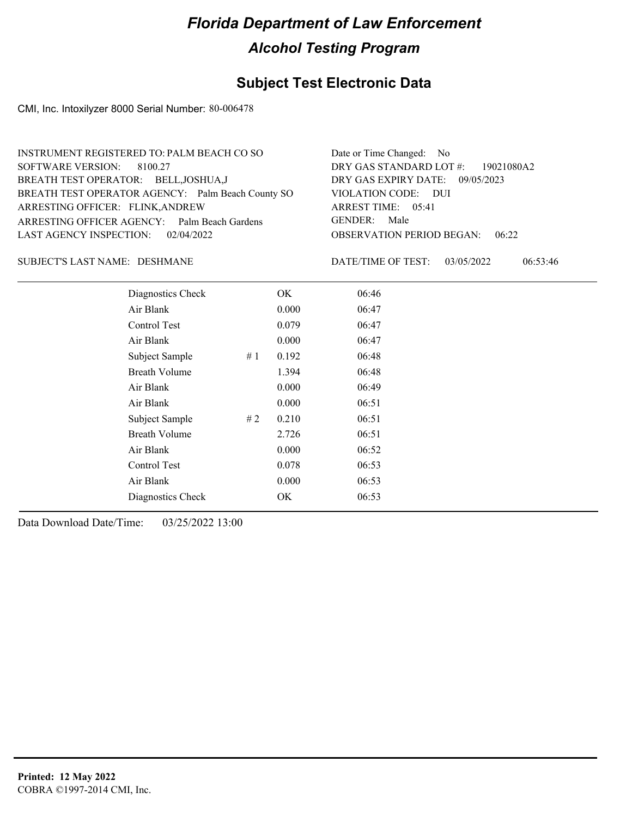### **Subject Test Electronic Data**

CMI, Inc. Intoxilyzer 8000 Serial Number: 80-006478

| INSTRUMENT REGISTERED TO: PALM BEACH CO SO        | Date or Time Changed: No               |
|---------------------------------------------------|----------------------------------------|
| SOFTWARE VERSION: 8100.27                         | DRY GAS STANDARD LOT #: 19021080A2     |
| BREATH TEST OPERATOR: BELL, JOSHUA, J             | DRY GAS EXPIRY DATE: 09/05/2023        |
| BREATH TEST OPERATOR AGENCY: Palm Beach County SO | VIOLATION CODE: DUI                    |
| ARRESTING OFFICER: FLINK, ANDREW                  | ARREST TIME: 05:41                     |
| ARRESTING OFFICER AGENCY: Palm Beach Gardens      | GENDER: Male                           |
| LAST AGENCY INSPECTION: 02/04/2022                | <b>OBSERVATION PERIOD BEGAN: 06:22</b> |
|                                                   |                                        |

#### DESHMANE SUBJECT'S LAST NAME: DATE/TIME OF TEST:

DATE/TIME OF TEST: 03/05/2022 06:53:46

| Diagnostics Check    |    | OK    | 06:46 |
|----------------------|----|-------|-------|
| Air Blank            |    | 0.000 | 06:47 |
| Control Test         |    | 0.079 | 06:47 |
| Air Blank            |    | 0.000 | 06:47 |
| Subject Sample       | #1 | 0.192 | 06:48 |
| <b>Breath Volume</b> |    | 1.394 | 06:48 |
| Air Blank            |    | 0.000 | 06:49 |
| Air Blank            |    | 0.000 | 06:51 |
| Subject Sample       | #2 | 0.210 | 06:51 |
| <b>Breath Volume</b> |    | 2.726 | 06:51 |
| Air Blank            |    | 0.000 | 06:52 |
| Control Test         |    | 0.078 | 06:53 |
| Air Blank            |    | 0.000 | 06:53 |
| Diagnostics Check    |    | OK    | 06:53 |
|                      |    |       |       |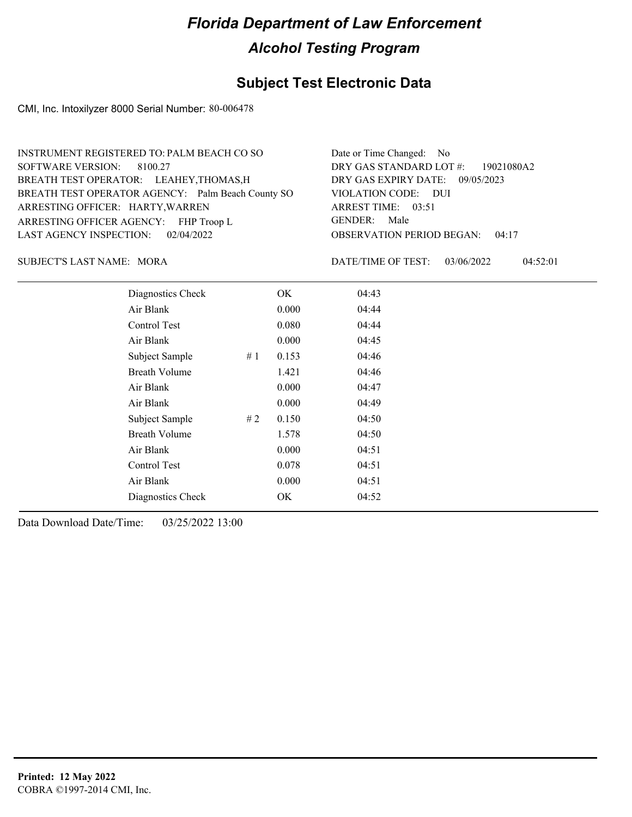### **Subject Test Electronic Data**

CMI, Inc. Intoxilyzer 8000 Serial Number: 80-006478

| INSTRUMENT REGISTERED TO: PALM BEACH CO SO        | Date or Time Changed: No               |
|---------------------------------------------------|----------------------------------------|
| SOFTWARE VERSION: 8100.27                         | DRY GAS STANDARD LOT #: 19021080A2     |
| BREATH TEST OPERATOR: LEAHEY, THOMAS, H           | DRY GAS EXPIRY DATE: 09/05/2023        |
| BREATH TEST OPERATOR AGENCY: Palm Beach County SO | VIOLATION CODE: DUI                    |
| ARRESTING OFFICER: HARTY, WARREN                  | ARREST TIME: 03:51                     |
| ARRESTING OFFICER AGENCY: FHP Troop L             | GENDER: Male                           |
| LAST AGENCY INSPECTION: 02/04/2022                | <b>OBSERVATION PERIOD BEGAN: 04:17</b> |
|                                                   |                                        |

MORA SUBJECT'S LAST NAME: DATE/TIME OF TEST:

DATE/TIME OF TEST: 03/06/2022 04:52:01

| Diagnostics Check    | OK    | 04:43 |
|----------------------|-------|-------|
| Air Blank            | 0.000 | 04:44 |
| Control Test         | 0.080 | 04:44 |
| Air Blank            | 0.000 | 04:45 |
| Subject Sample<br>#1 | 0.153 | 04:46 |
| <b>Breath Volume</b> | 1.421 | 04:46 |
| Air Blank            | 0.000 | 04:47 |
| Air Blank            | 0.000 | 04:49 |
| Subject Sample<br>#2 | 0.150 | 04:50 |
| <b>Breath Volume</b> | 1.578 | 04:50 |
| Air Blank            | 0.000 | 04:51 |
| Control Test         | 0.078 | 04:51 |
| Air Blank            | 0.000 | 04:51 |
| Diagnostics Check    | OK    | 04:52 |
|                      |       |       |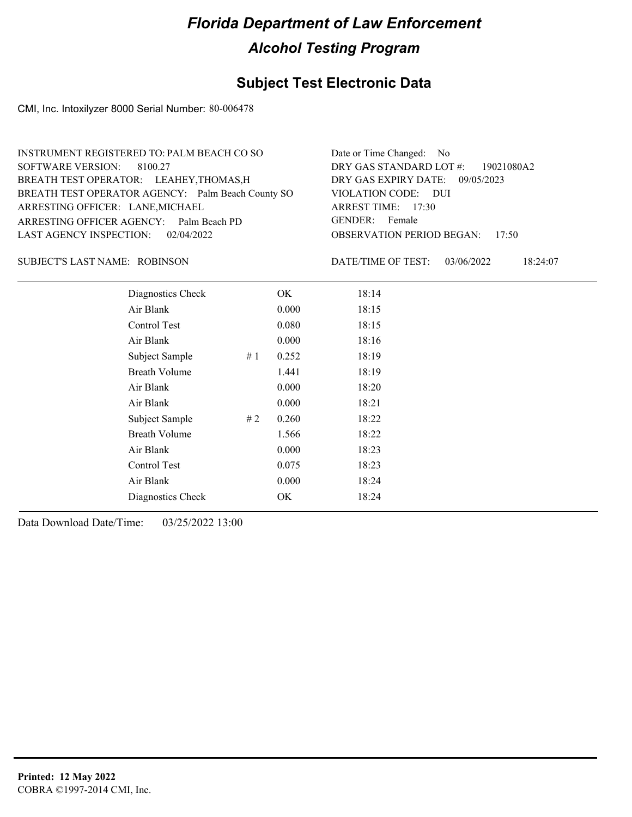### **Subject Test Electronic Data**

CMI, Inc. Intoxilyzer 8000 Serial Number: 80-006478

| INSTRUMENT REGISTERED TO: PALM BEACH CO SO        | Date or Time Changed: No               |
|---------------------------------------------------|----------------------------------------|
| SOFTWARE VERSION: 8100.27                         | DRY GAS STANDARD LOT #: 19021080A2     |
| BREATH TEST OPERATOR: LEAHEY, THOMAS, H           | DRY GAS EXPIRY DATE: 09/05/2023        |
| BREATH TEST OPERATOR AGENCY: Palm Beach County SO | VIOLATION CODE: DUI                    |
| ARRESTING OFFICER: LANE, MICHAEL                  | ARREST TIME: 17:30                     |
| ARRESTING OFFICER AGENCY: Palm Beach PD           | GENDER: Female                         |
| LAST AGENCY INSPECTION: 02/04/2022                | <b>OBSERVATION PERIOD BEGAN: 17:50</b> |
|                                                   |                                        |

#### ROBINSON SUBJECT'S LAST NAME: DATE/TIME OF TEST:

DATE/TIME OF TEST: 03/06/2022 18:24:07

| Diagnostics Check    |    | OK    | 18:14 |
|----------------------|----|-------|-------|
| Air Blank            |    | 0.000 | 18:15 |
| Control Test         |    | 0.080 | 18:15 |
| Air Blank            |    | 0.000 | 18:16 |
| Subject Sample       | #1 | 0.252 | 18:19 |
| <b>Breath Volume</b> |    | 1.441 | 18:19 |
| Air Blank            |    | 0.000 | 18:20 |
| Air Blank            |    | 0.000 | 18:21 |
| Subject Sample       | #2 | 0.260 | 18:22 |
| <b>Breath Volume</b> |    | 1.566 | 18:22 |
| Air Blank            |    | 0.000 | 18:23 |
| Control Test         |    | 0.075 | 18:23 |
| Air Blank            |    | 0.000 | 18:24 |
| Diagnostics Check    |    | OK    | 18:24 |
|                      |    |       |       |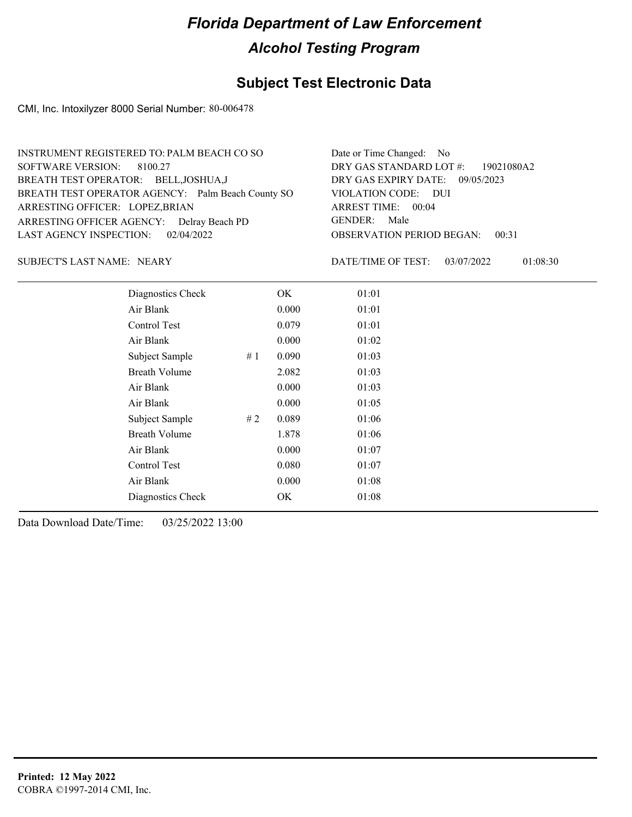### **Subject Test Electronic Data**

CMI, Inc. Intoxilyzer 8000 Serial Number: 80-006478

| Date or Time Changed: No               |
|----------------------------------------|
| DRY GAS STANDARD LOT #: 19021080A2     |
| DRY GAS EXPIRY DATE: 09/05/2023        |
| VIOLATION CODE: DUI                    |
| ARREST TIME: 00:04                     |
| GENDER: Male                           |
| <b>OBSERVATION PERIOD BEGAN: 00:31</b> |
|                                        |

SUBJECT'S LAST NAME: NEARY DATE/TIME OF TEST:

DATE/TIME OF TEST: 03/07/2022 01:08:30

| Diagnostics Check    |    | OK    | 01:01 |
|----------------------|----|-------|-------|
| Air Blank            |    | 0.000 | 01:01 |
| Control Test         |    | 0.079 | 01:01 |
| Air Blank            |    | 0.000 | 01:02 |
| Subject Sample       | #1 | 0.090 | 01:03 |
| <b>Breath Volume</b> |    | 2.082 | 01:03 |
| Air Blank            |    | 0.000 | 01:03 |
| Air Blank            |    | 0.000 | 01:05 |
| Subject Sample       | #2 | 0.089 | 01:06 |
| <b>Breath Volume</b> |    | 1.878 | 01:06 |
| Air Blank            |    | 0.000 | 01:07 |
| Control Test         |    | 0.080 | 01:07 |
| Air Blank            |    | 0.000 | 01:08 |
| Diagnostics Check    |    | OK    | 01:08 |
|                      |    |       |       |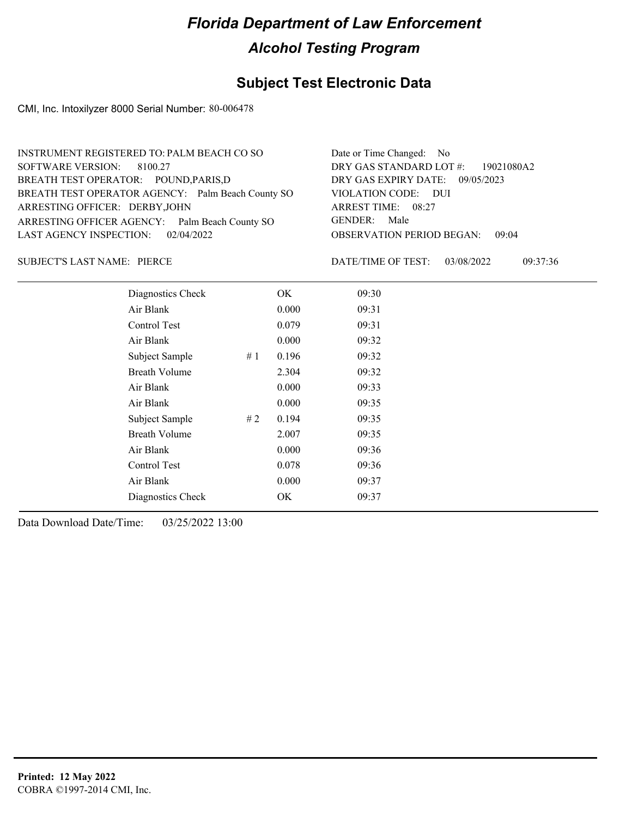### **Subject Test Electronic Data**

CMI, Inc. Intoxilyzer 8000 Serial Number: 80-006478

| INSTRUMENT REGISTERED TO: PALM BEACH CO SO        | Date or Time Changed: No               |
|---------------------------------------------------|----------------------------------------|
| SOFTWARE VERSION: 8100.27                         | DRY GAS STANDARD LOT $\#$ : 19021080A2 |
| BREATH TEST OPERATOR: POUND, PARIS, D             | DRY GAS EXPIRY DATE: 09/05/2023        |
| BREATH TEST OPERATOR AGENCY: Palm Beach County SO | VIOLATION CODE: DUI                    |
| ARRESTING OFFICER: DERBY, JOHN                    | ARREST TIME: 08:27                     |
| ARRESTING OFFICER AGENCY: Palm Beach County SO    | GENDER: Male                           |
| LAST AGENCY INSPECTION: 02/04/2022                | <b>OBSERVATION PERIOD BEGAN: 09:04</b> |
|                                                   |                                        |

SUBJECT'S LAST NAME: PIERCE **Example 20 SUBJECT'S LAST NAME:** PIERCE

DATE/TIME OF TEST: 03/08/2022 09:37:36

| Diagnostics Check    |    | OK    | 09:30 |
|----------------------|----|-------|-------|
| Air Blank            |    | 0.000 | 09:31 |
| Control Test         |    | 0.079 | 09:31 |
| Air Blank            |    | 0.000 | 09:32 |
| Subject Sample       | #1 | 0.196 | 09:32 |
| <b>Breath Volume</b> |    | 2.304 | 09:32 |
| Air Blank            |    | 0.000 | 09:33 |
| Air Blank            |    | 0.000 | 09:35 |
| Subject Sample       | #2 | 0.194 | 09:35 |
| <b>Breath Volume</b> |    | 2.007 | 09:35 |
| Air Blank            |    | 0.000 | 09:36 |
| Control Test         |    | 0.078 | 09:36 |
| Air Blank            |    | 0.000 | 09:37 |
| Diagnostics Check    |    | OK    | 09:37 |
|                      |    |       |       |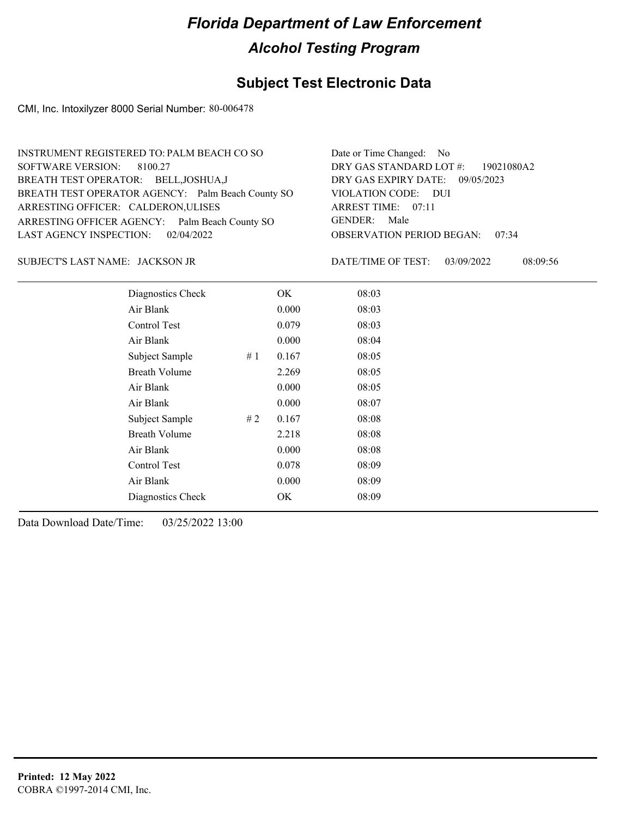### **Subject Test Electronic Data**

CMI, Inc. Intoxilyzer 8000 Serial Number: 80-006478

| INSTRUMENT REGISTERED TO: PALM BEACH CO SO        | Date or Time Changed: No               |
|---------------------------------------------------|----------------------------------------|
| SOFTWARE VERSION: 8100.27                         | DRY GAS STANDARD LOT #: 19021080A2     |
| BREATH TEST OPERATOR: BELL, JOSHUA, J             | DRY GAS EXPIRY DATE: 09/05/2023        |
| BREATH TEST OPERATOR AGENCY: Palm Beach County SO | VIOLATION CODE: DUI                    |
| ARRESTING OFFICER: CALDERON, ULISES               | ARREST TIME: 07:11                     |
| ARRESTING OFFICER AGENCY: Palm Beach County SO    | GENDER: Male                           |
| LAST AGENCY INSPECTION: 02/04/2022                | <b>OBSERVATION PERIOD BEGAN: 07:34</b> |
|                                                   |                                        |

#### JACKSON JR SUBJECT'S LAST NAME: DATE/TIME OF TEST:

DATE/TIME OF TEST: 03/09/2022 08:09:56

| Diagnostics Check    |    | OK    | 08:03 |  |
|----------------------|----|-------|-------|--|
| Air Blank            |    | 0.000 | 08:03 |  |
| Control Test         |    | 0.079 | 08:03 |  |
| Air Blank            |    | 0.000 | 08:04 |  |
| Subject Sample       | #1 | 0.167 | 08:05 |  |
| <b>Breath Volume</b> |    | 2.269 | 08:05 |  |
| Air Blank            |    | 0.000 | 08:05 |  |
| Air Blank            |    | 0.000 | 08:07 |  |
| Subject Sample       | #2 | 0.167 | 08:08 |  |
| <b>Breath Volume</b> |    | 2.218 | 08:08 |  |
| Air Blank            |    | 0.000 | 08:08 |  |
| Control Test         |    | 0.078 | 08:09 |  |
| Air Blank            |    | 0.000 | 08:09 |  |
| Diagnostics Check    |    | OK    | 08:09 |  |
|                      |    |       |       |  |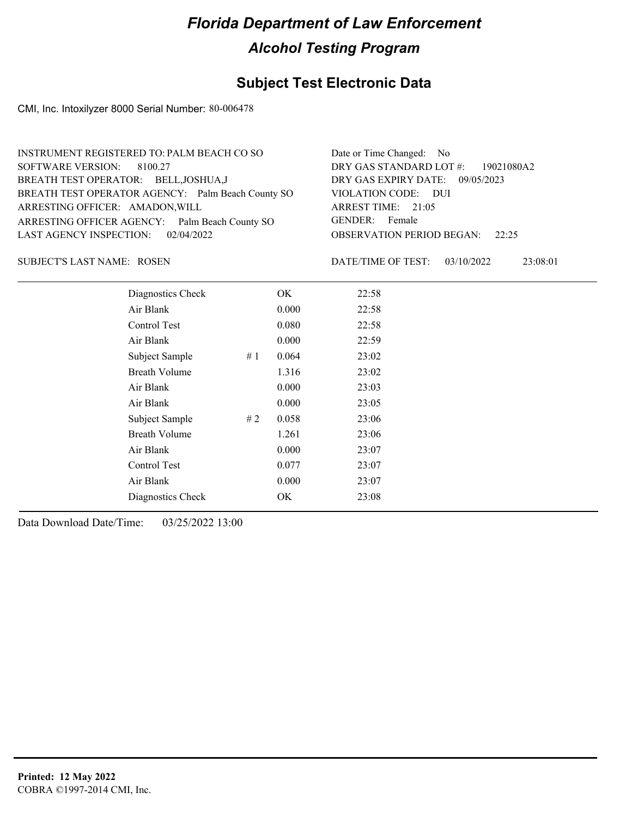### **Subject Test Electronic Data**

CMI, Inc. Intoxilyzer 8000 Serial Number: 80-006478

| INSTRUMENT REGISTERED TO: PALM BEACH CO SO        | Date or Time Changed: No               |
|---------------------------------------------------|----------------------------------------|
| SOFTWARE VERSION: 8100.27                         | DRY GAS STANDARD LOT #: 19021080A2     |
| BREATH TEST OPERATOR: BELL, JOSHUA, J             | DRY GAS EXPIRY DATE: 09/05/2023        |
| BREATH TEST OPERATOR AGENCY: Palm Beach County SO | VIOLATION CODE: DUI                    |
| ARRESTING OFFICER: AMADON, WILL                   | ARREST TIME: 21:05                     |
| ARRESTING OFFICER AGENCY: Palm Beach County SO    | GENDER: Female                         |
| LAST AGENCY INSPECTION: 02/04/2022                | <b>OBSERVATION PERIOD BEGAN: 22:25</b> |
|                                                   |                                        |

#### SUBJECT'S LAST NAME: ROSEN DATE/TIME OF TEST:

DATE/TIME OF TEST: 03/10/2022 23:08:01

| Diagnostics Check    |    | OK    | 22:58 |
|----------------------|----|-------|-------|
| Air Blank            |    | 0.000 | 22:58 |
| Control Test         |    | 0.080 | 22:58 |
| Air Blank            |    | 0.000 | 22:59 |
| Subject Sample       | #1 | 0.064 | 23:02 |
| <b>Breath Volume</b> |    | 1.316 | 23:02 |
| Air Blank            |    | 0.000 | 23:03 |
| Air Blank            |    | 0.000 | 23:05 |
| Subject Sample       | #2 | 0.058 | 23:06 |
| <b>Breath Volume</b> |    | 1.261 | 23:06 |
| Air Blank            |    | 0.000 | 23:07 |
| Control Test         |    | 0.077 | 23:07 |
| Air Blank            |    | 0.000 | 23:07 |
| Diagnostics Check    |    | OK    | 23:08 |
|                      |    |       |       |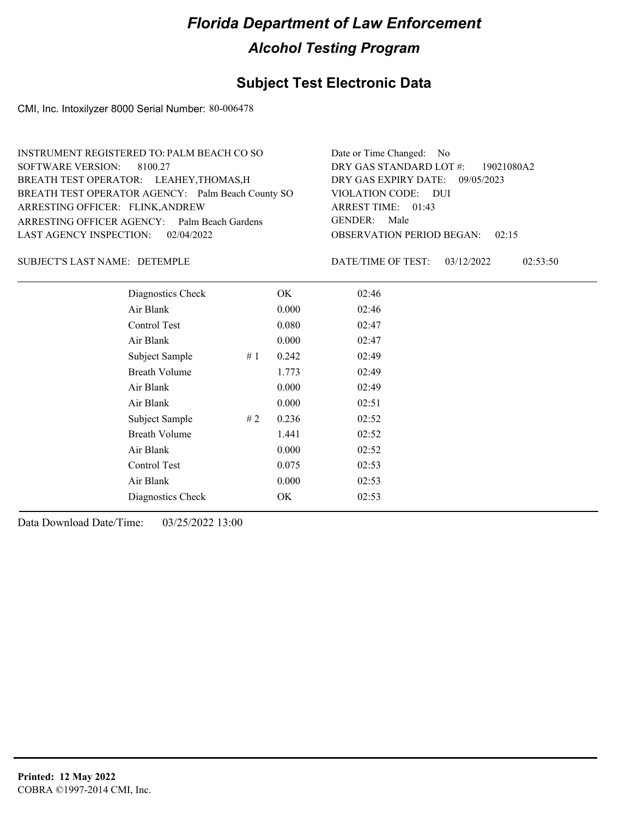### **Subject Test Electronic Data**

CMI, Inc. Intoxilyzer 8000 Serial Number: 80-006478

| Date or Time Changed: No               |
|----------------------------------------|
| DRY GAS STANDARD LOT $\#$ : 19021080A2 |
| DRY GAS EXPIRY DATE: 09/05/2023        |
| VIOLATION CODE: DUI                    |
| ARREST TIME: 01:43                     |
| GENDER: Male                           |
| <b>OBSERVATION PERIOD BEGAN: 02:15</b> |
|                                        |

#### DETEMPLE SUBJECT'S LAST NAME: DATE/TIME OF TEST:

DATE/TIME OF TEST: 03/12/2022 02:53:50

| Diagnostics Check    |       | OK    | 02:46 |
|----------------------|-------|-------|-------|
| Air Blank            |       | 0.000 | 02:46 |
| Control Test         |       | 0.080 | 02:47 |
| Air Blank            |       | 0.000 | 02:47 |
| Subject Sample       | #1    | 0.242 | 02:49 |
| <b>Breath Volume</b> |       | 1.773 | 02:49 |
| Air Blank            |       | 0.000 | 02:49 |
| Air Blank            |       | 0.000 | 02:51 |
| Subject Sample       | # $2$ | 0.236 | 02:52 |
| <b>Breath Volume</b> |       | 1.441 | 02:52 |
| Air Blank            |       | 0.000 | 02:52 |
| Control Test         |       | 0.075 | 02:53 |
| Air Blank            |       | 0.000 | 02:53 |
| Diagnostics Check    |       | OK    | 02:53 |
|                      |       |       |       |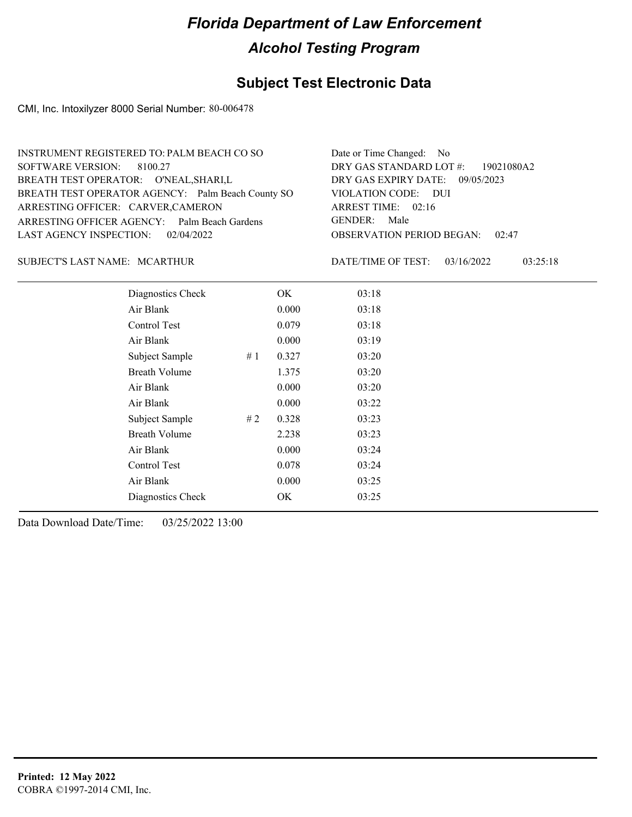### **Subject Test Electronic Data**

CMI, Inc. Intoxilyzer 8000 Serial Number: 80-006478

| INSTRUMENT REGISTERED TO: PALM BEACH CO SO        | Date or Time Changed: No               |
|---------------------------------------------------|----------------------------------------|
| SOFTWARE VERSION: 8100.27                         | DRY GAS STANDARD LOT #: 19021080A2     |
| BREATH TEST OPERATOR: O'NEAL, SHARI, L            | DRY GAS EXPIRY DATE: 09/05/2023        |
| BREATH TEST OPERATOR AGENCY: Palm Beach County SO | VIOLATION CODE: DUI                    |
| ARRESTING OFFICER: CARVER, CAMERON                | ARREST TIME: 02:16                     |
| ARRESTING OFFICER AGENCY: Palm Beach Gardens      | GENDER: Male                           |
| LAST AGENCY INSPECTION: 02/04/2022                | <b>OBSERVATION PERIOD BEGAN: 02:47</b> |
|                                                   |                                        |

#### MCARTHUR SUBJECT'S LAST NAME: DATE/TIME OF TEST:

DATE/TIME OF TEST: 03/16/2022 03:25:18

| Diagnostics Check    |    | OK    | 03:18 |
|----------------------|----|-------|-------|
| Air Blank            |    | 0.000 | 03:18 |
| Control Test         |    | 0.079 | 03:18 |
| Air Blank            |    | 0.000 | 03:19 |
| Subject Sample       | #1 | 0.327 | 03:20 |
| <b>Breath Volume</b> |    | 1.375 | 03:20 |
| Air Blank            |    | 0.000 | 03:20 |
| Air Blank            |    | 0.000 | 03:22 |
| Subject Sample       | #2 | 0.328 | 03:23 |
| <b>Breath Volume</b> |    | 2.238 | 03:23 |
| Air Blank            |    | 0.000 | 03:24 |
| Control Test         |    | 0.078 | 03:24 |
| Air Blank            |    | 0.000 | 03:25 |
| Diagnostics Check    |    | OK    | 03:25 |
|                      |    |       |       |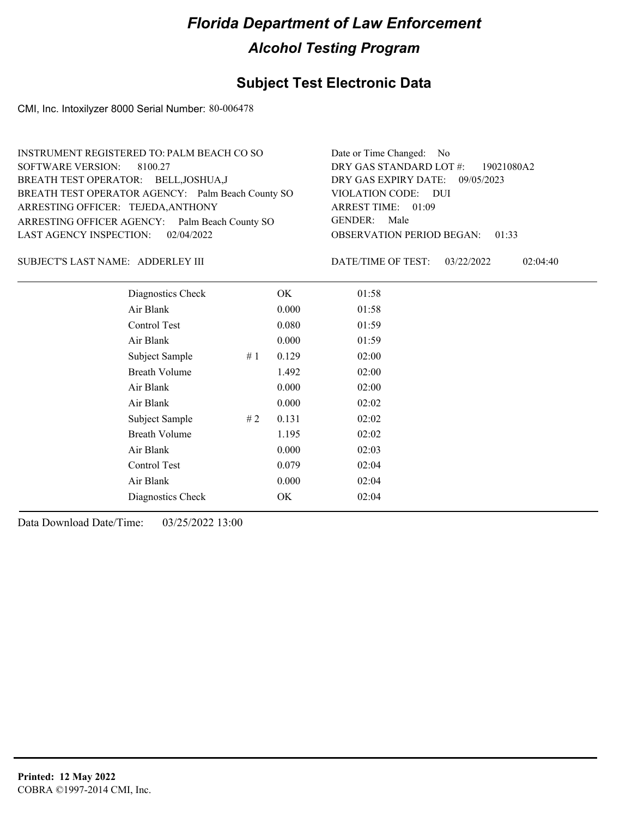### **Subject Test Electronic Data**

CMI, Inc. Intoxilyzer 8000 Serial Number: 80-006478

| INSTRUMENT REGISTERED TO: PALM BEACH CO SO        | Date or Time Changed: No               |
|---------------------------------------------------|----------------------------------------|
| SOFTWARE VERSION: 8100.27                         | DRY GAS STANDARD LOT #: 19021080A2     |
| BREATH TEST OPERATOR: BELL, JOSHUA, J             | DRY GAS EXPIRY DATE: 09/05/2023        |
| BREATH TEST OPERATOR AGENCY: Palm Beach County SO | VIOLATION CODE: DUI                    |
| ARRESTING OFFICER: TEJEDA, ANTHONY                | ARREST TIME: 01:09                     |
| ARRESTING OFFICER AGENCY: Palm Beach County SO    | GENDER: Male                           |
| LAST AGENCY INSPECTION: 02/04/2022                | <b>OBSERVATION PERIOD BEGAN: 01:33</b> |
|                                                   |                                        |

#### ADDERLEY III SUBJECT'S LAST NAME: DATE/TIME OF TEST:

DATE/TIME OF TEST: 03/22/2022 02:04:40

| Diagnostics Check    |    | OK    | 01:58 |  |
|----------------------|----|-------|-------|--|
| Air Blank            |    | 0.000 | 01:58 |  |
| Control Test         |    | 0.080 | 01:59 |  |
| Air Blank            |    | 0.000 | 01:59 |  |
| Subject Sample       | #1 | 0.129 | 02:00 |  |
| <b>Breath Volume</b> |    | 1.492 | 02:00 |  |
| Air Blank            |    | 0.000 | 02:00 |  |
| Air Blank            |    | 0.000 | 02:02 |  |
| Subject Sample       | #2 | 0.131 | 02:02 |  |
| <b>Breath Volume</b> |    | 1.195 | 02:02 |  |
| Air Blank            |    | 0.000 | 02:03 |  |
| Control Test         |    | 0.079 | 02:04 |  |
| Air Blank            |    | 0.000 | 02:04 |  |
| Diagnostics Check    |    | OK    | 02:04 |  |
|                      |    |       |       |  |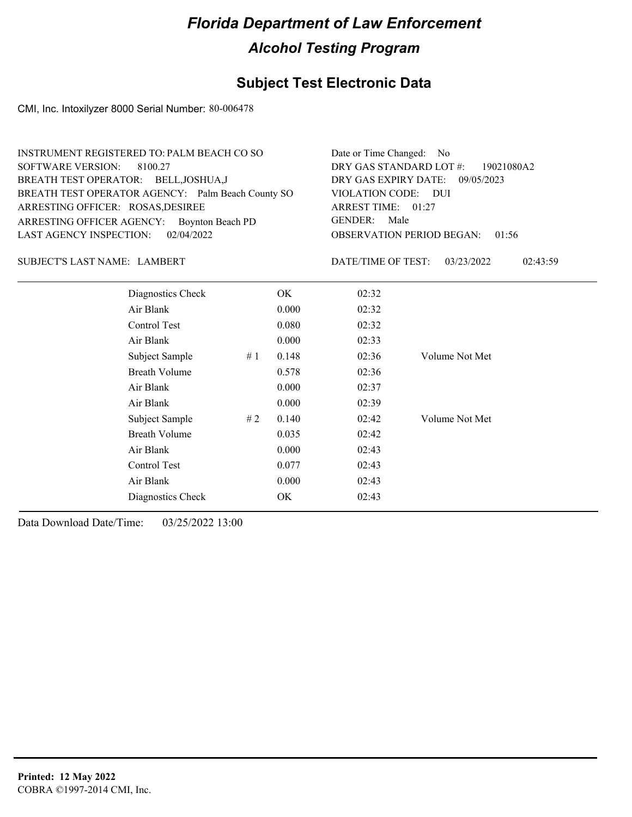### **Subject Test Electronic Data**

CMI, Inc. Intoxilyzer 8000 Serial Number: 80-006478

| INSTRUMENT REGISTERED TO: PALM BEACH CO SO        | Date or Time Changed: No               |
|---------------------------------------------------|----------------------------------------|
| SOFTWARE VERSION: 8100.27                         | DRY GAS STANDARD LOT #: 19021080A2     |
| BREATH TEST OPERATOR: BELL, JOSHUA, J             | DRY GAS EXPIRY DATE: 09/05/2023        |
| BREATH TEST OPERATOR AGENCY: Palm Beach County SO | VIOLATION CODE: DUI                    |
| ARRESTING OFFICER: ROSAS, DESIREE                 | ARREST TIME: 01:27                     |
| ARRESTING OFFICER AGENCY: Boynton Beach PD        | GENDER: Male                           |
| LAST AGENCY INSPECTION: $02/04/2022$              | <b>OBSERVATION PERIOD BEGAN: 01:56</b> |
|                                                   |                                        |

#### SUBJECT'S LAST NAME: LAMBERT DATE/TIME OF TEST:

DATE/TIME OF TEST: 03/23/2022 02:43:59

| Diagnostics Check    |    | OK    | 02:32 |                |
|----------------------|----|-------|-------|----------------|
| Air Blank            |    | 0.000 | 02:32 |                |
| Control Test         |    | 0.080 | 02:32 |                |
| Air Blank            |    | 0.000 | 02:33 |                |
| Subject Sample<br>#1 |    | 0.148 | 02:36 | Volume Not Met |
| <b>Breath Volume</b> |    | 0.578 | 02:36 |                |
| Air Blank            |    | 0.000 | 02:37 |                |
| Air Blank            |    | 0.000 | 02:39 |                |
| Subject Sample       | #2 | 0.140 | 02:42 | Volume Not Met |
| <b>Breath Volume</b> |    | 0.035 | 02:42 |                |
| Air Blank            |    | 0.000 | 02:43 |                |
| Control Test         |    | 0.077 | 02:43 |                |
| Air Blank            |    | 0.000 | 02:43 |                |
| Diagnostics Check    |    | OK.   | 02:43 |                |
|                      |    |       |       |                |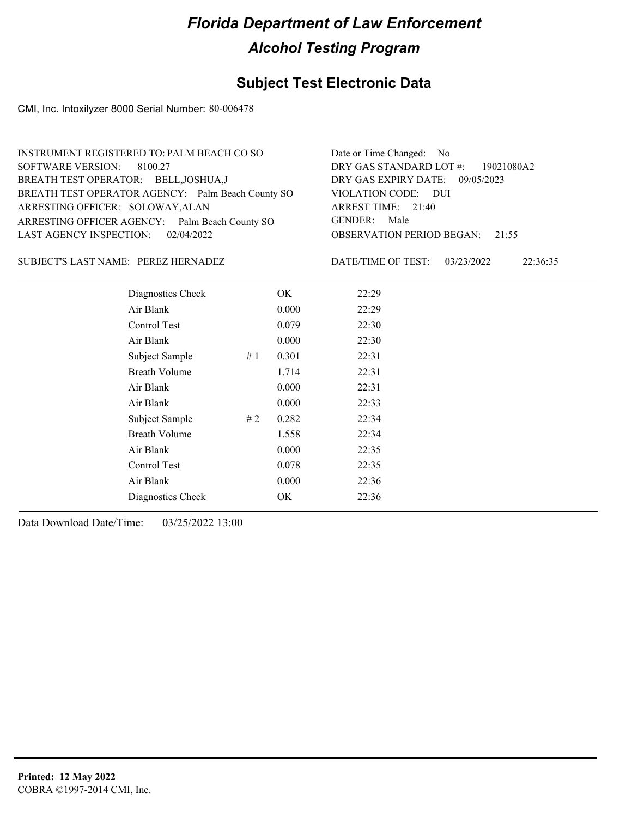### **Subject Test Electronic Data**

CMI, Inc. Intoxilyzer 8000 Serial Number: 80-006478

| INSTRUMENT REGISTERED TO: PALM BEACH CO SO        | Date or Time Changed: No               |
|---------------------------------------------------|----------------------------------------|
| SOFTWARE VERSION: 8100.27                         | DRY GAS STANDARD LOT #: 19021080A2     |
| BREATH TEST OPERATOR: BELL, JOSHUA, J             | DRY GAS EXPIRY DATE: 09/05/2023        |
| BREATH TEST OPERATOR AGENCY: Palm Beach County SO | VIOLATION CODE: DUI                    |
| ARRESTING OFFICER: SOLOWAY, ALAN                  | ARREST TIME: 21:40                     |
| ARRESTING OFFICER AGENCY: Palm Beach County SO    | GENDER: Male                           |
| LAST AGENCY INSPECTION: $02/04/2022$              | <b>OBSERVATION PERIOD BEGAN: 21:55</b> |
|                                                   |                                        |

#### PEREZ HERNADEZ SUBJECT'S LAST NAME: DATE/TIME OF TEST:

DATE/TIME OF TEST: 03/23/2022 22:36:35

| Diagnostics Check    |    | OK    | 22:29 |
|----------------------|----|-------|-------|
| Air Blank            |    | 0.000 | 22:29 |
| Control Test         |    | 0.079 | 22:30 |
| Air Blank            |    | 0.000 | 22:30 |
| Subject Sample       | #1 | 0.301 | 22:31 |
| <b>Breath Volume</b> |    | 1.714 | 22:31 |
| Air Blank            |    | 0.000 | 22:31 |
| Air Blank            |    | 0.000 | 22:33 |
| Subject Sample       | #2 | 0.282 | 22:34 |
| <b>Breath Volume</b> |    | 1.558 | 22:34 |
| Air Blank            |    | 0.000 | 22:35 |
| Control Test         |    | 0.078 | 22:35 |
| Air Blank            |    | 0.000 | 22:36 |
| Diagnostics Check    |    | OK    | 22:36 |
|                      |    |       |       |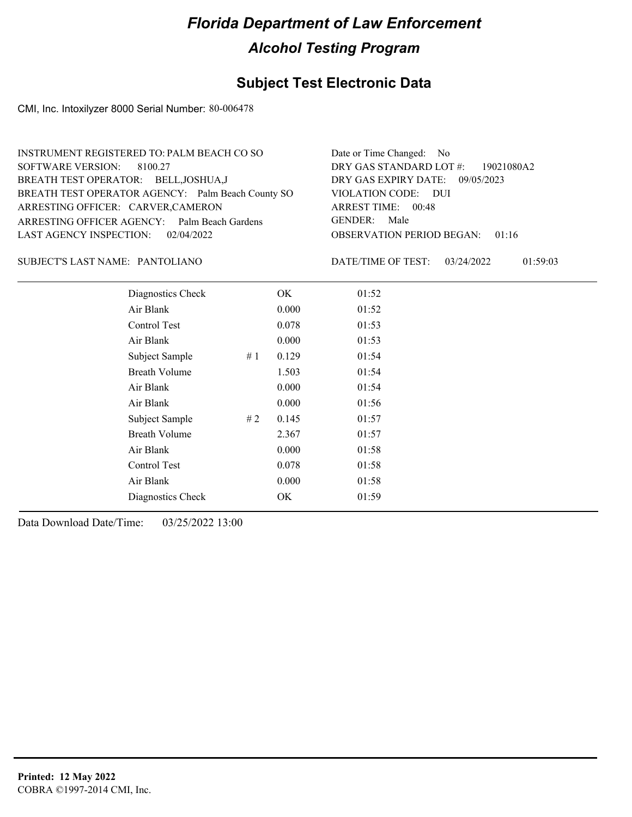### **Subject Test Electronic Data**

CMI, Inc. Intoxilyzer 8000 Serial Number: 80-006478

| INSTRUMENT REGISTERED TO: PALM BEACH CO SO        | Date or Time Changed: No               |
|---------------------------------------------------|----------------------------------------|
| SOFTWARE VERSION: 8100.27                         | DRY GAS STANDARD LOT #: 19021080A2     |
| BREATH TEST OPERATOR: BELL, JOSHUA, J             | DRY GAS EXPIRY DATE: 09/05/2023        |
| BREATH TEST OPERATOR AGENCY: Palm Beach County SO | VIOLATION CODE: DUI                    |
| ARRESTING OFFICER: CARVER, CAMERON                | ARREST TIME: 00:48                     |
| ARRESTING OFFICER AGENCY: Palm Beach Gardens      | GENDER: Male                           |
| LAST AGENCY INSPECTION: 02/04/2022                | <b>OBSERVATION PERIOD BEGAN: 01:16</b> |
|                                                   |                                        |

#### PANTOLIANO SUBJECT'S LAST NAME: DATE/TIME OF TEST:

DATE/TIME OF TEST: 03/24/2022 01:59:03

| Diagnostics Check    |    | OK    | 01:52 |
|----------------------|----|-------|-------|
| Air Blank            |    | 0.000 | 01:52 |
| Control Test         |    | 0.078 | 01:53 |
| Air Blank            |    | 0.000 | 01:53 |
| Subject Sample       | #1 | 0.129 | 01:54 |
| <b>Breath Volume</b> |    | 1.503 | 01:54 |
| Air Blank            |    | 0.000 | 01:54 |
| Air Blank            |    | 0.000 | 01:56 |
| Subject Sample       | #2 | 0.145 | 01:57 |
| <b>Breath Volume</b> |    | 2.367 | 01:57 |
| Air Blank            |    | 0.000 | 01:58 |
| Control Test         |    | 0.078 | 01:58 |
| Air Blank            |    | 0.000 | 01:58 |
| Diagnostics Check    |    | OK    | 01:59 |
|                      |    |       |       |